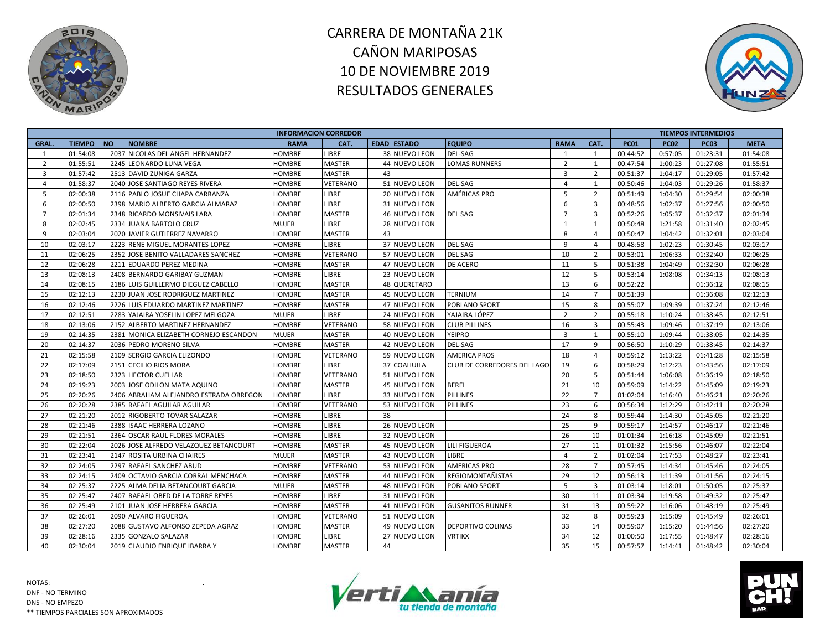



|                |               |                                        |               | <b>INFORMACION CORREDOR</b> |                    |                             |                |                |             |             | <b>TIEMPOS INTERMEDIOS</b> |             |
|----------------|---------------|----------------------------------------|---------------|-----------------------------|--------------------|-----------------------------|----------------|----------------|-------------|-------------|----------------------------|-------------|
| GRAL.          | <b>TIEMPO</b> | <b>NO</b><br><b>NOMBRE</b>             | <b>RAMA</b>   | CAT.                        | <b>EDAD ESTADO</b> | <b>EQUIPO</b>               | <b>RAMA</b>    | CAT.           | <b>PC01</b> | <b>PC02</b> | <b>PC03</b>                | <b>META</b> |
| 1              | 01:54:08      | 2037 NICOLAS DEL ANGEL HERNANDEZ       | HOMBRE        | LIBRE                       | 38 NUEVO LEON      | <b>DEL-SAG</b>              | 1              | 1              | 00:44:52    | 0:57:05     | 01:23:31                   | 01:54:08    |
| $\overline{2}$ | 01:55:51      | 2245 LEONARDO LUNA VEGA                | <b>HOMBRE</b> | <b>MASTER</b>               | 44 NUEVO LEON      | <b>LOMAS RUNNERS</b>        | $\overline{2}$ | 1              | 00:47:54    | 1:00:23     | 01:27:08                   | 01:55:51    |
| $\overline{3}$ | 01:57:42      | 2513 DAVID ZUNIGA GARZA                | <b>HOMBRE</b> | <b>MASTER</b>               | 43                 |                             | $\overline{3}$ | $\overline{2}$ | 00:51:37    | 1:04:17     | 01:29:05                   | 01:57:42    |
| $\overline{4}$ | 01:58:37      | 2040 JOSE SANTIAGO REYES RIVERA        | <b>HOMBRE</b> | VETERANO                    | 51 NUEVO LEON      | <b>DEL-SAG</b>              | $\overline{4}$ | 1              | 00:50:46    | 1:04:03     | 01:29:26                   | 01:58:37    |
| 5              | 02:00:38      | 2116 PABLO JOSUE CHAPA CARRANZA        | HOMBRE        | <b>LIBRE</b>                | 20 NUEVO LEON      | AMÉRICAS PRO                | 5              | $\overline{2}$ | 00:51:49    | 1:04:30     | 01:29:54                   | 02:00:38    |
| 6              | 02:00:50      | 2398 MARIO ALBERTO GARCIA ALMARAZ      | HOMBRE        | LIBRE                       | 31 NUEVO LEON      |                             | 6              | 3              | 00:48:56    | 1:02:37     | 01:27:56                   | 02:00:50    |
| $\overline{7}$ | 02:01:34      | 2348 RICARDO MONSIVAIS LARA            | <b>HOMBRE</b> | <b>MASTER</b>               | 46 NUEVO LEON      | <b>DEL SAG</b>              | $\overline{7}$ | $\overline{3}$ | 00:52:26    | 1:05:37     | 01:32:37                   | 02:01:34    |
| 8              | 02:02:45      | 2334 JUANA BARTOLO CRUZ                | <b>MUJER</b>  | LIBRE                       | 28 NUEVO LEON      |                             | 1              | 1              | 00:50:48    | 1:21:58     | 01:31:40                   | 02:02:45    |
| 9              | 02:03:04      | 2020 JAVIER GUTIERREZ NAVARRO          | HOMBRE        | <b>MASTER</b>               | 43                 |                             | 8              | $\overline{4}$ | 00:50:47    | 1:04:42     | 01:32:01                   | 02:03:04    |
| 10             | 02:03:17      | 2223 RENE MIGUEL MORANTES LOPEZ        | HOMBRE        | <b>LIBRE</b>                | 37 NUEVO LEON      | <b>DEL-SAG</b>              | 9              | 4              | 00:48:58    | 1:02:23     | 01:30:45                   | 02:03:17    |
| 11             | 02:06:25      | 2352 JOSE BENITO VALLADARES SANCHEZ    | HOMBRE        | VETERANO                    | 57 NUEVO LEON      | <b>DEL SAG</b>              | 10             | $\overline{2}$ | 00:53:01    | 1:06:33     | 01:32:40                   | 02:06:25    |
| 12             | 02:06:28      | 2211 EDUARDO PEREZ MEDINA              | HOMBRE        | <b>MASTER</b>               | 47 NUEVO LEON      | <b>DE ACERO</b>             | 11             | 5              | 00:51:38    | 1:04:49     | 01:32:30                   | 02:06:28    |
| 13             | 02:08:13      | 2408 BERNARDO GARIBAY GUZMAN           | <b>HOMBRE</b> | LIBRE                       | 23 NUEVO LEON      |                             | 12             | 5              | 00:53:14    | 1:08:08     | 01:34:13                   | 02:08:13    |
| 14             | 02:08:15      | 2186 LUIS GUILLERMO DIEGUEZ CABELLO    | HOMBRE        | <b>MASTER</b>               | 48 QUERETARO       |                             | 13             | 6              | 00:52:22    |             | 01:36:12                   | 02:08:15    |
| 15             | 02:12:13      | 2230 JUAN JOSE RODRIGUEZ MARTINEZ      | HOMBRE        | <b>MASTER</b>               | 45 NUEVO LEON      | TERNIUM                     | 14             | $\overline{7}$ | 00:51:39    |             | 01:36:08                   | 02:12:13    |
| 16             | 02:12:46      | 2226 LUIS EDUARDO MARTINEZ MARTINEZ    | <b>HOMBRE</b> | <b>MASTER</b>               | 47 NUEVO LEON      | POBLANO SPORT               | 15             | 8              | 00:55:07    | 1:09:39     | 01:37:24                   | 02:12:46    |
| 17             | 02:12:51      | 2283 YAJAIRA YOSELIN LOPEZ MELGOZA     | <b>MUJER</b>  | LIBRE                       | 24 NUEVO LEON      | YAJAIRA LÓPEZ               | $\overline{2}$ | $\overline{2}$ | 00:55:18    | 1:10:24     | 01:38:45                   | 02:12:51    |
| 18             | 02:13:06      | 2152 ALBERTO MARTINEZ HERNANDEZ        | <b>HOMBRE</b> | VETERANO                    | 58 NUEVO LEON      | <b>CLUB PILLINES</b>        | 16             | $\overline{3}$ | 00:55:43    | 1:09:46     | 01:37:19                   | 02:13:06    |
| 19             | 02:14:35      | 2381 MONICA ELIZABETH CORNEJO ESCANDON | <b>MUJER</b>  | <b>MASTER</b>               | 40 NUEVO LEON      | <b>YEIPRO</b>               | 3              | 1              | 00:55:10    | 1:09:44     | 01:38:05                   | 02:14:35    |
| 20             | 02:14:37      | 2036 PEDRO MORENO SILVA                | HOMBRE        | <b>MASTER</b>               | 42 NUEVO LEON      | <b>DEL-SAG</b>              | 17             | 9              | 00:56:50    | 1:10:29     | 01:38:45                   | 02:14:37    |
| 21             | 02:15:58      | 2109 SERGIO GARCIA ELIZONDO            | HOMBRE        | VETERANO                    | 59 NUEVO LEON      | <b>AMERICA PROS</b>         | 18             | $\overline{4}$ | 00:59:12    | 1:13:22     | 01:41:28                   | 02:15:58    |
| 22             | 02:17:09      | 2151 CECILIO RIOS MORA                 | <b>HOMBRE</b> | LIBRE                       | 37 COAHUILA        | CLUB DE CORREDORES DEL LAGO | 19             | 6              | 00:58:29    | 1:12:23     | 01:43:56                   | 02:17:09    |
| 23             | 02:18:50      | 2323 HECTOR CUELLAR                    | <b>HOMBRE</b> | VETERANO                    | 51 NUEVO LEON      |                             | 20             | 5              | 00:51:44    | 1:06:08     | 01:36:19                   | 02:18:50    |
| 24             | 02:19:23      | 2003 JOSE ODILON MATA AQUINO           | HOMBRE        | <b>MASTER</b>               | 45 NUEVO LEON      | <b>BEREL</b>                | 21             | 10             | 00:59:09    | 1:14:22     | 01:45:09                   | 02:19:23    |
| 25             | 02:20:26      | 2406 ABRAHAM ALEJANDRO ESTRADA OBREGON | <b>HOMBRE</b> | LIBRE                       | 33 NUEVO LEON      | <b>PILLINES</b>             | 22             | $\overline{7}$ | 01:02:04    | 1:16:40     | 01:46:21                   | 02:20:26    |
| 26             | 02:20:28      | 2385 RAFAEL AGUILAR AGUILAR            | HOMBRE        | VETERANO                    | 53 NUEVO LEON      | <b>PILLINES</b>             | 23             | 6              | 00:56:34    | 1:12:29     | 01:42:11                   | 02:20:28    |
| 27             | 02:21:20      | 2012 RIGOBERTO TOVAR SALAZAR           | <b>HOMBRE</b> | LIBRE                       | 38                 |                             | 24             | 8              | 00:59:44    | 1:14:30     | 01:45:05                   | 02:21:20    |
| 28             | 02:21:46      | 2388 ISAAC HERRERA LOZANO              | HOMBRE        | LIBRE                       | 26 NUEVO LEON      |                             | 25             | 9              | 00:59:17    | 1:14:57     | 01:46:17                   | 02:21:46    |
| 29             | 02:21:51      | 2364 OSCAR RAUL FLORES MORALES         | HOMBRE        | LIBRE                       | 32 NUEVO LEON      |                             | 26             | 10             | 01:01:34    | 1:16:18     | 01:45:09                   | 02:21:51    |
| 30             | 02:22:04      | 2026 JOSE ALFREDO VELAZQUEZ BETANCOURT | HOMBRE        | <b>MASTER</b>               | 45 NUEVO LEON      | <b>LILI FIGUEROA</b>        | 27             | 11             | 01:01:32    | 1:15:56     | 01:46:07                   | 02:22:04    |
| 31             | 02:23:41      | 2147 ROSITA URBINA CHAIRES             | <b>MUJER</b>  | <b>MASTER</b>               | 43 NUEVO LEON      | LIBRE                       | 4              | $\overline{2}$ | 01:02:04    | 1:17:53     | 01:48:27                   | 02:23:41    |
| 32             | 02:24:05      | 2297 RAFAEL SANCHEZ ABUD               | <b>HOMBRE</b> | VETERANO                    | 53 NUEVO LEON      | <b>AMERICAS PRO</b>         | 28             | $\overline{7}$ | 00:57:45    | 1:14:34     | 01:45:46                   | 02:24:05    |
| 33             | 02:24:15      | 2409 OCTAVIO GARCIA CORRAL MENCHACA    | <b>HOMBRE</b> | <b>MASTER</b>               | 44 NUEVO LEON      | <b>REGIOMONTAÑISTAS</b>     | 29             | 12             | 00:56:13    | 1:11:39     | 01:41:56                   | 02:24:15    |
| 34             | 02:25:37      | 2225 ALMA DELIA BETANCOURT GARCIA      | MUJER         | <b>MASTER</b>               | 48 NUEVO LEON      | POBLANO SPORT               | 5              | $\overline{3}$ | 01:03:14    | 1:18:01     | 01:50:05                   | 02:25:37    |
| 35             | 02:25:47      | 2407 RAFAEL OBED DE LA TORRE REYES     | <b>HOMBRE</b> | <b>LIBRE</b>                | 31 NUEVO LEON      |                             | 30             | 11             | 01:03:34    | 1:19:58     | 01:49:32                   | 02:25:47    |
| 36             | 02:25:49      | 2101 JUAN JOSE HERRERA GARCIA          | <b>HOMBRE</b> | <b>MASTER</b>               | 41 NUEVO LEON      | <b>GUSANITOS RUNNER</b>     | 31             | 13             | 00:59:22    | 1:16:06     | 01:48:19                   | 02:25:49    |
| 37             | 02:26:01      | 2090 ALVARO FIGUEROA                   | <b>HOMBRE</b> | VETERANO                    | 51 NUEVO LEON      |                             | 32             | 8              | 00:59:23    | 1:15:09     | 01:45:49                   | 02:26:01    |
| 38             | 02:27:20      | 2088 GUSTAVO ALFONSO ZEPEDA AGRAZ      | <b>HOMBRE</b> | <b>MASTER</b>               | 49 NUEVO LEON      | <b>DEPORTIVO COLINAS</b>    | 33             | 14             | 00:59:07    | 1:15:20     | 01:44:56                   | 02:27:20    |
| 39             | 02:28:16      | 2335 GONZALO SALAZAR                   | HOMBRE        | LIBRE                       | 27 NUEVO LEON      | <b>VRTIKX</b>               | 34             | 12             | 01:00:50    | 1:17:55     | 01:48:47                   | 02:28:16    |
| 40             | 02:30:04      | 2019 CLAUDIO ENRIQUE IBARRA Y          | HOMBRE        | <b>MASTER</b>               | 44                 |                             | 35             | 15             | 00:57:57    | 1:14:41     | 01:48:42                   | 02:30:04    |



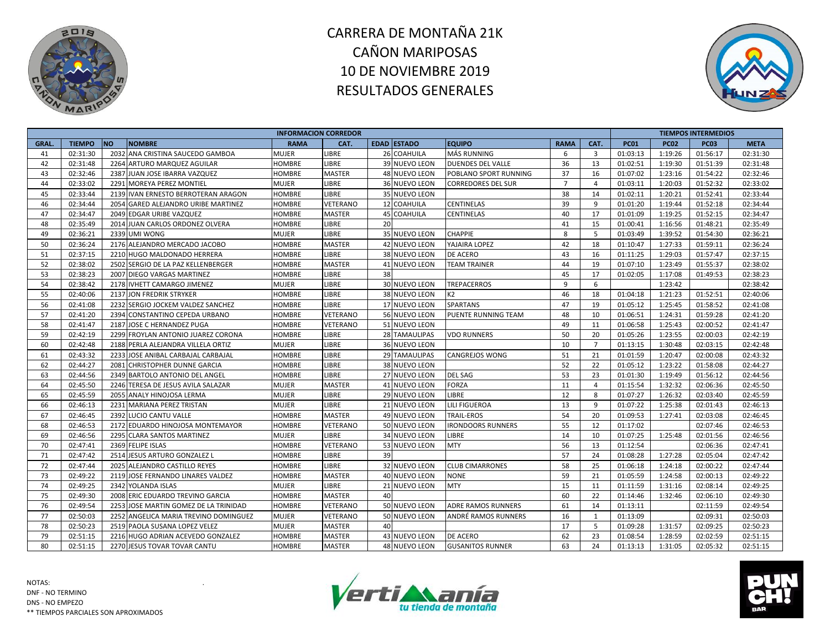



|              |               |                                       |               | <b>INFORMACION CORREDOR</b> |    |                    |                            |                |                |             |             | <b>TIEMPOS INTERMEDIOS</b> |             |
|--------------|---------------|---------------------------------------|---------------|-----------------------------|----|--------------------|----------------------------|----------------|----------------|-------------|-------------|----------------------------|-------------|
| <b>GRAL.</b> | <b>TIEMPO</b> | <b>NO</b><br><b>NOMBRE</b>            | <b>RAMA</b>   | CAT.                        |    | <b>EDAD ESTADO</b> | <b>EQUIPO</b>              | <b>RAMA</b>    | CAT.           | <b>PC01</b> | <b>PC02</b> | <b>PC03</b>                | <b>META</b> |
| 41           | 02:31:30      | 2032 ANA CRISTINA SAUCEDO GAMBOA      | <b>MUJER</b>  | <b>LIBRE</b>                |    | 26 COAHUILA        | <b>MÁS RUNNING</b>         | 6              | $\overline{3}$ | 01:03:13    | 1:19:26     | 01:56:17                   | 02:31:30    |
| 42           | 02:31:48      | 2264 ARTURO MARQUEZ AGUILAR           | <b>HOMBRE</b> | <b>LIBRE</b>                |    | 39 NUEVO LEON      | <b>DUENDES DEL VALLE</b>   | 36             | 13             | 01:02:51    | 1:19:30     | 01:51:39                   | 02:31:48    |
| 43           | 02:32:46      | 2387 JUAN JOSE IBARRA VAZQUEZ         | <b>HOMBRE</b> | <b>MASTER</b>               |    | 48 NUEVO LEON      | POBLANO SPORT RUNNING      | 37             | 16             | 01:07:02    | 1:23:16     | 01:54:22                   | 02:32:46    |
| 44           | 02:33:02      | 2291 MOREYA PEREZ MONTIEL             | <b>MUJER</b>  | LIBRE                       |    | 36 NUEVO LEON      | <b>CORREDORES DEL SUR</b>  | $\overline{7}$ | $\overline{4}$ | 01:03:11    | 1:20:03     | 01:52:32                   | 02:33:02    |
| 45           | 02:33:44      | 2139 IVAN ERNESTO BERROTERAN ARAGON   | <b>HOMBRE</b> | LIBRE                       |    | 35 NUEVO LEON      |                            | 38             | 14             | 01:02:11    | 1:20:21     | 01:52:41                   | 02:33:44    |
| 46           | 02:34:44      | 2054 GARED ALEJANDRO URIBE MARTINEZ   | <b>HOMBRE</b> | VETERANO                    |    | 12 COAHUILA        | CENTINELAS                 | 39             | 9              | 01:01:20    | 1:19:44     | 01:52:18                   | 02:34:44    |
| 47           | 02:34:47      | 2049 EDGAR URIBE VAZQUEZ              | <b>HOMBRE</b> | <b>MASTER</b>               |    | 45 COAHUILA        | <b>CENTINELAS</b>          | 40             | 17             | 01:01:09    | 1:19:25     | 01:52:15                   | 02:34:47    |
| 48           | 02:35:49      | 2014 JUAN CARLOS ORDONEZ OLVERA       | <b>HOMBRE</b> | <b>LIBRE</b>                | 20 |                    |                            | 41             | 15             | 01:00:41    | 1:16:56     | 01:48:21                   | 02:35:49    |
| 49           | 02:36:21      | 2339 UMI WONG                         | <b>MUJER</b>  | LIBRE                       |    | 35 NUEVO LEON      | <b>CHAPPIE</b>             | 8              | 5              | 01:03:49    | 1:39:52     | 01:54:30                   | 02:36:21    |
| 50           | 02:36:24      | 2176 ALEJANDRO MERCADO JACOBO         | <b>HOMBRE</b> | <b>MASTER</b>               |    | 42 NUEVO LEON      | YAJAIRA LOPEZ              | 42             | 18             | 01:10:47    | 1:27:33     | 01:59:11                   | 02:36:24    |
| 51           | 02:37:15      | 2210 HUGO MALDONADO HERRERA           | <b>HOMBRE</b> | LIBRE                       |    | 38 NUEVO LEON      | DE ACERO                   | 43             | 16             | 01:11:25    | 1:29:03     | 01:57:47                   | 02:37:15    |
| 52           | 02:38:02      | 2502 SERGIO DE LA PAZ KELLENBERGER    | <b>HOMBRE</b> | <b>MASTER</b>               |    | 41 NUEVO LEON      | <b>TEAM TRAINER</b>        | 44             | 19             | 01:07:10    | 1:23:49     | 01:55:37                   | 02:38:02    |
| 53           | 02:38:23      | 2007 DIEGO VARGAS MARTINEZ            | HOMBRE        | LIBRE                       | 38 |                    |                            | 45             | 17             | 01:02:05    | 1:17:08     | 01:49:53                   | 02:38:23    |
| 54           | 02:38:42      | 2178 IVHETT CAMARGO JIMENEZ           | <b>MUJER</b>  | LIBRE                       |    | 30 NUEVO LEON      | TREPACERROS                | 9              | 6              |             | 1:23:42     |                            | 02:38:42    |
| 55           | 02:40:06      | 2137 JON FREDRIK STRYKER              | <b>HOMBRE</b> | LIBRE                       |    | 38 NUEVO LEON      | K <sub>2</sub>             | 46             | 18             | 01:04:18    | 1:21:23     | 01:52:51                   | 02:40:06    |
| 56           | 02:41:08      | 2232 SERGIO JOCKEM VALDEZ SANCHEZ     | <b>HOMBRE</b> | LIBRE                       |    | 17 NUEVO LEON      | <b>SPARTANS</b>            | 47             | 19             | 01:05:12    | 1:25:45     | 01:58:52                   | 02:41:08    |
| 57           | 02:41:20      | 2394 CONSTANTINO CEPEDA URBANO        | <b>HOMBRE</b> | VETERANO                    |    | 56 NUEVO LEON      | <b>PUENTE RUNNING TEAM</b> | 48             | 10             | 01:06:51    | 1:24:31     | 01:59:28                   | 02:41:20    |
| 58           | 02:41:47      | 2187 JOSE C HERNANDEZ PUGA            | <b>HOMBRE</b> | VETERANO                    |    | 51 NUEVO LEON      |                            | 49             | 11             | 01:06:58    | 1:25:43     | 02:00:52                   | 02:41:47    |
| 59           | 02:42:19      | 2299 FROYLAN ANTONIO JUAREZ CORONA    | <b>HOMBRE</b> | LIBRE                       |    | 28 TAMAULIPAS      | <b>VDO RUNNERS</b>         | 50             | 20             | 01:05:26    | 1:23:55     | 02:00:03                   | 02:42:19    |
| 60           | 02:42:48      | 2188 PERLA ALEJANDRA VILLELA ORTIZ    | <b>MUJER</b>  | LIBRE                       |    | 36 NUEVO LEON      |                            | 10             | $\overline{7}$ | 01:13:15    | 1:30:48     | 02:03:15                   | 02:42:48    |
| 61           | 02:43:32      | 2233 JOSE ANIBAL CARBAJAL CARBAJAL    | <b>HOMBRE</b> | LIBRE                       |    | 29 TAMAULIPAS      | CANGREJOS WONG             | 51             | 21             | 01:01:59    | 1:20:47     | 02:00:08                   | 02:43:32    |
| 62           | 02:44:27      | 2081 CHRISTOPHER DUNNE GARCIA         | <b>HOMBRE</b> | LIBRE                       |    | 38 NUEVO LEON      |                            | 52             | 22             | 01:05:12    | 1:23:22     | 01:58:08                   | 02:44:27    |
| 63           | 02:44:56      | 2349 BARTOLO ANTONIO DEL ANGEL        | <b>HOMBRE</b> | <b>LIBRE</b>                |    | 27 NUEVO LEON      | <b>DEL SAG</b>             | 53             | 23             | 01:01:30    | 1:19:49     | 01:56:12                   | 02:44:56    |
| 64           | 02:45:50      | 2246 TERESA DE JESUS AVILA SALAZAR    | <b>MUJER</b>  | <b>MASTER</b>               |    | 41 NUEVO LEON      | <b>FORZA</b>               | 11             | $\overline{4}$ | 01:15:54    | 1:32:32     | 02:06:36                   | 02:45:50    |
| 65           | 02:45:59      | 2055 ANALY HINOJOSA LERMA             | <b>MUJER</b>  | LIBRE                       |    | 29 NUEVO LEON      | LIBRE                      | 12             | 8              | 01:07:27    | 1:26:32     | 02:03:40                   | 02:45:59    |
| 66           | 02:46:13      | 2231 MARIANA PEREZ TRISTAN            | <b>MUJER</b>  | LIBRE                       |    | 21 NUEVO LEON      | <b>LILI FIGUEROA</b>       | 13             | 9              | 01:07:22    | 1:25:38     | 02:01:43                   | 02:46:13    |
| 67           | 02:46:45      | 2392 LUCIO CANTU VALLE                | <b>HOMBRE</b> | <b>MASTER</b>               |    | 49 NUEVO LEON      | <b>TRAIL-EROS</b>          | 54             | 20             | 01:09:53    | 1:27:41     | 02:03:08                   | 02:46:45    |
| 68           | 02:46:53      | 2172 EDUARDO HINOJOSA MONTEMAYOR      | <b>HOMBRE</b> | VETERANO                    |    | 50 NUEVO LEON      | <b>IRONDOORS RUNNERS</b>   | 55             | 12             | 01:17:02    |             | 02:07:46                   | 02:46:53    |
| 69           | 02:46:56      | 2295 CLARA SANTOS MARTINEZ            | <b>MUJER</b>  | LIBRE                       |    | 34 NUEVO LEON      | LIBRE                      | 14             | 10             | 01:07:25    | 1:25:48     | 02:01:56                   | 02:46:56    |
| 70           | 02:47:41      | 2369 FELIPE ISLAS                     | HOMBRE        | VETERANO                    |    | 53 NUEVO LEON      | <b>MTY</b>                 | 56             | 13             | 01:12:54    |             | 02:06:36                   | 02:47:41    |
| 71           | 02:47:42      | 2514 JESUS ARTURO GONZALEZ L          | <b>HOMBRE</b> | <b>LIBRE</b>                | 39 |                    |                            | 57             | 24             | 01:08:28    | 1:27:28     | 02:05:04                   | 02:47:42    |
| 72           | 02:47:44      | 2025 ALEJANDRO CASTILLO REYES         | <b>HOMBRE</b> | LIBRE                       |    | 32 NUEVO LEON      | <b>CLUB CIMARRONES</b>     | 58             | 25             | 01:06:18    | 1:24:18     | 02:00:22                   | 02:47:44    |
| 73           | 02:49:22      | 2119 JOSE FERNANDO LINARES VALDEZ     | HOMBRE        | <b>MASTER</b>               |    | 40 NUEVO LEON      | <b>NONE</b>                | 59             | 21             | 01:05:59    | 1:24:58     | 02:00:13                   | 02:49:22    |
| 74           | 02:49:25      | 2342 YOLANDA ISLAS                    | <b>MUJER</b>  | LIBRE                       |    | 21 NUEVO LEON      | <b>MTY</b>                 | 15             | 11             | 01:11:59    | 1:31:16     | 02:08:14                   | 02:49:25    |
| 75           | 02:49:30      | 2008 ERIC EDUARDO TREVINO GARCIA      | <b>HOMBRE</b> | <b>MASTER</b>               | 40 |                    |                            | 60             | 22             | 01:14:46    | 1:32:46     | 02:06:10                   | 02:49:30    |
| 76           | 02:49:54      | 2253 JOSE MARTIN GOMEZ DE LA TRINIDAD | <b>HOMBRE</b> | VETERANO                    |    | 50 NUEVO LEON      | <b>ADRE RAMOS RUNNERS</b>  | 61             | 14             | 01:13:11    |             | 02:11:59                   | 02:49:54    |
| 77           | 02:50:03      | 2252 ANGELICA MARIA TREVINO DOMINGUEZ | <b>MUJER</b>  | VETERANO                    |    | 50 NUEVO LEON      | ANDRÉ RAMOS RUNNERS        | 16             | 1              | 01:13:09    |             | 02:09:31                   | 02:50:03    |
| 78           | 02:50:23      | 2519 PAOLA SUSANA LOPEZ VELEZ         | <b>MUJER</b>  | <b>MASTER</b>               | 40 |                    |                            | 17             | 5              | 01:09:28    | 1:31:57     | 02:09:25                   | 02:50:23    |
| 79           | 02:51:15      | 2216 HUGO ADRIAN ACEVEDO GONZALEZ     | <b>HOMBRE</b> | <b>MASTER</b>               |    | 43 NUEVO LEON      | <b>DE ACERO</b>            | 62             | 23             | 01:08:54    | 1:28:59     | 02:02:59                   | 02:51:15    |
| 80           | 02:51:15      | 2270 JESUS TOVAR TOVAR CANTU          | <b>HOMBRE</b> | <b>MASTER</b>               |    | 48 NUEVO LEON      | <b>GUSANITOS RUNNER</b>    | 63             | 24             | 01:13:13    | 1:31:05     | 02:05:32                   | 02:51:15    |



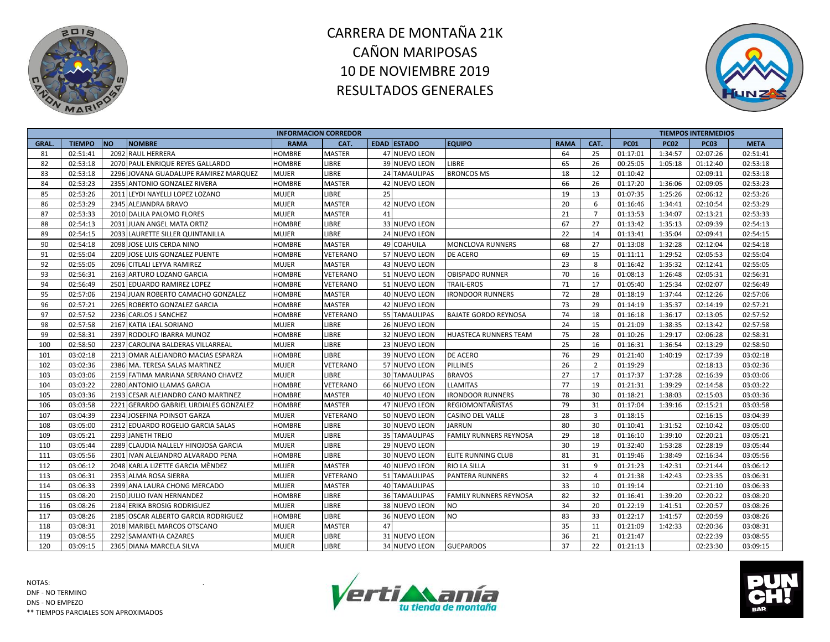



|              | <b>NO</b><br><b>TIEMPO</b><br><b>NOMBRE</b> |                                        | <b>INFORMACION CORREDOR</b> |               |    |                      |                               |             |                |             |             | <b>TIEMPOS INTERMEDIOS</b> |             |
|--------------|---------------------------------------------|----------------------------------------|-----------------------------|---------------|----|----------------------|-------------------------------|-------------|----------------|-------------|-------------|----------------------------|-------------|
| <b>GRAL.</b> |                                             |                                        | <b>RAMA</b>                 | CAT.          |    | <b>EDAD ESTADO</b>   | <b>EQUIPO</b>                 | <b>RAMA</b> | CAT.           | <b>PC01</b> | <b>PC02</b> | <b>PC03</b>                | <b>META</b> |
| 81           | 02:51:41                                    | 2092 RAUL HERRERA                      | <b>HOMBRE</b>               | <b>MASTER</b> |    | 47 NUEVO LEON        |                               | 64          | 25             | 01:17:01    | 1:34:57     | 02:07:26                   | 02:51:41    |
| 82           | 02:53:18                                    | 2070 PAUL ENRIQUE REYES GALLARDO       | <b>HOMBRE</b>               | <b>LIBRE</b>  |    | 39 NUEVO LEON        | <b>LIBRE</b>                  | 65          | 26             | 00:25:05    | 1:05:18     | 01:12:40                   | 02:53:18    |
| 83           | 02:53:18                                    | 2296 JOVANA GUADALUPE RAMIREZ MARQUEZ  | <b>MUJER</b>                | <b>LIBRE</b>  |    | 24 TAMAULIPAS        | <b>BRONCOS MS</b>             | 18          | 12             | 01:10:42    |             | 02:09:11                   | 02:53:18    |
| 84           | 02:53:23                                    | 2355 ANTONIO GONZALEZ RIVERA           | <b>HOMBRE</b>               | <b>MASTER</b> |    | 42 NUEVO LEON        |                               | 66          | 26             | 01:17:20    | 1:36:06     | 02:09:05                   | 02:53:23    |
| 85           | 02:53:26                                    | 2011 LEYDI NAYELLI LOPEZ LOZANO        | <b>MUJER</b>                | LIBRE         | 25 |                      |                               | 19          | 13             | 01:07:35    | 1:25:26     | 02:06:12                   | 02:53:26    |
| 86           | 02:53:29                                    | 2345 ALEJANDRA BRAVO                   | <b>MUJER</b>                | MASTER        |    | 42 NUEVO LEON        |                               | 20          | 6              | 01:16:46    | 1:34:41     | 02:10:54                   | 02:53:29    |
| 87           | 02:53:33                                    | 2010 DALILA PALOMO FLORES              | <b>MUJER</b>                | <b>MASTER</b> | 41 |                      |                               | 21          | $\overline{7}$ | 01:13:53    | 1:34:07     | 02:13:21                   | 02:53:33    |
| 88           | 02:54:13                                    | 2031 JUAN ANGEL MATA ORTIZ             | <b>HOMBRE</b>               | LIBRE         |    | 33 NUEVO LEON        |                               | 67          | 27             | 01:13:42    | 1:35:13     | 02:09:39                   | 02:54:13    |
| 89           | 02:54:15                                    | 2033 LAURETTE SILLER QUINTANILLA       | <b>MUJER</b>                | LIBRE         |    | 24 NUEVO LEON        |                               | 22          | 14             | 01:13:41    | 1:35:04     | 02:09:41                   | 02:54:15    |
| 90           | 02:54:18                                    | 2098 JOSE LUIS CERDA NINO              | <b>HOMBRE</b>               | <b>MASTER</b> |    | 49 COAHUILA          | <b>MONCLOVA RUNNERS</b>       | 68          | 27             | 01:13:08    | 1:32:28     | 02:12:04                   | 02:54:18    |
| 91           | 02:55:04                                    | 2209 JOSE LUIS GONZALEZ PUENTE         | <b>HOMBRE</b>               | VETERANO      |    | 57 NUEVO LEON        | DE ACERO                      | 69          | 15             | 01:11:11    | 1:29:52     | 02:05:53                   | 02:55:04    |
| 92           | 02:55:05                                    | 2096 CITLALI LEYVA RAMIREZ             | <b>MUJER</b>                | <b>MASTER</b> |    | 43 NUEVO LEON        |                               | 23          | 8              | 01:16:42    | 1:35:32     | 02:12:41                   | 02:55:05    |
| 93           | 02:56:31                                    | 2163 ARTURO LOZANO GARCIA              | <b>HOMBRE</b>               | VETERANO      |    | 51 NUEVO LEON        | <b>OBISPADO RUNNER</b>        | 70          | 16             | 01:08:13    | 1:26:48     | 02:05:31                   | 02:56:31    |
| 94           | 02:56:49                                    | 2501 EDUARDO RAMIREZ LOPEZ             | <b>HOMBRE</b>               | VETERANO      |    | 51 NUEVO LEON        | <b>TRAIL-EROS</b>             | 71          | 17             | 01:05:40    | 1:25:34     | 02:02:07                   | 02:56:49    |
| 95           | 02:57:06                                    | 2194 JUAN ROBERTO CAMACHO GONZALEZ     | <b>HOMBRE</b>               | <b>MASTER</b> |    | 40 NUEVO LEON        | <b>IRONDOOR RUNNERS</b>       | 72          | 28             | 01:18:19    | 1:37:44     | 02:12:26                   | 02:57:06    |
| 96           | 02:57:21                                    | 2265 ROBERTO GONZALEZ GARCIA           | <b>HOMBRE</b>               | <b>MASTER</b> |    | 42 NUEVO LEON        |                               | 73          | 29             | 01:14:19    | 1:35:37     | 02:14:19                   | 02:57:21    |
| 97           | 02:57:52                                    | 2236 CARLOS J SANCHEZ                  | <b>HOMBRE</b>               | VETERANO      |    | 55 TAMAULIPAS        | <b>BAJATE GORDO REYNOSA</b>   | 74          | 18             | 01:16:18    | 1:36:17     | 02:13:05                   | 02:57:52    |
| 98           | 02:57:58                                    | 2167 KATIA LEAL SORIANO                | <b>MUJER</b>                | <b>LIBRE</b>  |    | <b>26 NUEVO LEON</b> |                               | 24          | 15             | 01:21:09    | 1:38:35     | 02:13:42                   | 02:57:58    |
| 99           | 02:58:31                                    | 2397 RODOLFO IBARRA MUNOZ              | <b>HOMBRE</b>               | LIBRE         |    | 32 NUEVO LEON        | <b>HUASTECA RUNNERS TEAM</b>  | 75          | 28             | 01:10:26    | 1:29:17     | 02:06:28                   | 02:58:31    |
| 100          | 02:58:50                                    | 2237 CAROLINA BALDERAS VILLARREAL      | <b>MUJER</b>                | LIBRE         |    | 23 NUEVO LEON        |                               | 25          | 16             | 01:16:31    | 1:36:54     | 02:13:29                   | 02:58:50    |
| 101          | 03:02:18                                    | 2213 OMAR ALEJANDRO MACIAS ESPARZA     | <b>HOMBRE</b>               | <b>LIBRE</b>  |    | 39 NUEVO LEON        | <b>DE ACERO</b>               | 76          | 29             | 01:21:40    | 1:40:19     | 02:17:39                   | 03:02:18    |
| 102          | 03:02:36                                    | 2386 MA. TERESA SALAS MARTINEZ         | <b>MUJER</b>                | VETERANO      |    | 57 NUEVO LEON        | <b>PILLINES</b>               | 26          | $\overline{2}$ | 01:19:29    |             | 02:18:13                   | 03:02:36    |
| 103          | 03:03:06                                    | 2159 FATIMA MARIANA SERRANO CHAVEZ     | <b>MUJER</b>                | LIBRE         |    | 30 TAMAULIPAS        | <b>BRAVOS</b>                 | 27          | 17             | 01:17:37    | 1:37:28     | 02:16:39                   | 03:03:06    |
| 104          | 03:03:22                                    | 2280 ANTONIO LLAMAS GARCIA             | <b>HOMBRE</b>               | VETERANO      |    | 66 NUEVO LEON        | <b>LLAMITAS</b>               | 77          | 19             | 01:21:31    | 1:39:29     | 02:14:58                   | 03:03:22    |
| 105          | 03:03:36                                    | 2193 CESAR ALEJANDRO CANO MARTINEZ     | <b>HOMBRE</b>               | <b>MASTER</b> |    | 40 NUEVO LEON        | <b>IRONDOOR RUNNERS</b>       | 78          | 30             | 01:18:21    | 1:38:03     | 02:15:03                   | 03:03:36    |
| 106          | 03:03:58                                    | 2221 GERARDO GABRIEL URDIALES GONZALEZ | <b>HOMBRE</b>               | <b>MASTER</b> |    | 47 NUEVO LEON        | <b>REGIOMONTAÑISTAS</b>       | 79          | 31             | 01:17:04    | 1:39:16     | 02:15:21                   | 03:03:58    |
| 107          | 03:04:39                                    | 2234 JOSEFINA POINSOT GARZA            | <b>MUJER</b>                | VETERANO      |    | 50 NUEVO LEON        | <b>CASINO DEL VALLE</b>       | 28          | $\overline{3}$ | 01:18:15    |             | 02:16:15                   | 03:04:39    |
| 108          | 03:05:00                                    | 2312 EDUARDO ROGELIO GARCIA SALAS      | <b>HOMBRE</b>               | LIBRE         |    | 30 NUEVO LEON        | <b>JARRUN</b>                 | 80          | 30             | 01:10:41    | 1:31:52     | 02:10:42                   | 03:05:00    |
| 109          | 03:05:21                                    | 2293 JANETH TREJO                      | <b>MUJER</b>                | LIBRE         |    | 35 TAMAULIPAS        | <b>FAMILY RUNNERS REYNOSA</b> | 29          | 18             | 01:16:10    | 1:39:10     | 02:20:21                   | 03:05:21    |
| 110          | 03:05:44                                    | 2289 CLAUDIA NALLELY HINOJOSA GARCIA   | <b>MUJER</b>                | LIBRE         |    | <b>29 NUEVO LEON</b> |                               | 30          | 19             | 01:32:40    | 1:53:28     | 02:28:19                   | 03:05:44    |
| 111          | 03:05:56                                    | 2301 IVAN ALEJANDRO ALVARADO PENA      | <b>HOMBRE</b>               | <b>LIBRE</b>  |    | <b>30 NUEVO LEON</b> | <b>ELITE RUNNING CLUB</b>     | 81          | 31             | 01:19:46    | 1:38:49     | 02:16:34                   | 03:05:56    |
| 112          | 03:06:12                                    | 2048 KARLA LIZETTE GARCIA MÈNDEZ       | <b>MUJER</b>                | <b>MASTER</b> |    | 40 NUEVO LEON        | <b>RIO LA SILLA</b>           | 31          | 9              | 01:21:23    | 1:42:31     | 02:21:44                   | 03:06:12    |
| 113          | 03:06:31                                    | 2353 ALMA ROSA SIERRA                  | <b>MUJER</b>                | VETERANO      |    | 51 TAMAULIPAS        | <b>PANTERA RUNNERS</b>        | 32          | $\overline{4}$ | 01:21:38    | 1:42:43     | 02:23:35                   | 03:06:31    |
| 114          | 03:06:33                                    | 2399 ANA LAURA CHONG MERCADO           | <b>MUJER</b>                | <b>MASTER</b> |    | <b>40 TAMAULIPAS</b> |                               | 33          | 10             | 01:19:14    |             | 02:21:10                   | 03:06:33    |
| 115          | 03:08:20                                    | 2150 JULIO IVAN HERNANDEZ              | <b>HOMBRE</b>               | <b>LIBRE</b>  |    | <b>36 TAMAULIPAS</b> | <b>FAMILY RUNNERS REYNOSA</b> | 82          | 32             | 01:16:41    | 1:39:20     | 02:20:22                   | 03:08:20    |
| 116          | 03:08:26                                    | 2184 ERIKA BROSIG RODRIGUEZ            | <b>MUJER</b>                | LIBRE         |    | 38 NUEVO LEON        | <b>NO</b>                     | 34          | 20             | 01:22:19    | 1:41:51     | 02:20:57                   | 03:08:26    |
| 117          | 03:08:26                                    | 2185 OSCAR ALBERTO GARCIA RODRIGUEZ    | <b>HOMBRE</b>               | LIBRE         |    | 36 NUEVO LEON        | <b>NO</b>                     | 83          | 33             | 01:22:17    | 1:41:57     | 02:20:59                   | 03:08:26    |
| 118          | 03:08:31                                    | 2018 MARIBEL MARCOS OTSCANO            | <b>MUJER</b>                | MASTER        | 47 |                      |                               | 35          | 11             | 01:21:09    | 1:42:33     | 02:20:36                   | 03:08:31    |
| 119          | 03:08:55                                    | 2292 SAMANTHA CAZARES                  | <b>MUJER</b>                | LIBRE         |    | 31 NUEVO LEON        |                               | 36          | 21             | 01:21:47    |             | 02:22:39                   | 03:08:55    |
| 120          | 03:09:15                                    | 2365 DIANA MARCELA SILVA               | <b>MUJER</b>                | <b>LIBRE</b>  |    | 34 NUEVO LEON        | <b>GUEPARDOS</b>              | 37          | 22             | 01:21:13    |             | 02:23:30                   | 03:09:15    |



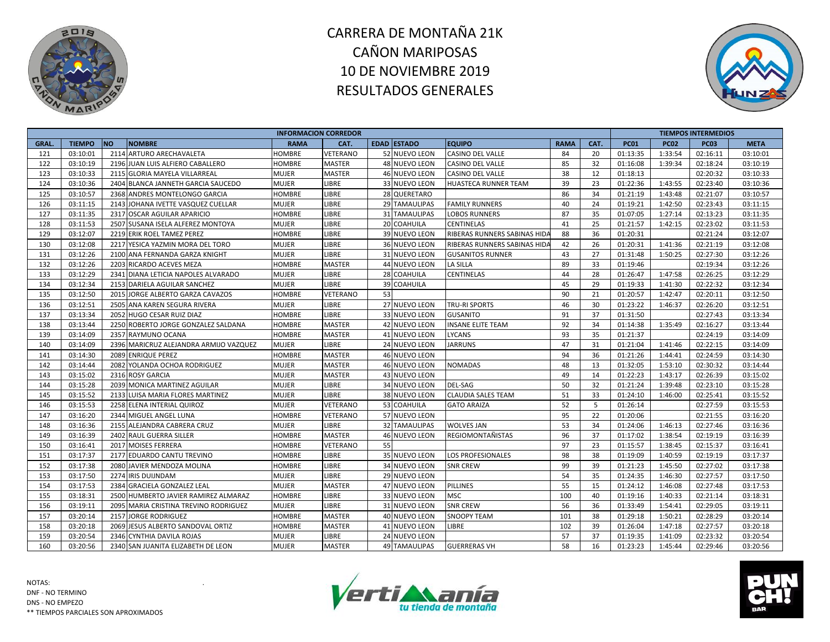



|             |               |            |                                        |               | <b>INFORMACION CORREDOR</b> |    |                      |                              |             |      |             |             | <b>TIEMPOS INTERMEDIOS</b> |             |
|-------------|---------------|------------|----------------------------------------|---------------|-----------------------------|----|----------------------|------------------------------|-------------|------|-------------|-------------|----------------------------|-------------|
| <b>GRAL</b> | <b>TIEMPO</b> | <b>INO</b> | <b>NOMBRE</b>                          | <b>RAMA</b>   | CAT.                        |    | <b>EDAD ESTADO</b>   | <b>EQUIPO</b>                | <b>RAMA</b> | CAT. | <b>PC01</b> | <b>PC02</b> | <b>PC03</b>                | <b>META</b> |
| 121         | 03:10:01      |            | 2114 ARTURO ARECHAVALETA               | <b>HOMBRE</b> | <b>VETERANO</b>             |    | 52 NUEVO LEON        | <b>CASINO DEL VALLE</b>      | 84          | 20   | 01:13:35    | 1:33:54     | 02:16:11                   | 03:10:01    |
| 122         | 03:10:19      |            | 2196 JUAN LUIS ALFIERO CABALLERO       | <b>HOMBRE</b> | <b>MASTER</b>               |    | 48 NUEVO LEON        | <b>CASINO DEL VALLE</b>      | 85          | 32   | 01:16:08    | 1:39:34     | 02:18:24                   | 03:10:19    |
| 123         | 03:10:33      |            | 2115 GLORIA MAYELA VILLARREAL          | <b>MUJER</b>  | <b>MASTER</b>               |    | 46 NUEVO LEON        | CASINO DEL VALLE             | 38          | 12   | 01:18:13    |             | 02:20:32                   | 03:10:33    |
| 124         | 03:10:36      |            | 2404 BLANCA JANNETH GARCIA SAUCEDO     | <b>MUJER</b>  | LIBRE                       |    | 33 NUEVO LEON        | HUASTECA RUNNER TEAM         | 39          | 23   | 01:22:36    | 1:43:55     | 02:23:40                   | 03:10:36    |
| 125         | 03:10:57      |            | 2368 ANDRES MONTELONGO GARCIA          | HOMBRE        | LIBRE                       |    | 28 QUERETARO         |                              | 86          | 34   | 01:21:19    | 1:43:48     | 02:21:07                   | 03:10:57    |
| 126         | 03:11:15      |            | 2143 JOHANA IVETTE VASQUEZ CUELLAR     | MUJER         | LIBRE                       |    | 29 TAMAULIPAS        | <b>FAMILY RUNNERS</b>        | 40          | 24   | 01:19:21    | 1:42:50     | 02:23:43                   | 03:11:15    |
| 127         | 03:11:35      |            | 2317 OSCAR AGUILAR APARICIO            | HOMBRE        | LIBRE                       |    | 31 TAMAULIPAS        | <b>LOBOS RUNNERS</b>         | 87          | 35   | 01:07:05    | 1:27:14     | 02:13:23                   | 03:11:35    |
| 128         | 03:11:53      |            | 2507 SUSANA ISELA ALFEREZ MONTOYA      | <b>MUJER</b>  | LIBRE                       |    | 20 COAHUILA          | <b>CENTINELAS</b>            | 41          | 25   | 01:21:57    | 1:42:15     | 02:23:02                   | 03:11:53    |
| 129         | 03:12:07      |            | 2219 ERIK ROEL TAMEZ PEREZ             | <b>HOMBRE</b> | LIBRE                       |    | 39 NUEVO LEON        | RIBERAS RUNNERS SABINAS HID. | 88          | 36   | 01:20:31    |             | 02:21:24                   | 03:12:07    |
| 130         | 03:12:08      |            | 2217 YESICA YAZMIN MORA DEL TORO       | <b>MUJER</b>  | LIBRE                       |    | 36 NUEVO LEON        | RIBERAS RUNNERS SABINAS HIDA | 42          | 26   | 01:20:31    | 1:41:36     | 02:21:19                   | 03:12:08    |
| 131         | 03:12:26      |            | 2100 ANA FERNANDA GARZA KNIGHT         | MUJER         | LIBRE                       |    | 31 NUEVO LEON        | <b>GUSANITOS RUNNER</b>      | 43          | 27   | 01:31:48    | 1:50:25     | 02:27:30                   | 03:12:26    |
| 132         | 03:12:26      |            | 2203 RICARDO ACEVES MEZA               | <b>HOMBRE</b> | <b>MASTER</b>               |    | 44 NUEVO LEON        | LA SILLA                     | 89          | 33   | 01:19:46    |             | 02:19:34                   | 03:12:26    |
| 133         | 03:12:29      |            | 2341 DIANA LETICIA NAPOLES ALVARADO    | <b>MUJER</b>  | LIBRE                       |    | 28 COAHUILA          | <b>CENTINELAS</b>            | 44          | 28   | 01:26:47    | 1:47:58     | 02:26:25                   | 03:12:29    |
| 134         | 03:12:34      |            | 2153 DARIELA AGUILAR SANCHEZ           | <b>MUJER</b>  | LIBRE                       | 39 | <b>COAHUILA</b>      |                              | 45          | 29   | 01:19:33    | 1:41:30     | 02:22:32                   | 03:12:34    |
| 135         | 03:12:50      |            | 2015 JORGE ALBERTO GARZA CAVAZOS       | <b>HOMBRE</b> | <b>VETERANO</b>             | 53 |                      |                              | 90          | 21   | 01:20:57    | 1:42:47     | 02:20:11                   | 03:12:50    |
| 136         | 03:12:51      |            | 2505 ANA KAREN SEGURA RIVERA           | MUJER         | LIBRE                       |    | 27 NUEVO LEON        | TRU-RI SPORTS                | 46          | 30   | 01:23:22    | 1:46:37     | 02:26:20                   | 03:12:51    |
| 137         | 03:13:34      |            | 2052 HUGO CESAR RUIZ DIAZ              | <b>HOMBRE</b> | LIBRE                       |    | 33 NUEVO LEON        | <b>GUSANITO</b>              | 91          | 37   | 01:31:50    |             | 02:27:43                   | 03:13:34    |
| 138         | 03:13:44      |            | 2250 ROBERTO JORGE GONZALEZ SALDANA    | HOMBRE        | <b>MASTER</b>               |    | 42 NUEVO LEON        | <b>INSANE ELITE TEAM</b>     | 92          | 34   | 01:14:38    | 1:35:49     | 02:16:27                   | 03:13:44    |
| 139         | 03:14:09      |            | 2357 RAYMUNO OCANA                     | <b>HOMBRE</b> | <b>MASTER</b>               |    | 41 NUEVO LEON        | <b>LYCANS</b>                | 93          | 35   | 01:21:37    |             | 02:24:19                   | 03:14:09    |
| 140         | 03:14:09      |            | 2396 MARICRUZ ALEJANDRA ARMIJO VAZQUEZ | <b>MUJER</b>  | LIBRE                       |    | 24 NUEVO LEON        | <b>JARRUNS</b>               | 47          | 31   | 01:21:04    | 1:41:46     | 02:22:15                   | 03:14:09    |
| 141         | 03:14:30      |            | 2089 ENRIQUE PEREZ                     | HOMBRE        | <b>MASTER</b>               |    | 46 NUEVO LEON        |                              | 94          | 36   | 01:21:26    | 1:44:41     | 02:24:59                   | 03:14:30    |
| 142         | 03:14:44      |            | 2082 YOLANDA OCHOA RODRIGUEZ           | <b>MUJER</b>  | <b>MASTER</b>               |    | 46 NUEVO LEON        | <b>NOMADAS</b>               | 48          | 13   | 01:32:05    | 1:53:10     | 02:30:32                   | 03:14:44    |
| 143         | 03:15:02      |            | 2316 ROSY GARCIA                       | <b>MUJER</b>  | <b>MASTER</b>               |    | 43 NUEVO LEON        |                              | 49          | 14   | 01:22:23    | 1:43:17     | 02:26:39                   | 03:15:02    |
| 144         | 03:15:28      | 2039       | <b>MONICA MARTINEZ AGUILAR</b>         | MUJER         | LIBRE                       |    | 34 NUEVO LEON        | DEL-SAG                      | 50          | 32   | 01:21:24    | 1:39:48     | 02:23:10                   | 03:15:28    |
| 145         | 03:15:52      |            | 2133 LUISA MARIA FLORES MARTINEZ       | Mujer         | LIBRE                       |    | 38 NUEVO LEON        | <b>CLAUDIA SALES TEAM</b>    | 51          | 33   | 01:24:10    | 1:46:00     | 02:25:41                   | 03:15:52    |
| 146         | 03:15:53      |            | 2258 ELENA INTERIAL QUIROZ             | <b>MUJER</b>  | <b>VETERANO</b>             |    | 53 COAHUILA          | <b>GATO ARAIZA</b>           | 52          | 5    | 01:26:14    |             | 02:27:59                   | 03:15:53    |
| 147         | 03:16:20      |            | 2344 MIGUEL ANGEL LUNA                 | HOMBRE        | <b>VETERANO</b>             |    | 57 NUEVO LEON        |                              | 95          | 22   | 01:20:06    |             | 02:21:55                   | 03:16:20    |
| 148         | 03:16:36      |            | 2155 ALEJANDRA CABRERA CRUZ            | <b>MUJER</b>  | LIBRE                       |    | <b>32 TAMAULIPAS</b> | <b>WOLVES JAN</b>            | 53          | 34   | 01:24:06    | 1:46:13     | 02:27:46                   | 03:16:36    |
| 149         | 03:16:39      |            | 2402 RAUL GUERRA SILLER                | HOMBRE        | <b>MASTER</b>               |    | 46 NUEVO LEON        | REGIOMONTAÑISTAS             | 96          | 37   | 01:17:02    | 1:38:54     | 02:19:19                   | 03:16:39    |
| 150         | 03:16:41      |            | 2017 MOISES FERRERA                    | HOMBRE        | VETERANO                    | 55 |                      |                              | 97          | 23   | 01:15:57    | 1:38:45     | 02:15:37                   | 03:16:41    |
| 151         | 03:17:37      |            | 2177 EDUARDO CANTU TREVINO             | <b>HOMBRE</b> | LIBRE                       |    | 35 NUEVO LEON        | LOS PROFESIONALES            | 98          | 38   | 01:19:09    | 1:40:59     | 02:19:19                   | 03:17:37    |
| 152         | 03:17:38      |            | 2080 JAVIER MENDOZA MOLINA             | <b>HOMBRE</b> | LIBRE                       |    | 34 NUEVO LEON        | <b>SNR CREW</b>              | 99          | 39   | 01:21:23    | 1:45:50     | 02:27:02                   | 03:17:38    |
| 153         | 03:17:50      | 2274       | <b>IRIS DUIJNDAM</b>                   | <b>MUJER</b>  | LIBRE                       |    | 29 NUEVO LEON        |                              | 54          | 35   | 01:24:35    | 1:46:30     | 02:27:57                   | 03:17:50    |
| 154         | 03:17:53      |            | 2384 GRACIELA GONZALEZ LEAL            | <b>MUJER</b>  | <b>MASTER</b>               |    | 47 NUEVO LEON        | <b>PILLINES</b>              | 55          | 15   | 01:24:12    | 1:46:08     | 02:27:48                   | 03:17:53    |
| 155         | 03:18:31      |            | 2500 HUMBERTO JAVIER RAMIREZ ALMARAZ   | HOMBRE        | LIBRE                       |    | 33 NUEVO LEON        | MSC                          | 100         | 40   | 01:19:16    | 1:40:33     | 02:21:14                   | 03:18:31    |
| 156         | 03:19:11      |            | 2095 MARIA CRISTINA TREVINO RODRIGUEZ  | <b>MUJER</b>  | LIBRE                       |    | 31 NUEVO LEON        | <b>SNR CREW</b>              | 56          | 36   | 01:33:49    | 1:54:41     | 02:29:05                   | 03:19:11    |
| 157         | 03:20:14      |            | 2157 JORGE RODRIGUEZ                   | <b>HOMBRE</b> | <b>MASTER</b>               |    | 40 NUEVO LEON        | <b>SNOOPY TEAM</b>           | 101         | 38   | 01:29:18    | 1:50:21     | 02:28:29                   | 03:20:14    |
| 158         | 03:20:18      | 2069       | JESUS ALBERTO SANDOVAL ORTIZ           | <b>HOMBRE</b> | <b>MASTER</b>               |    | 41 NUEVO LEON        | LIBRE                        | 102         | 39   | 01:26:04    | 1:47:18     | 02:27:57                   | 03:20:18    |
| 159         | 03:20:54      | 2346       | CYNTHIA DAVILA ROJAS                   | <b>MUJER</b>  | LIBRE                       |    | 24 NUEVO LEON        |                              | 57          | 37   | 01:19:35    | 1:41:09     | 02:23:32                   | 03:20:54    |
| 160         | 03:20:56      |            | 2340 SAN JUANITA ELIZABETH DE LEON     | <b>MUJER</b>  | <b>MASTER</b>               |    | 49 TAMAULIPAS        | <b>GUERRERAS VH</b>          | 58          | 16   | 01:23:23    | 1:45:44     | 02:29:46                   | 03:20:56    |



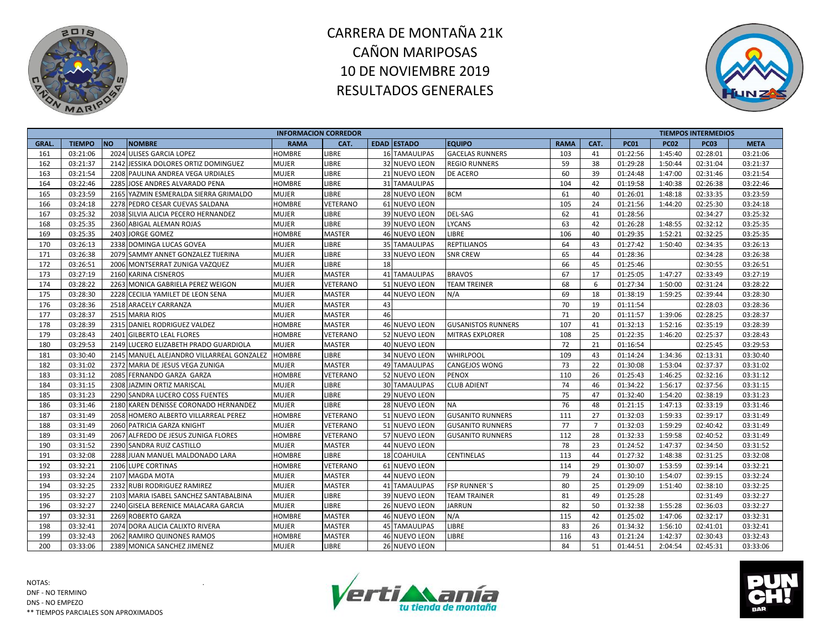



|             |               |           |                                           | <b>INFORMACION CORREDOR</b> |                 |    |                      |                           |             |                |             |             | <b>TIEMPOS INTERMEDIOS</b> |             |
|-------------|---------------|-----------|-------------------------------------------|-----------------------------|-----------------|----|----------------------|---------------------------|-------------|----------------|-------------|-------------|----------------------------|-------------|
| <b>GRAL</b> | <b>TIEMPO</b> | <b>NO</b> | <b>NOMBRE</b>                             | <b>RAMA</b>                 | CAT.            |    | <b>EDAD ESTADO</b>   | <b>EQUIPO</b>             | <b>RAMA</b> | CAT.           | <b>PC01</b> | <b>PC02</b> | <b>PC03</b>                | <b>META</b> |
| 161         | 03:21:06      |           | 2024 ULISES GARCIA LOPEZ                  | <b>HOMBRE</b>               | LIBRE           |    | <b>16 TAMAULIPAS</b> | <b>GACELAS RUNNERS</b>    | 103         | 41             | 01:22:56    | 1:45:40     | 02:28:01                   | 03:21:06    |
| 162         | 03:21:37      |           | 2142 JESSIKA DOLORES ORTIZ DOMINGUEZ      | <b>MUJER</b>                | <b>LIBRE</b>    |    | 32 NUEVO LEON        | <b>REGIO RUNNERS</b>      | 59          | 38             | 01:29:28    | 1:50:44     | 02:31:04                   | 03:21:37    |
| 163         | 03:21:54      |           | 2208 PAULINA ANDREA VEGA URDIALES         | <b>MUJER</b>                | LIBRE           |    | 21 NUEVO LEON        | DE ACERO                  | 60          | 39             | 01:24:48    | 1:47:00     | 02:31:46                   | 03:21:54    |
| 164         | 03:22:46      |           | 2285 JOSE ANDRES ALVARADO PENA            | <b>HOMBRE</b>               | LIBRE           |    | 31 TAMAULIPAS        |                           | 104         | 42             | 01:19:58    | 1:40:38     | 02:26:38                   | 03:22:46    |
| 165         | 03:23:59      |           | 2165 YAZMIN ESMERALDA SIERRA GRIMALDO     | <b>MUJER</b>                | LIBRE           |    | 28 NUEVO LEON        | <b>BCM</b>                | 61          | 40             | 01:26:01    | 1:48:18     | 02:33:35                   | 03:23:59    |
| 166         | 03:24:18      |           | 2278 PEDRO CESAR CUEVAS SALDANA           | <b>HOMBRE</b>               | VETERANO        |    | 61 NUEVO LEON        |                           | 105         | 24             | 01:21:56    | 1:44:20     | 02:25:30                   | 03:24:18    |
| 167         | 03:25:32      |           | 2038 SILVIA ALICIA PECERO HERNANDEZ       | <b>MUJER</b>                | LIBRE           |    | 39 NUEVO LEON        | DEL-SAG                   | 62          | 41             | 01:28:56    |             | 02:34:27                   | 03:25:32    |
| 168         | 03:25:35      |           | 2360 ABIGAL ALEMAN ROJAS                  | <b>MUJER</b>                | LIBRE           |    | 39 NUEVO LEON        | <b>LYCANS</b>             | 63          | 42             | 01:26:28    | 1:48:55     | 02:32:12                   | 03:25:35    |
| 169         | 03:25:35      |           | 2403 JORGE GOMEZ                          | <b>HOMBRE</b>               | <b>MASTER</b>   |    | 46 NUEVO LEON        | LIBRE                     | 106         | 40             | 01:29:35    | 1:52:21     | 02:32:25                   | 03:25:35    |
| 170         | 03:26:13      |           | 2338 DOMINGA LUCAS GOVEA                  | <b>MUJER</b>                | LIBRE           |    | <b>35 TAMAULIPAS</b> | <b>REPTILIANOS</b>        | 64          | 43             | 01:27:42    | 1:50:40     | 02:34:35                   | 03:26:13    |
| 171         | 03:26:38      |           | 2079 SAMMY ANNET GONZALEZ TIJERINA        | <b>MUJER</b>                | <b>LIBRE</b>    |    | 33 NUEVO LEON        | <b>SNR CREW</b>           | 65          | 44             | 01:28:36    |             | 02:34:28                   | 03:26:38    |
| 172         | 03:26:51      |           | 2006 MONTSERRAT ZUNIGA VAZQUEZ            | <b>MUJER</b>                | <b>LIBRE</b>    | 18 |                      |                           | 66          | 45             | 01:25:46    |             | 02:30:55                   | 03:26:51    |
| 173         | 03:27:19      |           | 2160 KARINA CISNEROS                      | <b>MUJER</b>                | <b>MASTER</b>   |    | 41 TAMAULIPAS        | <b>BRAVOS</b>             | 67          | 17             | 01:25:05    | 1:47:27     | 02:33:49                   | 03:27:19    |
| 174         | 03:28:22      |           | 2263 MONICA GABRIELA PEREZ WEIGON         | <b>MUJER</b>                | VETERANO        |    | 51 NUEVO LEON        | <b>TEAM TREINER</b>       | 68          | 6              | 01:27:34    | 1:50:00     | 02:31:24                   | 03:28:22    |
| 175         | 03:28:30      |           | 2228 CECILIA YAMILET DE LEON SENA         | <b>MUJER</b>                | <b>MASTER</b>   |    | 44 NUEVO LEON        | N/A                       | 69          | 18             | 01:38:19    | 1:59:25     | 02:39:44                   | 03:28:30    |
| 176         | 03:28:36      |           | 2518 ARACELY CARRANZA                     | <b>MUJER</b>                | <b>MASTER</b>   | 43 |                      |                           | 70          | 19             | 01:11:54    |             | 02:28:03                   | 03:28:36    |
| 177         | 03:28:37      |           | 2515 MARIA RIOS                           | <b>MUJER</b>                | <b>MASTER</b>   | 46 |                      |                           | 71          | 20             | 01:11:57    | 1:39:06     | 02:28:25                   | 03:28:37    |
| 178         | 03:28:39      |           | 2315 DANIEL RODRIGUEZ VALDEZ              | <b>HOMBRE</b>               | <b>MASTER</b>   |    | 46 NUEVO LEON        | <b>GUSANISTOS RUNNERS</b> | 107         | 41             | 01:32:13    | 1:52:16     | 02:35:19                   | 03:28:39    |
| 179         | 03:28:43      |           | 2401 GILBERTO LEAL FLORES                 | <b>HOMBRE</b>               | VETERANO        |    | 52 NUEVO LEON        | <b>MITRAS EXPLORER</b>    | 108         | 25             | 01:22:35    | 1:46:20     | 02:25:37                   | 03:28:43    |
| 180         | 03:29:53      |           | 2149 LUCERO ELIZABETH PRADO GUARDIOLA     | <b>MUJER</b>                | <b>MASTER</b>   |    | 40 NUEVO LEON        |                           | 72          | 21             | 01:16:54    |             | 02:25:45                   | 03:29:53    |
| 181         | 03:30:40      |           | 2145 MANUEL ALEJANDRO VILLARREAL GONZALEZ | <b>HOMBRE</b>               | LIBRE           |    | 34 NUEVO LEON        | <b>WHIRLPOOL</b>          | 109         | 43             | 01:14:24    | 1:34:36     | 02:13:31                   | 03:30:40    |
| 182         | 03:31:02      |           | 2372 MARIA DE JESUS VEGA ZUNIGA           | <b>MUJER</b>                | <b>MASTER</b>   |    | <b>49 TAMAULIPAS</b> | CANGEJOS WONG             | 73          | 22             | 01:30:08    | 1:53:04     | 02:37:37                   | 03:31:02    |
| 183         | 03:31:12      |           | 2085 FERNANDO GARZA GARZA                 | <b>HOMBRE</b>               | VETERANO        |    | 52 NUEVO LEON        | PENOX                     | 110         | 26             | 01:25:43    | 1:46:25     | 02:32:16                   | 03:31:12    |
| 184         | 03:31:15      |           | 2308 JAZMIN ORTIZ MARISCAL                | <b>MUJER</b>                | LIBRE           |    | <b>30 TAMAULIPAS</b> | <b>CLUB ADIENT</b>        | 74          | 46             | 01:34:22    | 1:56:17     | 02:37:56                   | 03:31:15    |
| 185         | 03:31:23      |           | 2290 SANDRA LUCERO COSS FUENTES           | <b>MUJER</b>                | LIBRE           |    | 29 NUEVO LEON        |                           | 75          | 47             | 01:32:40    | 1:54:20     | 02:38:19                   | 03:31:23    |
| 186         | 03:31:46      |           | 2180 KAREN DENISSE CORONADO HERNANDEZ     | <b>MUJER</b>                | <b>LIBRE</b>    |    | 28 NUEVO LEON        | NA                        | 76          | 48             | 01:21:15    | 1:47:13     | 02:33:19                   | 03:31:46    |
| 187         | 03:31:49      |           | 2058 HOMERO ALBERTO VILLARREAL PEREZ      | <b>HOMBRE</b>               | <b>VETERANO</b> |    | 51 NUEVO LEON        | <b>GUSANITO RUNNERS</b>   | 111         | 27             | 01:32:03    | 1:59:33     | 02:39:17                   | 03:31:49    |
| 188         | 03:31:49      |           | 2060 PATRICIA GARZA KNIGHT                | <b>MUJER</b>                | VETERANO        |    | 51 NUEVO LEON        | <b>GUSANITO RUNNERS</b>   | 77          | $\overline{7}$ | 01:32:03    | 1:59:29     | 02:40:42                   | 03:31:49    |
| 189         | 03:31:49      |           | 2067 ALFREDO DE JESUS ZUNIGA FLORES       | <b>HOMBRE</b>               | <b>VETERANO</b> |    | 57 NUEVO LEON        | GUSANITO RUNNERS          | 112         | 28             | 01:32:33    | 1:59:58     | 02:40:52                   | 03:31:49    |
| 190         | 03:31:52      |           | 2390 SANDRA RUIZ CASTILLO                 | <b>MUJER</b>                | <b>MASTER</b>   |    | 44 NUEVO LEON        |                           | 78          | 23             | 01:24:52    | 1:47:37     | 02:34:50                   | 03:31:52    |
| 191         | 03:32:08      |           | 2288 JUAN MANUEL MALDONADO LARA           | <b>HOMBRE</b>               | LIBRE           |    | 18 COAHUILA          | <b>CENTINELAS</b>         | 113         | 44             | 01:27:32    | 1:48:38     | 02:31:25                   | 03:32:08    |
| 192         | 03:32:21      |           | 2106 LUPE CORTINAS                        | <b>HOMBRE</b>               | <b>VETERANO</b> |    | 61 NUEVO LEON        |                           | 114         | 29             | 01:30:07    | 1:53:59     | 02:39:14                   | 03:32:21    |
| 193         | 03:32:24      |           | 2107 MAGDA MOTA                           | <b>MUJER</b>                | <b>MASTER</b>   | 44 | <b>NUEVO LEON</b>    |                           | 79          | 24             | 01:30:10    | 1:54:07     | 02:39:15                   | 03:32:24    |
| 194         | 03:32:25      |           | 2332 RUBI RODRIGUEZ RAMIREZ               | <b>MUJER</b>                | <b>MASTER</b>   |    | 41 TAMAULIPAS        | <b>FSP RUNNER"S</b>       | 80          | 25             | 01:29:09    | 1:51:40     | 02:38:10                   | 03:32:25    |
| 195         | 03:32:27      |           | 2103 MARIA ISABEL SANCHEZ SANTABALBINA    | <b>MUJER</b>                | LIBRE           |    | 39 NUEVO LEON        | <b>TEAM TRAINER</b>       | 81          | 49             | 01:25:28    |             | 02:31:49                   | 03:32:27    |
| 196         | 03:32:27      |           | 2240 GISELA BERENICE MALACARA GARCIA      | <b>MUJER</b>                | <b>LIBRE</b>    |    | <b>26 NUEVO LEON</b> | JARRUN                    | 82          | 50             | 01:32:38    | 1:55:28     | 02:36:03                   | 03:32:27    |
| 197         | 03:32:31      |           | 2269 ROBERTO GARZA                        | <b>HOMBRE</b>               | <b>MASTER</b>   |    | 46 NUEVO LEON        | N/A                       | 115         | 42             | 01:25:02    | 1:47:06     | 02:32:17                   | 03:32:31    |
| 198         | 03:32:41      |           | 2074 DORA ALICIA CALIXTO RIVERA           | <b>MUJER</b>                | <b>MASTER</b>   |    | <b>45 TAMAULIPAS</b> | LIBRE                     | 83          | 26             | 01:34:32    | 1:56:10     | 02:41:01                   | 03:32:41    |
| 199         | 03:32:43      |           | 2062 RAMIRO QUINONES RAMOS                | <b>HOMBRE</b>               | <b>MASTER</b>   |    | 46 NUEVO LEON        | LIBRE                     | 116         | 43             | 01:21:24    | 1:42:37     | 02:30:43                   | 03:32:43    |
| 200         | 03:33:06      |           | 2389 MONICA SANCHEZ JIMENEZ               | <b>MUJER</b>                | <b>LIBRE</b>    |    | <b>26 NUEVO LEON</b> |                           | 84          | 51             | 01:44:51    | 2:04:54     | 02:45:31                   | 03:33:06    |



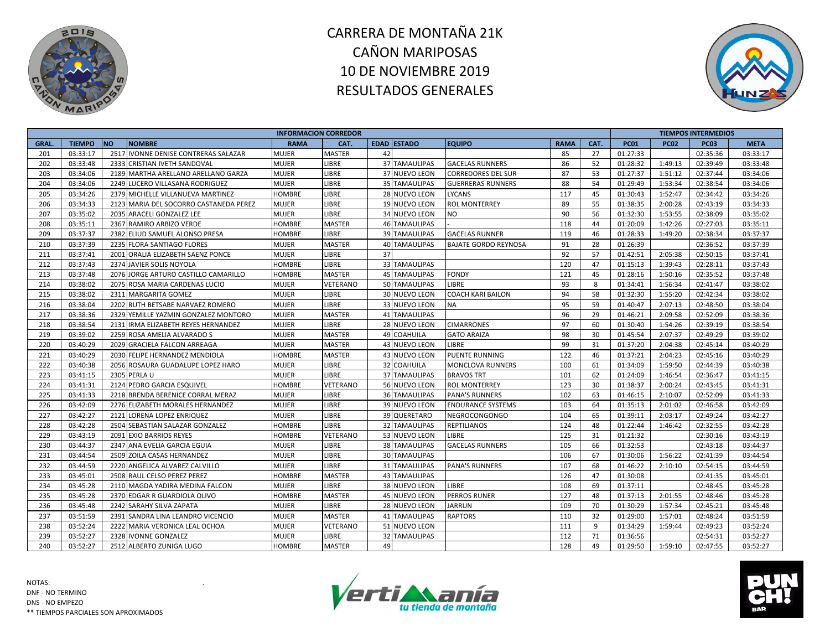



|              |               |                                        | <b>INFORMACION CORREDOR</b> |               |    |                      |                             |             |      |             |             | <b>TIEMPOS INTERMEDIOS</b> |             |
|--------------|---------------|----------------------------------------|-----------------------------|---------------|----|----------------------|-----------------------------|-------------|------|-------------|-------------|----------------------------|-------------|
| <b>GRAL.</b> | <b>TIEMPO</b> | <b>NO</b><br><b>NOMBRE</b>             | <b>RAMA</b>                 | CAT.          |    | <b>EDAD ESTADO</b>   | <b>EQUIPO</b>               | <b>RAMA</b> | CAT. | <b>PC01</b> | <b>PC02</b> | <b>PC03</b>                | <b>META</b> |
| 201          | 03:33:17      | 2517 IVONNE DENISE CONTRERAS SALAZAR   | <b>MUJER</b>                | <b>MASTER</b> | 42 |                      |                             | 85          | 27   | 01:27:33    |             | 02:35:36                   | 03:33:17    |
| 202          | 03:33:48      | 2333 CRISTIAN IVETH SANDOVAL           | <b>MUJER</b>                | LIBRE         |    | 37 TAMAULIPAS        | <b>GACELAS RUNNERS</b>      | 86          | 52   | 01:28:32    | 1:49:13     | 02:39:49                   | 03:33:48    |
| 203          | 03:34:06      | 2189 MARTHA ARELLANO ARELLANO GARZA    | <b>MUJER</b>                | LIBRE         |    | 37 NUEVO LEON        | <b>CORREDORES DEL SUR</b>   | 87          | 53   | 01:27:37    | 1:51:12     | 02:37:44                   | 03:34:06    |
| 204          | 03:34:06      | 2249 LUCERO VILLASANA RODRIGUEZ        | <b>MUJER</b>                | LIBRE         |    | 35 TAMAULIPAS        | <b>GUERRERAS RUNNERS</b>    | 88          | 54   | 01:29:49    | 1:53:34     | 02:38:54                   | 03:34:06    |
| 205          | 03:34:26      | 2379 MICHELLE VILLANUEVA MARTINEZ      | <b>HOMBRE</b>               | LIBRE         |    | 28 NUEVO LEON        | <b>LYCANS</b>               | 117         | 45   | 01:30:43    | 1:52:47     | 02:34:42                   | 03:34:26    |
| 206          | 03:34:33      | 2123 MARIA DEL SOCORRO CASTANEDA PEREZ | <b>MUJER</b>                | LIBRE         |    | 19 NUEVO LEON        | <b>ROL MONTERREY</b>        | 89          | 55   | 01:38:35    | 2:00:28     | 02:43:19                   | 03:34:33    |
| 207          | 03:35:02      | 2035 ARACELI GONZALEZ LEE              | <b>MUJER</b>                | <b>LIBRE</b>  |    | 34 NUEVO LEON        | <b>NO</b>                   | 90          | 56   | 01:32:30    | 1:53:55     | 02:38:09                   | 03:35:02    |
| 208          | 03:35:11      | 2367 RAMIRO ARBIZO VERDE               | <b>HOMBRE</b>               | <b>MASTER</b> |    | <b>46 TAMAULIPAS</b> |                             | 118         | 44   | 01:20:09    | 1:42:26     | 02:27:03                   | 03:35:11    |
| 209          | 03:37:37      | 2382 ELIUD SAMUEL ALONSO PRESA         | <b>HOMBRE</b>               | LIBRE         |    | <b>39 TAMAULIPAS</b> | <b>GACELAS RUNNER</b>       | 119         | 46   | 01:28:33    | 1:49:20     | 02:38:34                   | 03:37:37    |
| 210          | 03:37:39      | 2235 FLORA SANTIAGO FLORES             | <b>MUJER</b>                | MASTER        |    | 40 TAMAULIPAS        | <b>BAJATE GORDO REYNOSA</b> | 91          | 28   | 01:26:39    |             | 02:36:52                   | 03:37:39    |
| 211          | 03:37:41      | 2001 ORALIA ELIZABETH SAENZ PONCE      | <b>MUJER</b>                | LIBRE         | 37 |                      |                             | 92          | 57   | 01:42:51    | 2:05:38     | 02:50:15                   | 03:37:41    |
| 212          | 03:37:43      | 2374 JAVIER SOLIS NOYOLA               | <b>HOMBRE</b>               | LIBRE         |    | 33 TAMAULIPAS        |                             | 120         | 47   | 01:15:13    | 1:39:43     | 02:28:11                   | 03:37:43    |
| 213          | 03:37:48      | 2076 JORGE ARTURO CASTILLO CAMARILLO   | <b>HOMBRE</b>               | <b>MASTER</b> |    | 45 TAMAULIPAS        | <b>FONDY</b>                | 121         | 45   | 01:28:16    | 1:50:16     | 02:35:52                   | 03:37:48    |
| 214          | 03:38:02      | 2075 ROSA MARIA CARDENAS LUCIO         | <b>MUJER</b>                | VETERANO      |    | 50 TAMAULIPAS        | LIBRE                       | 93          | 8    | 01:34:41    | 1:56:34     | 02:41:47                   | 03:38:02    |
| 215          | 03:38:02      | 2311 MARGARITA GOMEZ                   | <b>MUJER</b>                | LIBRE         |    | 30 NUEVO LEON        | COACH KARI BAILON           | 94          | 58   | 01:32:30    | 1:55:20     | 02:42:34                   | 03:38:02    |
| 216          | 03:38:04      | 2202 RUTH BETSABE NARVAEZ ROMERO       | <b>MUJER</b>                | LIBRE         |    | 33 NUEVO LEON        | <b>NA</b>                   | 95          | 59   | 01:40:47    | 2:07:13     | 02:48:50                   | 03:38:04    |
| 217          | 03:38:36      | 2329 YEMILLE YAZMIN GONZALEZ MONTORO   | <b>MUJER</b>                | <b>MASTER</b> |    | 41 TAMAULIPAS        |                             | 96          | 29   | 01:46:21    | 2:09:58     | 02:52:09                   | 03:38:36    |
| 218          | 03:38:54      | 2131 IRMA ELIZABETH REYES HERNANDEZ    | <b>MUJER</b>                | LIBRE         |    | 28 NUEVO LEON        | <b>CIMARRONES</b>           | 97          | 60   | 01:30:40    | 1:54:26     | 02:39:19                   | 03:38:54    |
| 219          | 03:39:02      | 2259 ROSA AMELIA ALVARADO S            | <b>MUJER</b>                | MASTER        |    | 49 COAHUILA          | <b>GATO ARAIZA</b>          | 98          | 30   | 01:45:54    | 2:07:37     | 02:49:29                   | 03:39:02    |
| 220          | 03:40:29      | 2029 GRACIELA FALCON ARREAGA           | <b>MUJER</b>                | <b>MASTER</b> |    | 43 NUEVO LEON        | LIBRE                       | 99          | 31   | 01:37:20    | 2:04:38     | 02:45:14                   | 03:40:29    |
| 221          | 03:40:29      | 2030 FELIPE HERNANDEZ MENDIOLA         | <b>HOMBRE</b>               | <b>MASTER</b> |    | 43 NUEVO LEON        | <b>PUENTE RUNNING</b>       | 122         | 46   | 01:37:21    | 2:04:23     | 02:45:16                   | 03:40:29    |
| 222          | 03:40:38      | 2056 ROSAURA GUADALUPE LOPEZ HARO      | <b>MUJER</b>                | LIBRE         |    | 32 COAHUILA          | <b>MONCLOVA RUNNERS</b>     | 100         | 61   | 01:34:09    | 1:59:50     | 02:44:39                   | 03:40:38    |
| 223          | 03:41:15      | 2305 PERLA U                           | <b>MUJER</b>                | <b>LIBRE</b>  |    | 37 TAMAULIPAS        | <b>BRAVOS TRT</b>           | 101         | 62   | 01:24:09    | 1:46:54     | 02:36:47                   | 03:41:15    |
| 224          | 03:41:31      | 2124 PEDRO GARCIA ESQUIVEL             | <b>HOMBRE</b>               | VETERANO      |    | 56 NUEVO LEON        | <b>ROL MONTERREY</b>        | 123         | 30   | 01:38:37    | 2:00:24     | 02:43:45                   | 03:41:31    |
| 225          | 03:41:33      | 2218 BRENDA BERENICE CORRAL MERAZ      | <b>MUJER</b>                | LIBRE         |    | 36 TAMAULIPAS        | <b>PANA'S RUNNERS</b>       | 102         | 63   | 01:46:15    | 2:10:07     | 02:52:09                   | 03:41:33    |
| 226          | 03:42:09      | 2276 ELIZABETH MORALES HERNANDEZ       | <b>MUJER</b>                | LIBRE         |    | 39 NUEVO LEON        | <b>ENDURANCE SYSTEMS</b>    | 103         | 64   | 01:35:13    | 2:01:02     | 02:46:58                   | 03:42:09    |
| 227          | 03:42:27      | 2121 LORENA LOPEZ ENRIQUEZ             | <b>MUJER</b>                | LIBRE         |    | 39 QUERETARO         | <b>NEGROCONGONGO</b>        | 104         | 65   | 01:39:11    | 2:03:17     | 02:49:24                   | 03:42:27    |
| 228          | 03:42:28      | 2504 SEBASTIAN SALAZAR GONZALEZ        | <b>HOMBRE</b>               | LIBRE         |    | <b>32 TAMAULIPAS</b> | <b>REPTILIANOS</b>          | 124         | 48   | 01:22:44    | 1:46:42     | 02:32:55                   | 03:42:28    |
| 229          | 03:43:19      | 2091 EXIO BARRIOS REYES                | <b>HOMBRE</b>               | VETERANO      |    | 53 NUEVO LEON        | LIBRE                       | 125         | 31   | 01:21:32    |             | 02:30:16                   | 03:43:19    |
| 230          | 03:44:37      | 2347 ANA EVELIA GARCIA EGUIA           | <b>MUJER</b>                | LIBRE         |    | 38 TAMAULIPAS        | <b>GACELAS RUNNERS</b>      | 105         | 66   | 01:32:53    |             | 02:43:18                   | 03:44:37    |
| 231          | 03:44:54      | 2509 ZOILA CASAS HERNANDEZ             | <b>MUJER</b>                | LIBRE         |    | <b>30 TAMAULIPAS</b> |                             | 106         | 67   | 01:30:06    | 1:56:22     | 02:41:39                   | 03:44:54    |
| 232          | 03:44:59      | 2220 ANGELICA ALVAREZ CALVILLO         | <b>MUJER</b>                | LIBRE         |    | 31 TAMAULIPAS        | <b>PANA'S RUNNERS</b>       | 107         | 68   | 01:46:22    | 2:10:10     | 02:54:15                   | 03:44:59    |
| 233          | 03:45:01      | 2508 RAUL CELSO PEREZ PEREZ            | HOMBRE                      | <b>MASTER</b> |    | 43 TAMAULIPAS        |                             | 126         | 47   | 01:30:08    |             | 02:41:35                   | 03:45:01    |
| 234          | 03:45:28      | 2110 MAGDA YADIRA MEDINA FALCON        | <b>MUJER</b>                | LIBRE         |    | 38 NUEVO LEON        | LIBRE                       | 108         | 69   | 01:37:11    |             | 02:48:45                   | 03:45:28    |
| 235          | 03:45:28      | 2370 EDGAR R GUARDIOLA OLIVO           | <b>HOMBRE</b>               | <b>MASTER</b> |    | 45 NUEVO LEON        | PERROS RUNER                | 127         | 48   | 01:37:13    | 2:01:55     | 02:48:46                   | 03:45:28    |
| 236          | 03:45:48      | 2242 SARAHY SILVA ZAPATA               | <b>MUJER</b>                | <b>LIBRE</b>  |    | 28 NUEVO LEON        | <b>JARRUN</b>               | 109         | 70   | 01:30:29    | 1:57:34     | 02:45:21                   | 03:45:48    |
| 237          | 03:51:59      | 2391 SANDRA LINA LEANDRO VICENCIO      | <b>MUJER</b>                | <b>MASTER</b> |    | 41 TAMAULIPAS        | <b>RAPTORS</b>              | 110         | 32   | 01:29:00    | 1:57:01     | 02:48:24                   | 03:51:59    |
| 238          | 03:52:24      | 2222 MARIA VERONICA LEAL OCHOA         | <b>MUJER</b>                | VETERANO      |    | 51 NUEVO LEON        |                             | 111         | 9    | 01:34:29    | 1:59:44     | 02:49:23                   | 03:52:24    |
| 239          | 03:52:27      | 2328 IVONNE GONZALEZ                   | <b>MUJER</b>                | LIBRE         |    | 32 TAMAULIPAS        |                             | 112         | 71   | 01:36:56    |             | 02:54:31                   | 03:52:27    |
| 240          | 03:52:27      | 2512 ALBERTO ZUNIGA LUGO               | <b>HOMBRE</b>               | <b>MASTER</b> | 49 |                      |                             | 128         | 49   | 01:29:50    | 1:59:10     | 02:47:55                   | 03:52:27    |



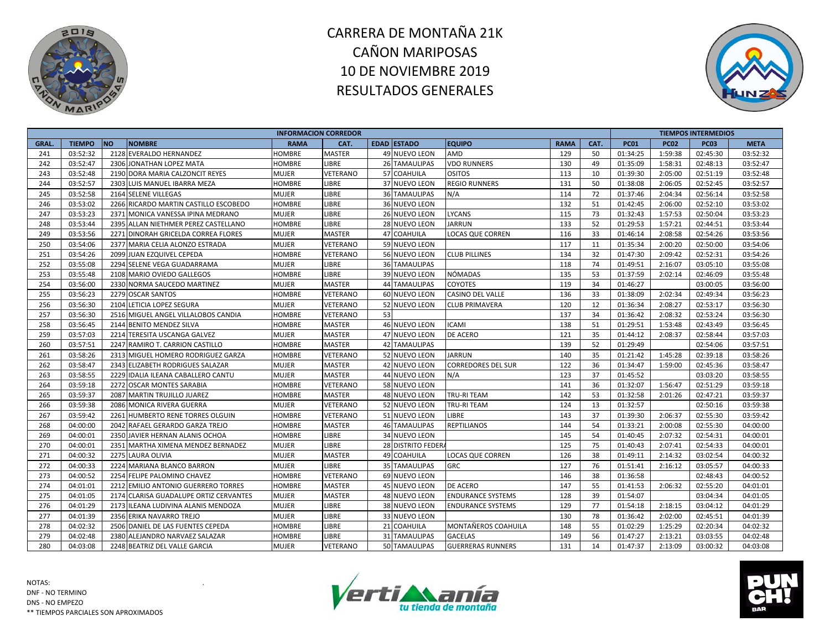



|             |               |           |                                        | <b>INFORMACION CORREDOR</b> |               |    |                      |                           |             |      |             |             | <b>TIEMPOS INTERMEDIOS</b> |             |
|-------------|---------------|-----------|----------------------------------------|-----------------------------|---------------|----|----------------------|---------------------------|-------------|------|-------------|-------------|----------------------------|-------------|
| <b>GRAL</b> | <b>TIEMPO</b> | <b>NO</b> | <b>NOMBRE</b>                          | <b>RAMA</b>                 | CAT.          |    | <b>EDAD ESTADO</b>   | <b>EQUIPO</b>             | <b>RAMA</b> | CAT. | <b>PC01</b> | <b>PC02</b> | <b>PC03</b>                | <b>META</b> |
| 241         | 03:52:32      |           | 2128 EVERALDO HERNANDEZ                | <b>HOMBRE</b>               | <b>MASTER</b> |    | 49 NUEVO LEON        | AMD                       | 129         | 50   | 01:34:25    | 1:59:38     | 02:45:30                   | 03:52:32    |
| 242         | 03:52:47      |           | 2306 JONATHAN LOPEZ MATA               | <b>HOMBRE</b>               | <b>LIBRE</b>  |    | 26 TAMAULIPAS        | <b>VDO RUNNERS</b>        | 130         | 49   | 01:35:09    | 1:58:31     | 02:48:13                   | 03:52:47    |
| 243         | 03:52:48      |           | 2190 DORA MARIA CALZONCIT REYES        | MUJER                       | VETERANO      |    | 57 COAHUILA          | <b>OSITOS</b>             | 113         | 10   | 01:39:30    | 2:05:00     | 02:51:19                   | 03:52:48    |
| 244         | 03:52:57      |           | 2303 LUIS MANUEL IBARRA MEZA           | HOMBRE                      | LIBRE         |    | 37 NUEVO LEON        | <b>REGIO RUNNERS</b>      | 131         | 50   | 01:38:08    | 2:06:05     | 02:52:45                   | 03:52:57    |
| 245         | 03:52:58      |           | 2164 SELENE VILLEGAS                   | <b>MUJER</b>                | LIBRE         |    | 36 TAMAULIPAS        | N/A                       | 114         | 72   | 01:37:46    | 2:04:34     | 02:56:14                   | 03:52:58    |
| 246         | 03:53:02      |           | 2266 RICARDO MARTIN CASTILLO ESCOBEDO  | HOMBRE                      | LIBRE         |    | 36 NUEVO LEON        |                           | 132         | 51   | 01:42:45    | 2:06:00     | 02:52:10                   | 03:53:02    |
| 247         | 03:53:23      |           | 2371 MONICA VANESSA IPINA MEDRANO      | <b>MUJER</b>                | LIBRE         |    | 26 NUEVO LEON        | <b>LYCANS</b>             | 115         | 73   | 01:32:43    | 1:57:53     | 02:50:04                   | 03:53:23    |
| 248         | 03:53:44      |           | 2395 ALLAN NIETHMER PEREZ CASTELLANO   | <b>HOMBRE</b>               | LIBRE         |    | 28 NUEVO LEON        | <b>JARRUN</b>             | 133         | 52   | 01:29:53    | 1:57:21     | 02:44:51                   | 03:53:44    |
| 249         | 03:53:56      |           | 2271 DINORAH GRICELDA CORREA FLORES    | <b>MUJER</b>                | <b>MASTER</b> |    | 47 COAHUILA          | <b>LOCAS QUE CORREN</b>   | 116         | 33   | 01:46:14    | 2:08:58     | 02:54:26                   | 03:53:56    |
| 250         | 03:54:06      |           | 2377 MARIA CELIA ALONZO ESTRADA        | <b>MUJER</b>                | VETERANO      |    | 59 NUEVO LEON        |                           | 117         | 11   | 01:35:34    | 2:00:20     | 02:50:00                   | 03:54:06    |
| 251         | 03:54:26      |           | 2099 JUAN EZQUIVEL CEPEDA              | HOMBRE                      | VETERANO      |    | 56 NUEVO LEON        | <b>CLUB PILLINES</b>      | 134         | 32   | 01:47:30    | 2:09:42     | 02:52:31                   | 03:54:26    |
| 252         | 03:55:08      |           | 2294 SELENE VEGA GUADARRAMA            | <b>MUJER</b>                | LIBRE         |    | <b>36 TAMAULIPAS</b> |                           | 118         | 74   | 01:49:51    | 2:16:07     | 03:05:10                   | 03:55:08    |
| 253         | 03:55:48      |           | 2108 MARIO OVIEDO GALLEGOS             | <b>HOMBRE</b>               | LIBRE         |    | 39 NUEVO LEON        | NÓMADAS                   | 135         | 53   | 01:37:59    | 2:02:14     | 02:46:09                   | 03:55:48    |
| 254         | 03:56:00      |           | 2330 NORMA SAUCEDO MARTINEZ            | MUJER                       | <b>MASTER</b> |    | <b>44 TAMAULIPAS</b> | COYOTES                   | 119         | 34   | 01:46:27    |             | 03:00:05                   | 03:56:00    |
| 255         | 03:56:23      |           | 2279 OSCAR SANTOS                      | HOMBRE                      | VETERANO      |    | 60 NUEVO LEON        | CASINO DEL VALLE          | 136         | 33   | 01:38:09    | 2:02:34     | 02:49:34                   | 03:56:23    |
| 256         | 03:56:30      |           | 2104 LETICIA LOPEZ SEGURA              | MUJER                       | VETERANO      |    | 52 NUEVO LEON        | <b>CLUB PRIMAVERA</b>     | 120         | 12   | 01:36:34    | 2:08:27     | 02:53:17                   | 03:56:30    |
| 257         | 03:56:30      |           | 2516 MIGUEL ANGEL VILLALOBOS CANDIA    | HOMBRE                      | VETERANO      | 53 |                      |                           | 137         | 34   | 01:36:42    | 2:08:32     | 02:53:24                   | 03:56:30    |
| 258         | 03:56:45      |           | 2144 BENITO MENDEZ SILVA               | HOMBRE                      | <b>MASTER</b> |    | 46 NUEVO LEON        | <b>ICAMI</b>              | 138         | 51   | 01:29:51    | 1:53:48     | 02:43:49                   | 03:56:45    |
| 259         | 03:57:03      |           | 2214 TERESITA USCANGA GALVEZ           | MUJER                       | <b>MASTER</b> |    | 47 NUEVO LEON        | DE ACERO                  | 121         | 35   | 01:44:12    | 2:08:37     | 02:58:44                   | 03:57:03    |
| 260         | 03:57:51      |           | 2247 RAMIRO T. CARRION CASTILLO        | HOMBRE                      | <b>MASTER</b> |    | 42 TAMAULIPAS        |                           | 139         | 52   | 01:29:49    |             | 02:54:06                   | 03:57:51    |
| 261         | 03:58:26      |           | 2313 MIGUEL HOMERO RODRIGUEZ GARZA     | HOMBRE                      | VETERANO      |    | 52 NUEVO LEON        | <b>JARRUN</b>             | 140         | 35   | 01:21:42    | 1:45:28     | 02:39:18                   | 03:58:26    |
| 262         | 03:58:47      |           | 2343 ELIZABETH RODRIGUES SALAZAR       | <b>MUJER</b>                | <b>MASTER</b> |    | 42 NUEVO LEON        | <b>CORREDORES DEL SUR</b> | 122         | 36   | 01:34:47    | 1:59:00     | 02:45:36                   | 03:58:47    |
| 263         | 03:58:55      |           | 2229 IDALIA ILEANA CABALLERO CANTU     | MUJER                       | <b>MASTER</b> |    | 44 NUEVO LEON        | N/A                       | 123         | 37   | 01:45:52    |             | 03:03:20                   | 03:58:55    |
| 264         | 03:59:18      |           | 2272 OSCAR MONTES SARABIA              | HOMBRE                      | VETERANO      |    | 58 NUEVO LEON        |                           | 141         | 36   | 01:32:07    | 1:56:47     | 02:51:29                   | 03:59:18    |
| 265         | 03:59:37      |           | 2087 MARTIN TRUJILLO JUAREZ            | HOMBRE                      | <b>MASTER</b> |    | 48 NUEVO LEON        | TRU-RI TEAM               | 142         | 53   | 01:32:58    | 2:01:26     | 02:47:21                   | 03:59:37    |
| 266         | 03:59:38      |           | 2086 MONICA RIVERA GUERRA              | <b>MUJER</b>                | VETERANO      |    | 52 NUEVO LEON        | TRU-RI TEAM               | 124         | 13   | 01:32:57    |             | 02:50:16                   | 03:59:38    |
| 267         | 03:59:42      |           | 2261 HUMBERTO RENE TORRES OLGUIN       | HOMBRE                      | VETERANO      |    | 51 NUEVO LEON        | <b>LIBRE</b>              | 143         | 37   | 01:39:30    | 2:06:37     | 02:55:30                   | 03:59:42    |
| 268         | 04:00:00      |           | 2042 RAFAEL GERARDO GARZA TREJO        | <b>HOMBRE</b>               | <b>MASTER</b> |    | <b>46 TAMAULIPAS</b> | <b>REPTILIANOS</b>        | 144         | 54   | 01:33:21    | 2:00:08     | 02:55:30                   | 04:00:00    |
| 269         | 04:00:01      |           | 2350 JAVIER HERNAN ALANIS OCHOA        | HOMBRE                      | LIBRE         |    | 34 NUEVO LEON        |                           | 145         | 54   | 01:40:45    | 2:07:32     | 02:54:31                   | 04:00:01    |
| 270         | 04:00:01      |           | 2351 MARTHA XIMENA MENDEZ BERNADEZ     | MUJER                       | LIBRE         |    | 28 DISTRITO FEDERA   |                           | 125         | 75   | 01:40:43    | 2:07:41     | 02:54:33                   | 04:00:01    |
| 271         | 04:00:32      |           | 2275 LAURA OLIVIA                      | <b>MUJER</b>                | <b>MASTER</b> |    | 49 COAHUILA          | <b>LOCAS QUE CORREN</b>   | 126         | 38   | 01:49:11    | 2:14:32     | 03:02:54                   | 04:00:32    |
| 272         | 04:00:33      |           | 2224 MARIANA BLANCO BARRON             | <b>MUJER</b>                | LIBRE         |    | <b>35 TAMAULIPAS</b> | <b>GRC</b>                | 127         | 76   | 01:51:41    | 2:16:12     | 03:05:57                   | 04:00:33    |
| 273         | 04:00:52      |           | 2254 FELIPE PALOMINO CHAVEZ            | <b>HOMBRE</b>               | VETERANO      |    | 69 NUEVO LEON        |                           | 146         | 38   | 01:36:58    |             | 02:48:43                   | 04:00:52    |
| 274         | 04:01:01      |           | 2212 EMILIO ANTONIO GUERRERO TORRES    | <b>HOMBRE</b>               | <b>MASTER</b> |    | 45 NUEVO LEON        | DE ACERO                  | 147         | 55   | 01:41:53    | 2:06:32     | 02:55:20                   | 04:01:01    |
| 275         | 04:01:05      |           | 2174 CLARISA GUADALUPE ORTIZ CERVANTES | <b>MUJER</b>                | <b>MASTER</b> |    | 48 NUEVO LEON        | <b>ENDURANCE SYSTEMS</b>  | 128         | 39   | 01:54:07    |             | 03:04:34                   | 04:01:05    |
| 276         | 04:01:29      |           | 2173 ILEANA LUDIVINA ALANIS MENDOZA    | <b>MUJER</b>                | LIBRE         |    | 38 NUEVO LEON        | <b>ENDURANCE SYSTEMS</b>  | 129         | 77   | 01:54:18    | 2:18:15     | 03:04:12                   | 04:01:29    |
| 277         | 04:01:39      |           | 2356 ERIKA NAVARRO TREJO               | <b>MUJER</b>                | <b>LIBRE</b>  |    | 33 NUEVO LEON        |                           | 130         | 78   | 01:36:42    | 2:02:00     | 02:45:51                   | 04:01:39    |
| 278         | 04:02:32      |           | 2506 DANIEL DE LAS FUENTES CEPEDA      | <b>HOMBRE</b>               | LIBRE         |    | 21 COAHUILA          | MONTAÑEROS COAHUILA       | 148         | 55   | 01:02:29    | 1:25:29     | 02:20:34                   | 04:02:32    |
| 279         | 04:02:48      |           | 2380 ALEJANDRO NARVAEZ SALAZAR         | HOMBRE                      | LIBRE         |    | 31 TAMAULIPAS        | <b>GACELAS</b>            | 149         | 56   | 01:47:27    | 2:13:21     | 03:03:55                   | 04:02:48    |
| 280         | 04:03:08      |           | 2248 BEATRIZ DEL VALLE GARCIA          | <b>MUJER</b>                | VETERANO      |    | 50 TAMAULIPAS        | <b>GUERRERAS RUNNERS</b>  | 131         | 14   | 01:47:37    | 2:13:09     | 03:00:32                   | 04:03:08    |



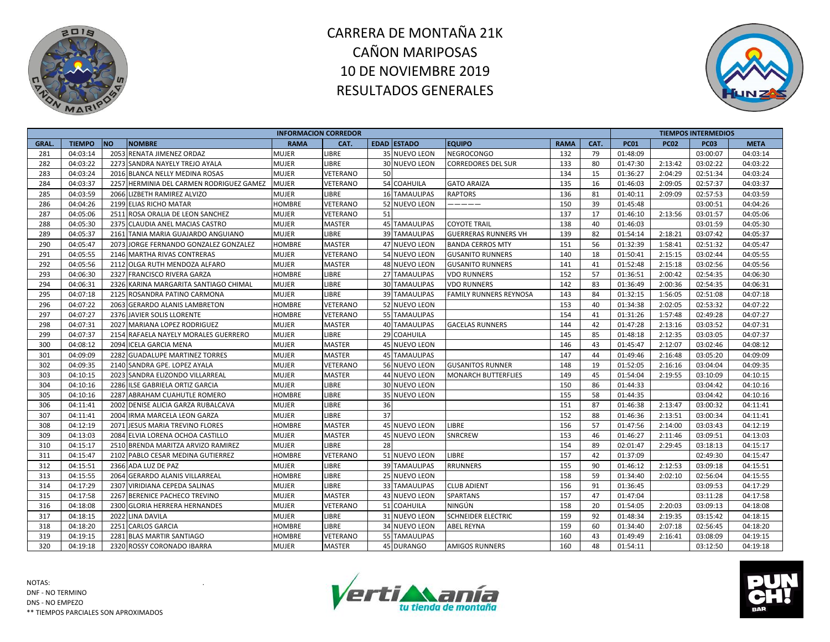



|              |               |                                          | <b>INFORMACION CORREDOR</b> |               |    |                      |                             |             |      |             |             | <b>TIEMPOS INTERMEDIOS</b> |             |
|--------------|---------------|------------------------------------------|-----------------------------|---------------|----|----------------------|-----------------------------|-------------|------|-------------|-------------|----------------------------|-------------|
| <b>GRAL.</b> | <b>TIEMPO</b> | <b>NO</b><br><b>NOMBRE</b>               | <b>RAMA</b>                 | CAT.          |    | <b>EDAD ESTADO</b>   | <b>EQUIPO</b>               | <b>RAMA</b> | CAT. | <b>PC01</b> | <b>PC02</b> | <b>PC03</b>                | <b>META</b> |
| 281          | 04:03:14      | 2053 RENATA JIMENEZ ORDAZ                | <b>MUJER</b>                | LIBRE         |    | 35 NUEVO LEON        | NEGROCONGO                  | 132         | 79   | 01:48:09    |             | 03:00:07                   | 04:03:14    |
| 282          | 04:03:22      | 2273 SANDRA NAYELY TREJO AYALA           | <b>MUJER</b>                | <b>LIBRE</b>  |    | 30 NUEVO LEON        | <b>CORREDORES DEL SUR</b>   | 133         | 80   | 01:47:30    | 2:13:42     | 03:02:22                   | 04:03:22    |
| 283          | 04:03:24      | 2016 BLANCA NELLY MEDINA ROSAS           | <b>MUJER</b>                | VETERANO      | 50 |                      |                             | 134         | 15   | 01:36:27    | 2:04:29     | 02:51:34                   | 04:03:24    |
| 284          | 04:03:37      | 2257 HERMINIA DEL CARMEN RODRIGUEZ GAMEZ | <b>MUJER</b>                | VETERANO      |    | 54 COAHUILA          | <b>GATO ARAIZA</b>          | 135         | 16   | 01:46:03    | 2:09:05     | 02:57:37                   | 04:03:37    |
| 285          | 04:03:59      | 2066 LIZBETH RAMIREZ ALVIZO              | <b>MUJER</b>                | LIBRE         |    | <b>16 TAMAULIPAS</b> | <b>RAPTORS</b>              | 136         | 81   | 01:40:11    | 2:09:09     | 02:57:53                   | 04:03:59    |
| 286          | 04:04:26      | 2199 ELIAS RICHO MATAR                   | <b>HOMBRE</b>               | VETERANO      |    | 52 NUEVO LEON        | -----                       | 150         | 39   | 01:45:48    |             | 03:00:51                   | 04:04:26    |
| 287          | 04:05:06      | 2511 ROSA ORALIA DE LEON SANCHEZ         | <b>MUJER</b>                | VETERANO      | 51 |                      |                             | 137         | 17   | 01:46:10    | 2:13:56     | 03:01:57                   | 04:05:06    |
| 288          | 04:05:30      | 2375 CLAUDIA ANEL MACIAS CASTRO          | <b>MUJER</b>                | <b>MASTER</b> |    | 45 TAMAULIPAS        | <b>COYOTE TRAIL</b>         | 138         | 40   | 01:46:03    |             | 03:01:59                   | 04:05:30    |
| 289          | 04:05:37      | 2161 TANIA MARIA GUAJARDO ANGUIANO       | <b>MUJER</b>                | <b>LIBRE</b>  |    | 39 TAMAULIPAS        | <b>GUERRERAS RUNNERS VH</b> | 139         | 82   | 01:54:14    | 2:18:21     | 03:07:42                   | 04:05:37    |
| 290          | 04:05:47      | 2073 JORGE FERNANDO GONZALEZ GONZALEZ    | <b>HOMBRE</b>               | <b>MASTER</b> |    | 47 NUEVO LEON        | <b>BANDA CERROS MTY</b>     | 151         | 56   | 01:32:39    | 1:58:41     | 02:51:32                   | 04:05:47    |
| 291          | 04:05:55      | 2146 MARTHA RIVAS CONTRERAS              | <b>MUJER</b>                | VETERANO      |    | 54 NUEVO LEON        | <b>GUSANITO RUNNERS</b>     | 140         | 18   | 01:50:41    | 2:15:15     | 03:02:44                   | 04:05:55    |
| 292          | 04:05:56      | 2112 OLGA RUTH MENDOZA ALFARO            | <b>MUJER</b>                | <b>MASTER</b> |    | 48 NUEVO LEON        | <b>GUSANITO RUNNERS</b>     | 141         | 41   | 01:52:48    | 2:15:18     | 03:02:56                   | 04:05:56    |
| 293          | 04:06:30      | 2327 FRANCISCO RIVERA GARZA              | <b>HOMBRE</b>               | LIBRE         |    | 27 TAMAULIPAS        | <b>VDO RUNNERS</b>          | 152         | 57   | 01:36:51    | 2:00:42     | 02:54:35                   | 04:06:30    |
| 294          | 04:06:31      | 2326 KARINA MARGARITA SANTIAGO CHIMAL    | <b>MUJER</b>                | LIBRE         |    | <b>30 TAMAULIPAS</b> | <b>VDO RUNNERS</b>          | 142         | 83   | 01:36:49    | 2:00:36     | 02:54:35                   | 04:06:31    |
| 295          | 04:07:18      | 2125 ROSANDRA PATINO CARMONA             | <b>MUJER</b>                | LIBRE         |    | 39 TAMAULIPAS        | FAMILY RUNNERS REYNOSA      | 143         | 84   | 01:32:15    | 1:56:05     | 02:51:08                   | 04:07:18    |
| 296          | 04:07:22      | 2063 GERARDO ALANIS LAMBRETON            | <b>HOMBRE</b>               | VETERANO      |    | 52 NUEVO LEON        |                             | 153         | 40   | 01:34:38    | 2:02:05     | 02:53:32                   | 04:07:22    |
| 297          | 04:07:27      | 2376 JAVIER SOLIS LLORENTE               | <b>HOMBRE</b>               | VETERANO      |    | 55 TAMAULIPAS        |                             | 154         | 41   | 01:31:26    | 1:57:48     | 02:49:28                   | 04:07:27    |
| 298          | 04:07:31      | 2027 MARIANA LOPEZ RODRIGUEZ             | <b>MUJER</b>                | <b>MASTER</b> |    | 40 TAMAULIPAS        | <b>GACELAS RUNNERS</b>      | 144         | 42   | 01:47:28    | 2:13:16     | 03:03:52                   | 04:07:31    |
| 299          | 04:07:37      | 2154 RAFAELA NAYELY MORALES GUERRERO     | <b>MUJER</b>                | LIBRE         | 29 | <b>COAHUILA</b>      |                             | 145         | 85   | 01:48:18    | 2:12:35     | 03:03:05                   | 04:07:37    |
| 300          | 04:08:12      | 2094 ICELA GARCIA MENA                   | <b>MUJER</b>                | <b>MASTER</b> |    | 45 NUEVO LEON        |                             | 146         | 43   | 01:45:47    | 2:12:07     | 03:02:46                   | 04:08:12    |
| 301          | 04:09:09      | 2282 GUADALUPE MARTINEZ TORRES           | <b>MUJER</b>                | <b>MASTER</b> |    | <b>45 TAMAULIPAS</b> |                             | 147         | 44   | 01:49:46    | 2:16:48     | 03:05:20                   | 04:09:09    |
| 302          | 04:09:35      | 2140 SANDRA GPE. LOPEZ AYALA             | <b>MUJER</b>                | VETERANO      |    | 56 NUEVO LEON        | <b>GUSANITOS RUNNER</b>     | 148         | 19   | 01:52:05    | 2:16:16     | 03:04:04                   | 04:09:35    |
| 303          | 04:10:15      | 2023 SANDRA ELIZONDO VILLARREAL          | <b>MUJER</b>                | <b>MASTER</b> |    | 44 NUEVO LEON        | <b>MONARCH BUTTERFLIES</b>  | 149         | 45   | 01:54:04    | 2:19:55     | 03:10:09                   | 04:10:15    |
| 304          | 04:10:16      | 2286 ILSE GABRIELA ORTIZ GARCIA          | <b>MUJER</b>                | LIBRE         |    | 30 NUEVO LEON        |                             | 150         | 86   | 01:44:33    |             | 03:04:42                   | 04:10:16    |
| 305          | 04:10:16      | 2287 ABRAHAM CUAHUTLE ROMERO             | <b>HOMBRE</b>               | LIBRE         |    | 35 NUEVO LEON        |                             | 155         | 58   | 01:44:35    |             | 03:04:42                   | 04:10:16    |
| 306          | 04:11:41      | 2002 DENISE ALICIA GARZA RUBALCAVA       | <b>MUJER</b>                | <b>LIBRE</b>  | 36 |                      |                             | 151         | 87   | 01:46:38    | 2:13:47     | 03:00:32                   | 04:11:41    |
| 307          | 04:11:41      | 2004 IRMA MARCELA LEON GARZA             | <b>MUJER</b>                | <b>LIBRE</b>  | 37 |                      |                             | 152         | 88   | 01:46:36    | 2:13:51     | 03:00:34                   | 04:11:41    |
| 308          | 04:12:19      | 2071 JESUS MARIA TREVINO FLORES          | <b>HOMBRE</b>               | <b>MASTER</b> |    | 45 NUEVO LEON        | LIBRE                       | 156         | 57   | 01:47:56    | 2:14:00     | 03:03:43                   | 04:12:19    |
| 309          | 04:13:03      | 2084 ELVIA LORENA OCHOA CASTILLO         | <b>MUJER</b>                | <b>MASTER</b> |    | 45 NUEVO LEON        | SNRCREW                     | 153         | 46   | 01:46:27    | 2:11:46     | 03:09:51                   | 04:13:03    |
| 310          | 04:15:17      | 2510 BRENDA MARITZA ARVIZO RAMIREZ       | <b>MUJER</b>                | LIBRE         | 28 |                      |                             | 154         | 89   | 02:01:47    | 2:29:45     | 03:18:13                   | 04:15:17    |
| 311          | 04:15:47      | 2102 PABLO CESAR MEDINA GUTIERREZ        | <b>HOMBRE</b>               | VETERANO      |    | 51 NUEVO LEON        | LIBRE                       | 157         | 42   | 01:37:09    |             | 02:49:30                   | 04:15:47    |
| 312          | 04:15:51      | 2366 ADA LUZ DE PAZ                      | <b>MUJER</b>                | LIBRE         |    | 39 TAMAULIPAS        | <b>RRUNNERS</b>             | 155         | 90   | 01:46:12    | 2:12:53     | 03:09:18                   | 04:15:51    |
| 313          | 04:15:55      | 2064 GERARDO ALANIS VILLARREAL           | <b>HOMBRE</b>               | <b>LIBRE</b>  |    | 25 NUEVO LEON        |                             | 158         | 59   | 01:34:40    | 2:02:10     | 02:56:04                   | 04:15:55    |
| 314          | 04:17:29      | 2307 VIRIDIANA CEPEDA SALINAS            | <b>MUJER</b>                | LIBRE         |    | 33 TAMAULIPAS        | <b>CLUB ADIENT</b>          | 156         | 91   | 01:36:45    |             | 03:09:53                   | 04:17:29    |
| 315          | 04:17:58      | 2267 BERENICE PACHECO TREVINO            | <b>MUJER</b>                | <b>MASTER</b> |    | 43 NUEVO LEON        | SPARTANS                    | 157         | 47   | 01:47:04    |             | 03:11:28                   | 04:17:58    |
| 316          | 04:18:08      | 2300 GLORIA HERRERA HERNANDES            | <b>MUJER</b>                | VETERANO      |    | 51 COAHUILA          | NINGÚN                      | 158         | 20   | 01:54:05    | 2:20:03     | 03:09:13                   | 04:18:08    |
| 317          | 04:18:15      | 2022 LINA DAVILA                         | <b>MUJER</b>                | LIBRE         |    | 31 NUEVO LEON        | SCHNEIDER ELECTRIC          | 159         | 92   | 01:48:34    | 2:19:35     | 03:15:42                   | 04:18:15    |
| 318          | 04:18:20      | 2251 CARLOS GARCIA                       | <b>HOMBRE</b>               | LIBRE         |    | 34 NUEVO LEON        | ABEL REYNA                  | 159         | 60   | 01:34:40    | 2:07:18     | 02:56:45                   | 04:18:20    |
| 319          | 04:19:15      | 2281 BLAS MARTIR SANTIAGO                | <b>HOMBRE</b>               | VETERANO      |    | 55 TAMAULIPAS        |                             | 160         | 43   | 01:49:49    | 2:16:41     | 03:08:09                   | 04:19:15    |
| 320          | 04:19:18      | 2320 ROSSY CORONADO IBARRA               | <b>MUJER</b>                | <b>MASTER</b> |    | 45 DURANGO           | <b>AMIGOS RUNNERS</b>       | 160         | 48   | 01:54:11    |             | 03:12:50                   | 04:19:18    |



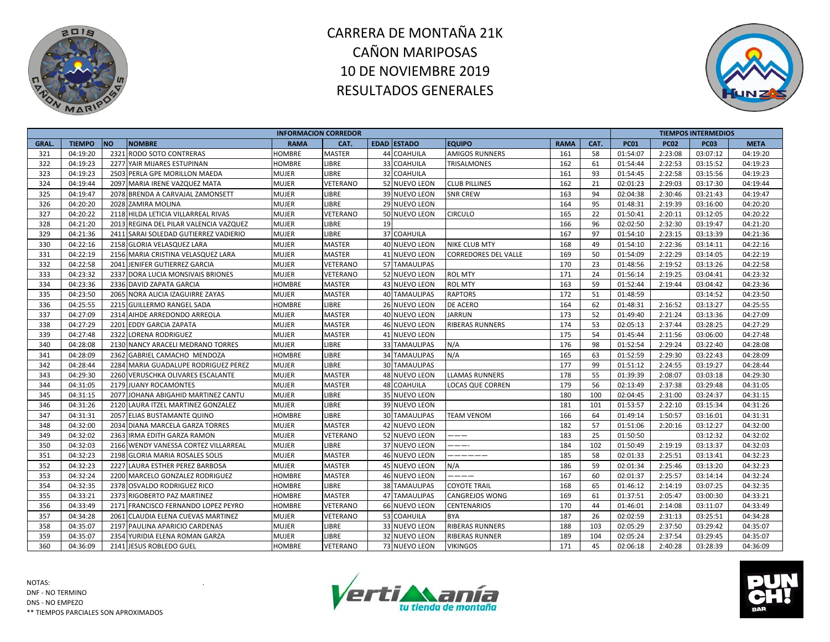



|              |               |                                        | <b>INFORMACION CORREDOR</b> |                 |    |                      |                             |             |      |             |             | <b>TIEMPOS INTERMEDIOS</b> |             |
|--------------|---------------|----------------------------------------|-----------------------------|-----------------|----|----------------------|-----------------------------|-------------|------|-------------|-------------|----------------------------|-------------|
| <b>GRAL.</b> | <b>TIEMPO</b> | <b>NO</b><br><b>NOMBRE</b>             | <b>RAMA</b>                 | CAT.            |    | <b>EDAD ESTADO</b>   | <b>EQUIPO</b>               | <b>RAMA</b> | CAT. | <b>PC01</b> | <b>PC02</b> | <b>PC03</b>                | <b>META</b> |
| 321          | 04:19:20      | 2321 RODO SOTO CONTRERAS               | <b>HOMBRE</b>               | MASTER          |    | 44 COAHUILA          | <b>AMIGOS RUNNERS</b>       | 161         | 58   | 01:54:07    | 2:23:08     | 03:07:12                   | 04:19:20    |
| 322          | 04:19:23      | 2277 YAIR MIJARES ESTUPINAN            | <b>HOMBRE</b>               | LIBRE           |    | 33 COAHUILA          | <b>TRISALMONES</b>          | 162         | 61   | 01:54:44    | 2:22:53     | 03:15:52                   | 04:19:23    |
| 323          | 04:19:23      | 2503 PERLA GPE MORILLON MAEDA          | <b>MUJER</b>                | <b>LIBRE</b>    |    | 32 COAHUILA          |                             | 161         | 93   | 01:54:45    | 2:22:58     | 03:15:56                   | 04:19:23    |
| 324          | 04:19:44      | 2097 MARIA IRENE VAZQUEZ MATA          | <b>MUJER</b>                | VETERANO        |    | 52 NUEVO LEON        | <b>CLUB PILLINES</b>        | 162         | 21   | 02:01:23    | 2:29:03     | 03:17:30                   | 04:19:44    |
| 325          | 04:19:47      | 2078 BRENDA A CARVAJAL ZAMONSETT       | <b>MUJER</b>                | LIBRE           |    | 39 NUEVO LEON        | <b>SNR CREW</b>             | 163         | 94   | 02:04:38    | 2:30:46     | 03:21:43                   | 04:19:47    |
| 326          | 04:20:20      | 2028 ZAMIRA MOLINA                     | <b>MUJER</b>                | LIBRE           |    | <b>29 NUEVO LEON</b> |                             | 164         | 95   | 01:48:31    | 2:19:39     | 03:16:00                   | 04:20:20    |
| 327          | 04:20:22      | 2118 HILDA LETICIA VILLARREAL RIVAS    | <b>MUJER</b>                | VETERANO        |    | 50 NUEVO LEON        | <b>CIRCULO</b>              | 165         | 22   | 01:50:41    | 2:20:11     | 03:12:05                   | 04:20:22    |
| 328          | 04:21:20      | 2013 REGINA DEL PILAR VALENCIA VAZQUEZ | <b>MUJER</b>                | <b>LIBRE</b>    | 19 |                      |                             | 166         | 96   | 02:02:50    | 2:32:30     | 03:19:47                   | 04:21:20    |
| 329          | 04:21:36      | 2411 SARAI SOLEDAD GUTIERREZ VADIERIO  | <b>MUJER</b>                | LIBRE           |    | 37 COAHUILA          |                             | 167         | 97   | 01:54:10    | 2:23:15     | 03:13:39                   | 04:21:36    |
| 330          | 04:22:16      | 2158 GLORIA VELASQUEZ LARA             | <b>MUJER</b>                | <b>MASTER</b>   |    | 40 NUEVO LEON        | <b>NIKE CLUB MTY</b>        | 168         | 49   | 01:54:10    | 2:22:36     | 03:14:11                   | 04:22:16    |
| 331          | 04:22:19      | 2156 MARIA CRISTINA VELASQUEZ LARA     | <b>MUJER</b>                | MASTER          |    | 41 NUEVO LEON        | <b>CORREDORES DEL VALLE</b> | 169         | 50   | 01:54:09    | 2:22:29     | 03:14:05                   | 04:22:19    |
| 332          | 04:22:58      | 2041 JENIFER GUTIERREZ GARCIA          | <b>MUJER</b>                | VETERANO        |    | 57 TAMAULIPAS        |                             | 170         | 23   | 01:48:56    | 2:19:52     | 03:13:26                   | 04:22:58    |
| 333          | 04:23:32      | 2337 DORA LUCIA MONSIVAIS BRIONES      | <b>MUJER</b>                | VETERANO        |    | 52 NUEVO LEON        | <b>ROL MTY</b>              | 171         | 24   | 01:56:14    | 2:19:25     | 03:04:41                   | 04:23:32    |
| 334          | 04:23:36      | 2336 DAVID ZAPATA GARCIA               | <b>HOMBRE</b>               | <b>MASTER</b>   |    | 43 NUEVO LEON        | <b>ROL MTY</b>              | 163         | 59   | 01:52:44    | 2:19:44     | 03:04:42                   | 04:23:36    |
| 335          | 04:23:50      | 2065 NORA ALICIA IZAGUIRRE ZAYAS       | <b>MUJER</b>                | <b>MASTER</b>   |    | 40 TAMAULIPAS        | <b>RAPTORS</b>              | 172         | 51   | 01:48:59    |             | 03:14:52                   | 04:23:50    |
| 336          | 04:25:55      | 2215 GUILLERMO RANGEL SADA             | <b>HOMBRE</b>               | LIBRE           |    | <b>26 NUEVO LEON</b> | <b>DE ACERO</b>             | 164         | 62   | 01:48:31    | 2:16:52     | 03:13:27                   | 04:25:55    |
| 337          | 04:27:09      | 2314 AIHDE ARREDONDO ARREOLA           | <b>MUJER</b>                | <b>MASTER</b>   |    | 40 NUEVO LEON        | <b>JARRUN</b>               | 173         | 52   | 01:49:40    | 2:21:24     | 03:13:36                   | 04:27:09    |
| 338          | 04:27:29      | 2201 EDDY GARCIA ZAPATA                | <b>MUJER</b>                | <b>MASTER</b>   |    | 46 NUEVO LEON        | <b>RIBERAS RUNNERS</b>      | 174         | 53   | 02:05:13    | 2:37:44     | 03:28:25                   | 04:27:29    |
| 339          | 04:27:48      | 2322 LORENA RODRIGUEZ                  | <b>MUJER</b>                | <b>MASTER</b>   |    | 41 NUEVO LEON        |                             | 175         | 54   | 01:45:44    | 2:11:56     | 03:06:00                   | 04:27:48    |
| 340          | 04:28:08      | 2130 NANCY ARACELI MEDRANO TORRES      | <b>MUJER</b>                | LIBRE           |    | 33 TAMAULIPAS        | N/A                         | 176         | 98   | 01:52:54    | 2:29:24     | 03:22:40                   | 04:28:08    |
| 341          | 04:28:09      | 2362 GABRIEL CAMACHO MENDOZA           | <b>HOMBRE</b>               | LIBRE           |    | <b>34 TAMAULIPAS</b> | N/A                         | 165         | 63   | 01:52:59    | 2:29:30     | 03:22:43                   | 04:28:09    |
| 342          | 04:28:44      | 2284 MARIA GUADALUPE RODRIGUEZ PEREZ   | <b>MUJER</b>                | LIBRE           |    | <b>30 TAMAULIPAS</b> |                             | 177         | 99   | 01:51:12    | 2:24:55     | 03:19:27                   | 04:28:44    |
| 343          | 04:29:30      | 2260 VERUSCHKA OLIVARES ESCALANTE      | <b>MUJER</b>                | <b>MASTER</b>   |    | 48 NUEVO LEON        | <b>LLAMAS RUNNERS</b>       | 178         | 55   | 01:39:39    | 2:08:07     | 03:03:18                   | 04:29:30    |
| 344          | 04:31:05      | 2179 JUANY ROCAMONTES                  | <b>MUJER</b>                | MASTER          |    | 48 COAHUILA          | <b>LOCAS QUE CORREN</b>     | 179         | 56   | 02:13:49    | 2:37:38     | 03:29:48                   | 04:31:05    |
| 345          | 04:31:15      | 2077 JOHANA ABIGAHID MARTINEZ CANTU    | <b>MUJER</b>                | LIBRE           |    | 35 NUEVO LEON        |                             | 180         | 100  | 02:04:45    | 2:31:00     | 03:24:37                   | 04:31:15    |
| 346          | 04:31:26      | 2120 LAURA ITZEL MARTINEZ GONZALEZ     | <b>MUJER</b>                | LIBRE           |    | 39 NUEVO LEON        |                             | 181         | 101  | 01:53:57    | 2:22:10     | 03:15:34                   | 04:31:26    |
| 347          | 04:31:31      | 2057 ELIAS BUSTAMANTE QUINO            | <b>HOMBRE</b>               | LIBRE           |    | 30 TAMAULIPAS        | <b>TEAM VENOM</b>           | 166         | 64   | 01:49:14    | 1:50:57     | 03:16:01                   | 04:31:31    |
| 348          | 04:32:00      | 2034 DIANA MARCELA GARZA TORRES        | <b>MUJER</b>                | <b>MASTER</b>   |    | 42 NUEVO LEON        |                             | 182         | 57   | 01:51:06    | 2:20:16     | 03:12:27                   | 04:32:00    |
| 349          | 04:32:02      | 2363 IRMA EDITH GARZA RAMON            | <b>MUJER</b>                | VETERANO        |    | 52 NUEVO LEON        | ———                         | 183         | 25   | 01:50:50    |             | 03:12:32                   | 04:32:02    |
| 350          | 04:32:03      | 2166 WENDY VANESSA CORTEZ VILLARREAL   | <b>MUJER</b>                | LIBRE           |    | 37 NUEVO LEON        | ----                        | 184         | 102  | 01:50:49    | 2:19:19     | 03:13:37                   | 04:32:03    |
| 351          | 04:32:23      | 2198 GLORIA MARIA ROSALES SOLIS        | <b>MUJER</b>                | <b>MASTER</b>   |    | 46 NUEVO LEON        | -------                     | 185         | 58   | 02:01:33    | 2:25:51     | 03:13:41                   | 04:32:23    |
| 352          | 04:32:23      | 2227 LAURA ESTHER PEREZ BARBOSA        | <b>MUJER</b>                | <b>MASTER</b>   |    | 45 NUEVO LEON        | N/A                         | 186         | 59   | 02:01:34    | 2:25:46     | 03:13:20                   | 04:32:23    |
| 353          | 04:32:24      | 2200 MARCELO GONZALEZ RODRIGUEZ        | <b>HOMBRE</b>               | <b>MASTER</b>   |    | 46 NUEVO LEON        | ----                        | 167         | 60   | 02:01:37    | 2:25:57     | 03:14:14                   | 04:32:24    |
| 354          | 04:32:35      | 2378 OSVALDO RODRIGUEZ RICO            | <b>HOMBRE</b>               | LIBRE           |    | 38 TAMAULIPAS        | <b>COYOTE TRAIL</b>         | 168         | 65   | 01:46:12    | 2:14:19     | 03:07:25                   | 04:32:35    |
| 355          | 04:33:21      | 2373 RIGOBERTO PAZ MARTINEZ            | <b>HOMBRE</b>               | <b>MASTER</b>   |    | 47 TAMAULIPAS        | <b>CANGREJOS WONG</b>       | 169         | 61   | 01:37:51    | 2:05:47     | 03:00:30                   | 04:33:21    |
| 356          | 04:33:49      | 2171 FRANCISCO FERNANDO LOPEZ PEYRO    | <b>HOMBRE</b>               | <b>VETERANO</b> |    | 66 NUEVO LEON        | <b>CENTENARIOS</b>          | 170         | 44   | 01:46:01    | 2:14:08     | 03:11:07                   | 04:33:49    |
| 357          | 04:34:28      | 2061 CLAUDIA ELENA CUEVAS MARTINEZ     | <b>MUJER</b>                | VETERANO        |    | 53 COAHUILA          | <b>BYA</b>                  | 187         | 26   | 02:02:59    | 2:31:13     | 03:25:51                   | 04:34:28    |
| 358          | 04:35:07      | 2197 PAULINA APARICIO CARDENAS         | <b>MUJER</b>                | LIBRE           |    | 33 NUEVO LEON        | <b>RIBERAS RUNNERS</b>      | 188         | 103  | 02:05:29    | 2:37:50     | 03:29:42                   | 04:35:07    |
| 359          | 04:35:07      | 2354 YURIDIA ELENA ROMAN GARZA         | <b>MUJER</b>                | LIBRE           |    | 32 NUEVO LEON        | <b>RIBERAS RUNNER</b>       | 189         | 104  | 02:05:24    | 2:37:54     | 03:29:45                   | 04:35:07    |
| 360          | 04:36:09      | 2141 JESUS ROBLEDO GUEL                | <b>HOMBRE</b>               | VETERANO        |    | 73 NUEVO LEON        | <b>VIKINGOS</b>             | 171         | 45   | 02:06:18    | 2:40:28     | 03:28:39                   | 04:36:09    |



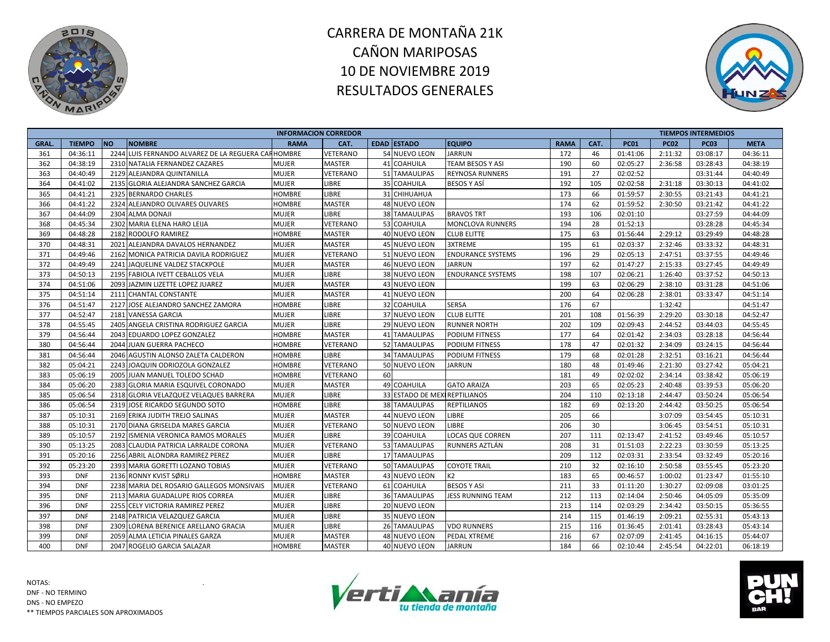



|              |               |            |                                                    | <b>INFORMACION CORREDOR</b> |                 |                 |                              |                          |             |      |             |             | <b>TIEMPOS INTERMEDIOS</b> |             |
|--------------|---------------|------------|----------------------------------------------------|-----------------------------|-----------------|-----------------|------------------------------|--------------------------|-------------|------|-------------|-------------|----------------------------|-------------|
| <b>GRAL.</b> | <b>TIEMPO</b> | <b>INO</b> | <b>NOMBRE</b>                                      | <b>RAMA</b>                 | CAT.            |                 | <b>EDAD ESTADO</b>           | <b>EQUIPO</b>            | <b>RAMA</b> | CAT. | <b>PC01</b> | <b>PC02</b> | <b>PC03</b>                | <b>META</b> |
| 361          | 04:36:11      |            | 2244 LUIS FERNANDO ALVAREZ DE LA REGUERA CARHOMBRE |                             | VETERANO        |                 | 54 NUEVO LEON                | JARRUN                   | 172         | 46   | 01:41:06    | 2:11:32     | 03:08:17                   | 04:36:11    |
| 362          | 04:38:19      |            | 2310 NATALIA FERNANDEZ CAZARES                     | <b>MUJER</b>                | <b>MASTER</b>   |                 | 41 COAHUILA                  | TEAM BESOS Y ASI         | 190         | 60   | 02:05:27    | 2:36:58     | 03:28:43                   | 04:38:19    |
| 363          | 04:40:49      |            | 2129 ALEJANDRA QUINTANILLA                         | <b>MUJER</b>                | VETERANO        |                 | 51 TAMAULIPAS                | REYNOSA RUNNERS          | 191         | 27   | 02:02:52    |             | 03:31:44                   | 04:40:49    |
| 364          | 04:41:02      |            | 2135 GLORIA ALEJANDRA SANCHEZ GARCIA               | <b>MUJER</b>                | LIBRE           | 35 <sub>1</sub> | <b>COAHUILA</b>              | BESOS Y ASÍ              | 192         | 105  | 02:02:58    | 2:31:18     | 03:30:13                   | 04:41:02    |
| 365          | 04:41:21      |            | 2325 BERNARDO CHARLES                              | <b>HOMBRE</b>               | LIBRE           |                 | 31 CHIHUAHUA                 |                          | 173         | 66   | 01:59:57    | 2:30:55     | 03:21:43                   | 04:41:21    |
| 366          | 04:41:22      |            | 2324 ALEJANDRO OLIVARES OLIVARES                   | <b>HOMBRE</b>               | <b>MASTER</b>   |                 | 48 NUEVO LEON                |                          | 174         | 62   | 01:59:52    | 2:30:50     | 03:21:42                   | 04:41:22    |
| 367          | 04:44:09      |            | 2304 ALMA DONAJI                                   | <b>MUJER</b>                | <b>LIBRE</b>    |                 | <b>38 TAMAULIPAS</b>         | <b>BRAVOS TRT</b>        | 193         | 106  | 02:01:10    |             | 03:27:59                   | 04:44:09    |
| 368          | 04:45:34      |            | 2302 MARIA ELENA HARO LEIJA                        | <b>MUJER</b>                | <b>VETERANO</b> |                 | 53 COAHUILA                  | <b>MONCLOVA RUNNERS</b>  | 194         | 28   | 01:52:13    |             | 03:28:28                   | 04:45:34    |
| 369          | 04:48:28      |            | 2182 RODOLFO RAMIREZ                               | <b>HOMBRE</b>               | <b>MASTER</b>   |                 | 40 NUEVO LEON                | <b>CLUB ELITTE</b>       | 175         | 63   | 01:56:44    | 2:29:12     | 03:29:49                   | 04:48:28    |
| 370          | 04:48:31      |            | 2021 ALEJANDRA DAVALOS HERNANDEZ                   | <b>MUJER</b>                | <b>MASTER</b>   |                 | 45 NUEVO LEON                | 3XTREME                  | 195         | 61   | 02:03:37    | 2:32:46     | 03:33:32                   | 04:48:31    |
| 371          | 04:49:46      |            | 2162 MONICA PATRICIA DAVILA RODRIGUEZ              | <b>MUJER</b>                | VETERANO        |                 | 51 NUEVO LEON                | <b>ENDURANCE SYSTEMS</b> | 196         | 29   | 02:05:13    | 2:47:51     | 03:37:55                   | 04:49:46    |
| 372          | 04:49:49      |            | 2241 JAQUELINE VALDEZ STACKPOLE                    | <b>MUJER</b>                | <b>MASTER</b>   |                 | 46 NUEVO LEON                | JARRUN                   | 197         | 62   | 01:47:27    | 2:15:33     | 03:27:45                   | 04:49:49    |
| 373          | 04:50:13      |            | 2195 FABIOLA IVETT CEBALLOS VELA                   | <b>MUJER</b>                | LIBRE           |                 | 38 NUEVO LEON                | <b>ENDURANCE SYSTEMS</b> | 198         | 107  | 02:06:21    | 1:26:40     | 03:37:52                   | 04:50:13    |
| 374          | 04:51:06      |            | 2093 JAZMIN LIZETTE LOPEZ JUAREZ                   | <b>MUJER</b>                | <b>MASTER</b>   |                 | 43 NUEVO LEON                |                          | 199         | 63   | 02:06:29    | 2:38:10     | 03:31:28                   | 04:51:06    |
| 375          | 04:51:14      |            | 2111 CHANTAL CONSTANTE                             | <b>MUJER</b>                | <b>MASTER</b>   |                 | 41 NUEVO LEON                |                          | 200         | 64   | 02:06:28    | 2:38:01     | 03:33:47                   | 04:51:14    |
| 376          | 04:51:47      |            | 2127 JOSE ALEJANDRO SANCHEZ ZAMORA                 | HOMBRE                      | <b>LIBRE</b>    |                 | 32 COAHUILA                  | SERSA                    | 176         | 67   |             | 1:32:42     |                            | 04:51:47    |
| 377          | 04:52:47      |            | 2181 VANESSA GARCIA                                | <b>MUJER</b>                | <b>LIBRE</b>    |                 | 37 NUEVO LEON                | <b>CLUB ELITTE</b>       | 201         | 108  | 01:56:39    | 2:29:20     | 03:30:18                   | 04:52:47    |
| 378          | 04:55:45      |            | 2405 ANGELA CRISTINA RODRIGUEZ GARCIA              | <b>MUJER</b>                | LIBRE           |                 | 29 NUEVO LEON                | RUNNER NORTH             | 202         | 109  | 02:09:43    | 2:44:52     | 03:44:03                   | 04:55:45    |
| 379          | 04:56:44      |            | 2043 EDUARDO LOPEZ GONZALEZ                        | <b>HOMBRE</b>               | <b>MASTER</b>   | 41              | <b>TAMAULIPAS</b>            | PODIUM FITNESS           | 177         | 64   | 02:01:42    | 2:34:03     | 03:28:18                   | 04:56:44    |
| 380          | 04:56:44      |            | 2044 JUAN GUERRA PACHECO                           | HOMBRE                      | VETERANO        |                 | 52 TAMAULIPAS                | PODIUM FITNESS           | 178         | 47   | 02:01:32    | 2:34:09     | 03:24:15                   | 04:56:44    |
| 381          | 04:56:44      |            | 2046 AGUSTIN ALONSO ZALETA CALDERON                | HOMBRE                      | LIBRE           |                 | 34 TAMAULIPAS                | PODIUM FITNESS           | 179         | 68   | 02:01:28    | 2:32:51     | 03:16:21                   | 04:56:44    |
| 382          | 05:04:21      |            | 2243 JOAQUIN ODRIOZOLA GONZALEZ                    | <b>HOMBRE</b>               | VETERANO        |                 | 50 NUEVO LEON                | JARRUN                   | 180         | 48   | 01:49:46    | 2:21:30     | 03:27:42                   | 05:04:21    |
| 383          | 05:06:19      |            | 2005 JUAN MANUEL TOLEDO SCHAD                      | <b>HOMBRE</b>               | VETERANO        | 60              |                              |                          | 181         | 49   | 02:02:02    | 2:34:14     | 03:38:42                   | 05:06:19    |
| 384          | 05:06:20      |            | 2383 GLORIA MARIA ESQUIVEL CORONADO                | <b>MUJER</b>                | <b>MASTER</b>   | 49              | <b>COAHUILA</b>              | <b>GATO ARAIZA</b>       | 203         | 65   | 02:05:23    | 2:40:48     | 03:39:53                   | 05:06:20    |
| 385          | 05:06:54      |            | 2318 GLORIA VELAZQUEZ VELAQUES BARRERA             | <b>MUJER</b>                | LIBRE           |                 | 33 ESTADO DE MEXIREPTILIANOS |                          | 204         | 110  | 02:13:18    | 2:44:47     | 03:50:24                   | 05:06:54    |
| 386          | 05:06:54      |            | 2319 JOSE RICARDO SEGUNDO SOTO                     | <b>HOMBRE</b>               | LIBRE           |                 | <b>38 TAMAULIPAS</b>         | <b>REPTILIANOS</b>       | 182         | 69   | 02:13:20    | 2:44:42     | 03:50:25                   | 05:06:54    |
| 387          | 05:10:31      |            | 2169 ERIKA JUDITH TREJO SALINAS                    | <b>MUJER</b>                | <b>MASTER</b>   |                 | 44 NUEVO LEON                | LIBRE                    | 205         | 66   |             | 3:07:09     | 03:54:45                   | 05:10:31    |
| 388          | 05:10:31      |            | 2170 DIANA GRISELDA MARES GARCIA                   | <b>MUJER</b>                | VETERANO        |                 | 50 NUEVO LEON                | LIBRE                    | 206         | 30   |             | 3:06:45     | 03:54:51                   | 05:10:31    |
| 389          | 05:10:57      |            | 2192 ISMENIA VERONICA RAMOS MORALES                | <b>MUJER</b>                | LIBRE           | 39              | COAHUILA                     | LOCAS QUE CORREN         | 207         | 111  | 02:13:47    | 2:41:52     | 03:49:46                   | 05:10:57    |
| 390          | 05:13:25      |            | 2083 CLAUDIA PATRICIA LARRALDE CORONA              | <b>MUJER</b>                | VETERANO        |                 | 53 TAMAULIPAS                | RUNNERS AZTLÁN           | 208         | 31   | 01:51:03    | 2:22:23     | 03:30:59                   | 05:13:25    |
| 391          | 05:20:16      |            | 2256 ABRIL ALONDRA RAMIREZ PEREZ                   | <b>MUJER</b>                | LIBRE           |                 | <b>17 TAMAULIPAS</b>         |                          | 209         | 112  | 02:03:31    | 2:33:54     | 03:32:49                   | 05:20:16    |
| 392          | 05:23:20      |            | 2393 MARIA GORETTI LOZANO TOBIAS                   | <b>MUJER</b>                | VETERANO        |                 | 50 TAMAULIPAS                | <b>COYOTE TRAIL</b>      | 210         | 32   | 02:16:10    | 2:50:58     | 03:55:45                   | 05:23:20    |
| 393          | <b>DNF</b>    |            | 2136 RONNY KVIST SØRLI                             | <b>HOMBRE</b>               | <b>MASTER</b>   |                 | 43 NUEVO LEON                | К2                       | 183         | 65   | 00:46:57    | 1:00:02     | 01:23:47                   | 01:55:10    |
| 394          | <b>DNF</b>    |            | 2238 MARIA DEL ROSARIO GALLEGOS MONSIVAIS          | <b>MUJER</b>                | VETERANO        |                 | 61 COAHUILA                  | <b>BESOS Y ASI</b>       | 211         | 33   | 01:11:20    | 1:30:27     | 02:09:08                   | 03:01:25    |
| 395          | <b>DNF</b>    |            | 2113 MARIA GUADALUPE RIOS CORREA                   | <b>MUJER</b>                | LIBRE           |                 | <b>36 TAMAULIPAS</b>         | JESS RUNNING TEAM        | 212         | 113  | 02:14:04    | 2:50:46     | 04:05:09                   | 05:35:09    |
| 396          | <b>DNF</b>    |            | 2255 CELY VICTORIA RAMIREZ PEREZ                   | <b>MUJER</b>                | <b>LIBRE</b>    |                 | 20 NUEVO LEON                |                          | 213         | 114  | 02:03:29    | 2:34:42     | 03:50:15                   | 05:36:55    |
| 397          | <b>DNF</b>    |            | 2148 PATRICIA VELAZQUEZ GARCIA                     | <b>MUJER</b>                | LIBRE           |                 | 35 NUEVO LEON                |                          | 214         | 115  | 01:46:19    | 2:09:21     | 02:55:31                   | 05:43:13    |
| 398          | <b>DNF</b>    | 2309       | LORENA BERENICE ARELLANO GRACIA                    | <b>MUJER</b>                | LIBRE           |                 | 26 TAMAULIPAS                | <b>VDO RUNNERS</b>       | 215         | 116  | 01:36:45    | 2:01:41     | 03:28:43                   | 05:43:14    |
| 399          | <b>DNF</b>    |            | 2059 ALMA LETICIA PINALES GARZA                    | <b>MUJER</b>                | <b>MASTER</b>   | 48              | <b>NUEVO LEON</b>            | PEDAL XTREME             | 216         | 67   | 02:07:09    | 2:41:45     | 04:16:15                   | 05:44:07    |
| 400          | <b>DNF</b>    |            | 2047 ROGELIO GARCIA SALAZAR                        | <b>HOMBRE</b>               | <b>MASTER</b>   |                 | 40 NUEVO LEON                | JARRUN                   | 184         | 66   | 02:10:44    | 2:45:54     | 04:22:01                   | 06:18:19    |



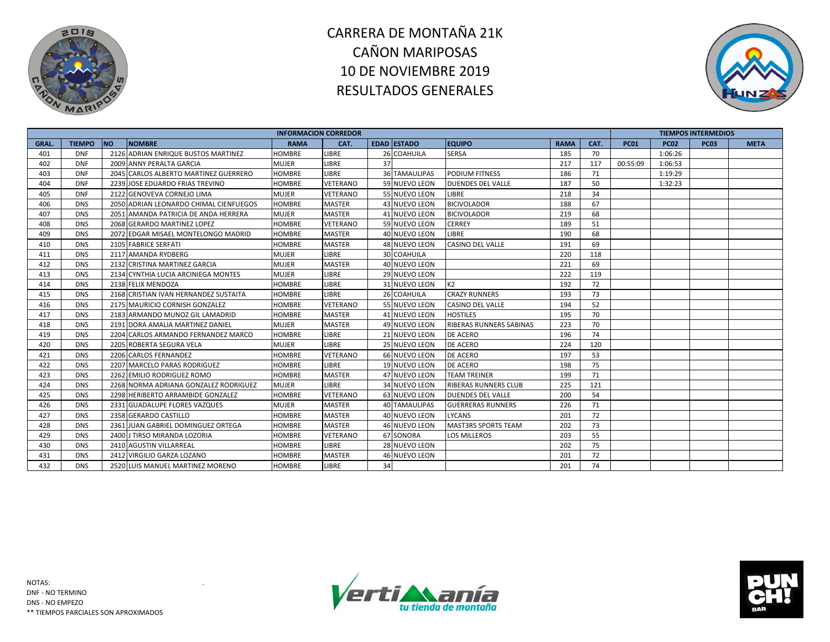



|             |               |                                        | <b>INFORMACION CORREDOR</b> |                 |    |                      |                                |             |      |             |             | <b>TIEMPOS INTERMEDIOS</b> |             |
|-------------|---------------|----------------------------------------|-----------------------------|-----------------|----|----------------------|--------------------------------|-------------|------|-------------|-------------|----------------------------|-------------|
| <b>GRAL</b> | <b>TIEMPO</b> | <b>NO</b><br><b>NOMBRE</b>             | <b>RAMA</b>                 | CAT.            |    | <b>EDAD ESTADO</b>   | <b>EQUIPO</b>                  | <b>RAMA</b> | CAT. | <b>PC01</b> | <b>PC02</b> | <b>PC03</b>                | <b>META</b> |
| 401         | <b>DNF</b>    | 2126 ADRIAN ENRIQUE BUSTOS MARTINEZ    | <b>HOMBRE</b>               | <b>LIBRE</b>    |    | 26 COAHUILA          | <b>SERSA</b>                   | 185         | 70   |             | 1:06:26     |                            |             |
| 402         | <b>DNF</b>    | 2009 ANNY PERALTA GARCIA               | <b>MUJER</b>                | <b>LIBRE</b>    | 37 |                      |                                | 217         | 117  | 00:55:09    | 1:06:53     |                            |             |
| 403         | <b>DNF</b>    | 2045 CARLOS ALBERTO MARTINEZ GUERRERO  | <b>HOMBRE</b>               | LIBRE           |    | <b>36 TAMAULIPAS</b> | <b>PODIUM FITNESS</b>          | 186         | 71   |             | 1:19:29     |                            |             |
| 404         | <b>DNF</b>    | 2239 JOSE EDUARDO FRIAS TREVINO        | <b>HOMBRE</b>               | <b>VETERANO</b> |    | 59 NUEVO LEON        | <b>DUENDES DEL VALLE</b>       | 187         | 50   |             | 1:32:23     |                            |             |
| 405         | <b>DNF</b>    | 2122 GENOVEVA CORNEJO LIMA             | <b>MUJER</b>                | VETERANO        |    | 55 NUEVO LEON        | LIBRE                          | 218         | 34   |             |             |                            |             |
| 406         | <b>DNS</b>    | 2050 ADRIAN LEONARDO CHIMAL CIENFUEGOS | <b>HOMBRE</b>               | <b>MASTER</b>   |    | 43 NUEVO LEON        | <b>BICIVOLADOR</b>             | 188         | 67   |             |             |                            |             |
| 407         | <b>DNS</b>    | 2051 AMANDA PATRICIA DE ANDA HERRERA   | <b>MUJER</b>                | <b>MASTER</b>   |    | 41 NUEVO LEON        | <b>BICIVOLADOR</b>             | 219         | 68   |             |             |                            |             |
| 408         | <b>DNS</b>    | 2068 GERARDO MARTINEZ LOPEZ            | <b>HOMBRE</b>               | <b>VETERANO</b> |    | 59 NUEVO LEON        | <b>CERREY</b>                  | 189         | 51   |             |             |                            |             |
| 409         | <b>DNS</b>    | 2072 EDGAR MISAEL MONTELONGO MADRID    | <b>HOMBRE</b>               | <b>MASTER</b>   |    | 40 NUEVO LEON        | <b>LIBRE</b>                   | 190         | 68   |             |             |                            |             |
| 410         | <b>DNS</b>    | 2105 FABRICE SERFATI                   | <b>HOMBRE</b>               | <b>MASTER</b>   |    | 48 NUEVO LEON        | <b>CASINO DEL VALLE</b>        | 191         | 69   |             |             |                            |             |
| 411         | <b>DNS</b>    | 2117 AMANDA RYDBERG                    | <b>MUJER</b>                | <b>LIBRE</b>    |    | 30 COAHUILA          |                                | 220         | 118  |             |             |                            |             |
| 412         | <b>DNS</b>    | 2132 CRISTINA MARTINEZ GARCIA          | <b>MUJER</b>                | <b>MASTER</b>   |    | 40 NUEVO LEON        |                                | 221         | 69   |             |             |                            |             |
| 413         | <b>DNS</b>    | 2134 CYNTHIA LUCIA ARCINIEGA MONTES    | <b>MUJER</b>                | <b>LIBRE</b>    |    | 29 NUEVO LEON        |                                | 222         | 119  |             |             |                            |             |
| 414         | <b>DNS</b>    | 2138 FELIX MENDOZA                     | <b>HOMBRE</b>               | <b>LIBRE</b>    |    | 31 NUEVO LEON        | K <sub>2</sub>                 | 192         | 72   |             |             |                            |             |
| 415         | <b>DNS</b>    | 2168 CRISTIAN IVAN HERNANDEZ SUSTAITA  | <b>HOMBRE</b>               | <b>LIBRE</b>    |    | 26 COAHUILA          | <b>CRAZY RUNNERS</b>           | 193         | 73   |             |             |                            |             |
| 416         | <b>DNS</b>    | 2175 MAURICIO CORNISH GONZALEZ         | <b>HOMBRE</b>               | VETERANO        |    | 55 NUEVO LEON        | <b>CASINO DEL VALLE</b>        | 194         | 52   |             |             |                            |             |
| 417         | <b>DNS</b>    | 2183 ARMANDO MUNOZ GIL LAMADRID        | <b>HOMBRE</b>               | <b>MASTER</b>   |    | 41 NUEVO LEON        | <b>HOSTILES</b>                | 195         | 70   |             |             |                            |             |
| 418         | <b>DNS</b>    | 2191 DORA AMALIA MARTINEZ DANIEL       | <b>MUJER</b>                | <b>MASTER</b>   |    | 49 NUEVO LEON        | <b>RIBERAS RUNNERS SABINAS</b> | 223         | 70   |             |             |                            |             |
| 419         | <b>DNS</b>    | 2204 CARLOS ARMANDO FERNANDEZ MARCO    | <b>HOMBRE</b>               | <b>LIBRE</b>    |    | 21 NUEVO LEON        | <b>DE ACERO</b>                | 196         | 74   |             |             |                            |             |
| 420         | <b>DNS</b>    | 2205 ROBERTA SEGURA VELA               | <b>MUJER</b>                | <b>LIBRE</b>    |    | 25 NUEVO LEON        | <b>DE ACERO</b>                | 224         | 120  |             |             |                            |             |
| 421         | <b>DNS</b>    | 2206 CARLOS FERNANDEZ                  | <b>HOMBRE</b>               | VETERANO        |    | 66 NUEVO LEON        | DE ACERO                       | 197         | 53   |             |             |                            |             |
| 422         | <b>DNS</b>    | 2207 MARCELO PARAS RODRIGUEZ           | <b>HOMBRE</b>               | <b>LIBRE</b>    |    | 19 NUEVO LEON        | <b>DE ACERO</b>                | 198         | 75   |             |             |                            |             |
| 423         | <b>DNS</b>    | 2262 EMILIO RODRIGUEZ ROMO             | <b>HOMBRE</b>               | <b>MASTER</b>   |    | 47 NUEVO LEON        | <b>TEAM TREINER</b>            | 199         | 71   |             |             |                            |             |
| 424         | <b>DNS</b>    | 2268 NORMA ADRIANA GONZALEZ RODRIGUEZ  | <b>MUJER</b>                | <b>LIBRE</b>    |    | 34 NUEVO LEON        | <b>RIBERAS RUNNERS CLUB</b>    | 225         | 121  |             |             |                            |             |
| 425         | <b>DNS</b>    | 2298 HERIBERTO ARRAMBIDE GONZALEZ      | <b>HOMBRE</b>               | VETERANO        |    | 63 NUEVO LEON        | <b>DUENDES DEL VALLE</b>       | 200         | 54   |             |             |                            |             |
| 426         | <b>DNS</b>    | 2331 GUADALUPE FLORES VAZQUES          | <b>MUJER</b>                | <b>MASTER</b>   |    | <b>40 TAMAULIPAS</b> | <b>GUERRERAS RUNNERS</b>       | 226         | 71   |             |             |                            |             |
| 427         | <b>DNS</b>    | 2358 GERARDO CASTILLO                  | <b>HOMBRE</b>               | <b>MASTER</b>   |    | 40 NUEVO LEON        | <b>LYCANS</b>                  | 201         | 72   |             |             |                            |             |
| 428         | <b>DNS</b>    | 2361 JUAN GABRIEL DOMINGUEZ ORTEGA     | <b>HOMBRE</b>               | <b>MASTER</b>   |    | 46 NUEVO LEON        | <b>MAST3RS SPORTS TEAM</b>     | 202         | 73   |             |             |                            |             |
| 429         | <b>DNS</b>    | 2400 J TIRSO MIRANDA LOZORIA           | <b>HOMBRE</b>               | VETERANO        |    | 67 SONORA            | <b>LOS MILLEROS</b>            | 203         | 55   |             |             |                            |             |
| 430         | <b>DNS</b>    | 2410 AGUSTIN VILLARREAL                | <b>HOMBRE</b>               | LIBRE           |    | 28 NUEVO LEON        |                                | 202         | 75   |             |             |                            |             |
| 431         | <b>DNS</b>    | 2412 VIRGILIO GARZA LOZANO             | <b>HOMBRE</b>               | <b>MASTER</b>   |    | 46 NUEVO LEON        |                                | 201         | 72   |             |             |                            |             |
| 432         | <b>DNS</b>    | 2520 LUIS MANUEL MARTINEZ MORENO       | <b>HOMBRE</b>               | <b>LIBRE</b>    | 34 |                      |                                | 201         | 74   |             |             |                            |             |



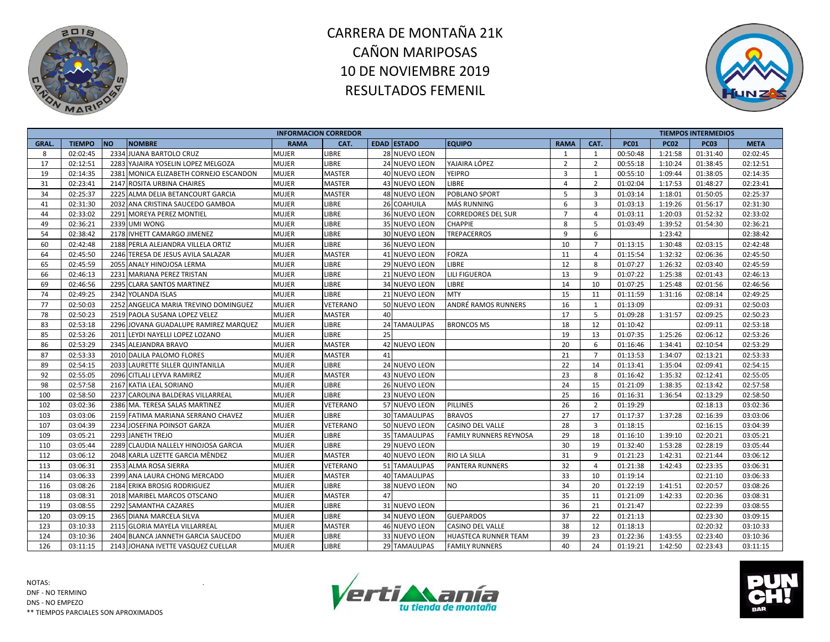



|       |               |                                        | <b>INFORMACION CORREDOR</b> |               |    |                      |                           |                |                |             |             | <b>TIEMPOS INTERMEDIOS</b> |             |
|-------|---------------|----------------------------------------|-----------------------------|---------------|----|----------------------|---------------------------|----------------|----------------|-------------|-------------|----------------------------|-------------|
| GRAL. | <b>TIEMPO</b> | <b>NO</b><br><b>NOMBRE</b>             | <b>RAMA</b>                 | CAT.          |    | <b>EDAD ESTADO</b>   | <b>EQUIPO</b>             | <b>RAMA</b>    | CAT.           | <b>PC01</b> | <b>PC02</b> | <b>PC03</b>                | <b>META</b> |
| 8     | 02:02:45      | 2334 JUANA BARTOLO CRUZ                | <b>MUJER</b>                | LIBRE         |    | 28 NUEVO LEON        |                           | 1              | $\mathbf{1}$   | 00:50:48    | 1:21:58     | 01:31:40                   | 02:02:45    |
| 17    | 02:12:51      | 2283 YAJAIRA YOSELIN LOPEZ MELGOZA     | <b>MUJER</b>                | <b>LIBRE</b>  |    | 24 NUEVO LEON        | YAJAIRA LÓPEZ             | $\overline{2}$ | $\overline{2}$ | 00:55:18    | 1:10:24     | 01:38:45                   | 02:12:51    |
| 19    | 02:14:35      | 2381 MONICA ELIZABETH CORNEJO ESCANDON | <b>MUJER</b>                | <b>MASTER</b> |    | 40 NUEVO LEON        | YEIPRO                    | $\overline{3}$ | 1              | 00:55:10    | 1:09:44     | 01:38:05                   | 02:14:35    |
| 31    | 02:23:41      | 2147 ROSITA URBINA CHAIRES             | <b>MUJER</b>                | <b>MASTER</b> |    | 43 NUEVO LEON        | LIBRE                     | $\overline{4}$ | $\overline{2}$ | 01:02:04    | 1:17:53     | 01:48:27                   | 02:23:41    |
| 34    | 02:25:37      | 2225 ALMA DELIA BETANCOURT GARCIA      | <b>MUJER</b>                | <b>MASTER</b> |    | 48 NUEVO LEON        | POBLANO SPORT             | 5              | 3              | 01:03:14    | 1:18:01     | 01:50:05                   | 02:25:37    |
| 41    | 02:31:30      | 2032 ANA CRISTINA SAUCEDO GAMBOA       | <b>MUJER</b>                | LIBRE         |    | 26 COAHUILA          | MÁS RUNNING               | 6              | 3              | 01:03:13    | 1:19:26     | 01:56:17                   | 02:31:30    |
| 44    | 02:33:02      | 2291 MOREYA PEREZ MONTIEL              | <b>MUJER</b>                | LIBRE         |    | 36 NUEVO LEON        | <b>CORREDORES DEL SUR</b> | $\overline{7}$ | 4              | 01:03:11    | 1:20:03     | 01:52:32                   | 02:33:02    |
| 49    | 02:36:21      | 2339 UMI WONG                          | <b>MUJER</b>                | LIBRE         |    | 35 NUEVO LEON        | CHAPPIE                   | 8              | 5              | 01:03:49    | 1:39:52     | 01:54:30                   | 02:36:21    |
| 54    | 02:38:42      | 2178 IVHETT CAMARGO JIMENEZ            | <b>MUJER</b>                | LIBRE         |    | 30 NUEVO LEON        | TREPACERROS               | 9              | 6              |             | 1:23:42     |                            | 02:38:42    |
| 60    | 02:42:48      | 2188 PERLA ALEJANDRA VILLELA ORTIZ     | <b>MUJER</b>                | LIBRE         |    | 36 NUEVO LEON        |                           | 10             | $\overline{7}$ | 01:13:15    | 1:30:48     | 02:03:15                   | 02:42:48    |
| 64    | 02:45:50      | 2246 TERESA DE JESUS AVILA SALAZAR     | <b>MUJER</b>                | <b>MASTER</b> |    | 41 NUEVO LEON        | <b>FORZA</b>              | 11             | 4              | 01:15:54    | 1:32:32     | 02:06:36                   | 02:45:50    |
| 65    | 02:45:59      | 2055 ANALY HINOJOSA LERMA              | <b>MUJER</b>                | LIBRE         |    | <b>29 NUEVO LEON</b> | LIBRE                     | 12             | 8              | 01:07:27    | 1:26:32     | 02:03:40                   | 02:45:59    |
| 66    | 02:46:13      | 2231 MARIANA PEREZ TRISTAN             | <b>MUJER</b>                | LIBRE         |    | 21 NUEVO LEON        | LILI FIGUEROA             | 13             | 9              | 01:07:22    | 1:25:38     | 02:01:43                   | 02:46:13    |
| 69    | 02:46:56      | 2295 CLARA SANTOS MARTINEZ             | <b>MUJER</b>                | LIBRE         |    | 34 NUEVO LEON        | LIBRE                     | 14             | 10             | 01:07:25    | 1:25:48     | 02:01:56                   | 02:46:56    |
| 74    | 02:49:25      | 2342 YOLANDA ISLAS                     | <b>MUJER</b>                | LIBRE         |    | 21 NUEVO LEON        | MTY                       | 15             | 11             | 01:11:59    | 1:31:16     | 02:08:14                   | 02:49:25    |
| 77    | 02:50:03      | 2252 ANGELICA MARIA TREVINO DOMINGUEZ  | <b>MUJER</b>                | VETERANO      |    | 50 NUEVO LEON        | ANDRÉ RAMOS RUNNERS       | 16             | $\mathbf{1}$   | 01:13:09    |             | 02:09:31                   | 02:50:03    |
| 78    | 02:50:23      | 2519 PAOLA SUSANA LOPEZ VELEZ          | <b>MUJER</b>                | <b>MASTER</b> | 40 |                      |                           | 17             | 5              | 01:09:28    | 1:31:57     | 02:09:25                   | 02:50:23    |
| 83    | 02:53:18      | 2296 JOVANA GUADALUPE RAMIREZ MARQUEZ  | <b>MUJER</b>                | LIBRE         | 24 | <b>TAMAULIPAS</b>    | <b>BRONCOS MS</b>         | 18             | 12             | 01:10:42    |             | 02:09:11                   | 02:53:18    |
| 85    | 02:53:26      | 2011 LEYDI NAYELLI LOPEZ LOZANO        | <b>MUJER</b>                | LIBRE         | 25 |                      |                           | 19             | 13             | 01:07:35    | 1:25:26     | 02:06:12                   | 02:53:26    |
| 86    | 02:53:29      | 2345 ALEJANDRA BRAVO                   | <b>MUJER</b>                | <b>MASTER</b> |    | 42 NUEVO LEON        |                           | 20             | 6              | 01:16:46    | 1:34:41     | 02:10:54                   | 02:53:29    |
| 87    | 02:53:33      | 2010 DALILA PALOMO FLORES              | <b>MUJER</b>                | <b>MASTER</b> | 41 |                      |                           | 21             | $\overline{7}$ | 01:13:53    | 1:34:07     | 02:13:21                   | 02:53:33    |
| 89    | 02:54:15      | 2033 LAURETTE SILLER QUINTANILLA       | <b>MUJER</b>                | LIBRE         |    | 24 NUEVO LEON        |                           | 22             | 14             | 01:13:41    | 1:35:04     | 02:09:41                   | 02:54:15    |
| 92    | 02:55:05      | 2096 CITLALI LEYVA RAMIREZ             | <b>MUJER</b>                | <b>MASTER</b> |    | 43 NUEVO LEON        |                           | 23             | 8              | 01:16:42    | 1:35:32     | 02:12:41                   | 02:55:05    |
| 98    | 02:57:58      | 2167 KATIA LEAL SORIANO                | <b>MUJER</b>                | LIBRE         |    | <b>26 NUEVO LEON</b> |                           | 24             | 15             | 01:21:09    | 1:38:35     | 02:13:42                   | 02:57:58    |
| 100   | 02:58:50      | 2237 CAROLINA BALDERAS VILLARREAL      | <b>MUJER</b>                | LIBRE         |    | 23 NUEVO LEON        |                           | 25             | 16             | 01:16:31    | 1:36:54     | 02:13:29                   | 02:58:50    |
| 102   | 03:02:36      | 2386 MA. TERESA SALAS MARTINEZ         | <b>MUJER</b>                | VETERANO      |    | 57 NUEVO LEON        | PILLINES                  | 26             | $\overline{2}$ | 01:19:29    |             | 02:18:13                   | 03:02:36    |
| 103   | 03:03:06      | 2159 FATIMA MARIANA SERRANO CHAVEZ     | <b>MUJER</b>                | LIBRE         |    | 30 TAMAULIPAS        | <b>BRAVOS</b>             | 27             | 17             | 01:17:37    | 1:37:28     | 02:16:39                   | 03:03:06    |
| 107   | 03:04:39      | 2234 JOSEFINA POINSOT GARZA            | <b>MUJER</b>                | VETERANO      |    | 50 NUEVO LEON        | CASINO DEL VALLE          | 28             | $\overline{3}$ | 01:18:15    |             | 02:16:15                   | 03:04:39    |
| 109   | 03:05:21      | 2293 JANETH TREJO                      | <b>MUJER</b>                | LIBRE         |    | 35 TAMAULIPAS        | FAMILY RUNNERS REYNOSA    | 29             | 18             | 01:16:10    | 1:39:10     | 02:20:21                   | 03:05:21    |
| 110   | 03:05:44      | 2289 CLAUDIA NALLELY HINOJOSA GARCIA   | <b>MUJER</b>                | LIBRE         |    | 29 NUEVO LEON        |                           | 30             | 19             | 01:32:40    | 1:53:28     | 02:28:19                   | 03:05:44    |
| 112   | 03:06:12      | 2048 KARLA LIZETTE GARCIA MÈNDEZ       | <b>MUJER</b>                | <b>MASTER</b> |    | 40 NUEVO LEON        | RIO LA SILLA              | 31             | 9              | 01:21:23    | 1:42:31     | 02:21:44                   | 03:06:12    |
| 113   | 03:06:31      | 2353 ALMA ROSA SIERRA                  | <b>MUJER</b>                | VETERANO      |    | 51 TAMAULIPAS        | PANTERA RUNNERS           | 32             | $\overline{4}$ | 01:21:38    | 1:42:43     | 02:23:35                   | 03:06:31    |
| 114   | 03:06:33      | 2399 ANA LAURA CHONG MERCADO           | <b>MUJER</b>                | <b>MASTER</b> |    | 40 TAMAULIPAS        |                           | 33             | 10             | 01:19:14    |             | 02:21:10                   | 03:06:33    |
| 116   | 03:08:26      | 2184 ERIKA BROSIG RODRIGUEZ            | <b>MUJER</b>                | LIBRE         |    | 38 NUEVO LEON        | NO.                       | 34             | 20             | 01:22:19    | 1:41:51     | 02:20:57                   | 03:08:26    |
| 118   | 03:08:31      | 2018 MARIBEL MARCOS OTSCANO            | <b>MUJER</b>                | <b>MASTER</b> | 47 |                      |                           | 35             | 11             | 01:21:09    | 1:42:33     | 02:20:36                   | 03:08:31    |
| 119   | 03:08:55      | 2292 SAMANTHA CAZARES                  | <b>MUJER</b>                | LIBRE         |    | 31 NUEVO LEON        |                           | 36             | 21             | 01:21:47    |             | 02:22:39                   | 03:08:55    |
| 120   | 03:09:15      | 2365 DIANA MARCELA SILVA               | <b>MUJER</b>                | <b>LIBRE</b>  |    | 34 NUEVO LEON        | <b>GUEPARDOS</b>          | 37             | 22             | 01:21:13    |             | 02:23:30                   | 03:09:15    |
| 123   | 03:10:33      | 2115 GLORIA MAYELA VILLARREAL          | <b>MUJER</b>                | <b>MASTER</b> |    | 46 NUEVO LEON        | CASINO DEL VALLE          | 38             | 12             | 01:18:13    |             | 02:20:32                   | 03:10:33    |
| 124   | 03:10:36      | 2404 BLANCA JANNETH GARCIA SAUCEDO     | <b>MUJER</b>                | LIBRE         |    | 33 NUEVO LEON        | HUASTECA RUNNER TEAM      | 39             | 23             | 01:22:36    | 1:43:55     | 02:23:40                   | 03:10:36    |
| 126   | 03:11:15      | 2143 JOHANA IVETTE VASQUEZ CUELLAR     | <b>MUJER</b>                | LIBRE         |    | 29 TAMAULIPAS        | <b>FAMILY RUNNERS</b>     | 40             | 24             | 01:19:21    | 1:42:50     | 02:23:43                   | 03:11:15    |



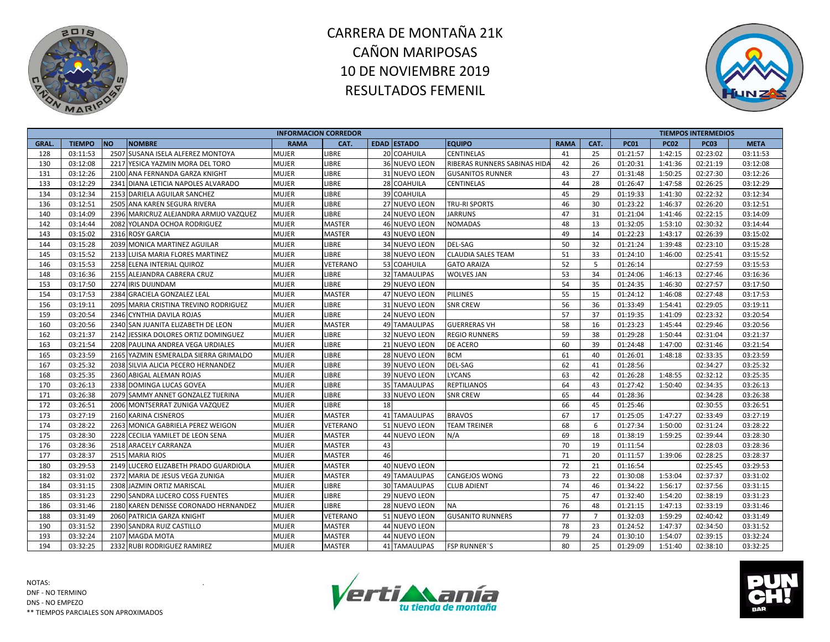



|       |               |                                        | <b>INFORMACION CORREDOR</b> |               |    |                      |                              |             |                |             |             | <b>TIEMPOS INTERMEDIOS</b> |             |
|-------|---------------|----------------------------------------|-----------------------------|---------------|----|----------------------|------------------------------|-------------|----------------|-------------|-------------|----------------------------|-------------|
| GRAL. | <b>TIEMPO</b> | <b>NO</b><br><b>NOMBRE</b>             | <b>RAMA</b>                 | CAT.          |    | <b>EDAD ESTADO</b>   | <b>EQUIPO</b>                | <b>RAMA</b> | CAT.           | <b>PC01</b> | <b>PC02</b> | <b>PC03</b>                | <b>META</b> |
| 128   | 03:11:53      | 2507 SUSANA ISELA ALFEREZ MONTOYA      | MUJER                       | LIBRE         |    | 20 COAHUILA          | <b>CENTINELAS</b>            | 41          | 25             | 01:21:57    | 1:42:15     | 02:23:02                   | 03:11:53    |
| 130   | 03:12:08      | 2217 YESICA YAZMIN MORA DEL TORO       | <b>MUJER</b>                | LIBRE         |    | 36 NUEVO LEON        | RIBERAS RUNNERS SABINAS HIDA | 42          | 26             | 01:20:31    | 1:41:36     | 02:21:19                   | 03:12:08    |
| 131   | 03:12:26      | 2100 ANA FERNANDA GARZA KNIGHT         | <b>MUJER</b>                | LIBRE         |    | 31 NUEVO LEON        | <b>GUSANITOS RUNNER</b>      | 43          | 27             | 01:31:48    | 1:50:25     | 02:27:30                   | 03:12:26    |
| 133   | 03:12:29      | 2341 DIANA LETICIA NAPOLES ALVARADO    | <b>MUJER</b>                | LIBRE         |    | 28 COAHUILA          | <b>CENTINELAS</b>            | 44          | 28             | 01:26:47    | 1:47:58     | 02:26:25                   | 03:12:29    |
| 134   | 03:12:34      | 2153 DARIELA AGUILAR SANCHEZ           | MUJER                       | LIBRE         |    | 39 COAHUILA          |                              | 45          | 29             | 01:19:33    | 1:41:30     | 02:22:32                   | 03:12:34    |
| 136   | 03:12:51      | 2505 ANA KAREN SEGURA RIVERA           | <b>MUJER</b>                | LIBRE         |    | 27 NUEVO LEON        | <b>TRU-RI SPORTS</b>         | 46          | 30             | 01:23:22    | 1:46:37     | 02:26:20                   | 03:12:51    |
| 140   | 03:14:09      | 2396 MARICRUZ ALEJANDRA ARMIJO VAZQUEZ | <b>MUJER</b>                | LIBRE         |    | 24 NUEVO LEON        | <b>JARRUNS</b>               | 47          | 31             | 01:21:04    | 1:41:46     | 02:22:15                   | 03:14:09    |
| 142   | 03:14:44      | 2082 YOLANDA OCHOA RODRIGUEZ           | <b>MUJER</b>                | <b>MASTER</b> |    | 46 NUEVO LEON        | <b>NOMADAS</b>               | 48          | 13             | 01:32:05    | 1:53:10     | 02:30:32                   | 03:14:44    |
| 143   | 03:15:02      | 2316 ROSY GARCIA                       | <b>MUJER</b>                | <b>MASTER</b> |    | 43 NUEVO LEON        |                              | 49          | 14             | 01:22:23    | 1:43:17     | 02:26:39                   | 03:15:02    |
| 144   | 03:15:28      | 2039 MONICA MARTINEZ AGUILAR           | <b>MUJER</b>                | LIBRE         |    | 34 NUEVO LEON        | <b>DEL-SAG</b>               | 50          | 32             | 01:21:24    | 1:39:48     | 02:23:10                   | 03:15:28    |
| 145   | 03:15:52      | 2133 LUISA MARIA FLORES MARTINEZ       | MUJER                       | LIBRE         |    | 38 NUEVO LEON        | <b>CLAUDIA SALES TEAM</b>    | 51          | 33             | 01:24:10    | 1:46:00     | 02:25:41                   | 03:15:52    |
| 146   | 03:15:53      | 2258 ELENA INTERIAL QUIROZ             | <b>MUJER</b>                | VETERANO      |    | 53 COAHUILA          | <b>GATO ARAIZA</b>           | 52          | 5              | 01:26:14    |             | 02:27:59                   | 03:15:53    |
| 148   | 03:16:36      | 2155 ALEJANDRA CABRERA CRUZ            | <b>MUJER</b>                | LIBRE         |    | 32 TAMAULIPAS        | <b>WOLVES JAN</b>            | 53          | 34             | 01:24:06    | 1:46:13     | 02:27:46                   | 03:16:36    |
| 153   | 03:17:50      | 2274 IRIS DUIJNDAM                     | MUJER                       | LIBRE         |    | 29 NUEVO LEON        |                              | 54          | 35             | 01:24:35    | 1:46:30     | 02:27:57                   | 03:17:50    |
| 154   | 03:17:53      | 2384 GRACIELA GONZALEZ LEAL            | <b>MUJER</b>                | <b>MASTER</b> |    | 47 NUEVO LEON        | <b>PILLINES</b>              | 55          | 15             | 01:24:12    | 1:46:08     | 02:27:48                   | 03:17:53    |
| 156   | 03:19:11      | 2095 MARIA CRISTINA TREVINO RODRIGUEZ  | <b>MUJER</b>                | LIBRE         |    | 31 NUEVO LEON        | <b>SNR CREW</b>              | 56          | 36             | 01:33:49    | 1:54:41     | 02:29:05                   | 03:19:11    |
| 159   | 03:20:54      | 2346 CYNTHIA DAVILA ROJAS              | <b>MUJER</b>                | LIBRE         |    | 24 NUEVO LEON        |                              | 57          | 37             | 01:19:35    | 1:41:09     | 02:23:32                   | 03:20:54    |
| 160   | 03:20:56      | 2340 SAN JUANITA ELIZABETH DE LEON     | <b>MUJER</b>                | <b>MASTER</b> |    | <b>49 TAMAULIPAS</b> | <b>GUERRERAS VH</b>          | 58          | 16             | 01:23:23    | 1:45:44     | 02:29:46                   | 03:20:56    |
| 162   | 03:21:37      | 2142 JESSIKA DOLORES ORTIZ DOMINGUEZ   | <b>MUJER</b>                | LIBRE         |    | 32 NUEVO LEON        | <b>REGIO RUNNERS</b>         | 59          | 38             | 01:29:28    | 1:50:44     | 02:31:04                   | 03:21:37    |
| 163   | 03:21:54      | 2208 PAULINA ANDREA VEGA URDIALES      | <b>MUJER</b>                | LIBRE         |    | 21 NUEVO LEON        | DE ACERO                     | 60          | 39             | 01:24:48    | 1:47:00     | 02:31:46                   | 03:21:54    |
| 165   | 03:23:59      | 2165 YAZMIN ESMERALDA SIERRA GRIMALDO  | <b>MUJER</b>                | LIBRE         |    | 28 NUEVO LEON        | <b>BCM</b>                   | 61          | 40             | 01:26:01    | 1:48:18     | 02:33:35                   | 03:23:59    |
| 167   | 03:25:32      | 2038 SILVIA ALICIA PECERO HERNANDEZ    | <b>MUJER</b>                | LIBRE         |    | 39 NUEVO LEON        | <b>DEL-SAG</b>               | 62          | 41             | 01:28:56    |             | 02:34:27                   | 03:25:32    |
| 168   | 03:25:35      | 2360 ABIGAL ALEMAN ROJAS               | <b>MUJER</b>                | LIBRE         |    | 39 NUEVO LEON        | <b>LYCANS</b>                | 63          | 42             | 01:26:28    | 1:48:55     | 02:32:12                   | 03:25:35    |
| 170   | 03:26:13      | 2338 DOMINGA LUCAS GOVEA               | <b>MUJER</b>                | LIBRE         |    | <b>35 TAMAULIPAS</b> | <b>REPTILIANOS</b>           | 64          | 43             | 01:27:42    | 1:50:40     | 02:34:35                   | 03:26:13    |
| 171   | 03:26:38      | 2079 SAMMY ANNET GONZALEZ TIJERINA     | MUJER                       | LIBRE         |    | 33 NUEVO LEON        | <b>SNR CREW</b>              | 65          | 44             | 01:28:36    |             | 02:34:28                   | 03:26:38    |
| 172   | 03:26:51      | 2006 MONTSERRAT ZUNIGA VAZQUEZ         | <b>MUJER</b>                | <b>LIBRE</b>  | 18 |                      |                              | 66          | 45             | 01:25:46    |             | 02:30:55                   | 03:26:51    |
| 173   | 03:27:19      | 2160 KARINA CISNEROS                   | <b>MUJER</b>                | <b>MASTER</b> |    | 41 TAMAULIPAS        | <b>BRAVOS</b>                | 67          | 17             | 01:25:05    | 1:47:27     | 02:33:49                   | 03:27:19    |
| 174   | 03:28:22      | 2263 MONICA GABRIELA PEREZ WEIGON      | <b>MUJER</b>                | VETERANO      |    | 51 NUEVO LEON        | <b>TEAM TREINER</b>          | 68          | 6              | 01:27:34    | 1:50:00     | 02:31:24                   | 03:28:22    |
| 175   | 03:28:30      | 2228 CECILIA YAMILET DE LEON SENA      | <b>MUJER</b>                | <b>MASTER</b> |    | 44 NUEVO LEON        | N/A                          | 69          | 18             | 01:38:19    | 1:59:25     | 02:39:44                   | 03:28:30    |
| 176   | 03:28:36      | 2518 ARACELY CARRANZA                  | <b>MUJER</b>                | <b>MASTER</b> | 43 |                      |                              | 70          | 19             | 01:11:54    |             | 02:28:03                   | 03:28:36    |
| 177   | 03:28:37      | 2515 MARIA RIOS                        | <b>MUJER</b>                | <b>MASTER</b> | 46 |                      |                              | 71          | 20             | 01:11:57    | 1:39:06     | 02:28:25                   | 03:28:37    |
| 180   | 03:29:53      | 2149 LUCERO ELIZABETH PRADO GUARDIOLA  | <b>MUJER</b>                | <b>MASTER</b> |    | 40 NUEVO LEON        |                              | 72          | 21             | 01:16:54    |             | 02:25:45                   | 03:29:53    |
| 182   | 03:31:02      | 2372 MARIA DE JESUS VEGA ZUNIGA        | <b>MUJER</b>                | <b>MASTER</b> |    | 49 TAMAULIPAS        | <b>CANGEJOS WONG</b>         | 73          | 22             | 01:30:08    | 1:53:04     | 02:37:37                   | 03:31:02    |
| 184   | 03:31:15      | 2308 JAZMIN ORTIZ MARISCAL             | <b>MUJER</b>                | LIBRE         |    | <b>30 TAMAULIPAS</b> | <b>CLUB ADIENT</b>           | 74          | 46             | 01:34:22    | 1:56:17     | 02:37:56                   | 03:31:15    |
| 185   | 03:31:23      | 2290 SANDRA LUCERO COSS FUENTES        | <b>MUJER</b>                | <b>LIBRE</b>  |    | 29 NUEVO LEON        |                              | 75          | 47             | 01:32:40    | 1:54:20     | 02:38:19                   | 03:31:23    |
| 186   | 03:31:46      | 2180 KAREN DENISSE CORONADO HERNANDEZ  | <b>MUJER</b>                | LIBRE         |    | 28 NUEVO LEON        | <b>NA</b>                    | 76          | 48             | 01:21:15    | 1:47:13     | 02:33:19                   | 03:31:46    |
| 188   | 03:31:49      | 2060 PATRICIA GARZA KNIGHT             | <b>MUJER</b>                | VETERANO      |    | 51 NUEVO LEON        | <b>GUSANITO RUNNERS</b>      | 77          | $\overline{7}$ | 01:32:03    | 1:59:29     | 02:40:42                   | 03:31:49    |
| 190   | 03:31:52      | 2390 SANDRA RUIZ CASTILLO              | <b>MUJER</b>                | <b>MASTER</b> |    | 44 NUEVO LEON        |                              | 78          | 23             | 01:24:52    | 1:47:37     | 02:34:50                   | 03:31:52    |
| 193   | 03:32:24      | 2107 MAGDA MOTA                        | MUJER                       | <b>MASTER</b> |    | 44 NUEVO LEON        |                              | 79          | 24             | 01:30:10    | 1:54:07     | 02:39:15                   | 03:32:24    |
| 194   | 03:32:25      | 2332 RUBI RODRIGUEZ RAMIREZ            | <b>MUJER</b>                | <b>MASTER</b> |    | 41 TAMAULIPAS        | <b>FSP RUNNER"S</b>          | 80          | 25             | 01:29:09    | 1:51:40     | 02:38:10                   | 03:32:25    |



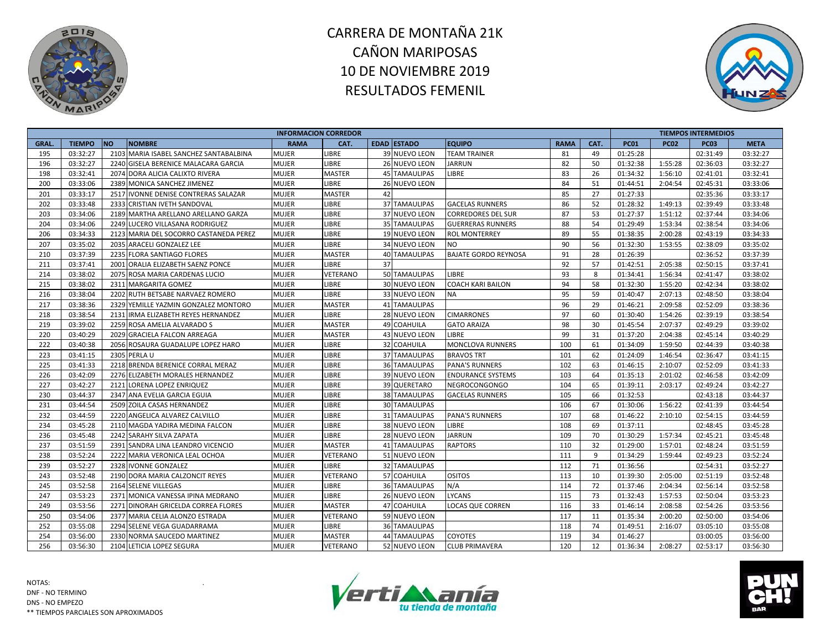



|       |               |                                        | <b>INFORMACION CORREDOR</b> |               |    |                      |                             |             |      |             |             | <b>TIEMPOS INTERMEDIOS</b> |             |
|-------|---------------|----------------------------------------|-----------------------------|---------------|----|----------------------|-----------------------------|-------------|------|-------------|-------------|----------------------------|-------------|
| GRAL. | <b>TIEMPO</b> | <b>NO</b><br><b>NOMBRE</b>             | <b>RAMA</b>                 | CAT.          |    | <b>EDAD ESTADO</b>   | <b>EQUIPO</b>               | <b>RAMA</b> | CAT. | <b>PC01</b> | <b>PC02</b> | <b>PC03</b>                | <b>META</b> |
| 195   | 03:32:27      | 2103 MARIA ISABEL SANCHEZ SANTABALBINA | <b>MUJER</b>                | LIBRE         |    | 39 NUEVO LEON        | <b>TEAM TRAINER</b>         | 81          | 49   | 01:25:28    |             | 02:31:49                   | 03:32:27    |
| 196   | 03:32:27      | 2240 GISELA BERENICE MALACARA GARCIA   | <b>MUJER</b>                | <b>LIBRE</b>  |    | <b>26 NUEVO LEON</b> | <b>JARRUN</b>               | 82          | 50   | 01:32:38    | 1:55:28     | 02:36:03                   | 03:32:27    |
| 198   | 03:32:41      | 2074 DORA ALICIA CALIXTO RIVERA        | <b>MUJER</b>                | <b>MASTER</b> |    | 45 TAMAULIPAS        | <b>LIBRE</b>                | 83          | 26   | 01:34:32    | 1:56:10     | 02:41:01                   | 03:32:41    |
| 200   | 03:33:06      | 2389 MONICA SANCHEZ JIMENEZ            | <b>MUJER</b>                | LIBRE         |    | <b>26 NUEVO LEON</b> |                             | 84          | 51   | 01:44:51    | 2:04:54     | 02:45:31                   | 03:33:06    |
| 201   | 03:33:17      | 2517 IVONNE DENISE CONTRERAS SALAZAR   | <b>MUJER</b>                | MASTER        | 42 |                      |                             | 85          | 27   | 01:27:33    |             | 02:35:36                   | 03:33:17    |
| 202   | 03:33:48      | 2333 CRISTIAN IVETH SANDOVAL           | <b>MUJER</b>                | LIBRE         |    | 37 TAMAULIPAS        | <b>GACELAS RUNNERS</b>      | 86          | 52   | 01:28:32    | 1:49:13     | 02:39:49                   | 03:33:48    |
| 203   | 03:34:06      | 2189 MARTHA ARELLANO ARELLANO GARZA    | <b>MUJER</b>                | LIBRE         |    | 37 NUEVO LEON        | <b>CORREDORES DEL SUR</b>   | 87          | 53   | 01:27:37    | 1:51:12     | 02:37:44                   | 03:34:06    |
| 204   | 03:34:06      | 2249 LUCERO VILLASANA RODRIGUEZ        | <b>MUJER</b>                | LIBRE         |    | 35 TAMAULIPAS        | <b>GUERRERAS RUNNERS</b>    | 88          | 54   | 01:29:49    | 1:53:34     | 02:38:54                   | 03:34:06    |
| 206   | 03:34:33      | 2123 MARIA DEL SOCORRO CASTANEDA PEREZ | <b>MUJER</b>                | LIBRE         |    | 19 NUEVO LEON        | <b>ROL MONTERREY</b>        | 89          | 55   | 01:38:35    | 2:00:28     | 02:43:19                   | 03:34:33    |
| 207   | 03:35:02      | 2035 ARACELI GONZALEZ LEE              | <b>MUJER</b>                | LIBRE         |    | 34 NUEVO LEON        | <b>NO</b>                   | 90          | 56   | 01:32:30    | 1:53:55     | 02:38:09                   | 03:35:02    |
| 210   | 03:37:39      | 2235 FLORA SANTIAGO FLORES             | <b>MUJER</b>                | <b>MASTER</b> |    | 40 TAMAULIPAS        | <b>BAJATE GORDO REYNOSA</b> | 91          | 28   | 01:26:39    |             | 02:36:52                   | 03:37:39    |
| 211   | 03:37:41      | 2001 ORALIA ELIZABETH SAENZ PONCE      | <b>MUJER</b>                | LIBRE         | 37 |                      |                             | 92          | 57   | 01:42:51    | 2:05:38     | 02:50:15                   | 03:37:41    |
| 214   | 03:38:02      | 2075 ROSA MARIA CARDENAS LUCIO         | <b>MUJER</b>                | VETERANO      |    | 50 TAMAULIPAS        | LIBRE                       | 93          | 8    | 01:34:41    | 1:56:34     | 02:41:47                   | 03:38:02    |
| 215   | 03:38:02      | 2311 MARGARITA GOMEZ                   | <b>MUJER</b>                | LIBRE         |    | 30 NUEVO LEON        | COACH KARI BAILON           | 94          | 58   | 01:32:30    | 1:55:20     | 02:42:34                   | 03:38:02    |
| 216   | 03:38:04      | 2202 RUTH BETSABE NARVAEZ ROMERO       | <b>MUJER</b>                | LIBRE         |    | 33 NUEVO LEON        | <b>NA</b>                   | 95          | 59   | 01:40:47    | 2:07:13     | 02:48:50                   | 03:38:04    |
| 217   | 03:38:36      | 2329 YEMILLE YAZMIN GONZALEZ MONTORO   | <b>MUJER</b>                | <b>MASTER</b> |    | <b>41 TAMAULIPAS</b> |                             | 96          | 29   | 01:46:21    | 2:09:58     | 02:52:09                   | 03:38:36    |
| 218   | 03:38:54      | 2131 IRMA ELIZABETH REYES HERNANDEZ    | <b>MUJER</b>                | LIBRE         |    | 28 NUEVO LEON        | <b>CIMARRONES</b>           | 97          | 60   | 01:30:40    | 1:54:26     | 02:39:19                   | 03:38:54    |
| 219   | 03:39:02      | 2259 ROSA AMELIA ALVARADO S            | <b>MUJER</b>                | <b>MASTER</b> |    | 49 COAHUILA          | <b>GATO ARAIZA</b>          | 98          | 30   | 01:45:54    | 2:07:37     | 02:49:29                   | 03:39:02    |
| 220   | 03:40:29      | 2029 GRACIELA FALCON ARREAGA           | <b>MUJER</b>                | <b>MASTER</b> |    | 43 NUEVO LEON        | LIBRE                       | 99          | 31   | 01:37:20    | 2:04:38     | 02:45:14                   | 03:40:29    |
| 222   | 03:40:38      | 2056 ROSAURA GUADALUPE LOPEZ HARO      | <b>MUJER</b>                | LIBRE         |    | 32 COAHUILA          | MONCLOVA RUNNERS            | 100         | 61   | 01:34:09    | 1:59:50     | 02:44:39                   | 03:40:38    |
| 223   | 03:41:15      | 2305 PERLA U                           | <b>MUJER</b>                | LIBRE         |    | 37 TAMAULIPAS        | <b>BRAVOS TRT</b>           | 101         | 62   | 01:24:09    | 1:46:54     | 02:36:47                   | 03:41:15    |
| 225   | 03:41:33      | 2218 BRENDA BERENICE CORRAL MERAZ      | <b>MUJER</b>                | LIBRE         |    | 36 TAMAULIPAS        | <b>PANA'S RUNNERS</b>       | 102         | 63   | 01:46:15    | 2:10:07     | 02:52:09                   | 03:41:33    |
| 226   | 03:42:09      | 2276 ELIZABETH MORALES HERNANDEZ       | <b>MUJER</b>                | LIBRE         |    | 39 NUEVO LEON        | <b>ENDURANCE SYSTEMS</b>    | 103         | 64   | 01:35:13    | 2:01:02     | 02:46:58                   | 03:42:09    |
| 227   | 03:42:27      | 2121 LORENA LOPEZ ENRIQUEZ             | <b>MUJER</b>                | LIBRE         |    | 39 QUERETARO         | <b>NEGROCONGONGO</b>        | 104         | 65   | 01:39:11    | 2:03:17     | 02:49:24                   | 03:42:27    |
| 230   | 03:44:37      | 2347 ANA EVELIA GARCIA EGUIA           | <b>MUJER</b>                | LIBRE         |    | <b>38 TAMAULIPAS</b> | <b>GACELAS RUNNERS</b>      | 105         | 66   | 01:32:53    |             | 02:43:18                   | 03:44:37    |
| 231   | 03:44:54      | 2509 ZOILA CASAS HERNANDEZ             | <b>MUJER</b>                | LIBRE         |    | 30 TAMAULIPAS        |                             | 106         | 67   | 01:30:06    | 1:56:22     | 02:41:39                   | 03:44:54    |
| 232   | 03:44:59      | 2220 ANGELICA ALVAREZ CALVILLO         | <b>MUJER</b>                | LIBRE         |    | 31 TAMAULIPAS        | <b>PANA'S RUNNERS</b>       | 107         | 68   | 01:46:22    | 2:10:10     | 02:54:15                   | 03:44:59    |
| 234   | 03:45:28      | 2110 MAGDA YADIRA MEDINA FALCON        | <b>MUJER</b>                | LIBRE         |    | 38 NUEVO LEON        | LIBRE                       | 108         | 69   | 01:37:11    |             | 02:48:45                   | 03:45:28    |
| 236   | 03:45:48      | 2242 SARAHY SILVA ZAPATA               | <b>MUJER</b>                | LIBRE         |    | 28 NUEVO LEON        | JARRUN                      | 109         | 70   | 01:30:29    | 1:57:34     | 02:45:21                   | 03:45:48    |
| 237   | 03:51:59      | 2391 SANDRA LINA LEANDRO VICENCIO      | <b>MUJER</b>                | <b>MASTER</b> |    | 41 TAMAULIPAS        | <b>RAPTORS</b>              | 110         | 32   | 01:29:00    | 1:57:01     | 02:48:24                   | 03:51:59    |
| 238   | 03:52:24      | 2222 MARIA VERONICA LEAL OCHOA         | <b>MUJER</b>                | VETERANO      |    | 51 NUEVO LEON        |                             | 111         | 9    | 01:34:29    | 1:59:44     | 02:49:23                   | 03:52:24    |
| 239   | 03:52:27      | 2328 IVONNE GONZALEZ                   | <b>MUJER</b>                | LIBRE         |    | 32 TAMAULIPAS        |                             | 112         | 71   | 01:36:56    |             | 02:54:31                   | 03:52:27    |
| 243   | 03:52:48      | 2190 DORA MARIA CALZONCIT REYES        | <b>MUJER</b>                | VETERANO      |    | 57 COAHUILA          | OSITOS                      | 113         | 10   | 01:39:30    | 2:05:00     | 02:51:19                   | 03:52:48    |
| 245   | 03:52:58      | 2164 SELENE VILLEGAS                   | <b>MUJER</b>                | LIBRE         |    | 36 TAMAULIPAS        | N/A                         | 114         | 72   | 01:37:46    | 2:04:34     | 02:56:14                   | 03:52:58    |
| 247   | 03:53:23      | 2371 MONICA VANESSA IPINA MEDRANO      | <b>MUJER</b>                | <b>LIBRE</b>  |    | 26 NUEVO LEON        | <b>LYCANS</b>               | 115         | 73   | 01:32:43    | 1:57:53     | 02:50:04                   | 03:53:23    |
| 249   | 03:53:56      | 2271 DINORAH GRICELDA CORREA FLORES    | <b>MUJER</b>                | MASTER        |    | 47 COAHUILA          | <b>LOCAS QUE CORREN</b>     | 116         | 33   | 01:46:14    | 2:08:58     | 02:54:26                   | 03:53:56    |
| 250   | 03:54:06      | 2377 MARIA CELIA ALONZO ESTRADA        | <b>MUJER</b>                | VETERANO      |    | 59 NUEVO LEON        |                             | 117         | 11   | 01:35:34    | 2:00:20     | 02:50:00                   | 03:54:06    |
| 252   | 03:55:08      | 2294 SELENE VEGA GUADARRAMA            | <b>MUJER</b>                | LIBRE         |    | <b>36 TAMAULIPAS</b> |                             | 118         | 74   | 01:49:51    | 2:16:07     | 03:05:10                   | 03:55:08    |
| 254   | 03:56:00      | 2330 NORMA SAUCEDO MARTINEZ            | <b>MUJER</b>                | <b>MASTER</b> |    | 44 TAMAULIPAS        | <b>COYOTES</b>              | 119         | 34   | 01:46:27    |             | 03:00:05                   | 03:56:00    |
| 256   | 03:56:30      | 2104 LETICIA LOPEZ SEGURA              | <b>MUJER</b>                | VETERANO      |    | 52 NUEVO LEON        | <b>CLUB PRIMAVERA</b>       | 120         | 12   | 01:36:34    | 2:08:27     | 02:53:17                   | 03:56:30    |



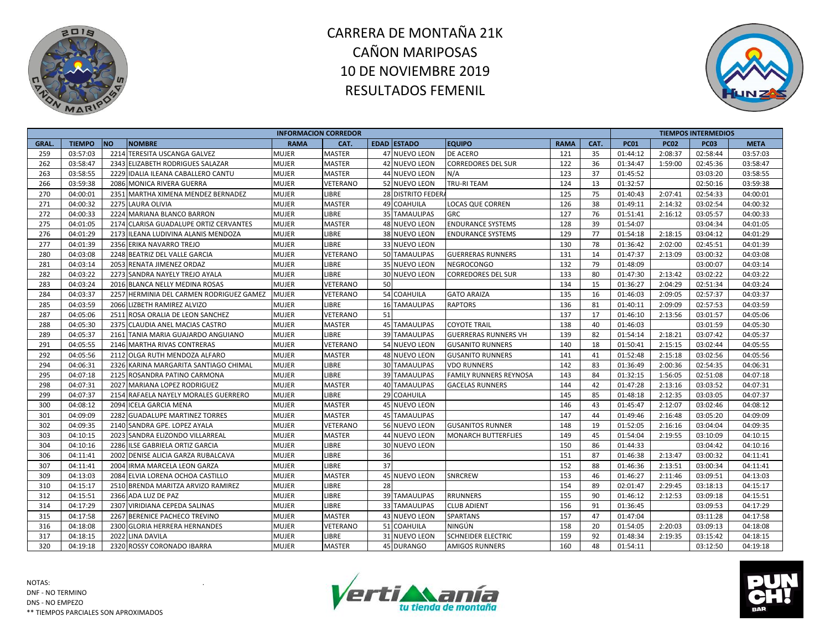



|             |               |           |                                          | <b>INFORMACION CORREDOR</b> |                 |    |                      |                               |             |      |             |             | <b>TIEMPOS INTERMEDIOS</b> |             |
|-------------|---------------|-----------|------------------------------------------|-----------------------------|-----------------|----|----------------------|-------------------------------|-------------|------|-------------|-------------|----------------------------|-------------|
| <b>GRAL</b> | <b>TIEMPO</b> | <b>NO</b> | <b>NOMBRE</b>                            | <b>RAMA</b>                 | CAT.            |    | <b>EDAD ESTADO</b>   | <b>EQUIPO</b>                 | <b>RAMA</b> | CAT. | <b>PC01</b> | <b>PC02</b> | <b>PC03</b>                | <b>META</b> |
| 259         | 03:57:03      |           | 2214 TERESITA USCANGA GALVEZ             | MUJER                       | <b>MASTER</b>   |    | 47 NUEVO LEON        | <b>DE ACERO</b>               | 121         | 35   | 01:44:12    | 2:08:37     | 02:58:44                   | 03:57:03    |
| 262         | 03:58:47      |           | 2343 ELIZABETH RODRIGUES SALAZAR         | MUJER                       | <b>MASTER</b>   |    | 42 NUEVO LEON        | <b>CORREDORES DEL SUR</b>     | 122         | 36   | 01:34:47    | 1:59:00     | 02:45:36                   | 03:58:47    |
| 263         | 03:58:55      |           | 2229 IDALIA ILEANA CABALLERO CANTU       | <b>MUJER</b>                | <b>MASTER</b>   |    | 44 NUEVO LEON        | N/A                           | 123         | 37   | 01:45:52    |             | 03:03:20                   | 03:58:55    |
| 266         | 03:59:38      |           | 2086 MONICA RIVERA GUERRA                | <b>MUJER</b>                | VETERANO        |    | 52 NUEVO LEON        | TRU-RI TEAM                   | 124         | 13   | 01:32:57    |             | 02:50:16                   | 03:59:38    |
| 270         | 04:00:01      |           | 2351 MARTHA XIMENA MENDEZ BERNADEZ       | <b>MUJER</b>                | LIBRE           |    | 28 DISTRITO FEDERA   |                               | 125         | 75   | 01:40:43    | 2:07:41     | 02:54:33                   | 04:00:01    |
| 271         | 04:00:32      |           | 2275 LAURA OLIVIA                        | <b>MUJER</b>                | <b>MASTER</b>   |    | 49 COAHUILA          | LOCAS QUE CORREN              | 126         | 38   | 01:49:11    | 2:14:32     | 03:02:54                   | 04:00:32    |
| 272         | 04:00:33      |           | 2224 MARIANA BLANCO BARRON               | <b>MUJER</b>                | LIBRE           |    | <b>35 TAMAULIPAS</b> | <b>GRC</b>                    | 127         | 76   | 01:51:41    | 2:16:12     | 03:05:57                   | 04:00:33    |
| 275         | 04:01:05      |           | 2174 CLARISA GUADALUPE ORTIZ CERVANTES   | <b>MUJER</b>                | <b>MASTER</b>   |    | 48 NUEVO LEON        | <b>ENDURANCE SYSTEMS</b>      | 128         | 39   | 01:54:07    |             | 03:04:34                   | 04:01:05    |
| 276         | 04:01:29      |           | 2173 ILEANA LUDIVINA ALANIS MENDOZA      | <b>MUJER</b>                | LIBRE           |    | 38 NUEVO LEON        | <b>ENDURANCE SYSTEMS</b>      | 129         | 77   | 01:54:18    | 2:18:15     | 03:04:12                   | 04:01:29    |
| 277         | 04:01:39      |           | 2356 ERIKA NAVARRO TREJO                 | <b>MUJER</b>                | LIBRE           |    | 33 NUEVO LEON        |                               | 130         | 78   | 01:36:42    | 2:02:00     | 02:45:51                   | 04:01:39    |
| 280         | 04:03:08      |           | 2248 BEATRIZ DEL VALLE GARCIA            | MUJER                       | VETERANO        |    | 50 TAMAULIPAS        | <b>GUERRERAS RUNNERS</b>      | 131         | 14   | 01:47:37    | 2:13:09     | 03:00:32                   | 04:03:08    |
| 281         | 04:03:14      |           | 2053 RENATA JIMENEZ ORDAZ                | <b>MUJER</b>                | LIBRE           |    | 35 NUEVO LEON        | <b>NEGROCONGO</b>             | 132         | 79   | 01:48:09    |             | 03:00:07                   | 04:03:14    |
| 282         | 04:03:22      |           | 2273 SANDRA NAYELY TREJO AYALA           | MUJER                       | LIBRE           |    | <b>30 NUEVO LEON</b> | <b>CORREDORES DEL SUR</b>     | 133         | 80   | 01:47:30    | 2:13:42     | 03:02:22                   | 04:03:22    |
| 283         | 04:03:24      |           | 2016 BLANCA NELLY MEDINA ROSAS           | MUJER                       | VETERANO        | 50 |                      |                               | 134         | 15   | 01:36:27    | 2:04:29     | 02:51:34                   | 04:03:24    |
| 284         | 04:03:37      |           | 2257 HERMINIA DEL CARMEN RODRIGUEZ GAMEZ | <b>MUJER</b>                | VETERANO        |    | 54 COAHUILA          | <b>GATO ARAIZA</b>            | 135         | 16   | 01:46:03    | 2:09:05     | 02:57:37                   | 04:03:37    |
| 285         | 04:03:59      |           | 2066 LIZBETH RAMIREZ ALVIZO              | MUJER                       | LIBRE           |    | <b>16 TAMAULIPAS</b> | <b>RAPTORS</b>                | 136         | 81   | 01:40:11    | 2:09:09     | 02:57:53                   | 04:03:59    |
| 287         | 04:05:06      |           | 2511 ROSA ORALIA DE LEON SANCHEZ         | <b>MUJER</b>                | VETERANO        | 51 |                      |                               | 137         | 17   | 01:46:10    | 2:13:56     | 03:01:57                   | 04:05:06    |
| 288         | 04:05:30      |           | 2375 CLAUDIA ANEL MACIAS CASTRO          | <b>MUJER</b>                | <b>MASTER</b>   |    | <b>45 TAMAULIPAS</b> | <b>COYOTE TRAIL</b>           | 138         | 40   | 01:46:03    |             | 03:01:59                   | 04:05:30    |
| 289         | 04:05:37      |           | 2161 TANIA MARIA GUAJARDO ANGUIANO       | MUJER                       | LIBRE           |    | <b>39 TAMAULIPAS</b> | <b>GUERRERAS RUNNERS VH</b>   | 139         | 82   | 01:54:14    | 2:18:21     | 03:07:42                   | 04:05:37    |
| 291         | 04:05:55      |           | 2146 MARTHA RIVAS CONTRERAS              | MUJER                       | VETERANO        |    | 54 NUEVO LEON        | <b>GUSANITO RUNNERS</b>       | 140         | 18   | 01:50:41    | 2:15:15     | 03:02:44                   | 04:05:55    |
| 292         | 04:05:56      |           | 2112 OLGA RUTH MENDOZA ALFARO            | <b>MUJER</b>                | <b>MASTER</b>   |    | 48 NUEVO LEON        | <b>GUSANITO RUNNERS</b>       | 141         | 41   | 01:52:48    | 2:15:18     | 03:02:56                   | 04:05:56    |
| 294         | 04:06:31      |           | 2326 KARINA MARGARITA SANTIAGO CHIMAL    | <b>MUJER</b>                | LIBRE           |    | 30 TAMAULIPAS        | <b>VDO RUNNERS</b>            | 142         | 83   | 01:36:49    | 2:00:36     | 02:54:35                   | 04:06:31    |
| 295         | 04:07:18      |           | 2125 ROSANDRA PATINO CARMONA             | MUJER                       | LIBRE           |    | <b>39 TAMAULIPAS</b> | <b>FAMILY RUNNERS REYNOSA</b> | 143         | 84   | 01:32:15    | 1:56:05     | 02:51:08                   | 04:07:18    |
| 298         | 04:07:31      |           | 2027 MARIANA LOPEZ RODRIGUEZ             | <b>MUJER</b>                | <b>MASTER</b>   |    | 40 TAMAULIPAS        | <b>GACELAS RUNNERS</b>        | 144         | 42   | 01:47:28    | 2:13:16     | 03:03:52                   | 04:07:31    |
| 299         | 04:07:37      |           | 2154 RAFAELA NAYELY MORALES GUERRERO     | Mujer                       | LIBRE           |    | 29 COAHUILA          |                               | 145         | 85   | 01:48:18    | 2:12:35     | 03:03:05                   | 04:07:37    |
| 300         | 04:08:12      |           | 2094 ICELA GARCIA MENA                   | <b>MUJER</b>                | <b>MASTER</b>   |    | 45 NUEVO LEON        |                               | 146         | 43   | 01:45:47    | 2:12:07     | 03:02:46                   | 04:08:12    |
| 301         | 04:09:09      |           | 2282 GUADALUPE MARTINEZ TORRES           | <b>MUJER</b>                | <b>MASTER</b>   |    | <b>45 TAMAULIPAS</b> |                               | 147         | 44   | 01:49:46    | 2:16:48     | 03:05:20                   | 04:09:09    |
| 302         | 04:09:35      |           | 2140 SANDRA GPE. LOPEZ AYALA             | MUJER                       | VETERANO        |    | 56 NUEVO LEON        | <b>GUSANITOS RUNNER</b>       | 148         | 19   | 01:52:05    | 2:16:16     | 03:04:04                   | 04:09:35    |
| 303         | 04:10:15      |           | 2023 SANDRA ELIZONDO VILLARREAL          | <b>MUJER</b>                | <b>MASTER</b>   |    | 44 NUEVO LEON        | <b>MONARCH BUTTERFLIES</b>    | 149         | 45   | 01:54:04    | 2:19:55     | 03:10:09                   | 04:10:15    |
| 304         | 04:10:16      |           | 2286 ILSE GABRIELA ORTIZ GARCIA          | MUJER                       | LIBRE           |    | <b>30 NUEVO LEON</b> |                               | 150         | 86   | 01:44:33    |             | 03:04:42                   | 04:10:16    |
| 306         | 04:11:41      |           | 2002 DENISE ALICIA GARZA RUBALCAVA       | <b>MUJER</b>                | LIBRE           | 36 |                      |                               | 151         | 87   | 01:46:38    | 2:13:47     | 03:00:32                   | 04:11:41    |
| 307         | 04:11:41      |           | 2004 IRMA MARCELA LEON GARZA             | <b>MUJER</b>                | LIBRE           | 37 |                      |                               | 152         | 88   | 01:46:36    | 2:13:51     | 03:00:34                   | 04:11:41    |
| 309         | 04:13:03      |           | 2084 ELVIA LORENA OCHOA CASTILLO         | MUJER                       | <b>MASTER</b>   |    | 45 NUEVO LEON        | SNRCREW                       | 153         | 46   | 01:46:27    | 2:11:46     | 03:09:51                   | 04:13:03    |
| 310         | 04:15:17      |           | 2510 BRENDA MARITZA ARVIZO RAMIREZ       | <b>MUJER</b>                | LIBRE           | 28 |                      |                               | 154         | 89   | 02:01:47    | 2:29:45     | 03:18:13                   | 04:15:17    |
| 312         | 04:15:51      |           | 2366 ADA LUZ DE PAZ                      | <b>MUJER</b>                | LIBRE           |    | 39 TAMAULIPAS        | <b>RRUNNERS</b>               | 155         | 90   | 01:46:12    | 2:12:53     | 03:09:18                   | 04:15:51    |
| 314         | 04:17:29      |           | 2307 VIRIDIANA CEPEDA SALINAS            | <b>MUJER</b>                | LIBRE           |    | 33 TAMAULIPAS        | <b>CLUB ADIENT</b>            | 156         | 91   | 01:36:45    |             | 03:09:53                   | 04:17:29    |
| 315         | 04:17:58      |           | 2267 BERENICE PACHECO TREVINO            | MUJER                       | <b>MASTER</b>   |    | 43 NUEVO LEON        | <b>SPARTANS</b>               | 157         | 47   | 01:47:04    |             | 03:11:28                   | 04:17:58    |
| 316         | 04:18:08      |           | 2300 GLORIA HERRERA HERNANDES            | MUJER                       | <b>VETERANO</b> |    | 51 COAHUILA          | NINGÚN                        | 158         | 20   | 01:54:05    | 2:20:03     | 03:09:13                   | 04:18:08    |
| 317         | 04:18:15      |           | 2022 LINA DAVILA                         | MUJER                       | LIBRE           |    | 31 NUEVO LEON        | <b>SCHNEIDER ELECTRIC</b>     | 159         | 92   | 01:48:34    | 2:19:35     | 03:15:42                   | 04:18:15    |
| 320         | 04:19:18      |           | 2320 ROSSY CORONADO IBARRA               | <b>MUJER</b>                | <b>MASTER</b>   |    | 45 DURANGO           | <b>AMIGOS RUNNERS</b>         | 160         | 48   | 01:54:11    |             | 03:12:50                   | 04:19:18    |



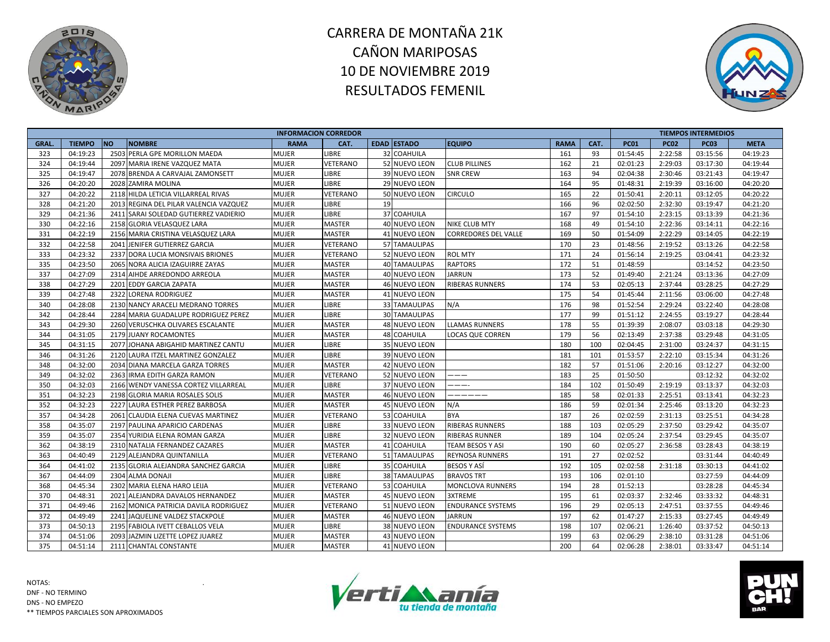



|       |               |                                        |              | <b>INFORMACION CORREDOR</b> |                      |                             |             |      |             |             | <b>TIEMPOS INTERMEDIOS</b> |             |
|-------|---------------|----------------------------------------|--------------|-----------------------------|----------------------|-----------------------------|-------------|------|-------------|-------------|----------------------------|-------------|
| GRAL. | <b>TIEMPO</b> | <b>NO</b><br><b>NOMBRE</b>             | <b>RAMA</b>  | CAT.                        | <b>EDAD ESTADO</b>   | <b>EQUIPO</b>               | <b>RAMA</b> | CAT. | <b>PC01</b> | <b>PC02</b> | <b>PC03</b>                | <b>META</b> |
| 323   | 04:19:23      | 2503 PERLA GPE MORILLON MAEDA          | <b>MUJER</b> | LIBRE                       | 32 COAHUILA          |                             | 161         | 93   | 01:54:45    | 2:22:58     | 03:15:56                   | 04:19:23    |
| 324   | 04:19:44      | 2097 MARIA IRENE VAZQUEZ MATA          | <b>MUJER</b> | VETERANO                    | 52 NUEVO LEON        | <b>CLUB PILLINES</b>        | 162         | 21   | 02:01:23    | 2:29:03     | 03:17:30                   | 04:19:44    |
| 325   | 04:19:47      | 2078 BRENDA A CARVAJAL ZAMONSETT       | <b>MUJER</b> | <b>LIBRE</b>                | 39 NUEVO LEON        | <b>SNR CREW</b>             | 163         | 94   | 02:04:38    | 2:30:46     | 03:21:43                   | 04:19:47    |
| 326   | 04:20:20      | 2028 ZAMIRA MOLINA                     | <b>MUJER</b> | <b>LIBRE</b>                | 29 NUEVO LEON        |                             | 164         | 95   | 01:48:31    | 2:19:39     | 03:16:00                   | 04:20:20    |
| 327   | 04:20:22      | 2118 HILDA LETICIA VILLARREAL RIVAS    | <b>MUJER</b> | VETERANO                    | 50 NUEVO LEON        | <b>CIRCULO</b>              | 165         | 22   | 01:50:41    | 2:20:11     | 03:12:05                   | 04:20:22    |
| 328   | 04:21:20      | 2013 REGINA DEL PILAR VALENCIA VAZQUEZ | <b>MUJER</b> | <b>LIBRE</b>                | 19                   |                             | 166         | 96   | 02:02:50    | 2:32:30     | 03:19:47                   | 04:21:20    |
| 329   | 04:21:36      | 2411 SARAI SOLEDAD GUTIERREZ VADIERIO  | <b>MUJER</b> | LIBRE                       | 37 COAHUILA          |                             | 167         | 97   | 01:54:10    | 2:23:15     | 03:13:39                   | 04:21:36    |
| 330   | 04:22:16      | 2158 GLORIA VELASQUEZ LARA             | <b>MUJER</b> | <b>MASTER</b>               | 40 NUEVO LEON        | <b>NIKE CLUB MTY</b>        | 168         | 49   | 01:54:10    | 2:22:36     | 03:14:11                   | 04:22:16    |
| 331   | 04:22:19      | 2156 MARIA CRISTINA VELASQUEZ LARA     | <b>MUJER</b> | <b>MASTER</b>               | 41 NUEVO LEON        | <b>CORREDORES DEL VALLE</b> | 169         | 50   | 01:54:09    | 2:22:29     | 03:14:05                   | 04:22:19    |
| 332   | 04:22:58      | 2041 JENIFER GUTIERREZ GARCIA          | <b>MUJER</b> | VETERANO                    | 57 TAMAULIPAS        |                             | 170         | 23   | 01:48:56    | 2:19:52     | 03:13:26                   | 04:22:58    |
| 333   | 04:23:32      | 2337 DORA LUCIA MONSIVAIS BRIONES      | MUJER        | VETERANO                    | 52 NUEVO LEON        | <b>ROL MTY</b>              | 171         | 24   | 01:56:14    | 2:19:25     | 03:04:41                   | 04:23:32    |
| 335   | 04:23:50      | 2065 NORA ALICIA IZAGUIRRE ZAYAS       | <b>MUJER</b> | <b>MASTER</b>               | <b>40 TAMAULIPAS</b> | <b>RAPTORS</b>              | 172         | 51   | 01:48:59    |             | 03:14:52                   | 04:23:50    |
| 337   | 04:27:09      | 2314 AIHDE ARREDONDO ARREOLA           | <b>MUJER</b> | <b>MASTER</b>               | 40 NUEVO LEON        | <b>JARRUN</b>               | 173         | 52   | 01:49:40    | 2:21:24     | 03:13:36                   | 04:27:09    |
| 338   | 04:27:29      | 2201 EDDY GARCIA ZAPATA                | <b>MUJER</b> | <b>MASTER</b>               | 46 NUEVO LEON        | <b>RIBERAS RUNNERS</b>      | 174         | 53   | 02:05:13    | 2:37:44     | 03:28:25                   | 04:27:29    |
| 339   | 04:27:48      | 2322 LORENA RODRIGUEZ                  | MUJER        | <b>MASTER</b>               | 41 NUEVO LEON        |                             | 175         | 54   | 01:45:44    | 2:11:56     | 03:06:00                   | 04:27:48    |
| 340   | 04:28:08      | 2130 NANCY ARACELI MEDRANO TORRES      | <b>MUJER</b> | LIBRE                       | 33 TAMAULIPAS        | N/A                         | 176         | 98   | 01:52:54    | 2:29:24     | 03:22:40                   | 04:28:08    |
| 342   | 04:28:44      | 2284 MARIA GUADALUPE RODRIGUEZ PEREZ   | <b>MUJER</b> | LIBRE                       | 30 TAMAULIPAS        |                             | 177         | 99   | 01:51:12    | 2:24:55     | 03:19:27                   | 04:28:44    |
| 343   | 04:29:30      | 2260 VERUSCHKA OLIVARES ESCALANTE      | <b>MUJER</b> | <b>MASTER</b>               | 48 NUEVO LEON        | <b>LLAMAS RUNNERS</b>       | 178         | 55   | 01:39:39    | 2:08:07     | 03:03:18                   | 04:29:30    |
| 344   | 04:31:05      | 2179 JUANY ROCAMONTES                  | <b>MUJER</b> | <b>MASTER</b>               | 48 COAHUILA          | <b>LOCAS QUE CORREN</b>     | 179         | 56   | 02:13:49    | 2:37:38     | 03:29:48                   | 04:31:05    |
| 345   | 04:31:15      | 2077 JOHANA ABIGAHID MARTINEZ CANTU    | MUJER        | LIBRE                       | 35 NUEVO LEON        |                             | 180         | 100  | 02:04:45    | 2:31:00     | 03:24:37                   | 04:31:15    |
| 346   | 04:31:26      | 2120 LAURA ITZEL MARTINEZ GONZALEZ     | MUJER        | LIBRE                       | 39 NUEVO LEON        |                             | 181         | 101  | 01:53:57    | 2:22:10     | 03:15:34                   | 04:31:26    |
| 348   | 04:32:00      | 2034 DIANA MARCELA GARZA TORRES        | <b>MUJER</b> | <b>MASTER</b>               | 42 NUEVO LEON        |                             | 182         | 57   | 01:51:06    | 2:20:16     | 03:12:27                   | 04:32:00    |
| 349   | 04:32:02      | 2363 IRMA EDITH GARZA RAMON            | <b>MUJER</b> | VETERANO                    | 52 NUEVO LEON        | $-- -$                      | 183         | 25   | 01:50:50    |             | 03:12:32                   | 04:32:02    |
| 350   | 04:32:03      | 2166 WENDY VANESSA CORTEZ VILLARREAL   | <b>MUJER</b> | LIBRE                       | 37 NUEVO LEON        | ----                        | 184         | 102  | 01:50:49    | 2:19:19     | 03:13:37                   | 04:32:03    |
| 351   | 04:32:23      | 2198 GLORIA MARIA ROSALES SOLIS        | <b>MUJER</b> | <b>MASTER</b>               | 46 NUEVO LEON        | -------                     | 185         | 58   | 02:01:33    | 2:25:51     | 03:13:41                   | 04:32:23    |
| 352   | 04:32:23      | 2227 LAURA ESTHER PEREZ BARBOSA        | <b>MUJER</b> | <b>MASTER</b>               | 45 NUEVO LEON        | N/A                         | 186         | 59   | 02:01:34    | 2:25:46     | 03:13:20                   | 04:32:23    |
| 357   | 04:34:28      | 2061 CLAUDIA ELENA CUEVAS MARTINEZ     | <b>MUJER</b> | VETERANO                    | 53 COAHUILA          | <b>BYA</b>                  | 187         | 26   | 02:02:59    | 2:31:13     | 03:25:51                   | 04:34:28    |
| 358   | 04:35:07      | 2197 PAULINA APARICIO CARDENAS         | <b>MUJER</b> | <b>LIBRE</b>                | 33 NUEVO LEON        | <b>RIBERAS RUNNERS</b>      | 188         | 103  | 02:05:29    | 2:37:50     | 03:29:42                   | 04:35:07    |
| 359   | 04:35:07      | 2354 YURIDIA ELENA ROMAN GARZA         | <b>MUJER</b> | LIBRE                       | 32 NUEVO LEON        | <b>RIBERAS RUNNER</b>       | 189         | 104  | 02:05:24    | 2:37:54     | 03:29:45                   | 04:35:07    |
| 362   | 04:38:19      | 2310 NATALIA FERNANDEZ CAZARES         | <b>MUJER</b> | <b>MASTER</b>               | 41 COAHUILA          | <b>TEAM BESOS Y ASI</b>     | 190         | 60   | 02:05:27    | 2:36:58     | 03:28:43                   | 04:38:19    |
| 363   | 04:40:49      | 2129 ALEJANDRA QUINTANILLA             | MUJER        | VETERANO                    | 51 TAMAULIPAS        | <b>REYNOSA RUNNERS</b>      | 191         | 27   | 02:02:52    |             | 03:31:44                   | 04:40:49    |
| 364   | 04:41:02      | 2135 GLORIA ALEJANDRA SANCHEZ GARCIA   | <b>MUJER</b> | <b>LIBRE</b>                | 35 COAHUILA          | <b>BESOS Y ASÍ</b>          | 192         | 105  | 02:02:58    | 2:31:18     | 03:30:13                   | 04:41:02    |
| 367   | 04:44:09      | 2304 ALMA DONAJI                       | <b>MUJER</b> | LIBRE                       | <b>38 TAMAULIPAS</b> | <b>BRAVOS TRT</b>           | 193         | 106  | 02:01:10    |             | 03:27:59                   | 04:44:09    |
| 368   | 04:45:34      | 2302 MARIA ELENA HARO LEIJA            | <b>MUJER</b> | VETERANO                    | 53 COAHUILA          | MONCLOVA RUNNERS            | 194         | 28   | 01:52:13    |             | 03:28:28                   | 04:45:34    |
| 370   | 04:48:31      | 2021 ALEJANDRA DAVALOS HERNANDEZ       | MUJER        | <b>MASTER</b>               | 45 NUEVO LEON        | 3XTREME                     | 195         | 61   | 02:03:37    | 2:32:46     | 03:33:32                   | 04:48:31    |
| 371   | 04:49:46      | 2162 MONICA PATRICIA DAVILA RODRIGUEZ  | <b>MUJER</b> | VETERANO                    | 51 NUEVO LEON        | <b>ENDURANCE SYSTEMS</b>    | 196         | 29   | 02:05:13    | 2:47:51     | 03:37:55                   | 04:49:46    |
| 372   | 04:49:49      | 2241 JAQUELINE VALDEZ STACKPOLE        | <b>MUJER</b> | <b>MASTER</b>               | 46 NUEVO LEON        | <b>JARRUN</b>               | 197         | 62   | 01:47:27    | 2:15:33     | 03:27:45                   | 04:49:49    |
| 373   | 04:50:13      | 2195 FABIOLA IVETT CEBALLOS VELA       | MUJER        | LIBRE                       | 38 NUEVO LEON        | <b>ENDURANCE SYSTEMS</b>    | 198         | 107  | 02:06:21    | 1:26:40     | 03:37:52                   | 04:50:13    |
| 374   | 04:51:06      | 2093 JAZMIN LIZETTE LOPEZ JUAREZ       | MUJER        | <b>MASTER</b>               | 43 NUEVO LEON        |                             | 199         | 63   | 02:06:29    | 2:38:10     | 03:31:28                   | 04:51:06    |
| 375   | 04:51:14      | 2111 CHANTAL CONSTANTE                 | <b>MUJER</b> | <b>MASTER</b>               | 41 NUEVO LEON        |                             | 200         | 64   | 02:06:28    | 2:38:01     | 03:33:47                   | 04:51:14    |



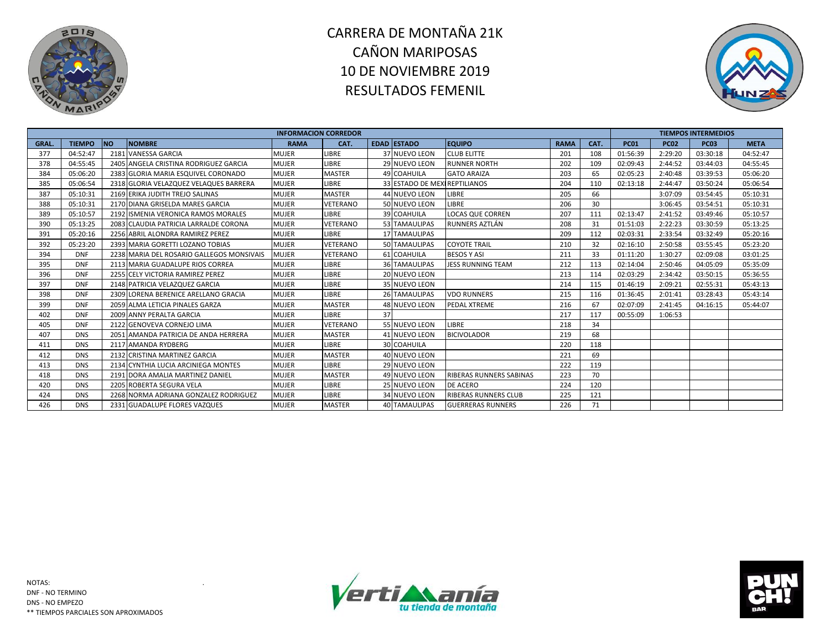



|              |               |                                           | <b>INFORMACION CORREDOR</b> |               |    |                              |                             |             |      |             |             | <b>TIEMPOS INTERMEDIOS</b> |             |
|--------------|---------------|-------------------------------------------|-----------------------------|---------------|----|------------------------------|-----------------------------|-------------|------|-------------|-------------|----------------------------|-------------|
| <b>GRAL.</b> | <b>TIEMPO</b> | <b>NO</b><br><b>NOMBRE</b>                | <b>RAMA</b>                 | CAT.          |    | <b>EDAD ESTADO</b>           | <b>EQUIPO</b>               | <b>RAMA</b> | CAT. | <b>PC01</b> | <b>PC02</b> | <b>PC03</b>                | <b>META</b> |
| 377          | 04:52:47      | 2181 VANESSA GARCIA                       | <b>MUJER</b>                | <b>LIBRE</b>  |    | 37 NUEVO LEON                | <b>CLUB ELITTE</b>          | 201         | 108  | 01:56:39    | 2:29:20     | 03:30:18                   | 04:52:47    |
| 378          | 04:55:45      | 2405 ANGELA CRISTINA RODRIGUEZ GARCIA     | <b>MUJER</b>                | <b>LIBRE</b>  |    | <b>29 NUEVO LEON</b>         | <b>RUNNER NORTH</b>         | 202         | 109  | 02:09:43    | 2:44:52     | 03:44:03                   | 04:55:45    |
| 384          | 05:06:20      | 2383 GLORIA MARIA ESQUIVEL CORONADO       | <b>MUJER</b>                | <b>MASTER</b> |    | 49 COAHUILA                  | <b>GATO ARAIZA</b>          | 203         | 65   | 02:05:23    | 2:40:48     | 03:39:53                   | 05:06:20    |
| 385          | 05:06:54      | 2318 GLORIA VELAZQUEZ VELAQUES BARRERA    | <b>MUJER</b>                | LIBRE         |    | 33 ESTADO DE MEXIREPTILIANOS |                             | 204         | 110  | 02:13:18    | 2:44:47     | 03:50:24                   | 05:06:54    |
| 387          | 05:10:31      | 2169 ERIKA JUDITH TREJO SALINAS           | <b>MUJER</b>                | <b>MASTER</b> |    | 44 NUEVO LEON                | LIBRE                       | 205         | 66   |             | 3:07:09     | 03:54:45                   | 05:10:31    |
| 388          | 05:10:31      | 2170 DIANA GRISELDA MARES GARCIA          | <b>MUJER</b>                | VETERANO      |    | 50 NUEVO LEON                | LIBRE                       | 206         | 30   |             | 3:06:45     | 03:54:51                   | 05:10:31    |
| 389          | 05:10:57      | 2192 ISMENIA VERONICA RAMOS MORALES       | <b>MUJER</b>                | LIBRE         |    | 39 COAHUILA                  | <b>LOCAS QUE CORREN</b>     | 207         | 111  | 02:13:47    | 2:41:52     | 03:49:46                   | 05:10:57    |
| 390          | 05:13:25      | 2083 CLAUDIA PATRICIA LARRALDE CORONA     | <b>MUJER</b>                | VETERANO      |    | 53 TAMAULIPAS                | RUNNERS AZTLÁN              | 208         | 31   | 01:51:03    | 2:22:23     | 03:30:59                   | 05:13:25    |
| 391          | 05:20:16      | 2256 ABRIL ALONDRA RAMIREZ PEREZ          | <b>MUJER</b>                | <b>LIBRE</b>  |    | <b>17 TAMAULIPAS</b>         |                             | 209         | 112  | 02:03:31    | 2:33:54     | 03:32:49                   | 05:20:16    |
| 392          | 05:23:20      | 2393 MARIA GORETTI LOZANO TOBIAS          | <b>MUJER</b>                | VETERANO      |    | 50 TAMAULIPAS                | <b>COYOTE TRAIL</b>         | 210         | 32   | 02:16:10    | 2:50:58     | 03:55:45                   | 05:23:20    |
| 394          | <b>DNF</b>    | 2238 MARIA DEL ROSARIO GALLEGOS MONSIVAIS | <b>MUJER</b>                | VETERANO      |    | 61 COAHUILA                  | <b>BESOS Y ASI</b>          | 211         | 33   | 01:11:20    | 1:30:27     | 02:09:08                   | 03:01:25    |
| 395          | <b>DNF</b>    | 2113 MARIA GUADALUPE RIOS CORREA          | <b>MUJER</b>                | LIBRE         |    | <b>36 TAMAULIPAS</b>         | <b>JESS RUNNING TEAM</b>    | 212         | 113  | 02:14:04    | 2:50:46     | 04:05:09                   | 05:35:09    |
| 396          | <b>DNF</b>    | 2255 CELY VICTORIA RAMIREZ PEREZ          | <b>MUJER</b>                | LIBRE         |    | 20 NUEVO LEON                |                             | 213         | 114  | 02:03:29    | 2:34:42     | 03:50:15                   | 05:36:55    |
| 397          | <b>DNF</b>    | 2148 PATRICIA VELAZQUEZ GARCIA            | <b>MUJER</b>                | <b>LIBRE</b>  |    | 35 NUEVO LEON                |                             | 214         | 115  | 01:46:19    | 2:09:21     | 02:55:31                   | 05:43:13    |
| 398          | <b>DNF</b>    | 2309 LORENA BERENICE ARELLANO GRACIA      | <b>MUJER</b>                | <b>LIBRE</b>  |    | 26 TAMAULIPAS                | <b>VDO RUNNERS</b>          | 215         | 116  | 01:36:45    | 2:01:41     | 03:28:43                   | 05:43:14    |
| 399          | <b>DNF</b>    | 2059 ALMA LETICIA PINALES GARZA           | <b>MUJER</b>                | <b>MASTER</b> |    | 48 NUEVO LEON                | <b>PEDAL XTREME</b>         | 216         | 67   | 02:07:09    | 2:41:45     | 04:16:15                   | 05:44:07    |
| 402          | <b>DNF</b>    | 2009 ANNY PERALTA GARCIA                  | <b>MUJER</b>                | LIBRE         | 37 |                              |                             | 217         | 117  | 00:55:09    | 1:06:53     |                            |             |
| 405          | <b>DNF</b>    | 2122 GENOVEVA CORNEJO LIMA                | <b>MUJER</b>                | VETERANO      |    | 55 NUEVO LEON                | <b>LIBRE</b>                | 218         | 34   |             |             |                            |             |
| 407          | <b>DNS</b>    | 2051 AMANDA PATRICIA DE ANDA HERRERA      | <b>MUJER</b>                | <b>MASTER</b> |    | 41 NUEVO LEON                | <b>BICIVOLADOR</b>          | 219         | 68   |             |             |                            |             |
| 411          | <b>DNS</b>    | 2117 AMANDA RYDBERG                       | <b>MUJER</b>                | <b>LIBRE</b>  |    | 30 COAHUILA                  |                             | 220         | 118  |             |             |                            |             |
| 412          | <b>DNS</b>    | 2132 CRISTINA MARTINEZ GARCIA             | <b>MUJER</b>                | <b>MASTER</b> |    | 40 NUEVO LEON                |                             | 221         | 69   |             |             |                            |             |
| 413          | <b>DNS</b>    | 2134 CYNTHIA LUCIA ARCINIEGA MONTES       | <b>MUJER</b>                | LIBRE         |    | 29 NUEVO LEON                |                             | 222         | 119  |             |             |                            |             |
| 418          | <b>DNS</b>    | 2191 DORA AMALIA MARTINEZ DANIEL          | <b>MUJER</b>                | <b>MASTER</b> |    | 49 NUEVO LEON                | RIBERAS RUNNERS SABINAS     | 223         | 70   |             |             |                            |             |
| 420          | <b>DNS</b>    | 2205 ROBERTA SEGURA VELA                  | <b>MUJER</b>                | LIBRE         |    | 25 NUEVO LEON                | DE ACERO                    | 224         | 120  |             |             |                            |             |
| 424          | <b>DNS</b>    | 2268 NORMA ADRIANA GONZALEZ RODRIGUEZ     | <b>MUJER</b>                | LIBRE         |    | 34 NUEVO LEON                | <b>RIBERAS RUNNERS CLUB</b> | 225         | 121  |             |             |                            |             |
| 426          | <b>DNS</b>    | 2331 GUADALUPE FLORES VAZQUES             | <b>MUJER</b>                | <b>MASTER</b> |    | <b>40 TAMAULIPAS</b>         | <b>GUERRERAS RUNNERS</b>    | 226         | 71   |             |             |                            |             |



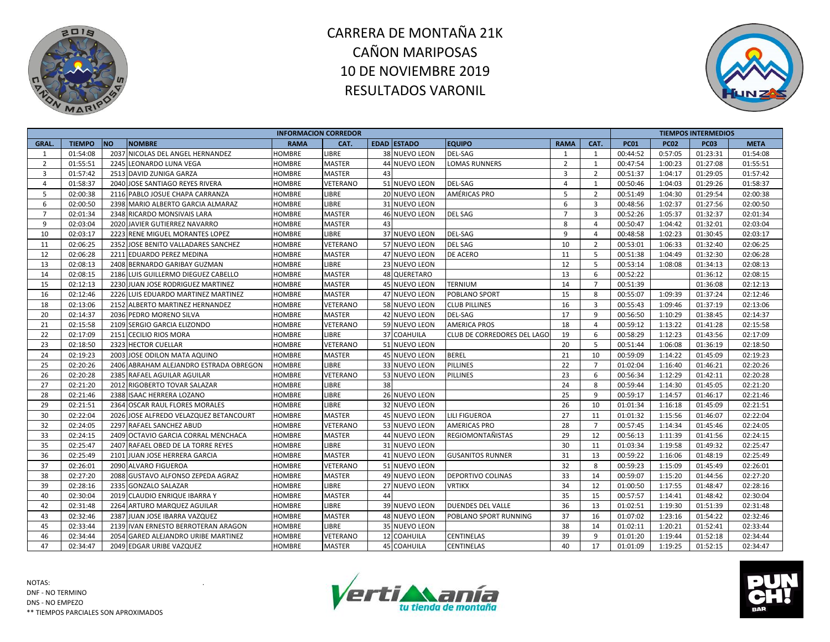



|                |               |                                        |               | <b>INFORMACION CORREDOR</b> |                    |                             |                |                |             |             | <b>TIEMPOS INTERMEDIOS</b> |             |
|----------------|---------------|----------------------------------------|---------------|-----------------------------|--------------------|-----------------------------|----------------|----------------|-------------|-------------|----------------------------|-------------|
| GRAL.          | <b>TIEMPO</b> | <b>NO</b><br><b>NOMBRE</b>             | <b>RAMA</b>   | CAT.                        | <b>EDAD ESTADO</b> | <b>EQUIPO</b>               | <b>RAMA</b>    | CAT.           | <b>PC01</b> | <b>PC02</b> | <b>PC03</b>                | <b>META</b> |
| 1              | 01:54:08      | 2037 NICOLAS DEL ANGEL HERNANDEZ       | <b>HOMBRE</b> | LIBRE                       | 38 NUEVO LEON      | <b>DEL-SAG</b>              | 1              | 1              | 00:44:52    | 0:57:05     | 01:23:31                   | 01:54:08    |
| 2              | 01:55:51      | 2245 LEONARDO LUNA VEGA                | HOMBRE        | <b>MASTER</b>               | 44 NUEVO LEON      | <b>LOMAS RUNNERS</b>        | $\overline{2}$ | 1              | 00:47:54    | 1:00:23     | 01:27:08                   | 01:55:51    |
| $\overline{3}$ | 01:57:42      | 2513 DAVID ZUNIGA GARZA                | <b>HOMBRE</b> | <b>MASTER</b>               | 43                 |                             | $\overline{3}$ | $\overline{2}$ | 00:51:37    | 1:04:17     | 01:29:05                   | 01:57:42    |
| $\overline{4}$ | 01:58:37      | 2040 JOSE SANTIAGO REYES RIVERA        | HOMBRE        | VETERANO                    | 51 NUEVO LEON      | <b>DEL-SAG</b>              | 4              | 1              | 00:50:46    | 1:04:03     | 01:29:26                   | 01:58:37    |
| 5              | 02:00:38      | 2116 PABLO JOSUE CHAPA CARRANZA        | HOMBRE        | LIBRE                       | 20 NUEVO LEON      | <b>AMÉRICAS PRO</b>         | 5              | $\overline{2}$ | 00:51:49    | 1:04:30     | 01:29:54                   | 02:00:38    |
| 6              | 02:00:50      | 2398 MARIO ALBERTO GARCIA ALMARAZ      | HOMBRE        | LIBRE                       | 31 NUEVO LEON      |                             | 6              | 3              | 00:48:56    | 1:02:37     | 01:27:56                   | 02:00:50    |
| $\overline{7}$ | 02:01:34      | 2348 RICARDO MONSIVAIS LARA            | <b>HOMBRE</b> | <b>MASTER</b>               | 46 NUEVO LEON      | <b>DEL SAG</b>              | $\overline{7}$ | $\overline{3}$ | 00:52:26    | 1:05:37     | 01:32:37                   | 02:01:34    |
| 9              | 02:03:04      | 2020 JAVIER GUTIERREZ NAVARRO          | <b>HOMBRE</b> | <b>MASTER</b>               | 43                 |                             | 8              | $\overline{4}$ | 00:50:47    | 1:04:42     | 01:32:01                   | 02:03:04    |
| 10             | 02:03:17      | 2223 RENE MIGUEL MORANTES LOPEZ        | HOMBRE        | LIBRE                       | 37 NUEVO LEON      | DEL-SAG                     | 9              | $\overline{4}$ | 00:48:58    | 1:02:23     | 01:30:45                   | 02:03:17    |
| 11             | 02:06:25      | 2352 JOSE BENITO VALLADARES SANCHEZ    | HOMBRE        | VETERANO                    | 57 NUEVO LEON      | <b>DEL SAG</b>              | 10             | 2              | 00:53:01    | 1:06:33     | 01:32:40                   | 02:06:25    |
| 12             | 02:06:28      | 2211 EDUARDO PEREZ MEDINA              | HOMBRE        | <b>MASTER</b>               | 47 NUEVO LEON      | <b>DE ACERO</b>             | 11             | 5              | 00:51:38    | 1:04:49     | 01:32:30                   | 02:06:28    |
| 13             | 02:08:13      | 2408 BERNARDO GARIBAY GUZMAN           | <b>HOMBRE</b> | LIBRE                       | 23 NUEVO LEON      |                             | 12             | 5              | 00:53:14    | 1:08:08     | 01:34:13                   | 02:08:13    |
| 14             | 02:08:15      | 2186 LUIS GUILLERMO DIEGUEZ CABELLO    | <b>HOMBRE</b> | <b>MASTER</b>               | 48 QUERETARO       |                             | 13             | 6              | 00:52:22    |             | 01:36:12                   | 02:08:15    |
| 15             | 02:12:13      | 2230 JUAN JOSE RODRIGUEZ MARTINEZ      | HOMBRE        | <b>MASTER</b>               | 45 NUEVO LEON      | <b>TERNIUM</b>              | 14             | $\overline{7}$ | 00:51:39    |             | 01:36:08                   | 02:12:13    |
| 16             | 02:12:46      | 2226 LUIS EDUARDO MARTINEZ MARTINEZ    | HOMBRE        | <b>MASTER</b>               | 47 NUEVO LEON      | <b>POBLANO SPORT</b>        | 15             | 8              | 00:55:07    | 1:09:39     | 01:37:24                   | 02:12:46    |
| 18             | 02:13:06      | 2152 ALBERTO MARTINEZ HERNANDEZ        | HOMBRE        | VETERANO                    | 58 NUEVO LEON      | <b>CLUB PILLINES</b>        | 16             | 3              | 00:55:43    | 1:09:46     | 01:37:19                   | 02:13:06    |
| 20             | 02:14:37      | 2036 PEDRO MORENO SILVA                | <b>HOMBRE</b> | <b>MASTER</b>               | 42 NUEVO LEON      | <b>DEL-SAG</b>              | 17             | 9              | 00:56:50    | 1:10:29     | 01:38:45                   | 02:14:37    |
| 21             | 02:15:58      | 2109 SERGIO GARCIA ELIZONDO            | HOMBRE        | VETERANO                    | 59 NUEVO LEON      | <b>AMERICA PROS</b>         | 18             | $\overline{4}$ | 00:59:12    | 1:13:22     | 01:41:28                   | 02:15:58    |
| 22             | 02:17:09      | 2151 CECILIO RIOS MORA                 | <b>HOMBRE</b> | LIBRE                       | 37 COAHUILA        | CLUB DE CORREDORES DEL LAGO | 19             | 6              | 00:58:29    | 1:12:23     | 01:43:56                   | 02:17:09    |
| 23             | 02:18:50      | 2323 HECTOR CUELLAR                    | HOMBRE        | VETERANO                    | 51 NUEVO LEON      |                             | 20             | 5              | 00:51:44    | 1:06:08     | 01:36:19                   | 02:18:50    |
| 24             | 02:19:23      | 2003 JOSE ODILON MATA AQUINO           | HOMBRE        | <b>MASTER</b>               | 45 NUEVO LEON      | <b>BEREL</b>                | 21             | 10             | 00:59:09    | 1:14:22     | 01:45:09                   | 02:19:23    |
| 25             | 02:20:26      | 2406 ABRAHAM ALEJANDRO ESTRADA OBREGON | <b>HOMBRE</b> | LIBRE                       | 33 NUEVO LEON      | <b>PILLINES</b>             | 22             | $\overline{7}$ | 01:02:04    | 1:16:40     | 01:46:21                   | 02:20:26    |
| 26             | 02:20:28      | 2385 RAFAEL AGUILAR AGUILAR            | <b>HOMBRE</b> | VETERANO                    | 53 NUEVO LEON      | <b>PILLINES</b>             | 23             | 6              | 00:56:34    | 1:12:29     | 01:42:11                   | 02:20:28    |
| 27             | 02:21:20      | 2012 RIGOBERTO TOVAR SALAZAR           | HOMBRE        | <b>LIBRE</b>                | 38                 |                             | 24             | 8              | 00:59:44    | 1:14:30     | 01:45:05                   | 02:21:20    |
| 28             | 02:21:46      | 2388 ISAAC HERRERA LOZANO              | HOMBRE        | LIBRE                       | 26 NUEVO LEON      |                             | 25             | 9              | 00:59:17    | 1:14:57     | 01:46:17                   | 02:21:46    |
| 29             | 02:21:51      | 2364 OSCAR RAUL FLORES MORALES         | <b>HOMBRE</b> | <b>LIBRE</b>                | 32 NUEVO LEON      |                             | 26             | 10             | 01:01:34    | 1:16:18     | 01:45:09                   | 02:21:51    |
| 30             | 02:22:04      | 2026 JOSE ALFREDO VELAZQUEZ BETANCOURT | <b>HOMBRE</b> | <b>MASTER</b>               | 45 NUEVO LEON      | <b>LILI FIGUEROA</b>        | 27             | 11             | 01:01:32    | 1:15:56     | 01:46:07                   | 02:22:04    |
| 32             | 02:24:05      | 2297 RAFAEL SANCHEZ ABUD               | <b>HOMBRE</b> | VETERANO                    | 53 NUEVO LEON      | <b>AMERICAS PRO</b>         | 28             | $\overline{7}$ | 00:57:45    | 1:14:34     | 01:45:46                   | 02:24:05    |
| 33             | 02:24:15      | 2409 OCTAVIO GARCIA CORRAL MENCHACA    | <b>HOMBRE</b> | <b>MASTER</b>               | 44 NUEVO LEON      | <b>REGIOMONTAÑISTAS</b>     | 29             | 12             | 00:56:13    | 1:11:39     | 01:41:56                   | 02:24:15    |
| 35             | 02:25:47      | 2407 RAFAEL OBED DE LA TORRE REYES     | HOMBRE        | LIBRE                       | 31 NUEVO LEON      |                             | 30             | 11             | 01:03:34    | 1:19:58     | 01:49:32                   | 02:25:47    |
| 36             | 02:25:49      | 2101 JUAN JOSE HERRERA GARCIA          | <b>HOMBRE</b> | <b>MASTER</b>               | 41 NUEVO LEON      | <b>GUSANITOS RUNNER</b>     | 31             | 13             | 00:59:22    | 1:16:06     | 01:48:19                   | 02:25:49    |
| 37             | 02:26:01      | 2090 ALVARO FIGUEROA                   | <b>HOMBRE</b> | VETERANO                    | 51 NUEVO LEON      |                             | 32             | 8              | 00:59:23    | 1:15:09     | 01:45:49                   | 02:26:01    |
| 38             | 02:27:20      | 2088 GUSTAVO ALFONSO ZEPEDA AGRAZ      | HOMBRE        | <b>MASTER</b>               | 49 NUEVO LEON      | <b>DEPORTIVO COLINAS</b>    | 33             | 14             | 00:59:07    | 1:15:20     | 01:44:56                   | 02:27:20    |
| 39             | 02:28:16      | 2335 GONZALO SALAZAR                   | HOMBRE        | LIBRE                       | 27 NUEVO LEON      | <b>VRTIKX</b>               | 34             | 12             | 01:00:50    | 1:17:55     | 01:48:47                   | 02:28:16    |
| 40             | 02:30:04      | 2019 CLAUDIO ENRIQUE IBARRA Y          | HOMBRE        | <b>MASTER</b>               | 44                 |                             | 35             | 15             | 00:57:57    | 1:14:41     | 01:48:42                   | 02:30:04    |
| 42             | 02:31:48      | 2264 ARTURO MARQUEZ AGUILAR            | HOMBRE        | LIBRE                       | 39 NUEVO LEON      | <b>DUENDES DEL VALLE</b>    | 36             | 13             | 01:02:51    | 1:19:30     | 01:51:39                   | 02:31:48    |
| 43             | 02:32:46      | 2387 JUAN JOSE IBARRA VAZQUEZ          | <b>HOMBRE</b> | <b>MASTER</b>               | 48 NUEVO LEON      | POBLANO SPORT RUNNING       | 37             | 16             | 01:07:02    | 1:23:16     | 01:54:22                   | 02:32:46    |
| 45             | 02:33:44      | 2139 IVAN ERNESTO BERROTERAN ARAGON    | <b>HOMBRE</b> | LIBRE                       | 35 NUEVO LEON      |                             | 38             | 14             | 01:02:11    | 1:20:21     | 01:52:41                   | 02:33:44    |
| 46             | 02:34:44      | 2054 GARED ALEJANDRO URIBE MARTINEZ    | HOMBRE        | VETERANO                    | 12 COAHUILA        | <b>CENTINELAS</b>           | 39             | 9              | 01:01:20    | 1:19:44     | 01:52:18                   | 02:34:44    |
| 47             | 02:34:47      | 2049 EDGAR URIBE VAZQUEZ               | <b>HOMBRE</b> | <b>MASTER</b>               | <b>45 COAHUILA</b> | <b>CENTINELAS</b>           | 40             | 17             | 01:01:09    | 1:19:25     | 01:52:15                   | 02:34:47    |



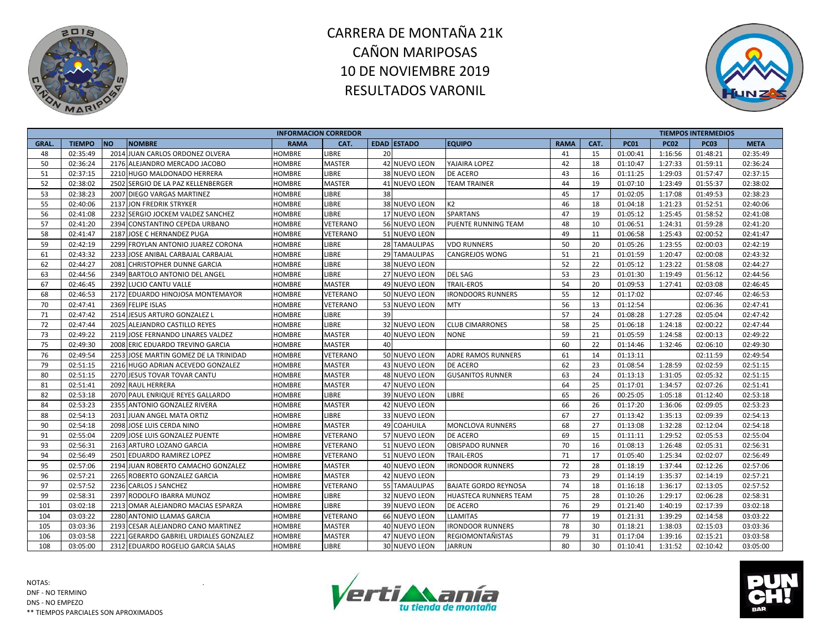



|              |               |                                        | <b>INFORMACION CORREDOR</b> |               |    |                      |                              |             |      |             |             | <b>TIEMPOS INTERMEDIOS</b> |             |
|--------------|---------------|----------------------------------------|-----------------------------|---------------|----|----------------------|------------------------------|-------------|------|-------------|-------------|----------------------------|-------------|
| <b>GRAL.</b> | <b>TIEMPO</b> | <b>NO</b><br><b>NOMBRE</b>             | <b>RAMA</b>                 | CAT.          |    | <b>EDAD ESTADO</b>   | <b>EQUIPO</b>                | <b>RAMA</b> | CAT. | <b>PC01</b> | <b>PC02</b> | <b>PC03</b>                | <b>META</b> |
| 48           | 02:35:49      | 2014 JUAN CARLOS ORDONEZ OLVERA        | <b>HOMBRE</b>               | <b>LIBRE</b>  | 20 |                      |                              | 41          | 15   | 01:00:41    | 1:16:56     | 01:48:21                   | 02:35:49    |
| 50           | 02:36:24      | 2176 ALEJANDRO MERCADO JACOBO          | <b>HOMBRE</b>               | <b>MASTER</b> |    | 42 NUEVO LEON        | YAJAIRA LOPEZ                | 42          | 18   | 01:10:47    | 1:27:33     | 01:59:11                   | 02:36:24    |
| 51           | 02:37:15      | 2210 HUGO MALDONADO HERRERA            | HOMBRE                      | <b>LIBRE</b>  |    | 38 NUEVO LEON        | <b>DE ACERO</b>              | 43          | 16   | 01:11:25    | 1:29:03     | 01:57:47                   | 02:37:15    |
| 52           | 02:38:02      | 2502 SERGIO DE LA PAZ KELLENBERGER     | HOMBRE                      | <b>MASTER</b> |    | 41 NUEVO LEON        | <b>TEAM TRAINER</b>          | 44          | 19   | 01:07:10    | 1:23:49     | 01:55:37                   | 02:38:02    |
| 53           | 02:38:23      | 2007 DIEGO VARGAS MARTINEZ             | HOMBRE                      | <b>LIBRE</b>  | 38 |                      |                              | 45          | 17   | 01:02:05    | 1:17:08     | 01:49:53                   | 02:38:23    |
| 55           | 02:40:06      | 2137 JON FREDRIK STRYKER               | HOMBRE                      | <b>LIBRE</b>  |    | 38 NUEVO LEON        | K <sub>2</sub>               | 46          | 18   | 01:04:18    | 1:21:23     | 01:52:51                   | 02:40:06    |
| 56           | 02:41:08      | 2232 SERGIO JOCKEM VALDEZ SANCHEZ      | HOMBRE                      | <b>LIBRE</b>  |    | <b>17 NUEVO LEON</b> | <b>SPARTANS</b>              | 47          | 19   | 01:05:12    | 1:25:45     | 01:58:52                   | 02:41:08    |
| 57           | 02:41:20      | 2394 CONSTANTINO CEPEDA URBANO         | HOMBRE                      | VETERANO      |    | 56 NUEVO LEON        | PUENTE RUNNING TEAM          | 48          | 10   | 01:06:51    | 1:24:31     | 01:59:28                   | 02:41:20    |
| 58           | 02:41:47      | 2187 JOSE C HERNANDEZ PUGA             | <b>HOMBRE</b>               | VETERANO      | 51 | <b>NUEVO LEON</b>    |                              | 49          | 11   | 01:06:58    | 1:25:43     | 02:00:52                   | 02:41:47    |
| 59           | 02:42:19      | 2299 FROYLAN ANTONIO JUAREZ CORONA     | HOMBRE                      | <b>LIBRE</b>  |    | 28 TAMAULIPAS        | <b>VDO RUNNERS</b>           | 50          | 20   | 01:05:26    | 1:23:55     | 02:00:03                   | 02:42:19    |
| 61           | 02:43:32      | 2233 JOSE ANIBAL CARBAJAL CARBAJAL     | HOMBRE                      | <b>LIBRE</b>  |    | 29 TAMAULIPAS        | <b>CANGREJOS WONG</b>        | 51          | 21   | 01:01:59    | 1:20:47     | 02:00:08                   | 02:43:32    |
| 62           | 02:44:27      | 2081 CHRISTOPHER DUNNE GARCIA          | <b>HOMBRE</b>               | LIBRE         |    | 38 NUEVO LEON        |                              | 52          | 22   | 01:05:12    | 1:23:22     | 01:58:08                   | 02:44:27    |
| 63           | 02:44:56      | 2349 BARTOLO ANTONIO DEL ANGEL         | HOMBRE                      | LIBRE         |    | 27 NUEVO LEON        | <b>DEL SAG</b>               | 53          | 23   | 01:01:30    | 1:19:49     | 01:56:12                   | 02:44:56    |
| 67           | 02:46:45      | 2392 LUCIO CANTU VALLE                 | HOMBRE                      | <b>MASTER</b> | 49 | NUEVO LEON           | <b>TRAIL-EROS</b>            | 54          | 20   | 01:09:53    | 1:27:41     | 02:03:08                   | 02:46:45    |
| 68           | 02:46:53      | 2172 EDUARDO HINOJOSA MONTEMAYOR       | HOMBRE                      | VETERANO      |    | 50 NUEVO LEON        | <b>IRONDOORS RUNNERS</b>     | 55          | 12   | 01:17:02    |             | 02:07:46                   | 02:46:53    |
| 70           | 02:47:41      | 2369 FELIPE ISLAS                      | HOMBRE                      | VETERANO      |    | 53 NUEVO LEON        | <b>MTY</b>                   | 56          | 13   | 01:12:54    |             | 02:06:36                   | 02:47:41    |
| 71           | 02:47:42      | 2514 JESUS ARTURO GONZALEZ L           | <b>HOMBRE</b>               | LIBRE         | 39 |                      |                              | 57          | 24   | 01:08:28    | 1:27:28     | 02:05:04                   | 02:47:42    |
| 72           | 02:47:44      | 2025 ALEJANDRO CASTILLO REYES          | HOMBRE                      | <b>LIBRE</b>  |    | 32 NUEVO LEON        | <b>CLUB CIMARRONES</b>       | 58          | 25   | 01:06:18    | 1:24:18     | 02:00:22                   | 02:47:44    |
| 73           | 02:49:22      | 2119 JOSE FERNANDO LINARES VALDEZ      | HOMBRE                      | <b>MASTER</b> | 40 | <b>NUEVO LEON</b>    | <b>NONE</b>                  | 59          | 21   | 01:05:59    | 1:24:58     | 02:00:13                   | 02:49:22    |
| 75           | 02:49:30      | 2008 ERIC EDUARDO TREVINO GARCIA       | HOMBRE                      | <b>MASTER</b> | 40 |                      |                              | 60          | 22   | 01:14:46    | 1:32:46     | 02:06:10                   | 02:49:30    |
| 76           | 02:49:54      | 2253 JOSE MARTIN GOMEZ DE LA TRINIDAD  | <b>HOMBRE</b>               | VETERANO      |    | 50 NUEVO LEON        | ADRE RAMOS RUNNERS           | 61          | 14   | 01:13:11    |             | 02:11:59                   | 02:49:54    |
| 79           | 02:51:15      | 2216 HUGO ADRIAN ACEVEDO GONZALEZ      | <b>HOMBRE</b>               | <b>MASTER</b> |    | 43 NUEVO LEON        | DE ACERO                     | 62          | 23   | 01:08:54    | 1:28:59     | 02:02:59                   | 02:51:15    |
| 80           | 02:51:15      | 2270 JESUS TOVAR TOVAR CANTU           | <b>HOMBRE</b>               | <b>MASTER</b> |    | 48 NUEVO LEON        | <b>GUSANITOS RUNNER</b>      | 63          | 24   | 01:13:13    | 1:31:05     | 02:05:32                   | 02:51:15    |
| 81           | 02:51:41      | 2092 RAUL HERRERA                      | HOMBRE                      | <b>MASTER</b> |    | 47 NUEVO LEON        |                              | 64          | 25   | 01:17:01    | 1:34:57     | 02:07:26                   | 02:51:41    |
| 82           | 02:53:18      | 2070 PAUL ENRIQUE REYES GALLARDO       | HOMBRE                      | <b>LIBRE</b>  |    | 39 NUEVO LEON        | LIBRE                        | 65          | 26   | 00:25:05    | 1:05:18     | 01:12:40                   | 02:53:18    |
| 84           | 02:53:23      | 2355 ANTONIO GONZALEZ RIVERA           | <b>HOMBRE</b>               | <b>MASTER</b> |    | 42 NUEVO LEON        |                              | 66          | 26   | 01:17:20    | 1:36:06     | 02:09:05                   | 02:53:23    |
| 88           | 02:54:13      | 2031 JUAN ANGEL MATA ORTIZ             | <b>HOMBRE</b>               | LIBRE         |    | 33 NUEVO LEON        |                              | 67          | 27   | 01:13:42    | 1:35:13     | 02:09:39                   | 02:54:13    |
| 90           | 02:54:18      | 2098 JOSE LUIS CERDA NINO              | HOMBRE                      | <b>MASTER</b> |    | 49 COAHUILA          | MONCLOVA RUNNERS             | 68          | 27   | 01:13:08    | 1:32:28     | 02:12:04                   | 02:54:18    |
| 91           | 02:55:04      | 2209 JOSE LUIS GONZALEZ PUENTE         | HOMBRE                      | VETERANO      |    | 57 NUEVO LEON        | DE ACERO                     | 69          | 15   | 01:11:11    | 1:29:52     | 02:05:53                   | 02:55:04    |
| 93           | 02:56:31      | 2163 ARTURO LOZANO GARCIA              | HOMBRE                      | VETERANO      |    | 51 NUEVO LEON        | <b>OBISPADO RUNNER</b>       | 70          | 16   | 01:08:13    | 1:26:48     | 02:05:31                   | 02:56:31    |
| 94           | 02:56:49      | 2501 EDUARDO RAMIREZ LOPEZ             | <b>HOMBRE</b>               | VETERANO      |    | 51 NUEVO LEON        | <b>TRAIL-EROS</b>            | 71          | 17   | 01:05:40    | 1:25:34     | 02:02:07                   | 02:56:49    |
| 95           | 02:57:06      | 2194 JUAN ROBERTO CAMACHO GONZALEZ     | <b>HOMBRE</b>               | <b>MASTER</b> |    | 40 NUEVO LEON        | <b>IRONDOOR RUNNERS</b>      | 72          | 28   | 01:18:19    | 1:37:44     | 02:12:26                   | 02:57:06    |
| 96           | 02:57:21      | 2265 ROBERTO GONZALEZ GARCIA           | HOMBRE                      | <b>MASTER</b> |    | 42 NUEVO LEON        |                              | 73          | 29   | 01:14:19    | 1:35:37     | 02:14:19                   | 02:57:21    |
| 97           | 02:57:52      | 2236 CARLOS J SANCHEZ                  | HOMBRE                      | VETERANO      |    | 55 TAMAULIPAS        | <b>BAJATE GORDO REYNOSA</b>  | 74          | 18   | 01:16:18    | 1:36:17     | 02:13:05                   | 02:57:52    |
| 99           | 02:58:31      | 2397 RODOLFO IBARRA MUNOZ              | HOMBRE                      | LIBRE         |    | 32 NUEVO LEON        | <b>HUASTECA RUNNERS TEAM</b> | 75          | 28   | 01:10:26    | 1:29:17     | 02:06:28                   | 02:58:31    |
| 101          | 03:02:18      | 2213 OMAR ALEJANDRO MACIAS ESPARZA     | <b>HOMBRE</b>               | LIBRE         |    | 39 NUEVO LEON        | <b>DE ACERO</b>              | 76          | 29   | 01:21:40    | 1:40:19     | 02:17:39                   | 03:02:18    |
| 104          | 03:03:22      | 2280 ANTONIO LLAMAS GARCIA             | <b>HOMBRE</b>               | VETERANO      |    | 66 NUEVO LEON        | <b>LLAMITAS</b>              | 77          | 19   | 01:21:31    | 1:39:29     | 02:14:58                   | 03:03:22    |
| 105          | 03:03:36      | 2193 CESAR ALEJANDRO CANO MARTINEZ     | <b>HOMBRE</b>               | <b>MASTER</b> | 40 | <b>NUEVO LEON</b>    | <b>IRONDOOR RUNNERS</b>      | 78          | 30   | 01:18:21    | 1:38:03     | 02:15:03                   | 03:03:36    |
| 106          | 03:03:58      | 2221 GERARDO GABRIEL URDIALES GONZALEZ | HOMBRE                      | <b>MASTER</b> |    | 47 NUEVO LEON        | <b>REGIOMONTANISTAS</b>      | 79          | 31   | 01:17:04    | 1:39:16     | 02:15:21                   | 03:03:58    |
| 108          | 03:05:00      | 2312 EDUARDO ROGELIO GARCIA SALAS      | <b>HOMBRE</b>               | LIBRE         |    | 30 NUEVO LEON        | <b>JARRUN</b>                | 80          | 30   | 01:10:41    | 1:31:52     | 02:10:42                   | 03:05:00    |



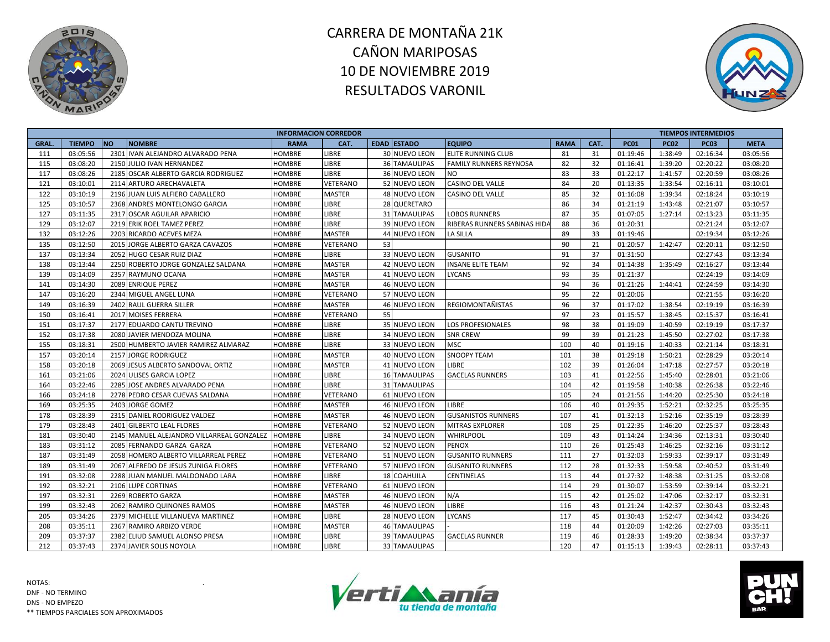



|             |               |           |                                           | <b>INFORMACION CORREDOR</b> |               |    |                      |                               |             |      |             |             | <b>TIEMPOS INTERMEDIOS</b> |             |
|-------------|---------------|-----------|-------------------------------------------|-----------------------------|---------------|----|----------------------|-------------------------------|-------------|------|-------------|-------------|----------------------------|-------------|
| <b>GRAL</b> | <b>TIEMPO</b> | <b>NO</b> | <b>NOMBRE</b>                             | <b>RAMA</b>                 | CAT.          |    | <b>EDAD ESTADO</b>   | <b>EQUIPO</b>                 | <b>RAMA</b> | CAT. | <b>PC01</b> | <b>PC02</b> | <b>PC03</b>                | <b>META</b> |
| 111         | 03:05:56      |           | 2301 IVAN ALEJANDRO ALVARADO PENA         | <b>HOMBRE</b>               | LIBRE         |    | <b>30 NUEVO LEON</b> | ELITE RUNNING CLUB            | 81          | 31   | 01:19:46    | 1:38:49     | 02:16:34                   | 03:05:56    |
| 115         | 03:08:20      |           | 2150 JULIO IVAN HERNANDEZ                 | <b>HOMBRE</b>               | <b>LIBRE</b>  |    | <b>36 TAMAULIPAS</b> | <b>FAMILY RUNNERS REYNOSA</b> | 82          | 32   | 01:16:41    | 1:39:20     | 02:20:22                   | 03:08:20    |
| 117         | 03:08:26      |           | 2185 OSCAR ALBERTO GARCIA RODRIGUEZ       | <b>HOMBRE</b>               | LIBRE         |    | 36 NUEVO LEON        | <b>NO</b>                     | 83          | 33   | 01:22:17    | 1:41:57     | 02:20:59                   | 03:08:26    |
| 121         | 03:10:01      |           | 2114 ARTURO ARECHAVALETA                  | HOMBRE                      | VETERANO      |    | 52 NUEVO LEON        | <b>CASINO DEL VALLE</b>       | 84          | 20   | 01:13:35    | 1:33:54     | 02:16:11                   | 03:10:01    |
| 122         | 03:10:19      |           | 2196 JUAN LUIS ALFIERO CABALLERO          | HOMBRE                      | <b>MASTER</b> |    | 48 NUEVO LEON        | <b>CASINO DEL VALLE</b>       | 85          | 32   | 01:16:08    | 1:39:34     | 02:18:24                   | 03:10:19    |
| 125         | 03:10:57      |           | 2368 ANDRES MONTELONGO GARCIA             | HOMBRE                      | LIBRE         |    | 28 QUERETARO         |                               | 86          | 34   | 01:21:19    | 1:43:48     | 02:21:07                   | 03:10:57    |
| 127         | 03:11:35      |           | 2317 OSCAR AGUILAR APARICIO               | <b>HOMBRE</b>               | <b>LIBRE</b>  |    | 31 TAMAULIPAS        | <b>LOBOS RUNNERS</b>          | 87          | 35   | 01:07:05    | 1:27:14     | 02:13:23                   | 03:11:35    |
| 129         | 03:12:07      |           | 2219 ERIK ROEL TAMEZ PEREZ                | HOMBRE                      | LIBRE         |    | 39 NUEVO LEON        | RIBERAS RUNNERS SABINAS HID   | 88          | 36   | 01:20:31    |             | 02:21:24                   | 03:12:07    |
| 132         | 03:12:26      |           | 2203 RICARDO ACEVES MEZA                  | HOMBRE                      | <b>MASTER</b> |    | 44 NUEVO LEON        | <b>LA SILLA</b>               | 89          | 33   | 01:19:46    |             | 02:19:34                   | 03:12:26    |
| 135         | 03:12:50      |           | 2015 JORGE ALBERTO GARZA CAVAZOS          | HOMBRE                      | VETERANO      | 53 |                      |                               | 90          | 21   | 01:20:57    | 1:42:47     | 02:20:11                   | 03:12:50    |
| 137         | 03:13:34      |           | 2052 HUGO CESAR RUIZ DIAZ                 | HOMBRE                      | LIBRE         |    | 33 NUEVO LEON        | <b>GUSANITO</b>               | 91          | 37   | 01:31:50    |             | 02:27:43                   | 03:13:34    |
| 138         | 03:13:44      |           | 2250 ROBERTO JORGE GONZALEZ SALDANA       | <b>HOMBRE</b>               | <b>MASTER</b> |    | 42 NUEVO LEON        | <b>INSANE ELITE TEAM</b>      | 92          | 34   | 01:14:38    | 1:35:49     | 02:16:27                   | 03:13:44    |
| 139         | 03:14:09      |           | 2357 RAYMUNO OCANA                        | <b>HOMBRE</b>               | <b>MASTER</b> |    | 41 NUEVO LEON        | <b>LYCANS</b>                 | 93          | 35   | 01:21:37    |             | 02:24:19                   | 03:14:09    |
| 141         | 03:14:30      |           | 2089 ENRIQUE PEREZ                        | HOMBRE                      | <b>MASTER</b> |    | 46 NUEVO LEON        |                               | 94          | 36   | 01:21:26    | 1:44:41     | 02:24:59                   | 03:14:30    |
| 147         | 03:16:20      |           | 2344 MIGUEL ANGEL LUNA                    | HOMBRE                      | VETERANO      |    | 57 NUEVO LEON        |                               | 95          | 22   | 01:20:06    |             | 02:21:55                   | 03:16:20    |
| 149         | 03:16:39      |           | 2402 RAUL GUERRA SILLER                   | HOMBRE                      | <b>MASTER</b> |    | 46 NUEVO LEON        | <b>REGIOMONTAÑISTAS</b>       | 96          | 37   | 01:17:02    | 1:38:54     | 02:19:19                   | 03:16:39    |
| 150         | 03:16:41      |           | 2017 MOISES FERRERA                       | HOMBRE                      | VETERANO      | 55 |                      |                               | 97          | 23   | 01:15:57    | 1:38:45     | 02:15:37                   | 03:16:41    |
| 151         | 03:17:37      |           | 2177 EDUARDO CANTU TREVINO                | HOMBRE                      | <b>LIBRE</b>  |    | 35 NUEVO LEON        | <b>LOS PROFESIONALES</b>      | 98          | 38   | 01:19:09    | 1:40:59     | 02:19:19                   | 03:17:37    |
| 152         | 03:17:38      |           | 2080 JAVIER MENDOZA MOLINA                | <b>HOMBRE</b>               | LIBRE         |    | 34 NUEVO LEON        | <b>SNR CREW</b>               | 99          | 39   | 01:21:23    | 1:45:50     | 02:27:02                   | 03:17:38    |
| 155         | 03:18:31      |           | 2500 HUMBERTO JAVIER RAMIREZ ALMARAZ      | HOMBRE                      | LIBRE         |    | 33 NUEVO LEON        | <b>MSC</b>                    | 100         | 40   | 01:19:16    | 1:40:33     | 02:21:14                   | 03:18:31    |
| 157         | 03:20:14      |           | 2157 JORGE RODRIGUEZ                      | HOMBRE                      | <b>MASTER</b> |    | 40 NUEVO LEON        | <b>SNOOPY TEAM</b>            | 101         | 38   | 01:29:18    | 1:50:21     | 02:28:29                   | 03:20:14    |
| 158         | 03:20:18      |           | 2069 JESUS ALBERTO SANDOVAL ORTIZ         | HOMBRE                      | <b>MASTER</b> |    | 41 NUEVO LEON        | LIBRE                         | 102         | 39   | 01:26:04    | 1:47:18     | 02:27:57                   | 03:20:18    |
| 161         | 03:21:06      |           | 2024 ULISES GARCIA LOPEZ                  | <b>HOMBRE</b>               | <b>LIBRE</b>  |    | <b>16 TAMAULIPAS</b> | <b>GACELAS RUNNERS</b>        | 103         | 41   | 01:22:56    | 1:45:40     | 02:28:01                   | 03:21:06    |
| 164         | 03:22:46      |           | 2285 JOSE ANDRES ALVARADO PENA            | HOMBRE                      | LIBRE         |    | 31 TAMAULIPAS        |                               | 104         | 42   | 01:19:58    | 1:40:38     | 02:26:38                   | 03:22:46    |
| 166         | 03:24:18      |           | 2278 PEDRO CESAR CUEVAS SALDANA           | HOMBRE                      | VETERANO      |    | 61 NUEVO LEON        |                               | 105         | 24   | 01:21:56    | 1:44:20     | 02:25:30                   | 03:24:18    |
| 169         | 03:25:35      |           | 2403 JORGE GOMEZ                          | HOMBRE                      | <b>MASTER</b> |    | 46 NUEVO LEON        | <b>LIBRE</b>                  | 106         | 40   | 01:29:35    | 1:52:21     | 02:32:25                   | 03:25:35    |
| 178         | 03:28:39      |           | 2315 DANIEL RODRIGUEZ VALDEZ              | HOMBRE                      | <b>MASTER</b> |    | 46 NUEVO LEON        | <b>GUSANISTOS RUNNERS</b>     | 107         | 41   | 01:32:13    | 1:52:16     | 02:35:19                   | 03:28:39    |
| 179         | 03:28:43      |           | 2401 GILBERTO LEAL FLORES                 | <b>HOMBRE</b>               | VETERANO      |    | 52 NUEVO LEON        | <b>MITRAS EXPLORER</b>        | 108         | 25   | 01:22:35    | 1:46:20     | 02:25:37                   | 03:28:43    |
| 181         | 03:30:40      |           | 2145 MANUEL ALEJANDRO VILLARREAL GONZALEZ | <b>HOMBRE</b>               | <b>LIBRE</b>  |    | 34 NUEVO LEON        | <b>WHIRLPOOL</b>              | 109         | 43   | 01:14:24    | 1:34:36     | 02:13:31                   | 03:30:40    |
| 183         | 03:31:12      |           | 2085 FERNANDO GARZA GARZA                 | <b>HOMBRE</b>               | VETERANO      |    | 52 NUEVO LEON        | <b>PENOX</b>                  | 110         | 26   | 01:25:43    | 1:46:25     | 02:32:16                   | 03:31:12    |
| 187         | 03:31:49      |           | 2058 HOMERO ALBERTO VILLARREAL PEREZ      | HOMBRE                      | VETERANO      |    | 51 NUEVO LEON        | <b>GUSANITO RUNNERS</b>       | 111         | 27   | 01:32:03    | 1:59:33     | 02:39:17                   | 03:31:49    |
| 189         | 03:31:49      |           | 2067 ALFREDO DE JESUS ZUNIGA FLORES       | HOMBRE                      | VETERANO      |    | 57 NUEVO LEON        | <b>GUSANITO RUNNERS</b>       | 112         | 28   | 01:32:33    | 1:59:58     | 02:40:52                   | 03:31:49    |
| 191         | 03:32:08      |           | 2288 JUAN MANUEL MALDONADO LARA           | HOMBRE                      | <b>LIBRE</b>  |    | <b>18 COAHUILA</b>   | <b>CENTINELAS</b>             | 113         | 44   | 01:27:32    | 1:48:38     | 02:31:25                   | 03:32:08    |
| 192         | 03:32:21      |           | 2106 LUPE CORTINAS                        | HOMBRE                      | VETERANO      |    | 61 NUEVO LEON        |                               | 114         | 29   | 01:30:07    | 1:53:59     | 02:39:14                   | 03:32:21    |
| 197         | 03:32:31      |           | 2269 ROBERTO GARZA                        | HOMBRE                      | <b>MASTER</b> |    | 46 NUEVO LEON        | N/A                           | 115         | 42   | 01:25:02    | 1:47:06     | 02:32:17                   | 03:32:31    |
| 199         | 03:32:43      |           | 2062 RAMIRO QUINONES RAMOS                | HOMBRE                      | <b>MASTER</b> |    | 46 NUEVO LEON        | LIBRE                         | 116         | 43   | 01:21:24    | 1:42:37     | 02:30:43                   | 03:32:43    |
| 205         | 03:34:26      |           | 2379 MICHELLE VILLANUEVA MARTINEZ         | HOMBRE                      | <b>LIBRE</b>  |    | 28 NUEVO LEON        | <b>LYCANS</b>                 | 117         | 45   | 01:30:43    | 1:52:47     | 02:34:42                   | 03:34:26    |
| 208         | 03:35:11      |           | 2367 RAMIRO ARBIZO VERDE                  | <b>HOMBRE</b>               | <b>MASTER</b> |    | <b>46 TAMAULIPAS</b> |                               | 118         | 44   | 01:20:09    | 1:42:26     | 02:27:03                   | 03:35:11    |
| 209         | 03:37:37      |           | 2382 ELIUD SAMUEL ALONSO PRESA            | HOMBRE                      | LIBRE         |    | <b>39 TAMAULIPAS</b> | <b>GACELAS RUNNER</b>         | 119         | 46   | 01:28:33    | 1:49:20     | 02:38:34                   | 03:37:37    |
| 212         | 03:37:43      |           | 2374 JAVIER SOLIS NOYOLA                  | <b>HOMBRE</b>               | LIBRE         |    | <b>33 TAMAULIPAS</b> |                               | 120         | 47   | 01:15:13    | 1:39:43     | 02:28:11                   | 03:37:43    |



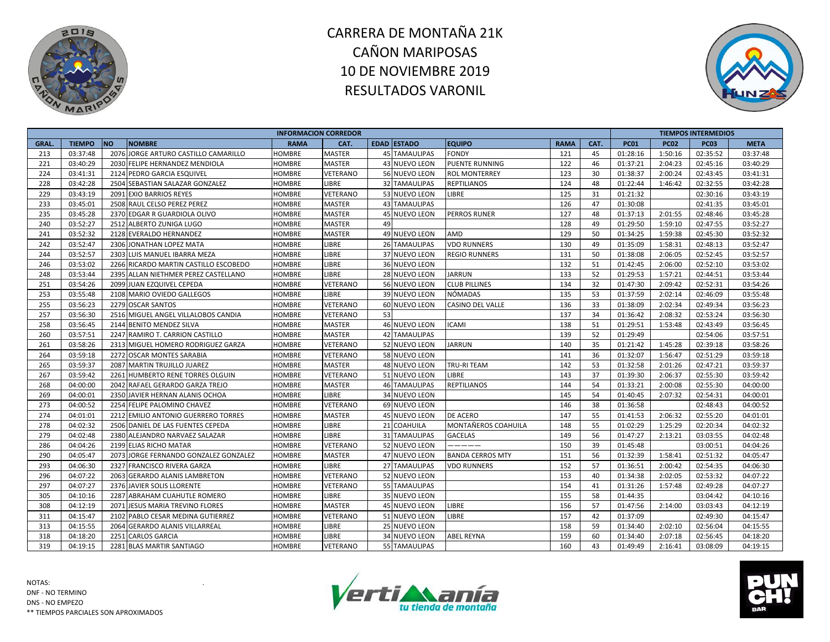



|             |               |                                       | <b>INFORMACION CORREDOR</b> |               |    |                      |                         |             |      |             |             | <b>TIEMPOS INTERMEDIOS</b> |             |
|-------------|---------------|---------------------------------------|-----------------------------|---------------|----|----------------------|-------------------------|-------------|------|-------------|-------------|----------------------------|-------------|
| <b>GRAL</b> | <b>TIEMPO</b> | <b>NO</b><br><b>NOMBRE</b>            | <b>RAMA</b>                 | CAT.          |    | <b>EDAD ESTADO</b>   | <b>EQUIPO</b>           | <b>RAMA</b> | CAT. | <b>PC01</b> | <b>PC02</b> | <b>PC03</b>                | <b>META</b> |
| 213         | 03:37:48      | 2076 JORGE ARTURO CASTILLO CAMARILLO  | <b>HOMBRE</b>               | <b>MASTER</b> |    | <b>45 TAMAULIPAS</b> | <b>FONDY</b>            | 121         | 45   | 01:28:16    | 1:50:16     | 02:35:52                   | 03:37:48    |
| 221         | 03:40:29      | 2030 FELIPE HERNANDEZ MENDIOLA        | <b>HOMBRE</b>               | <b>MASTER</b> |    | 43 NUEVO LEON        | <b>PUENTE RUNNING</b>   | 122         | 46   | 01:37:21    | 2:04:23     | 02:45:16                   | 03:40:29    |
| 224         | 03:41:31      | 2124 PEDRO GARCIA ESQUIVEL            | HOMBRE                      | VETERANO      |    | 56 NUEVO LEON        | <b>ROL MONTERREY</b>    | 123         | 30   | 01:38:37    | 2:00:24     | 02:43:45                   | 03:41:31    |
| 228         | 03:42:28      | 2504 SEBASTIAN SALAZAR GONZALEZ       | HOMBRE                      | LIBRE         |    | 32 TAMAULIPAS        | <b>REPTILIANOS</b>      | 124         | 48   | 01:22:44    | 1:46:42     | 02:32:55                   | 03:42:28    |
| 229         | 03:43:19      | 2091 EXIO BARRIOS REYES               | HOMBRE                      | VETERANO      |    | 53 NUEVO LEON        | LIBRE                   | 125         | 31   | 01:21:32    |             | 02:30:16                   | 03:43:19    |
| 233         | 03:45:01      | 2508 RAUL CELSO PEREZ PEREZ           | HOMBRE                      | <b>MASTER</b> |    | 43 TAMAULIPAS        |                         | 126         | 47   | 01:30:08    |             | 02:41:35                   | 03:45:01    |
| 235         | 03:45:28      | 2370 EDGAR R GUARDIOLA OLIVO          | <b>HOMBRE</b>               | <b>MASTER</b> |    | 45 NUEVO LEON        | <b>PERROS RUNER</b>     | 127         | 48   | 01:37:13    | 2:01:55     | 02:48:46                   | 03:45:28    |
| 240         | 03:52:27      | 2512 ALBERTO ZUNIGA LUGO              | HOMBRE                      | <b>MASTER</b> | 49 |                      |                         | 128         | 49   | 01:29:50    | 1:59:10     | 02:47:55                   | 03:52:27    |
| 241         | 03:52:32      | 2128 EVERALDO HERNANDEZ               | HOMBRE                      | <b>MASTER</b> |    | 49 NUEVO LEON        | <b>AMD</b>              | 129         | 50   | 01:34:25    | 1:59:38     | 02:45:30                   | 03:52:32    |
| 242         | 03:52:47      | 2306 JONATHAN LOPEZ MATA              | HOMBRE                      | LIBRE         |    | 26 TAMAULIPAS        | <b>VDO RUNNERS</b>      | 130         | 49   | 01:35:09    | 1:58:31     | 02:48:13                   | 03:52:47    |
| 244         | 03:52:57      | 2303 LUIS MANUEL IBARRA MEZA          | HOMBRE                      | LIBRE         |    | 37 NUEVO LEON        | <b>REGIO RUNNERS</b>    | 131         | 50   | 01:38:08    | 2:06:05     | 02:52:45                   | 03:52:57    |
| 246         | 03:53:02      | 2266 RICARDO MARTIN CASTILLO ESCOBEDO | <b>HOMBRE</b>               | <b>LIBRE</b>  |    | 36 NUEVO LEON        |                         | 132         | 51   | 01:42:45    | 2:06:00     | 02:52:10                   | 03:53:02    |
| 248         | 03:53:44      | 2395 ALLAN NIETHMER PEREZ CASTELLANO  | <b>HOMBRE</b>               | <b>LIBRE</b>  |    | 28 NUEVO LEON        | <b>JARRUN</b>           | 133         | 52   | 01:29:53    | 1:57:21     | 02:44:51                   | 03:53:44    |
| 251         | 03:54:26      | 2099 JUAN EZQUIVEL CEPEDA             | HOMBRE                      | VETERANO      |    | 56 NUEVO LEON        | <b>CLUB PILLINES</b>    | 134         | 32   | 01:47:30    | 2:09:42     | 02:52:31                   | 03:54:26    |
| 253         | 03:55:48      | 2108 MARIO OVIEDO GALLEGOS            | HOMBRE                      | LIBRE         |    | 39 NUEVO LEON        | <b>NÓMADAS</b>          | 135         | 53   | 01:37:59    | 2:02:14     | 02:46:09                   | 03:55:48    |
| 255         | 03:56:23      | 2279 OSCAR SANTOS                     | HOMBRE                      | VETERANO      |    | 60 NUEVO LEON        | <b>CASINO DEL VALLE</b> | 136         | 33   | 01:38:09    | 2:02:34     | 02:49:34                   | 03:56:23    |
| 257         | 03:56:30      | 2516 MIGUEL ANGEL VILLALOBOS CANDIA   | HOMBRE                      | VETERANO      | 53 |                      |                         | 137         | 34   | 01:36:42    | 2:08:32     | 02:53:24                   | 03:56:30    |
| 258         | 03:56:45      | 2144 BENITO MENDEZ SILVA              | HOMBRE                      | <b>MASTER</b> |    | 46 NUEVO LEON        | <b>ICAMI</b>            | 138         | 51   | 01:29:51    | 1:53:48     | 02:43:49                   | 03:56:45    |
| 260         | 03:57:51      | 2247 RAMIRO T. CARRION CASTILLO       | <b>HOMBRE</b>               | <b>MASTER</b> |    | 42 TAMAULIPAS        |                         | 139         | 52   | 01:29:49    |             | 02:54:06                   | 03:57:51    |
| 261         | 03:58:26      | 2313 MIGUEL HOMERO RODRIGUEZ GARZA    | HOMBRE                      | VETERANO      |    | 52 NUEVO LEON        | <b>JARRUN</b>           | 140         | 35   | 01:21:42    | 1:45:28     | 02:39:18                   | 03:58:26    |
| 264         | 03:59:18      | 2272 OSCAR MONTES SARABIA             | HOMBRE                      | VETERANO      |    | 58 NUEVO LEON        |                         | 141         | 36   | 01:32:07    | 1:56:47     | 02:51:29                   | 03:59:18    |
| 265         | 03:59:37      | 2087 MARTIN TRUJILLO JUAREZ           | HOMBRE                      | <b>MASTER</b> |    | 48 NUEVO LEON        | <b>TRU-RITEAM</b>       | 142         | 53   | 01:32:58    | 2:01:26     | 02:47:21                   | 03:59:37    |
| 267         | 03:59:42      | 2261 HUMBERTO RENE TORRES OLGUIN      | <b>HOMBRE</b>               | VETERANO      |    | 51 NUEVO LEON        | LIBRE                   | 143         | 37   | 01:39:30    | 2:06:37     | 02:55:30                   | 03:59:42    |
| 268         | 04:00:00      | 2042 RAFAEL GERARDO GARZA TREJO       | HOMBRE                      | <b>MASTER</b> |    | <b>46 TAMAULIPAS</b> | <b>REPTILIANOS</b>      | 144         | 54   | 01:33:21    | 2:00:08     | 02:55:30                   | 04:00:00    |
| 269         | 04:00:01      | 2350 JAVIER HERNAN ALANIS OCHOA       | HOMBRE                      | LIBRE         |    | 34 NUEVO LEON        |                         | 145         | 54   | 01:40:45    | 2:07:32     | 02:54:31                   | 04:00:01    |
| 273         | 04:00:52      | 2254 FELIPE PALOMINO CHAVEZ           | <b>HOMBRE</b>               | VETERANO      |    | 69 NUEVO LEON        |                         | 146         | 38   | 01:36:58    |             | 02:48:43                   | 04:00:52    |
| 274         | 04:01:01      | 2212 EMILIO ANTONIO GUERRERO TORRES   | HOMBRE                      | <b>MASTER</b> |    | 45 NUEVO LEON        | DE ACERO                | 147         | 55   | 01:41:53    | 2:06:32     | 02:55:20                   | 04:01:01    |
| 278         | 04:02:32      | 2506 DANIEL DE LAS FUENTES CEPEDA     | <b>HOMBRE</b>               | <b>LIBRE</b>  |    | 21 COAHUILA          | MONTAÑEROS COAHUILA     | 148         | 55   | 01:02:29    | 1:25:29     | 02:20:34                   | 04:02:32    |
| 279         | 04:02:48      | 2380 ALEJANDRO NARVAEZ SALAZAR        | <b>HOMBRE</b>               | <b>LIBRE</b>  |    | 31 TAMAULIPAS        | <b>GACELAS</b>          | 149         | 56   | 01:47:27    | 2:13:21     | 03:03:55                   | 04:02:48    |
| 286         | 04:04:26      | 2199 ELIAS RICHO MATAR                | <b>HOMBRE</b>               | VETERANO      |    | 52 NUEVO LEON        | _____                   | 150         | 39   | 01:45:48    |             | 03:00:51                   | 04:04:26    |
| 290         | 04:05:47      | 2073 JORGE FERNANDO GONZALEZ GONZALEZ | HOMBRE                      | <b>MASTER</b> |    | 47 NUEVO LEON        | <b>BANDA CERROS MTY</b> | 151         | 56   | 01:32:39    | 1:58:41     | 02:51:32                   | 04:05:47    |
| 293         | 04:06:30      | 2327 FRANCISCO RIVERA GARZA           | <b>HOMBRE</b>               | <b>LIBRE</b>  |    | 27 TAMAULIPAS        | <b>VDO RUNNERS</b>      | 152         | 57   | 01:36:51    | 2:00:42     | 02:54:35                   | 04:06:30    |
| 296         | 04:07:22      | 2063 GERARDO ALANIS LAMBRETON         | HOMBRE                      | VETERANO      |    | 52 NUEVO LEON        |                         | 153         | 40   | 01:34:38    | 2:02:05     | 02:53:32                   | 04:07:22    |
| 297         | 04:07:27      | 2376 JAVIER SOLIS LLORENTE            | HOMBRE                      | VETERANO      |    | 55 TAMAULIPAS        |                         | 154         | 41   | 01:31:26    | 1:57:48     | 02:49:28                   | 04:07:27    |
| 305         | 04:10:16      | 2287 ABRAHAM CUAHUTLE ROMERO          | HOMBRE                      | <b>LIBRE</b>  |    | 35 NUEVO LEON        |                         | 155         | 58   | 01:44:35    |             | 03:04:42                   | 04:10:16    |
| 308         | 04:12:19      | 2071 JESUS MARIA TREVINO FLORES       | HOMBRE                      | <b>MASTER</b> |    | 45 NUEVO LEON        | LIBRE                   | 156         | 57   | 01:47:56    | 2:14:00     | 03:03:43                   | 04:12:19    |
| 311         | 04:15:47      | 2102 PABLO CESAR MEDINA GUTIERREZ     | HOMBRE                      | VETERANO      |    | 51 NUEVO LEON        | <b>LIBRE</b>            | 157         | 42   | 01:37:09    |             | 02:49:30                   | 04:15:47    |
| 313         | 04:15:55      | 2064 GERARDO ALANIS VILLARREAL        | <b>HOMBRE</b>               | <b>LIBRE</b>  |    | 25 NUEVO LEON        |                         | 158         | 59   | 01:34:40    | 2:02:10     | 02:56:04                   | 04:15:55    |
| 318         | 04:18:20      | 2251 CARLOS GARCIA                    | HOMBRE                      | LIBRE         |    | 34 NUEVO LEON        | <b>ABEL REYNA</b>       | 159         | 60   | 01:34:40    | 2:07:18     | 02:56:45                   | 04:18:20    |
| 319         | 04:19:15      | 2281 BLAS MARTIR SANTIAGO             | <b>HOMBRE</b>               | VETERANO      |    | 55 TAMAULIPAS        |                         | 160         | 43   | 01:49:49    | 2:16:41     | 03:08:09                   | 04:19:15    |



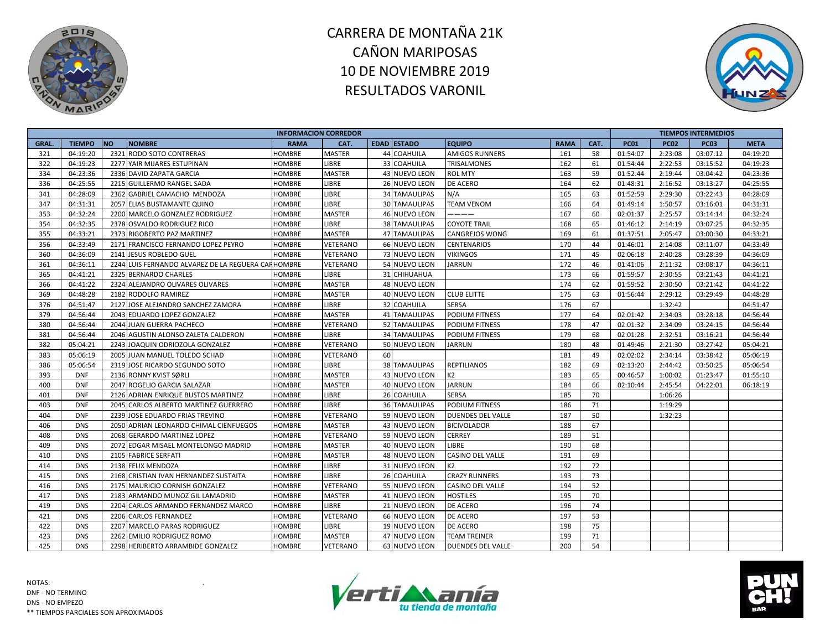



|              |               |           |                                                    | <b>INFORMACION CORREDOR</b> |               |                      |                          |             |      |             |             | <b>TIEMPOS INTERMEDIOS</b> |             |
|--------------|---------------|-----------|----------------------------------------------------|-----------------------------|---------------|----------------------|--------------------------|-------------|------|-------------|-------------|----------------------------|-------------|
| <b>GRAL.</b> | <b>TIEMPO</b> | <b>NO</b> | <b>NOMBRE</b>                                      | <b>RAMA</b>                 | CAT.          | <b>EDAD ESTADO</b>   | <b>EQUIPO</b>            | <b>RAMA</b> | CAT. | <b>PC01</b> | <b>PC02</b> | <b>PC03</b>                | <b>META</b> |
| 321          | 04:19:20      |           | 2321 RODO SOTO CONTRERAS                           | HOMBRE                      | <b>MASTER</b> | 44 COAHUILA          | AMIGOS RUNNERS           | 161         | 58   | 01:54:07    | 2:23:08     | 03:07:12                   | 04:19:20    |
| 322          | 04:19:23      |           | 2277 YAIR MIJARES ESTUPINAN                        | HOMBRE                      | <b>LIBRE</b>  | 33 COAHUILA          | <b>TRISALMONES</b>       | 162         | 61   | 01:54:44    | 2:22:53     | 03:15:52                   | 04:19:23    |
| 334          | 04:23:36      |           | 2336 DAVID ZAPATA GARCIA                           | <b>HOMBRE</b>               | <b>MASTER</b> | 43 NUEVO LEON        | <b>ROL MTY</b>           | 163         | 59   | 01:52:44    | 2:19:44     | 03:04:42                   | 04:23:36    |
| 336          | 04:25:55      |           | 2215 GUILLERMO RANGEL SADA                         | <b>HOMBRE</b>               | <b>LIBRE</b>  | 26 NUEVO LEON        | DE ACERO                 | 164         | 62   | 01:48:31    | 2:16:52     | 03:13:27                   | 04:25:55    |
| 341          | 04:28:09      |           | 2362 GABRIEL CAMACHO MENDOZA                       | <b>HOMBRE</b>               | <b>LIBRE</b>  | 34 TAMAULIPAS        | N/A                      | 165         | 63   | 01:52:59    | 2:29:30     | 03:22:43                   | 04:28:09    |
| 347          | 04:31:31      |           | 2057 ELIAS BUSTAMANTE QUINO                        | HOMBRE                      | <b>LIBRE</b>  | <b>30 TAMAULIPAS</b> | <b>TEAM VENOM</b>        | 166         | 64   | 01:49:14    | 1:50:57     | 03:16:01                   | 04:31:31    |
| 353          | 04:32:24      |           | 2200 MARCELO GONZALEZ RODRIGUEZ                    | HOMBRE                      | <b>MASTER</b> | 46 NUEVO LEON        | ----                     | 167         | 60   | 02:01:37    | 2:25:57     | 03:14:14                   | 04:32:24    |
| 354          | 04:32:35      |           | 2378 OSVALDO RODRIGUEZ RICO                        | HOMBRE                      | LIBRE         | 38 TAMAULIPAS        | <b>COYOTE TRAIL</b>      | 168         | 65   | 01:46:12    | 2:14:19     | 03:07:25                   | 04:32:35    |
| 355          | 04:33:21      |           | 2373 RIGOBERTO PAZ MARTINEZ                        | <b>HOMBRE</b>               | <b>MASTER</b> | <b>47 TAMAULIPAS</b> | <b>CANGREJOS WONG</b>    | 169         | 61   | 01:37:51    | 2:05:47     | 03:00:30                   | 04:33:21    |
| 356          | 04:33:49      |           | 2171 FRANCISCO FERNANDO LOPEZ PEYRO                | <b>HOMBRE</b>               | VETERANO      | 66 NUEVO LEON        | <b>CENTENARIOS</b>       | 170         | 44   | 01:46:01    | 2:14:08     | 03:11:07                   | 04:33:49    |
| 360          | 04:36:09      |           | 2141 JESUS ROBLEDO GUEL                            | <b>HOMBRE</b>               | VETERANO      | <b>73 NUEVO LEON</b> | <b>VIKINGOS</b>          | 171         | 45   | 02:06:18    | 2:40:28     | 03:28:39                   | 04:36:09    |
| 361          | 04:36:11      |           | 2244 LUIS FERNANDO ALVAREZ DE LA REGUERA CARHOMBRE |                             | VETERANO      | 54 NUEVO LEON        | <b>JARRUN</b>            | 172         | 46   | 01:41:06    | 2:11:32     | 03:08:17                   | 04:36:11    |
| 365          | 04:41:21      |           | 2325 BERNARDO CHARLES                              | HOMBRE                      | LIBRE         | 31 CHIHUAHUA         |                          | 173         | 66   | 01:59:57    | 2:30:55     | 03:21:43                   | 04:41:21    |
| 366          | 04:41:22      |           | 2324 ALEJANDRO OLIVARES OLIVARES                   | <b>HOMBRE</b>               | <b>MASTER</b> | 48 NUEVO LEON        |                          | 174         | 62   | 01:59:52    | 2:30:50     | 03:21:42                   | 04:41:22    |
| 369          | 04:48:28      |           | 2182 RODOLFO RAMIREZ                               | HOMBRE                      | <b>MASTER</b> | 40 NUEVO LEON        | <b>CLUB ELITTE</b>       | 175         | 63   | 01:56:44    | 2:29:12     | 03:29:49                   | 04:48:28    |
| 376          | 04:51:47      |           | 2127 JOSE ALEJANDRO SANCHEZ ZAMORA                 | <b>HOMBRE</b>               | LIBRE         | 32 COAHUILA          | SERSA                    | 176         | 67   |             | 1:32:42     |                            | 04:51:47    |
| 379          | 04:56:44      |           | 2043 EDUARDO LOPEZ GONZALEZ                        | <b>HOMBRE</b>               | <b>MASTER</b> | <b>41 TAMAULIPAS</b> | <b>PODIUM FITNESS</b>    | 177         | 64   | 02:01:42    | 2:34:03     | 03:28:18                   | 04:56:44    |
| 380          | 04:56:44      | 2044      | <b>JUAN GUERRA PACHECO</b>                         | <b>HOMBRE</b>               | VETERANO      | 52 TAMAULIPAS        | <b>PODIUM FITNESS</b>    | 178         | 47   | 02:01:32    | 2:34:09     | 03:24:15                   | 04:56:44    |
| 381          | 04:56:44      |           | 2046 AGUSTIN ALONSO ZALETA CALDERON                | <b>HOMBRE</b>               | LIBRE         | <b>34 TAMAULIPAS</b> | PODIUM FITNESS           | 179         | 68   | 02:01:28    | 2:32:51     | 03:16:21                   | 04:56:44    |
| 382          | 05:04:21      |           | 2243 JOAQUIN ODRIOZOLA GONZALEZ                    | HOMBRE                      | VETERANO      | 50 NUEVO LEON        | JARRUN                   | 180         | 48   | 01:49:46    | 2:21:30     | 03:27:42                   | 05:04:21    |
| 383          | 05:06:19      |           | 2005 JUAN MANUEL TOLEDO SCHAD                      | <b>HOMBRE</b>               | VETERANO      | 60                   |                          | 181         | 49   | 02:02:02    | 2:34:14     | 03:38:42                   | 05:06:19    |
| 386          | 05:06:54      |           | 2319 JOSE RICARDO SEGUNDO SOTO                     | HOMBRE                      | LIBRE         | <b>38 TAMAULIPAS</b> | <b>REPTILIANOS</b>       | 182         | 69   | 02:13:20    | 2:44:42     | 03:50:25                   | 05:06:54    |
| 393          | <b>DNF</b>    |           | 2136 RONNY KVIST SØRLI                             | HOMBRE                      | <b>MASTER</b> | 43 NUEVO LEON        | К2                       | 183         | 65   | 00:46:57    | 1:00:02     | 01:23:47                   | 01:55:10    |
| 400          | <b>DNF</b>    |           | 2047 ROGELIO GARCIA SALAZAR                        | <b>HOMBRE</b>               | <b>MASTER</b> | 40 NUEVO LEON        | <b>JARRUN</b>            | 184         | 66   | 02:10:44    | 2:45:54     | 04:22:01                   | 06:18:19    |
| 401          | <b>DNF</b>    |           | 2126 ADRIAN ENRIQUE BUSTOS MARTINEZ                | <b>HOMBRE</b>               | <b>LIBRE</b>  | 26 COAHUILA          | <b>SERSA</b>             | 185         | 70   |             | 1:06:26     |                            |             |
| 403          | <b>DNF</b>    |           | 2045 CARLOS ALBERTO MARTINEZ GUERRERO              | <b>HOMBRE</b>               | LIBRE         | <b>36 TAMAULIPAS</b> | <b>PODIUM FITNESS</b>    | 186         | 71   |             | 1:19:29     |                            |             |
| 404          | <b>DNF</b>    |           | 2239 JOSE EDUARDO FRIAS TREVINO                    | HOMBRE                      | VETERANO      | 59 NUEVO LEON        | <b>DUENDES DEL VALLE</b> | 187         | 50   |             | 1:32:23     |                            |             |
| 406          | <b>DNS</b>    |           | 2050 ADRIAN LEONARDO CHIMAL CIENFUEGOS             | HOMBRE                      | <b>MASTER</b> | 43 NUEVO LEON        | <b>BICIVOLADOR</b>       | 188         | 67   |             |             |                            |             |
| 408          | <b>DNS</b>    |           | 2068 GERARDO MARTINEZ LOPEZ                        | HOMBRE                      | VETERANO      | 59 NUEVO LEON        | <b>CERREY</b>            | 189         | 51   |             |             |                            |             |
| 409          | <b>DNS</b>    |           | 2072 EDGAR MISAEL MONTELONGO MADRID                | <b>HOMBRE</b>               | <b>MASTER</b> | 40 NUEVO LEON        | <b>LIBRE</b>             | 190         | 68   |             |             |                            |             |
| 410          | <b>DNS</b>    |           | 2105 FABRICE SERFATI                               | <b>HOMBRE</b>               | <b>MASTER</b> | 48 NUEVO LEON        | <b>CASINO DEL VALLE</b>  | 191         | 69   |             |             |                            |             |
| 414          | <b>DNS</b>    |           | 2138 FELIX MENDOZA                                 | HOMBRE                      | LIBRE         | 31 NUEVO LEON        | K2                       | 192         | 72   |             |             |                            |             |
| 415          | <b>DNS</b>    |           | 2168 CRISTIAN IVAN HERNANDEZ SUSTAITA              | HOMBRE                      | <b>LIBRE</b>  | 26 COAHUILA          | <b>CRAZY RUNNERS</b>     | 193         | 73   |             |             |                            |             |
| 416          | <b>DNS</b>    |           | 2175 MAURICIO CORNISH GONZALEZ                     | HOMBRE                      | VETERANO      | 55 NUEVO LEON        | CASINO DEL VALLE         | 194         | 52   |             |             |                            |             |
| 417          | <b>DNS</b>    |           | 2183 ARMANDO MUNOZ GIL LAMADRID                    | <b>HOMBRE</b>               | <b>MASTER</b> | 41 NUEVO LEON        | <b>HOSTILES</b>          | 195         | 70   |             |             |                            |             |
| 419          | <b>DNS</b>    |           | 2204 CARLOS ARMANDO FERNANDEZ MARCO                | <b>HOMBRE</b>               | LIBRE         | 21 NUEVO LEON        | DE ACERO                 | 196         | 74   |             |             |                            |             |
| 421          | <b>DNS</b>    |           | 2206 CARLOS FERNANDEZ                              | HOMBRE                      | VETERANO      | 66 NUEVO LEON        | DE ACERO                 | 197         | 53   |             |             |                            |             |
| 422          | <b>DNS</b>    |           | 2207 MARCELO PARAS RODRIGUEZ                       | HOMBRE                      | LIBRE         | 19 NUEVO LEON        | DE ACERO                 | 198         | 75   |             |             |                            |             |
| 423          | <b>DNS</b>    |           | 2262 EMILIO RODRIGUEZ ROMO                         | <b>HOMBRE</b>               | <b>MASTER</b> | 47 NUEVO LEON        | <b>TEAM TREINER</b>      | 199         | 71   |             |             |                            |             |
| 425          | <b>DNS</b>    |           | 2298 HERIBERTO ARRAMBIDE GONZALEZ                  | <b>HOMBRE</b>               | VETERANO      | 63 NUEVO LEON        | <b>DUENDES DEL VALLE</b> | 200         | 54   |             |             |                            |             |



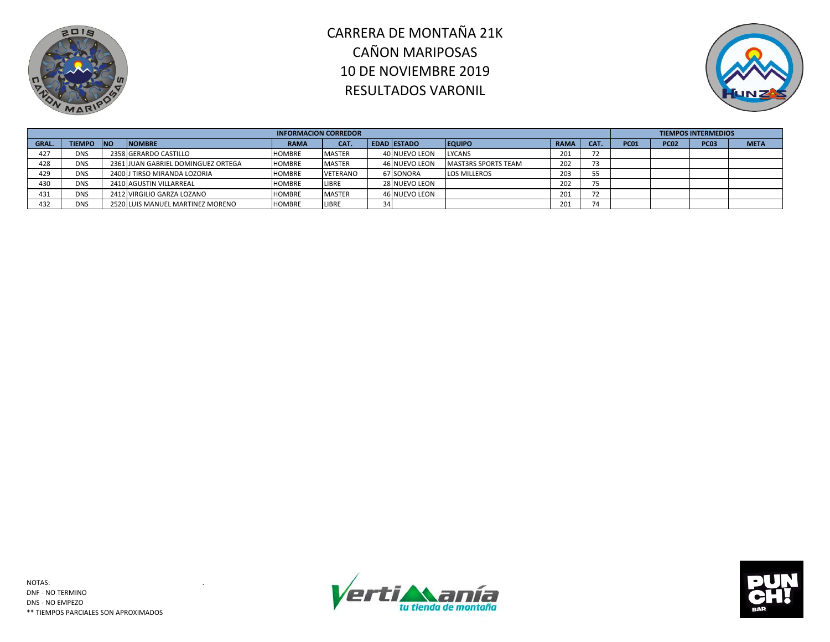



|                 |            |                                    | <b>INFORMACION CORREDOR</b> |                 |    |                      |                            |             |                          |             |             | <b>TIEMPOS INTERMEDIOS</b> |             |
|-----------------|------------|------------------------------------|-----------------------------|-----------------|----|----------------------|----------------------------|-------------|--------------------------|-------------|-------------|----------------------------|-------------|
| <b>GRAL.</b>    | TIEMPO INO | <b>NOMBRE</b>                      | <b>RAMA</b>                 | CAT.            |    | <b>EDAD ESTADO</b>   | <b>EQUIPO</b>              | <b>RAMA</b> | CAT.                     | <b>PC01</b> | <b>PC02</b> | <b>PC03</b>                | <b>META</b> |
| 427             | <b>DNS</b> | 2358 GERARDO CASTILLO              | <b>HOMBRE</b>               | <b>MASTER</b>   |    | 40 NUEVO LEON        | <b>LYCANS</b>              | 201         | 72                       |             |             |                            |             |
| 428             | <b>DNS</b> | 2361 JUAN GABRIEL DOMINGUEZ ORTEGA | <b>HOMBRE</b>               | <b>MASTER</b>   |    | <b>46 NUEVO LEON</b> | <b>MAST3RS SPORTS TEAM</b> | 202         |                          |             |             |                            |             |
| 429             | <b>DNS</b> | 2400 J TIRSO MIRANDA LOZORIA       | <b>HOMBRE</b>               | <b>VETERANO</b> |    | 67 SONORA            | <b>LOS MILLEROS</b>        | 203         | 55                       |             |             |                            |             |
| 43 <sub>C</sub> | <b>DNS</b> | 2410 AGUSTIN VILLARREAL            | <b>HOMBRE</b>               | LIBRE           |    | 28 NUEVO LEON        |                            | 202         | 75                       |             |             |                            |             |
| 431             | <b>DNS</b> | 2412 VIRGILIO GARZA LOZANO         | <b>HOMBRE</b>               | <b>MASTER</b>   |    | 46 NUEVO LEON        |                            | 201         | $\overline{\phantom{a}}$ |             |             |                            |             |
| 432             | <b>DNS</b> | 2520 LUIS MANUEL MARTINEZ MORENO   | <b>HOMBRE</b>               | LIBRE           | 34 |                      |                            | 201         | 74                       |             |             |                            |             |



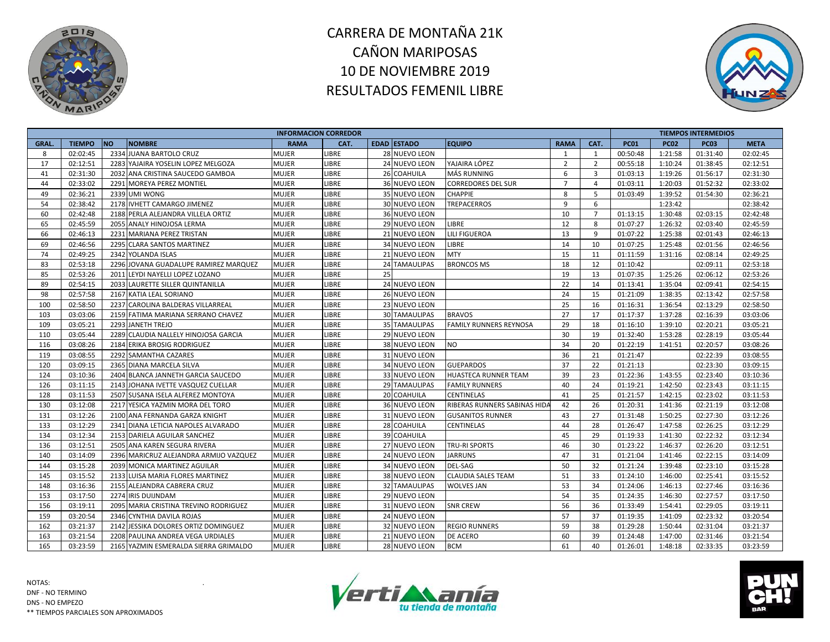



|             |               |           |                                        | <b>INFORMACION CORREDOR</b> |              |    |                      |                               |                |                |             |             | <b>TIEMPOS INTERMEDIOS</b> |             |
|-------------|---------------|-----------|----------------------------------------|-----------------------------|--------------|----|----------------------|-------------------------------|----------------|----------------|-------------|-------------|----------------------------|-------------|
| <b>GRAL</b> | <b>TIEMPO</b> | <b>NO</b> | <b>NOMBRE</b>                          | <b>RAMA</b>                 | CAT.         |    | <b>EDAD ESTADO</b>   | <b>EQUIPO</b>                 | <b>RAMA</b>    | CAT.           | <b>PC01</b> | <b>PC02</b> | <b>PC03</b>                | <b>META</b> |
| 8           | 02:02:45      |           | 2334 JUANA BARTOLO CRUZ                | <b>MUJER</b>                | LIBRE        |    | 28 NUEVO LEON        |                               | 1              | 1              | 00:50:48    | 1:21:58     | 01:31:40                   | 02:02:45    |
| 17          | 02:12:51      |           | 2283 YAJAIRA YOSELIN LOPEZ MELGOZA     | <b>MUJER</b>                | <b>LIBRE</b> |    | 24 NUEVO LEON        | YAJAIRA LÓPEZ                 | $\overline{2}$ | $\overline{2}$ | 00:55:18    | 1:10:24     | 01:38:45                   | 02:12:51    |
| 41          | 02:31:30      |           | 2032 ANA CRISTINA SAUCEDO GAMBOA       | MUJER                       | LIBRE        |    | 26 COAHUILA          | <b>MÁS RUNNING</b>            | 6              | 3              | 01:03:13    | 1:19:26     | 01:56:17                   | 02:31:30    |
| 44          | 02:33:02      |           | 2291 MOREYA PEREZ MONTIEL              | MUJER                       | LIBRE        |    | 36 NUEVO LEON        | <b>CORREDORES DEL SUR</b>     | $\overline{7}$ | $\overline{4}$ | 01:03:11    | 1:20:03     | 01:52:32                   | 02:33:02    |
| 49          | 02:36:21      |           | 2339 UMI WONG                          | MUJER                       | LIBRE        |    | 35 NUEVO LEON        | <b>CHAPPIE</b>                | 8              | 5              | 01:03:49    | 1:39:52     | 01:54:30                   | 02:36:21    |
| 54          | 02:38:42      |           | 2178 IVHETT CAMARGO JIMENEZ            | MUJER                       | LIBRE        |    | 30 NUEVO LEON        | <b>TREPACERROS</b>            | 9              | 6              |             | 1:23:42     |                            | 02:38:42    |
| 60          | 02:42:48      |           | 2188 PERLA ALEJANDRA VILLELA ORTIZ     | <b>MUJER</b>                | LIBRE        |    | 36 NUEVO LEON        |                               | 10             | $\overline{7}$ | 01:13:15    | 1:30:48     | 02:03:15                   | 02:42:48    |
| 65          | 02:45:59      |           | 2055 ANALY HINOJOSA LERMA              | <b>MUJER</b>                | LIBRE        |    | 29 NUEVO LEON        | <b>LIBRE</b>                  | 12             | 8              | 01:07:27    | 1:26:32     | 02:03:40                   | 02:45:59    |
| 66          | 02:46:13      |           | 2231 MARIANA PEREZ TRISTAN             | <b>MUJER</b>                | LIBRE        |    | 21 NUEVO LEON        | <b>LILI FIGUEROA</b>          | 13             | 9              | 01:07:22    | 1:25:38     | 02:01:43                   | 02:46:13    |
| 69          | 02:46:56      |           | 2295 CLARA SANTOS MARTINEZ             | MUJER                       | LIBRE        |    | 34 NUEVO LEON        | LIBRE                         | 14             | 10             | 01:07:25    | 1:25:48     | 02:01:56                   | 02:46:56    |
| 74          | 02:49:25      |           | 2342 YOLANDA ISLAS                     | MUJER                       | LIBRE        |    | 21 NUEVO LEON        | <b>MTY</b>                    | 15             | 11             | 01:11:59    | 1:31:16     | 02:08:14                   | 02:49:25    |
| 83          | 02:53:18      |           | 2296 JOVANA GUADALUPE RAMIREZ MARQUEZ  | <b>MUJER</b>                | <b>LIBRE</b> |    | 24 TAMAULIPAS        | <b>BRONCOS MS</b>             | 18             | 12             | 01:10:42    |             | 02:09:11                   | 02:53:18    |
| 85          | 02:53:26      |           | 2011 LEYDI NAYELLI LOPEZ LOZANO        | <b>MUJER</b>                | LIBRE        | 25 |                      |                               | 19             | 13             | 01:07:35    | 1:25:26     | 02:06:12                   | 02:53:26    |
| 89          | 02:54:15      |           | 2033 LAURETTE SILLER QUINTANILLA       | <b>MUJER</b>                | LIBRE        |    | 24 NUEVO LEON        |                               | 22             | 14             | 01:13:41    | 1:35:04     | 02:09:41                   | 02:54:15    |
| 98          | 02:57:58      |           | 2167 KATIA LEAL SORIANO                | MUJER                       | LIBRE        |    | <b>26 NUEVO LEON</b> |                               | 24             | 15             | 01:21:09    | 1:38:35     | 02:13:42                   | 02:57:58    |
| 100         | 02:58:50      |           | 2237 CAROLINA BALDERAS VILLARREAL      | MUJER                       | LIBRE        |    | 23 NUEVO LEON        |                               | 25             | 16             | 01:16:31    | 1:36:54     | 02:13:29                   | 02:58:50    |
| 103         | 03:03:06      |           | 2159 FATIMA MARIANA SERRANO CHAVEZ     | <b>MUJER</b>                | <b>LIBRE</b> |    | <b>30 TAMAULIPAS</b> | <b>BRAVOS</b>                 | 27             | 17             | 01:17:37    | 1:37:28     | 02:16:39                   | 03:03:06    |
| 109         | 03:05:21      |           | 2293 JANETH TREJO                      | <b>MUJER</b>                | LIBRE        |    | <b>35 TAMAULIPAS</b> | <b>FAMILY RUNNERS REYNOSA</b> | 29             | 18             | 01:16:10    | 1:39:10     | 02:20:21                   | 03:05:21    |
| 110         | 03:05:44      |           | 2289 CLAUDIA NALLELY HINOJOSA GARCIA   | <b>MUJER</b>                | LIBRE        |    | 29 NUEVO LEON        |                               | 30             | 19             | 01:32:40    | 1:53:28     | 02:28:19                   | 03:05:44    |
| 116         | 03:08:26      |           | 2184 ERIKA BROSIG RODRIGUEZ            | MUJER                       | LIBRE        |    | 38 NUEVO LEON        | <b>NO</b>                     | 34             | 20             | 01:22:19    | 1:41:51     | 02:20:57                   | 03:08:26    |
| 119         | 03:08:55      |           | 2292 SAMANTHA CAZARES                  | <b>MUJER</b>                | LIBRE        |    | 31 NUEVO LEON        |                               | 36             | 21             | 01:21:47    |             | 02:22:39                   | 03:08:55    |
| 120         | 03:09:15      |           | 2365 DIANA MARCELA SILVA               | <b>MUJER</b>                | LIBRE        |    | 34 NUEVO LEON        | <b>GUEPARDOS</b>              | 37             | 22             | 01:21:13    |             | 02:23:30                   | 03:09:15    |
| 124         | 03:10:36      |           | 2404 BLANCA JANNETH GARCIA SAUCEDO     | MUJER                       | <b>LIBRE</b> |    | 33 NUEVO LEON        | <b>HUASTECA RUNNER TEAM</b>   | 39             | 23             | 01:22:36    | 1:43:55     | 02:23:40                   | 03:10:36    |
| 126         | 03:11:15      |           | 2143 JOHANA IVETTE VASQUEZ CUELLAR     | MUJER                       | LIBRE        |    | 29 TAMAULIPAS        | <b>FAMILY RUNNERS</b>         | 40             | 24             | 01:19:21    | 1:42:50     | 02:23:43                   | 03:11:15    |
| 128         | 03:11:53      |           | 2507 SUSANA ISELA ALFEREZ MONTOYA      | MUJER                       | LIBRE        |    | 20 COAHUILA          | <b>CENTINELAS</b>             | 41             | 25             | 01:21:57    | 1:42:15     | 02:23:02                   | 03:11:53    |
| 130         | 03:12:08      |           | 2217 YESICA YAZMIN MORA DEL TORO       | <b>MUJER</b>                | LIBRE        |    | 36 NUEVO LEON        | RIBERAS RUNNERS SABINAS HIDA  | 42             | 26             | 01:20:31    | 1:41:36     | 02:21:19                   | 03:12:08    |
| 131         | 03:12:26      |           | 2100 ANA FERNANDA GARZA KNIGHT         | <b>MUJER</b>                | LIBRE        |    | 31 NUEVO LEON        | <b>GUSANITOS RUNNER</b>       | 43             | 27             | 01:31:48    | 1:50:25     | 02:27:30                   | 03:12:26    |
| 133         | 03:12:29      |           | 2341 DIANA LETICIA NAPOLES ALVARADO    | <b>MUJER</b>                | LIBRE        |    | 28 COAHUILA          | <b>CENTINELAS</b>             | 44             | 28             | 01:26:47    | 1:47:58     | 02:26:25                   | 03:12:29    |
| 134         | 03:12:34      |           | 2153 DARIELA AGUILAR SANCHEZ           | <b>MUJER</b>                | LIBRE        |    | 39 COAHUILA          |                               | 45             | 29             | 01:19:33    | 1:41:30     | 02:22:32                   | 03:12:34    |
| 136         | 03:12:51      |           | 2505 ANA KAREN SEGURA RIVERA           | MUJER                       | LIBRE        |    | 27 NUEVO LEON        | <b>TRU-RI SPORTS</b>          | 46             | 30             | 01:23:22    | 1:46:37     | 02:26:20                   | 03:12:51    |
| 140         | 03:14:09      |           | 2396 MARICRUZ ALEJANDRA ARMIJO VAZQUEZ | <b>MUJER</b>                | <b>LIBRE</b> |    | 24 NUEVO LEON        | <b>JARRUNS</b>                | 47             | 31             | 01:21:04    | 1:41:46     | 02:22:15                   | 03:14:09    |
| 144         | 03:15:28      |           | 2039 MONICA MARTINEZ AGUILAR           | <b>MUJER</b>                | LIBRE        |    | 34 NUEVO LEON        | <b>DEL-SAG</b>                | 50             | 32             | 01:21:24    | 1:39:48     | 02:23:10                   | 03:15:28    |
| 145         | 03:15:52      |           | 2133 LUISA MARIA FLORES MARTINEZ       | MUJER                       | <b>LIBRE</b> |    | 38 NUEVO LEON        | <b>CLAUDIA SALES TEAM</b>     | 51             | 33             | 01:24:10    | 1:46:00     | 02:25:41                   | 03:15:52    |
| 148         | 03:16:36      |           | 2155 ALEJANDRA CABRERA CRUZ            | MUJER                       | LIBRE        |    | <b>32 TAMAULIPAS</b> | <b>WOLVES JAN</b>             | 53             | 34             | 01:24:06    | 1:46:13     | 02:27:46                   | 03:16:36    |
| 153         | 03:17:50      |           | 2274 IRIS DUIJNDAM                     | MUJER                       | LIBRE        |    | 29 NUEVO LEON        |                               | 54             | 35             | 01:24:35    | 1:46:30     | 02:27:57                   | 03:17:50    |
| 156         | 03:19:11      |           | 2095 MARIA CRISTINA TREVINO RODRIGUEZ  | <b>MUJER</b>                | <b>LIBRE</b> |    | 31 NUEVO LEON        | <b>SNR CREW</b>               | 56             | 36             | 01:33:49    | 1:54:41     | 02:29:05                   | 03:19:11    |
| 159         | 03:20:54      |           | 2346 CYNTHIA DAVILA ROJAS              | <b>MUJER</b>                | LIBRE        |    | 24 NUEVO LEON        |                               | 57             | 37             | 01:19:35    | 1:41:09     | 02:23:32                   | 03:20:54    |
| 162         | 03:21:37      |           | 2142 JESSIKA DOLORES ORTIZ DOMINGUEZ   | <b>MUJER</b>                | <b>LIBRE</b> |    | 32 NUEVO LEON        | <b>REGIO RUNNERS</b>          | 59             | 38             | 01:29:28    | 1:50:44     | 02:31:04                   | 03:21:37    |
| 163         | 03:21:54      |           | 2208 PAULINA ANDREA VEGA URDIALES      | <b>MUJER</b>                | LIBRE        |    | 21 NUEVO LEON        | DE ACERO                      | 60             | 39             | 01:24:48    | 1:47:00     | 02:31:46                   | 03:21:54    |
| 165         | 03:23:59      |           | 2165 YAZMIN ESMERALDA SIERRA GRIMALDO  | <b>MUJER</b>                | LIBRE        |    | 28 NUEVO LEON        | <b>BCM</b>                    | 61             | 40             | 01:26:01    | 1:48:18     | 02:33:35                   | 03:23:59    |



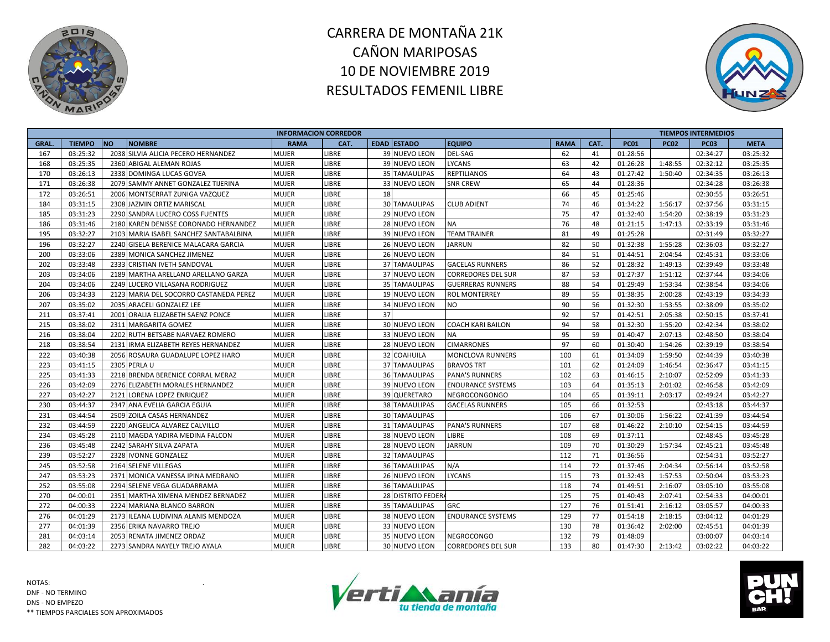



|             |               |                                        | <b>INFORMACION CORREDOR</b> |              |    |                      |                           |             |      |             |             | <b>TIEMPOS INTERMEDIOS</b> |             |
|-------------|---------------|----------------------------------------|-----------------------------|--------------|----|----------------------|---------------------------|-------------|------|-------------|-------------|----------------------------|-------------|
| <b>GRAL</b> | <b>TIEMPO</b> | <b>NO</b><br><b>NOMBRE</b>             | <b>RAMA</b>                 | CAT.         |    | <b>EDAD ESTADO</b>   | <b>EQUIPO</b>             | <b>RAMA</b> | CAT. | <b>PC01</b> | <b>PC02</b> | <b>PC03</b>                | <b>META</b> |
| 167         | 03:25:32      | 2038 SILVIA ALICIA PECERO HERNANDEZ    | MUJER                       | LIBRE        |    | 39 NUEVO LEON        | <b>DEL-SAG</b>            | 62          | 41   | 01:28:56    |             | 02:34:27                   | 03:25:32    |
| 168         | 03:25:35      | 2360 ABIGAL ALEMAN ROJAS               | <b>MUJER</b>                | <b>LIBRE</b> |    | 39 NUEVO LEON        | <b>LYCANS</b>             | 63          | 42   | 01:26:28    | 1:48:55     | 02:32:12                   | 03:25:35    |
| 170         | 03:26:13      | 2338 DOMINGA LUCAS GOVEA               | <b>MUJER</b>                | LIBRE        |    | 35 TAMAULIPAS        | <b>REPTILIANOS</b>        | 64          | 43   | 01:27:42    | 1:50:40     | 02:34:35                   | 03:26:13    |
| 171         | 03:26:38      | 2079 SAMMY ANNET GONZALEZ TIJERINA     | MUJER                       | LIBRE        |    | 33 NUEVO LEON        | <b>SNR CREW</b>           | 65          | 44   | 01:28:36    |             | 02:34:28                   | 03:26:38    |
| 172         | 03:26:51      | 2006 MONTSERRAT ZUNIGA VAZQUEZ         | Mujer                       | LIBRE        | 18 |                      |                           | 66          | 45   | 01:25:46    |             | 02:30:55                   | 03:26:51    |
| 184         | 03:31:15      | 2308 JAZMIN ORTIZ MARISCAL             | <b>MUJER</b>                | LIBRE        |    | <b>30 TAMAULIPAS</b> | <b>CLUB ADIENT</b>        | 74          | 46   | 01:34:22    | 1:56:17     | 02:37:56                   | 03:31:15    |
| 185         | 03:31:23      | 2290 SANDRA LUCERO COSS FUENTES        | <b>MUJER</b>                | LIBRE        |    | 29 NUEVO LEON        |                           | 75          | 47   | 01:32:40    | 1:54:20     | 02:38:19                   | 03:31:23    |
| 186         | 03:31:46      | 2180 KAREN DENISSE CORONADO HERNANDEZ  | <b>MUJER</b>                | LIBRE        |    | 28 NUEVO LEON        | <b>NA</b>                 | 76          | 48   | 01:21:15    | 1:47:13     | 02:33:19                   | 03:31:46    |
| 195         | 03:32:27      | 2103 MARIA ISABEL SANCHEZ SANTABALBINA | <b>MUJER</b>                | LIBRE        |    | 39 NUEVO LEON        | <b>TEAM TRAINER</b>       | 81          | 49   | 01:25:28    |             | 02:31:49                   | 03:32:27    |
| 196         | 03:32:27      | 2240 GISELA BERENICE MALACARA GARCIA   | <b>MUJER</b>                | LIBRE        |    | <b>26 NUEVO LEON</b> | <b>JARRUN</b>             | 82          | 50   | 01:32:38    | 1:55:28     | 02:36:03                   | 03:32:27    |
| 200         | 03:33:06      | 2389 MONICA SANCHEZ JIMENEZ            | MUJER                       | LIBRE        |    | 26 NUEVO LEON        |                           | 84          | 51   | 01:44:51    | 2:04:54     | 02:45:31                   | 03:33:06    |
| 202         | 03:33:48      | 2333 CRISTIAN IVETH SANDOVAL           | <b>MUJER</b>                | <b>LIBRE</b> |    | <b>37 TAMAULIPAS</b> | <b>GACELAS RUNNERS</b>    | 86          | 52   | 01:28:32    | 1:49:13     | 02:39:49                   | 03:33:48    |
| 203         | 03:34:06      | 2189 MARTHA ARELLANO ARELLANO GARZA    | <b>MUJER</b>                | LIBRE        |    | 37 NUEVO LEON        | <b>CORREDORES DEL SUR</b> | 87          | 53   | 01:27:37    | 1:51:12     | 02:37:44                   | 03:34:06    |
| 204         | 03:34:06      | 2249 LUCERO VILLASANA RODRIGUEZ        | <b>MUJER</b>                | LIBRE        |    | <b>35 TAMAULIPAS</b> | <b>GUERRERAS RUNNERS</b>  | 88          | 54   | 01:29:49    | 1:53:34     | 02:38:54                   | 03:34:06    |
| 206         | 03:34:33      | 2123 MARIA DEL SOCORRO CASTANEDA PEREZ | <b>MUJER</b>                | LIBRE        |    | <b>19 NUEVO LEON</b> | <b>ROL MONTERREY</b>      | 89          | 55   | 01:38:35    | 2:00:28     | 02:43:19                   | 03:34:33    |
| 207         | 03:35:02      | 2035 ARACELI GONZALEZ LEE              | MUJER                       | LIBRE        |    | 34 NUEVO LEON        | <b>NO</b>                 | 90          | 56   | 01:32:30    | 1:53:55     | 02:38:09                   | 03:35:02    |
| 211         | 03:37:41      | 2001 ORALIA ELIZABETH SAENZ PONCE      | <b>MUJER</b>                | <b>LIBRE</b> | 37 |                      |                           | 92          | 57   | 01:42:51    | 2:05:38     | 02:50:15                   | 03:37:41    |
| 215         | 03:38:02      | 2311 MARGARITA GOMEZ                   | MUJER                       | LIBRE        |    | 30 NUEVO LEON        | <b>COACH KARI BAILON</b>  | 94          | 58   | 01:32:30    | 1:55:20     | 02:42:34                   | 03:38:02    |
| 216         | 03:38:04      | 2202 RUTH BETSABE NARVAEZ ROMERO       | MUJER                       | LIBRE        |    | 33 NUEVO LEON        | <b>NA</b>                 | 95          | 59   | 01:40:47    | 2:07:13     | 02:48:50                   | 03:38:04    |
| 218         | 03:38:54      | 2131 IRMA ELIZABETH REYES HERNANDEZ    | MUJER                       | LIBRE        |    | 28 NUEVO LEON        | <b>CIMARRONES</b>         | 97          | 60   | 01:30:40    | 1:54:26     | 02:39:19                   | 03:38:54    |
| 222         | 03:40:38      | 2056 ROSAURA GUADALUPE LOPEZ HARO      | MUJER                       | LIBRE        |    | 32 COAHUILA          | <b>MONCLOVA RUNNERS</b>   | 100         | 61   | 01:34:09    | 1:59:50     | 02:44:39                   | 03:40:38    |
| 223         | 03:41:15      | 2305 PERLA U                           | <b>MUJER</b>                | LIBRE        |    | <b>37 TAMAULIPAS</b> | <b>BRAVOS TRT</b>         | 101         | 62   | 01:24:09    | 1:46:54     | 02:36:47                   | 03:41:15    |
| 225         | 03:41:33      | 2218 BRENDA BERENICE CORRAL MERAZ      | MUJER                       | <b>LIBRE</b> |    | <b>36 TAMAULIPAS</b> | <b>PANA'S RUNNERS</b>     | 102         | 63   | 01:46:15    | 2:10:07     | 02:52:09                   | 03:41:33    |
| 226         | 03:42:09      | 2276 ELIZABETH MORALES HERNANDEZ       | MUJER                       | LIBRE        |    | 39 NUEVO LEON        | <b>ENDURANCE SYSTEMS</b>  | 103         | 64   | 01:35:13    | 2:01:02     | 02:46:58                   | 03:42:09    |
| 227         | 03:42:27      | 2121 LORENA LOPEZ ENRIQUEZ             | MUJER                       | LIBRE        |    | 39 QUERETARO         | NEGROCONGONGO             | 104         | 65   | 01:39:11    | 2:03:17     | 02:49:24                   | 03:42:27    |
| 230         | 03:44:37      | 2347 ANA EVELIA GARCIA EGUIA           | MUJER                       | LIBRE        |    | <b>38 TAMAULIPAS</b> | <b>GACELAS RUNNERS</b>    | 105         | 66   | 01:32:53    |             | 02:43:18                   | 03:44:37    |
| 231         | 03:44:54      | 2509 ZOILA CASAS HERNANDEZ             | <b>MUJER</b>                | LIBRE        |    | <b>30 TAMAULIPAS</b> |                           | 106         | 67   | 01:30:06    | 1:56:22     | 02:41:39                   | 03:44:54    |
| 232         | 03:44:59      | 2220 ANGELICA ALVAREZ CALVILLO         | <b>MUJER</b>                | <b>LIBRE</b> |    | 31 TAMAULIPAS        | <b>PANA'S RUNNERS</b>     | 107         | 68   | 01:46:22    | 2:10:10     | 02:54:15                   | 03:44:59    |
| 234         | 03:45:28      | 2110 MAGDA YADIRA MEDINA FALCON        | MUJER                       | <b>LIBRE</b> |    | 38 NUEVO LEON        | LIBRE                     | 108         | 69   | 01:37:11    |             | 02:48:45                   | 03:45:28    |
| 236         | 03:45:48      | 2242 SARAHY SILVA ZAPATA               | MUJER                       | LIBRE        |    | 28 NUEVO LEON        | <b>JARRUN</b>             | 109         | 70   | 01:30:29    | 1:57:34     | 02:45:21                   | 03:45:48    |
| 239         | 03:52:27      | 2328 IVONNE GONZALEZ                   | MUJER                       | <b>LIBRE</b> |    | <b>32 TAMAULIPAS</b> |                           | 112         | 71   | 01:36:56    |             | 02:54:31                   | 03:52:27    |
| 245         | 03:52:58      | 2164 SELENE VILLEGAS                   | <b>MUJER</b>                | LIBRE        |    | <b>36 TAMAULIPAS</b> | N/A                       | 114         | 72   | 01:37:46    | 2:04:34     | 02:56:14                   | 03:52:58    |
| 247         | 03:53:23      | 2371 MONICA VANESSA IPINA MEDRANO      | MUJER                       | <b>LIBRE</b> |    | <b>26 NUEVO LEON</b> | <b>LYCANS</b>             | 115         | 73   | 01:32:43    | 1:57:53     | 02:50:04                   | 03:53:23    |
| 252         | 03:55:08      | 2294 SELENE VEGA GUADARRAMA            | <b>MUJER</b>                | LIBRE        |    | <b>36 TAMAULIPAS</b> |                           | 118         | 74   | 01:49:51    | 2:16:07     | 03:05:10                   | 03:55:08    |
| 270         | 04:00:01      | 2351 MARTHA XIMENA MENDEZ BERNADEZ     | MUJER                       | LIBRE        |    | 28 DISTRITO FEDERA   |                           | 125         | 75   | 01:40:43    | 2:07:41     | 02:54:33                   | 04:00:01    |
| 272         | 04:00:33      | 2224 MARIANA BLANCO BARRON             | MUJER                       | <b>LIBRE</b> |    | <b>35 TAMAULIPAS</b> | <b>GRC</b>                | 127         | 76   | 01:51:41    | 2:16:12     | 03:05:57                   | 04:00:33    |
| 276         | 04:01:29      | 2173 ILEANA LUDIVINA ALANIS MENDOZA    | <b>MUJER</b>                | <b>LIBRE</b> |    | 38 NUEVO LEON        | <b>ENDURANCE SYSTEMS</b>  | 129         | 77   | 01:54:18    | 2:18:15     | 03:04:12                   | 04:01:29    |
| 277         | 04:01:39      | 2356 ERIKA NAVARRO TREJO               | MUJER                       | <b>LIBRE</b> |    | 33 NUEVO LEON        |                           | 130         | 78   | 01:36:42    | 2:02:00     | 02:45:51                   | 04:01:39    |
| 281         | 04:03:14      | 2053 RENATA JIMENEZ ORDAZ              | MUJER                       | LIBRE        |    | 35 NUEVO LEON        | <b>NEGROCONGO</b>         | 132         | 79   | 01:48:09    |             | 03:00:07                   | 04:03:14    |
| 282         | 04:03:22      | 2273 SANDRA NAYELY TREJO AYALA         | <b>MUJER</b>                | LIBRE        |    | <b>30 NUEVO LEON</b> | <b>CORREDORES DEL SUR</b> | 133         | 80   | 01:47:30    | 2:13:42     | 03:02:22                   | 04:03:22    |



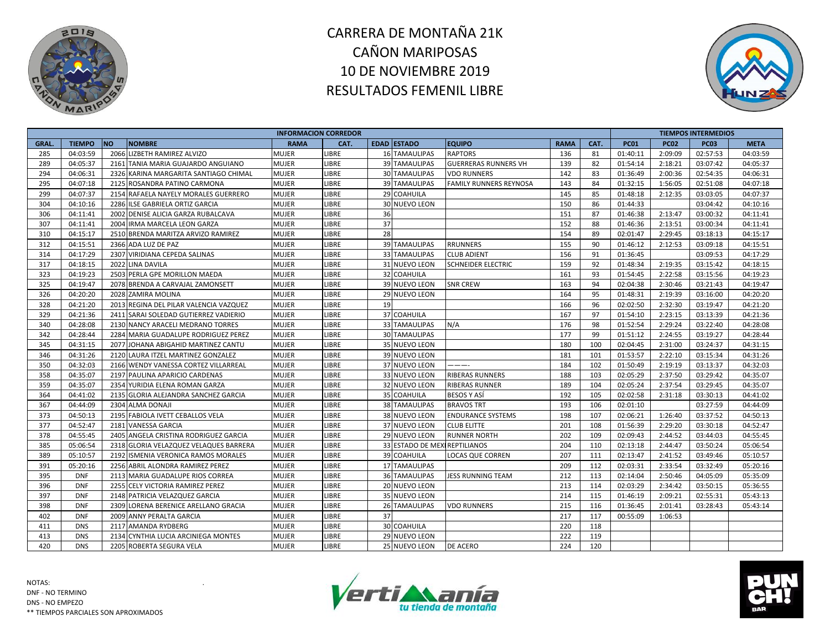



|              |               |                                        | <b>INFORMACION CORREDOR</b> |              |    |                               |                               |             |      |             |             | <b>TIEMPOS INTERMEDIOS</b> |             |
|--------------|---------------|----------------------------------------|-----------------------------|--------------|----|-------------------------------|-------------------------------|-------------|------|-------------|-------------|----------------------------|-------------|
| <b>GRAL.</b> | <b>TIEMPO</b> | <b>NO</b><br><b>NOMBRE</b>             | <b>RAMA</b>                 | CAT.         |    | <b>EDAD ESTADO</b>            | <b>EQUIPO</b>                 | <b>RAMA</b> | CAT. | <b>PC01</b> | <b>PC02</b> | <b>PC03</b>                | <b>META</b> |
| 285          | 04:03:59      | 2066 LIZBETH RAMIREZ ALVIZO            | <b>MUJER</b>                | LIBRE        |    | <b>16 TAMAULIPAS</b>          | <b>RAPTORS</b>                | 136         | 81   | 01:40:11    | 2:09:09     | 02:57:53                   | 04:03:59    |
| 289          | 04:05:37      | 2161 TANIA MARIA GUAJARDO ANGUIANO     | <b>MUJER</b>                | <b>LIBRE</b> |    | <b>39 TAMAULIPAS</b>          | <b>GUERRERAS RUNNERS VH</b>   | 139         | 82   | 01:54:14    | 2:18:21     | 03:07:42                   | 04:05:37    |
| 294          | 04:06:31      | 2326 KARINA MARGARITA SANTIAGO CHIMAL  | <b>MUJER</b>                | LIBRE        |    | 30 TAMAULIPAS                 | <b>VDO RUNNERS</b>            | 142         | 83   | 01:36:49    | 2:00:36     | 02:54:35                   | 04:06:31    |
| 295          | 04:07:18      | 2125 ROSANDRA PATINO CARMONA           | <b>MUJER</b>                | LIBRE        |    | 39 TAMAULIPAS                 | <b>FAMILY RUNNERS REYNOSA</b> | 143         | 84   | 01:32:15    | 1:56:05     | 02:51:08                   | 04:07:18    |
| 299          | 04:07:37      | 2154 RAFAELA NAYELY MORALES GUERRERO   | <b>MUJER</b>                | LIBRE        |    | 29 COAHUILA                   |                               | 145         | 85   | 01:48:18    | 2:12:35     | 03:03:05                   | 04:07:37    |
| 304          | 04:10:16      | 2286 ILSE GABRIELA ORTIZ GARCIA        | <b>MUJER</b>                | LIBRE        |    | 30 NUEVO LEON                 |                               | 150         | 86   | 01:44:33    |             | 03:04:42                   | 04:10:16    |
| 306          | 04:11:41      | 2002 DENISE ALICIA GARZA RUBALCAVA     | <b>MUJER</b>                | <b>LIBRE</b> | 36 |                               |                               | 151         | 87   | 01:46:38    | 2:13:47     | 03:00:32                   | 04:11:41    |
| 307          | 04:11:41      | 2004 IRMA MARCELA LEON GARZA           | <b>MUJER</b>                | <b>LIBRE</b> | 37 |                               |                               | 152         | 88   | 01:46:36    | 2:13:51     | 03:00:34                   | 04:11:41    |
| 310          | 04:15:17      | 2510 BRENDA MARITZA ARVIZO RAMIREZ     | <b>MUJER</b>                | LIBRE        | 28 |                               |                               | 154         | 89   | 02:01:47    | 2:29:45     | 03:18:13                   | 04:15:17    |
| 312          | 04:15:51      | 2366 ADA LUZ DE PAZ                    | <b>MUJER</b>                | LIBRE        |    | 39 TAMAULIPAS                 | <b>RRUNNERS</b>               | 155         | 90   | 01:46:12    | 2:12:53     | 03:09:18                   | 04:15:51    |
| 314          | 04:17:29      | 2307 VIRIDIANA CEPEDA SALINAS          | <b>MUJER</b>                | LIBRE        |    | 33 TAMAULIPAS                 | <b>CLUB ADIENT</b>            | 156         | 91   | 01:36:45    |             | 03:09:53                   | 04:17:29    |
| 317          | 04:18:15      | 2022 LINA DAVILA                       | <b>MUJER</b>                | LIBRE        |    | 31 NUEVO LEON                 | <b>SCHNEIDER ELECTRIC</b>     | 159         | 92   | 01:48:34    | 2:19:35     | 03:15:42                   | 04:18:15    |
| 323          | 04:19:23      | 2503 PERLA GPE MORILLON MAEDA          | <b>MUJER</b>                | LIBRE        |    | 32 COAHUILA                   |                               | 161         | 93   | 01:54:45    | 2:22:58     | 03:15:56                   | 04:19:23    |
| 325          | 04:19:47      | 2078 BRENDA A CARVAJAL ZAMONSETT       | <b>MUJER</b>                | LIBRE        |    | 39 NUEVO LEON                 | <b>SNR CREW</b>               | 163         | 94   | 02:04:38    | 2:30:46     | 03:21:43                   | 04:19:47    |
| 326          | 04:20:20      | 2028 ZAMIRA MOLINA                     | <b>MUJER</b>                | LIBRE        |    | 29 NUEVO LEON                 |                               | 164         | 95   | 01:48:31    | 2:19:39     | 03:16:00                   | 04:20:20    |
| 328          | 04:21:20      | 2013 REGINA DEL PILAR VALENCIA VAZQUEZ | <b>MUJER</b>                | LIBRE        | 19 |                               |                               | 166         | 96   | 02:02:50    | 2:32:30     | 03:19:47                   | 04:21:20    |
| 329          | 04:21:36      | 2411 SARAI SOLEDAD GUTIERREZ VADIERIO  | <b>MUJER</b>                | LIBRE        |    | 37 COAHUILA                   |                               | 167         | 97   | 01:54:10    | 2:23:15     | 03:13:39                   | 04:21:36    |
| 340          | 04:28:08      | 2130 NANCY ARACELI MEDRANO TORRES      | <b>MUJER</b>                | LIBRE        |    | 33 TAMAULIPAS                 | N/A                           | 176         | 98   | 01:52:54    | 2:29:24     | 03:22:40                   | 04:28:08    |
| 342          | 04:28:44      | 2284 MARIA GUADALUPE RODRIGUEZ PEREZ   | <b>MUJER</b>                | LIBRE        |    | <b>30 TAMAULIPAS</b>          |                               | 177         | 99   | 01:51:12    | 2:24:55     | 03:19:27                   | 04:28:44    |
| 345          | 04:31:15      | 2077 JOHANA ABIGAHID MARTINEZ CANTU    | <b>MUJER</b>                | LIBRE        |    | 35 NUEVO LEON                 |                               | 180         | 100  | 02:04:45    | 2:31:00     | 03:24:37                   | 04:31:15    |
| 346          | 04:31:26      | 2120 LAURA ITZEL MARTINEZ GONZALEZ     | <b>MUJER</b>                | LIBRE        |    | 39 NUEVO LEON                 |                               | 181         | 101  | 01:53:57    | 2:22:10     | 03:15:34                   | 04:31:26    |
| 350          | 04:32:03      | 2166 WENDY VANESSA CORTEZ VILLARREAL   | <b>MUJER</b>                | LIBRE        |    | 37 NUEVO LEON                 | ----                          | 184         | 102  | 01:50:49    | 2:19:19     | 03:13:37                   | 04:32:03    |
| 358          | 04:35:07      | 2197 PAULINA APARICIO CARDENAS         | <b>MUJER</b>                | <b>LIBRE</b> |    | 33 NUEVO LEON                 | <b>RIBERAS RUNNERS</b>        | 188         | 103  | 02:05:29    | 2:37:50     | 03:29:42                   | 04:35:07    |
| 359          | 04:35:07      | 2354 YURIDIA ELENA ROMAN GARZA         | <b>MUJER</b>                | LIBRE        |    | 32 NUEVO LEON                 | <b>RIBERAS RUNNER</b>         | 189         | 104  | 02:05:24    | 2:37:54     | 03:29:45                   | 04:35:07    |
| 364          | 04:41:02      | 2135 GLORIA ALEJANDRA SANCHEZ GARCIA   | <b>MUJER</b>                | LIBRE        |    | 35 COAHUILA                   | <b>BESOS Y ASI</b>            | 192         | 105  | 02:02:58    | 2:31:18     | 03:30:13                   | 04:41:02    |
| 367          | 04:44:09      | 2304 ALMA DONAJI                       | <b>MUJER</b>                | LIBRE        |    | <b>38 TAMAULIPAS</b>          | <b>BRAVOS TRT</b>             | 193         | 106  | 02:01:10    |             | 03:27:59                   | 04:44:09    |
| 373          | 04:50:13      | 2195 FABIOLA IVETT CEBALLOS VELA       | <b>MUJER</b>                | LIBRE        |    | 38 NUEVO LEON                 | <b>ENDURANCE SYSTEMS</b>      | 198         | 107  | 02:06:21    | 1:26:40     | 03:37:52                   | 04:50:13    |
| 377          | 04:52:47      | 2181 VANESSA GARCIA                    | <b>MUJER</b>                | LIBRE        |    | 37 NUEVO LEON                 | <b>CLUB ELITTE</b>            | 201         | 108  | 01:56:39    | 2:29:20     | 03:30:18                   | 04:52:47    |
| 378          | 04:55:45      | 2405 ANGELA CRISTINA RODRIGUEZ GARCIA  | <b>MUJER</b>                | <b>LIBRE</b> |    | 29 NUEVO LEON                 | <b>RUNNER NORTH</b>           | 202         | 109  | 02:09:43    | 2:44:52     | 03:44:03                   | 04:55:45    |
| 385          | 05:06:54      | 2318 GLORIA VELAZQUEZ VELAQUES BARRERA | <b>MUJER</b>                | <b>LIBRE</b> |    | 33 ESTADO DE MEXI REPTILIANOS |                               | 204         | 110  | 02:13:18    | 2:44:47     | 03:50:24                   | 05:06:54    |
| 389          | 05:10:57      | 2192 ISMENIA VERONICA RAMOS MORALES    | <b>MUJER</b>                | LIBRE        |    | 39 COAHUILA                   | <b>LOCAS QUE CORREN</b>       | 207         | 111  | 02:13:47    | 2:41:52     | 03:49:46                   | 05:10:57    |
| 391          | 05:20:16      | 2256 ABRIL ALONDRA RAMIREZ PEREZ       | <b>MUJER</b>                | LIBRE        |    | 17 TAMAULIPAS                 |                               | 209         | 112  | 02:03:31    | 2:33:54     | 03:32:49                   | 05:20:16    |
| 395          | <b>DNF</b>    | 2113 MARIA GUADALUPE RIOS CORREA       | <b>MUJER</b>                | LIBRE        |    | 36 TAMAULIPAS                 | JESS RUNNING TEAM             | 212         | 113  | 02:14:04    | 2:50:46     | 04:05:09                   | 05:35:09    |
| 396          | <b>DNF</b>    | 2255 CELY VICTORIA RAMIREZ PEREZ       | <b>MUJER</b>                | LIBRE        |    | <b>20 NUEVO LEON</b>          |                               | 213         | 114  | 02:03:29    | 2:34:42     | 03:50:15                   | 05:36:55    |
| 397          | <b>DNF</b>    | 2148 PATRICIA VELAZQUEZ GARCIA         | <b>MUJER</b>                | LIBRE        |    | 35 NUEVO LEON                 |                               | 214         | 115  | 01:46:19    | 2:09:21     | 02:55:31                   | 05:43:13    |
| 398          | <b>DNF</b>    | 2309 LORENA BERENICE ARELLANO GRACIA   | <b>MUJER</b>                | <b>LIBRE</b> |    | 26 TAMAULIPAS                 | <b>VDO RUNNERS</b>            | 215         | 116  | 01:36:45    | 2:01:41     | 03:28:43                   | 05:43:14    |
| 402          | <b>DNF</b>    | 2009 ANNY PERALTA GARCIA               | <b>MUJER</b>                | LIBRE        | 37 |                               |                               | 217         | 117  | 00:55:09    | 1:06:53     |                            |             |
| 411          | <b>DNS</b>    | 2117 AMANDA RYDBERG                    | <b>MUJER</b>                | LIBRE        |    | 30 COAHUILA                   |                               | 220         | 118  |             |             |                            |             |
| 413          | <b>DNS</b>    | 2134 CYNTHIA LUCIA ARCINIEGA MONTES    | <b>MUJER</b>                | LIBRE        |    | <b>29 NUEVO LEON</b>          |                               | 222         | 119  |             |             |                            |             |
| 420          | <b>DNS</b>    | 2205 ROBERTA SEGURA VELA               | <b>MUJER</b>                | <b>LIBRE</b> |    | 25 NUEVO LEON                 | <b>DE ACERO</b>               | 224         | 120  |             |             |                            |             |



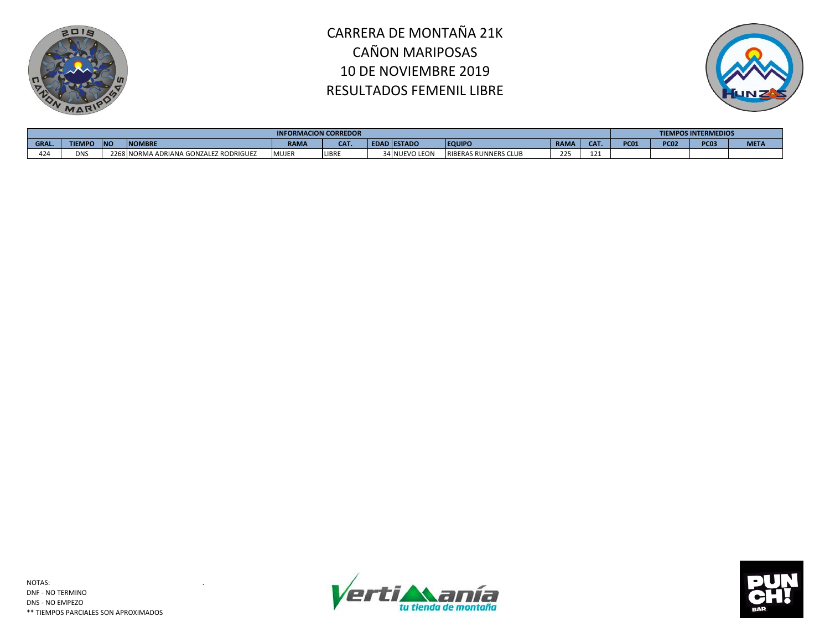



|             |            |                                |                                 | <b>INFORMACION CORREDOR</b> |                   |             |                |                             |             |                 |             |             | <b>TIEMPOS INTERMEDIOS</b> |             |
|-------------|------------|--------------------------------|---------------------------------|-----------------------------|-------------------|-------------|----------------|-----------------------------|-------------|-----------------|-------------|-------------|----------------------------|-------------|
| <b>GRAL</b> | 1EMIL      | $\overline{\mathbf{M}}$<br>טיי | <b>NOMBRE</b>                   | <b>RAMA</b>                 | CA <sub>1</sub> . | <b>EDAI</b> | <b>IESTADO</b> | <b>EQUIPO</b>               | <b>RAMA</b> | CA <sub>1</sub> | <b>PC01</b> | <b>PC02</b> | PC <sub>07</sub>           | <b>META</b> |
| 424         | <b>DNS</b> | ZZDX.                          | ORMA ADRIANA GONZALEZ RODRIGUEZ | <b>MUJEF</b>                | <b>LIBRE</b>      |             | 34 NUEVO LEON  | <b>RIBERAS RUNNERS CLUB</b> | 225         | 121             |             |             |                            |             |



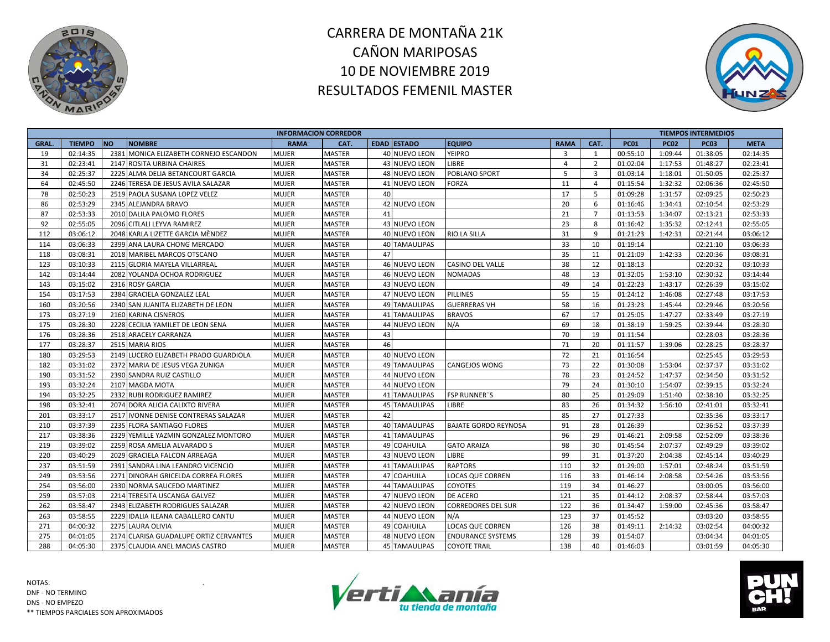



|             |               |           |                                        | <b>INFORMACION CORREDOR</b> |               |    |                      |                             |             |                |             |             | <b>TIEMPOS INTERMEDIOS</b> |             |
|-------------|---------------|-----------|----------------------------------------|-----------------------------|---------------|----|----------------------|-----------------------------|-------------|----------------|-------------|-------------|----------------------------|-------------|
| <b>GRAL</b> | <b>TIEMPO</b> | <b>NO</b> | <b>NOMBRE</b>                          | <b>RAMA</b>                 | CAT.          |    | <b>EDAD ESTADO</b>   | <b>EQUIPO</b>               | <b>RAMA</b> | CAT.           | <b>PC01</b> | <b>PC02</b> | <b>PC03</b>                | <b>META</b> |
| 19          | 02:14:35      |           | 2381 MONICA ELIZABETH CORNEJO ESCANDON | <b>MUJER</b>                | <b>MASTER</b> |    | 40 NUEVO LEON        | <b>YEIPRO</b>               | 3           | 1              | 00:55:10    | 1:09:44     | 01:38:05                   | 02:14:35    |
| 31          | 02:23:41      |           | 2147 ROSITA URBINA CHAIRES             | <b>MUJER</b>                | <b>MASTER</b> |    | 43 NUEVO LEON        | LIBRE                       | 4           | $\overline{2}$ | 01:02:04    | 1:17:53     | 01:48:27                   | 02:23:41    |
| 34          | 02:25:37      |           | 2225 ALMA DELIA BETANCOURT GARCIA      | <b>MUJER</b>                | <b>MASTER</b> |    | 48 NUEVO LEON        | POBLANO SPORT               | 5           | $\overline{3}$ | 01:03:14    | 1:18:01     | 01:50:05                   | 02:25:37    |
| 64          | 02:45:50      |           | 2246 TERESA DE JESUS AVILA SALAZAR     | <b>MUJER</b>                | <b>MASTER</b> |    | 41 NUEVO LEON        | <b>FORZA</b>                | 11          | 4              | 01:15:54    | 1:32:32     | 02:06:36                   | 02:45:50    |
| 78          | 02:50:23      |           | 2519 PAOLA SUSANA LOPEZ VELEZ          | <b>MUJER</b>                | <b>MASTER</b> | 40 |                      |                             | 17          | 5              | 01:09:28    | 1:31:57     | 02:09:25                   | 02:50:23    |
| 86          | 02:53:29      |           | 2345 ALEJANDRA BRAVO                   | <b>MUJER</b>                | <b>MASTER</b> |    | 42 NUEVO LEON        |                             | 20          | 6              | 01:16:46    | 1:34:41     | 02:10:54                   | 02:53:29    |
| 87          | 02:53:33      |           | 2010 DALILA PALOMO FLORES              | <b>MUJER</b>                | <b>MASTER</b> | 41 |                      |                             | 21          | $\overline{7}$ | 01:13:53    | 1:34:07     | 02:13:21                   | 02:53:33    |
| 92          | 02:55:05      |           | 2096 CITLALI LEYVA RAMIREZ             | <b>MUJER</b>                | <b>MASTER</b> |    | 43 NUEVO LEON        |                             | 23          | 8              | 01:16:42    | 1:35:32     | 02:12:41                   | 02:55:05    |
| 112         | 03:06:12      |           | 2048 KARLA LIZETTE GARCIA MÈNDEZ       | <b>MUJER</b>                | <b>MASTER</b> |    | 40 NUEVO LEON        | <b>RIO LA SILLA</b>         | 31          | 9              | 01:21:23    | 1:42:31     | 02:21:44                   | 03:06:12    |
| 114         | 03:06:33      |           | 2399 ANA LAURA CHONG MERCADO           | <b>MUJER</b>                | <b>MASTER</b> |    | 40 TAMAULIPAS        |                             | 33          | 10             | 01:19:14    |             | 02:21:10                   | 03:06:33    |
| 118         | 03:08:31      |           | 2018 MARIBEL MARCOS OTSCANO            | <b>MUJER</b>                | <b>MASTER</b> | 47 |                      |                             | 35          | 11             | 01:21:09    | 1:42:33     | 02:20:36                   | 03:08:31    |
| 123         | 03:10:33      |           | 2115 GLORIA MAYELA VILLARREAL          | <b>MUJER</b>                | <b>MASTER</b> |    | 46 NUEVO LEON        | <b>CASINO DEL VALLE</b>     | 38          | 12             | 01:18:13    |             | 02:20:32                   | 03:10:33    |
| 142         | 03:14:44      |           | 2082 YOLANDA OCHOA RODRIGUEZ           | <b>MUJER</b>                | <b>MASTER</b> |    | 46 NUEVO LEON        | <b>NOMADAS</b>              | 48          | 13             | 01:32:05    | 1:53:10     | 02:30:32                   | 03:14:44    |
| 143         | 03:15:02      |           | 2316 ROSY GARCIA                       | <b>MUJER</b>                | <b>MASTER</b> |    | 43 NUEVO LEON        |                             | 49          | 14             | 01:22:23    | 1:43:17     | 02:26:39                   | 03:15:02    |
| 154         | 03:17:53      |           | 2384 GRACIELA GONZALEZ LEAL            | <b>MUJER</b>                | <b>MASTER</b> |    | 47 NUEVO LEON        | <b>PILLINES</b>             | 55          | 15             | 01:24:12    | 1:46:08     | 02:27:48                   | 03:17:53    |
| 160         | 03:20:56      |           | 2340 SAN JUANITA ELIZABETH DE LEON     | <b>MUJER</b>                | <b>MASTER</b> |    | <b>49 TAMAULIPAS</b> | <b>GUERRERAS VH</b>         | 58          | 16             | 01:23:23    | 1:45:44     | 02:29:46                   | 03:20:56    |
| 173         | 03:27:19      |           | 2160 KARINA CISNEROS                   | <b>MUJER</b>                | <b>MASTER</b> |    | <b>41 TAMAULIPAS</b> | <b>BRAVOS</b>               | 67          | 17             | 01:25:05    | 1:47:27     | 02:33:49                   | 03:27:19    |
| 175         | 03:28:30      |           | 2228 CECILIA YAMILET DE LEON SENA      | <b>MUJER</b>                | <b>MASTER</b> |    | 44 NUEVO LEON        | N/A                         | 69          | 18             | 01:38:19    | 1:59:25     | 02:39:44                   | 03:28:30    |
| 176         | 03:28:36      |           | 2518 ARACELY CARRANZA                  | <b>MUJER</b>                | <b>MASTER</b> | 43 |                      |                             | 70          | 19             | 01:11:54    |             | 02:28:03                   | 03:28:36    |
| 177         | 03:28:37      |           | 2515 MARIA RIOS                        | <b>MUJER</b>                | <b>MASTER</b> | 46 |                      |                             | 71          | 20             | 01:11:57    | 1:39:06     | 02:28:25                   | 03:28:37    |
| 180         | 03:29:53      |           | 2149 LUCERO ELIZABETH PRADO GUARDIOLA  | <b>MUJER</b>                | <b>MASTER</b> |    | 40 NUEVO LEON        |                             | 72          | 21             | 01:16:54    |             | 02:25:45                   | 03:29:53    |
| 182         | 03:31:02      |           | 2372 MARIA DE JESUS VEGA ZUNIGA        | <b>MUJER</b>                | <b>MASTER</b> |    | <b>49 TAMAULIPAS</b> | <b>CANGEJOS WONG</b>        | 73          | 22             | 01:30:08    | 1:53:04     | 02:37:37                   | 03:31:02    |
| 190         | 03:31:52      |           | 2390 SANDRA RUIZ CASTILLO              | <b>MUJER</b>                | <b>MASTER</b> |    | 44 NUEVO LEON        |                             | 78          | 23             | 01:24:52    | 1:47:37     | 02:34:50                   | 03:31:52    |
| 193         | 03:32:24      |           | 2107 MAGDA MOTA                        | <b>MUJER</b>                | <b>MASTER</b> |    | 44 NUEVO LEON        |                             | 79          | 24             | 01:30:10    | 1:54:07     | 02:39:15                   | 03:32:24    |
| 194         | 03:32:25      |           | 2332 RUBI RODRIGUEZ RAMIREZ            | <b>MUJER</b>                | <b>MASTER</b> |    | 41 TAMAULIPAS        | <b>FSP RUNNER"S</b>         | 80          | 25             | 01:29:09    | 1:51:40     | 02:38:10                   | 03:32:25    |
| 198         | 03:32:41      |           | 2074 DORA ALICIA CALIXTO RIVERA        | <b>MUJER</b>                | <b>MASTER</b> |    | <b>45 TAMAULIPAS</b> | LIBRE                       | 83          | 26             | 01:34:32    | 1:56:10     | 02:41:01                   | 03:32:41    |
| 201         | 03:33:17      |           | 2517 IVONNE DENISE CONTRERAS SALAZAR   | <b>MUJER</b>                | <b>MASTER</b> | 42 |                      |                             | 85          | 27             | 01:27:33    |             | 02:35:36                   | 03:33:17    |
| 210         | 03:37:39      |           | 2235 FLORA SANTIAGO FLORES             | <b>MUJER</b>                | <b>MASTER</b> | 40 | <b>TAMAULIPAS</b>    | <b>BAJATE GORDO REYNOSA</b> | 91          | 28             | 01:26:39    |             | 02:36:52                   | 03:37:39    |
| 217         | 03:38:36      |           | 2329 YEMILLE YAZMIN GONZALEZ MONTORO   | <b>MUJER</b>                | <b>MASTER</b> |    | <b>41 TAMAULIPAS</b> |                             | 96          | 29             | 01:46:21    | 2:09:58     | 02:52:09                   | 03:38:36    |
| 219         | 03:39:02      |           | 2259 ROSA AMELIA ALVARADO S            | <b>MUJER</b>                | <b>MASTER</b> |    | 49 COAHUILA          | <b>GATO ARAIZA</b>          | 98          | 30             | 01:45:54    | 2:07:37     | 02:49:29                   | 03:39:02    |
| 220         | 03:40:29      |           | 2029 GRACIELA FALCON ARREAGA           | <b>MUJER</b>                | <b>MASTER</b> |    | 43 NUEVO LEON        | LIBRE                       | 99          | 31             | 01:37:20    | 2:04:38     | 02:45:14                   | 03:40:29    |
| 237         | 03:51:59      |           | 2391 SANDRA LINA LEANDRO VICENCIO      | <b>MUJER</b>                | <b>MASTER</b> |    | 41 TAMAULIPAS        | <b>RAPTORS</b>              | 110         | 32             | 01:29:00    | 1:57:01     | 02:48:24                   | 03:51:59    |
| 249         | 03:53:56      |           | 2271 DINORAH GRICELDA CORREA FLORES    | <b>MUJER</b>                | <b>MASTER</b> |    | 47 COAHUILA          | <b>LOCAS QUE CORREN</b>     | 116         | 33             | 01:46:14    | 2:08:58     | 02:54:26                   | 03:53:56    |
| 254         | 03:56:00      |           | 2330 NORMA SAUCEDO MARTINEZ            | <b>MUJER</b>                | <b>MASTER</b> |    | 44 TAMAULIPAS        | <b>COYOTES</b>              | 119         | 34             | 01:46:27    |             | 03:00:05                   | 03:56:00    |
| 259         | 03:57:03      |           | 2214 TERESITA USCANGA GALVEZ           | <b>MUJER</b>                | <b>MASTER</b> |    | 47 NUEVO LEON        | <b>DE ACERO</b>             | 121         | 35             | 01:44:12    | 2:08:37     | 02:58:44                   | 03:57:03    |
| 262         | 03:58:47      |           | 2343 ELIZABETH RODRIGUES SALAZAR       | <b>MUJER</b>                | <b>MASTER</b> |    | 42 NUEVO LEON        | <b>CORREDORES DEL SUR</b>   | 122         | 36             | 01:34:47    | 1:59:00     | 02:45:36                   | 03:58:47    |
| 263         | 03:58:55      |           | 2229 IDALIA ILEANA CABALLERO CANTU     | <b>MUJER</b>                | <b>MASTER</b> |    | 44 NUEVO LEON        | N/A                         | 123         | 37             | 01:45:52    |             | 03:03:20                   | 03:58:55    |
| 271         | 04:00:32      |           | 2275 LAURA OLIVIA                      | <b>MUJER</b>                | <b>MASTER</b> |    | 49 COAHUILA          | <b>LOCAS QUE CORREN</b>     | 126         | 38             | 01:49:11    | 2:14:32     | 03:02:54                   | 04:00:32    |
| 275         | 04:01:05      |           | 2174 CLARISA GUADALUPE ORTIZ CERVANTES | <b>MUJER</b>                | <b>MASTER</b> |    | 48 NUEVO LEON        | <b>ENDURANCE SYSTEMS</b>    | 128         | 39             | 01:54:07    |             | 03:04:34                   | 04:01:05    |
| 288         | 04:05:30      |           | 2375 CLAUDIA ANEL MACIAS CASTRO        | <b>MUJER</b>                | <b>MASTER</b> |    | 45 TAMAULIPAS        | <b>COYOTE TRAIL</b>         | 138         | 40             | 01:46:03    |             | 03:01:59                   | 04:05:30    |



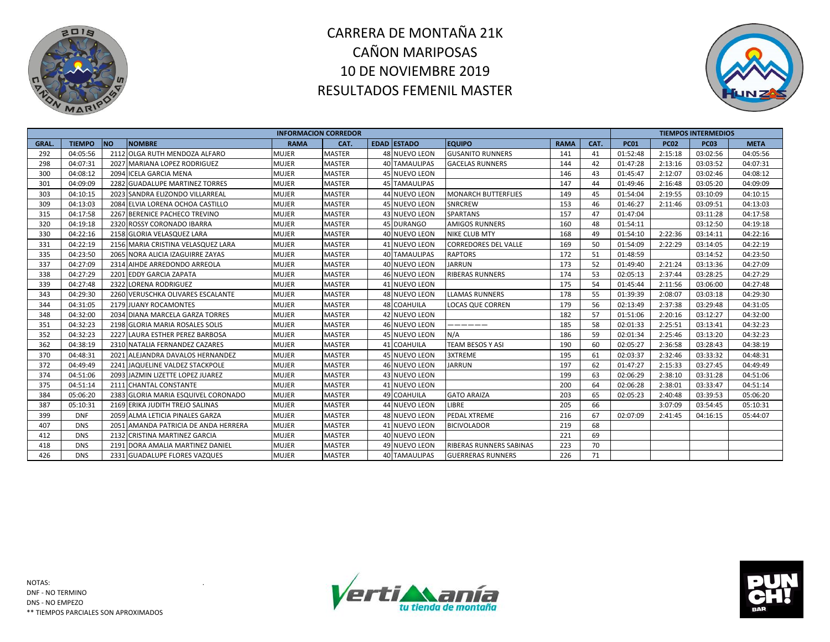



|             |               |                                      | <b>INFORMACION CORREDOR</b> |               |                      |                             |             |      |             |             | <b>TIEMPOS INTERMEDIOS</b> |             |
|-------------|---------------|--------------------------------------|-----------------------------|---------------|----------------------|-----------------------------|-------------|------|-------------|-------------|----------------------------|-------------|
| <b>GRAL</b> | <b>TIEMPO</b> | <b>INO</b><br><b>NOMBRE</b>          | <b>RAMA</b>                 | CAT.          | <b>EDAD ESTADO</b>   | <b>EQUIPO</b>               | <b>RAMA</b> | CAT. | <b>PC01</b> | <b>PC02</b> | <b>PC03</b>                | <b>META</b> |
| 292         | 04:05:56      | 2112 OLGA RUTH MENDOZA ALFARO        | MUJER                       | <b>MASTER</b> | 48 NUEVO LEON        | <b>GUSANITO RUNNERS</b>     | 141         | 41   | 01:52:48    | 2:15:18     | 03:02:56                   | 04:05:56    |
| 298         | 04:07:31      | 2027 MARIANA LOPEZ RODRIGUEZ         | <b>MUJER</b>                | <b>MASTER</b> | 40 TAMAULIPAS        | <b>GACELAS RUNNERS</b>      | 144         | 42   | 01:47:28    | 2:13:16     | 03:03:52                   | 04:07:31    |
| 300         | 04:08:12      | 2094 ICELA GARCIA MENA               | <b>MUJER</b>                | <b>MASTER</b> | 45 NUEVO LEON        |                             | 146         | 43   | 01:45:47    | 2:12:07     | 03:02:46                   | 04:08:12    |
| 301         | 04:09:09      | 2282 GUADALUPE MARTINEZ TORRES       | MUJER                       | <b>MASTER</b> | <b>45 TAMAULIPAS</b> |                             | 147         | 44   | 01:49:46    | 2:16:48     | 03:05:20                   | 04:09:09    |
| 303         | 04:10:15      | 2023 SANDRA ELIZONDO VILLARREAL      | <b>MUJER</b>                | <b>MASTER</b> | 44 NUEVO LEON        | <b>MONARCH BUTTERFLIES</b>  | 149         | 45   | 01:54:04    | 2:19:55     | 03:10:09                   | 04:10:15    |
| 309         | 04:13:03      | 2084 ELVIA LORENA OCHOA CASTILLO     | <b>MUJER</b>                | <b>MASTER</b> | <b>45 NUEVO LEON</b> | <b>SNRCREW</b>              | 153         | 46   | 01:46:27    | 2:11:46     | 03:09:51                   | 04:13:03    |
| 315         | 04:17:58      | 2267 BERENICE PACHECO TREVINO        | <b>MUJER</b>                | <b>MASTER</b> | 43 NUEVO LEON        | <b>SPARTANS</b>             | 157         | 47   | 01:47:04    |             | 03:11:28                   | 04:17:58    |
| 320         | 04:19:18      | 2320 ROSSY CORONADO IBARRA           | <b>MUJER</b>                | <b>MASTER</b> | 45 DURANGO           | <b>AMIGOS RUNNERS</b>       | 160         | 48   | 01:54:11    |             | 03:12:50                   | 04:19:18    |
| 330         | 04:22:16      | 2158 GLORIA VELASQUEZ LARA           | <b>MUJER</b>                | <b>MASTER</b> | <b>40 NUEVO LEON</b> | NIKE CLUB MTY               | 168         | 49   | 01:54:10    | 2:22:36     | 03:14:11                   | 04:22:16    |
| 331         | 04:22:19      | 2156 MARIA CRISTINA VELASQUEZ LARA   | <b>MUJER</b>                | <b>MASTER</b> | 41 NUEVO LEON        | <b>CORREDORES DEL VALLE</b> | 169         | 50   | 01:54:09    | 2:22:29     | 03:14:05                   | 04:22:19    |
| 335         | 04:23:50      | 2065 NORA ALICIA IZAGUIRRE ZAYAS     | MUJER                       | <b>MASTER</b> | <b>40 TAMAULIPAS</b> | <b>RAPTORS</b>              | 172         | 51   | 01:48:59    |             | 03:14:52                   | 04:23:50    |
| 337         | 04:27:09      | 2314 AIHDE ARREDONDO ARREOLA         | <b>MUJER</b>                | <b>MASTER</b> | 40 NUEVO LEON        | <b>JARRUN</b>               | 173         | 52   | 01:49:40    | 2:21:24     | 03:13:36                   | 04:27:09    |
| 338         | 04:27:29      | 2201 EDDY GARCIA ZAPATA              | MUJER                       | <b>MASTER</b> | <b>46 NUEVO LEON</b> | <b>RIBERAS RUNNERS</b>      | 174         | 53   | 02:05:13    | 2:37:44     | 03:28:25                   | 04:27:29    |
| 339         | 04:27:48      | 2322 LORENA RODRIGUEZ                | <b>MUJER</b>                | <b>MASTER</b> | 41 NUEVO LEON        |                             | 175         | 54   | 01:45:44    | 2:11:56     | 03:06:00                   | 04:27:48    |
| 343         | 04:29:30      | 2260 VERUSCHKA OLIVARES ESCALANTE    | MUJER                       | <b>MASTER</b> | 48 NUEVO LEON        | <b>LLAMAS RUNNERS</b>       | 178         | 55   | 01:39:39    | 2:08:07     | 03:03:18                   | 04:29:30    |
| 344         | 04:31:05      | 2179 JUANY ROCAMONTES                | <b>MUJER</b>                | <b>MASTER</b> | <b>48 COAHUILA</b>   | <b>LOCAS QUE CORREN</b>     | 179         | 56   | 02:13:49    | 2:37:38     | 03:29:48                   | 04:31:05    |
| 348         | 04:32:00      | 2034 DIANA MARCELA GARZA TORRES      | MUJER                       | <b>MASTER</b> | <b>42 NUEVO LEON</b> |                             | 182         | 57   | 01:51:06    | 2:20:16     | 03:12:27                   | 04:32:00    |
| 351         | 04:32:23      | 2198 GLORIA MARIA ROSALES SOLIS      | <b>MUJER</b>                | <b>MASTER</b> | <b>46 NUEVO LEON</b> | ______                      | 185         | 58   | 02:01:33    | 2:25:51     | 03:13:41                   | 04:32:23    |
| 352         | 04:32:23      | 2227 LAURA ESTHER PEREZ BARBOSA      | <b>MUJER</b>                | <b>MASTER</b> | 45 NUEVO LEON        | N/A                         | 186         | 59   | 02:01:34    | 2:25:46     | 03:13:20                   | 04:32:23    |
| 362         | 04:38:19      | 2310 NATALIA FERNANDEZ CAZARES       | <b>MUJER</b>                | <b>MASTER</b> | 41 COAHUILA          | <b>TEAM BESOS Y ASI</b>     | 190         | 60   | 02:05:27    | 2:36:58     | 03:28:43                   | 04:38:19    |
| 370         | 04:48:31      | 2021 ALEJANDRA DAVALOS HERNANDEZ     | <b>MUJER</b>                | <b>MASTER</b> | <b>45 NUEVO LEON</b> | <b>3XTREME</b>              | 195         | 61   | 02:03:37    | 2:32:46     | 03:33:32                   | 04:48:31    |
| 372         | 04:49:49      | 2241 JAQUELINE VALDEZ STACKPOLE      | MUJER                       | <b>MASTER</b> | 46 NUEVO LEON        | <b>JARRUN</b>               | 197         | 62   | 01:47:27    | 2:15:33     | 03:27:45                   | 04:49:49    |
| 374         | 04:51:06      | 2093 JAZMIN LIZETTE LOPEZ JUAREZ     | <b>MUJER</b>                | <b>MASTER</b> | 43 NUEVO LEON        |                             | 199         | 63   | 02:06:29    | 2:38:10     | 03:31:28                   | 04:51:06    |
| 375         | 04:51:14      | 2111 CHANTAL CONSTANTE               | <b>MUJER</b>                | <b>MASTER</b> | 41 NUEVO LEON        |                             | 200         | 64   | 02:06:28    | 2:38:01     | 03:33:47                   | 04:51:14    |
| 384         | 05:06:20      | 2383 GLORIA MARIA ESQUIVEL CORONADO  | <b>MUJER</b>                | <b>MASTER</b> | 49 COAHUILA          | <b>GATO ARAIZA</b>          | 203         | 65   | 02:05:23    | 2:40:48     | 03:39:53                   | 05:06:20    |
| 387         | 05:10:31      | 2169 ERIKA JUDITH TREJO SALINAS      | <b>MUJER</b>                | <b>MASTER</b> | 44 NUEVO LEON        | LIBRE                       | 205         | 66   |             | 3:07:09     | 03:54:45                   | 05:10:31    |
| 399         | <b>DNF</b>    | 2059 ALMA LETICIA PINALES GARZA      | <b>MUJER</b>                | <b>MASTER</b> | 48 NUEVO LEON        | PEDAL XTREME                | 216         | 67   | 02:07:09    | 2:41:45     | 04:16:15                   | 05:44:07    |
| 407         | <b>DNS</b>    | 2051 AMANDA PATRICIA DE ANDA HERRERA | <b>MUJER</b>                | <b>MASTER</b> | 41 NUEVO LEON        | <b>BICIVOLADOR</b>          | 219         | 68   |             |             |                            |             |
| 412         | <b>DNS</b>    | 2132 CRISTINA MARTINEZ GARCIA        | <b>MUJER</b>                | <b>MASTER</b> | 40 NUEVO LEON        |                             | 221         | 69   |             |             |                            |             |
| 418         | <b>DNS</b>    | 2191 DORA AMALIA MARTINEZ DANIEL     | MUJER                       | <b>MASTER</b> | 49 NUEVO LEON        | RIBERAS RUNNERS SABINAS     | 223         | 70   |             |             |                            |             |
| 426         | <b>DNS</b>    | 2331 GUADALUPE FLORES VAZQUES        | <b>MUJER</b>                | <b>MASTER</b> | 40 TAMAULIPAS        | <b>GUERRERAS RUNNERS</b>    | 226         | 71   |             |             |                            |             |



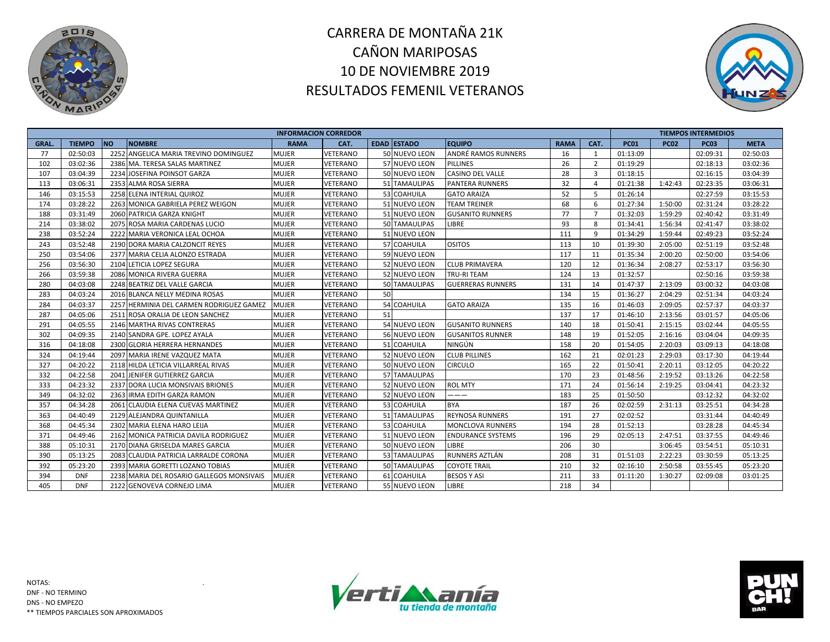



|              |               |                                           | <b>INFORMACION CORREDOR</b> |                 |    |                    |                          |             |                |             |             | <b>TIEMPOS INTERMEDIOS</b> |             |
|--------------|---------------|-------------------------------------------|-----------------------------|-----------------|----|--------------------|--------------------------|-------------|----------------|-------------|-------------|----------------------------|-------------|
| <b>GRAL.</b> | <b>TIEMPO</b> | <b>NO</b><br><b>NOMBRE</b>                | <b>RAMA</b>                 | CAT.            |    | <b>EDAD ESTADO</b> | <b>EQUIPO</b>            | <b>RAMA</b> | CAT.           | <b>PC01</b> | <b>PC02</b> | <b>PC03</b>                | <b>META</b> |
| 77           | 02:50:03      | 2252 ANGELICA MARIA TREVINO DOMINGUEZ     | <b>MUJER</b>                | VETERANO        |    | 50 NUEVO LEON      | ANDRÉ RAMOS RUNNERS      | 16          | 1              | 01:13:09    |             | 02:09:31                   | 02:50:03    |
| 102          | 03:02:36      | 2386 MA. TERESA SALAS MARTINEZ            | <b>MUJER</b>                | <b>VETERANO</b> |    | 57 NUEVO LEON      | <b>PILLINES</b>          | 26          | $\overline{2}$ | 01:19:29    |             | 02:18:13                   | 03:02:36    |
| 107          | 03:04:39      | 2234 JOSEFINA POINSOT GARZA               | <b>MUJER</b>                | VETERANO        |    | 50 NUEVO LEON      | <b>CASINO DEL VALLE</b>  | 28          | $\overline{3}$ | 01:18:15    |             | 02:16:15                   | 03:04:39    |
| 113          | 03:06:31      | 2353 ALMA ROSA SIERRA                     | <b>MUJER</b>                | VETERANO        | 51 | <b>TAMAULIPAS</b>  | <b>PANTERA RUNNERS</b>   | 32          | $\overline{a}$ | 01:21:38    | 1:42:43     | 02:23:35                   | 03:06:31    |
| 146          | 03:15:53      | 2258 ELENA INTERIAL QUIROZ                | MUJER                       | VETERANO        |    | 53 COAHUILA        | <b>GATO ARAIZA</b>       | 52          | 5              | 01:26:14    |             | 02:27:59                   | 03:15:53    |
| 174          | 03:28:22      | 2263 MONICA GABRIELA PEREZ WEIGON         | <b>MUJER</b>                | VETERANO        |    | 51 NUEVO LEON      | TEAM TREINER             | 68          | 6              | 01:27:34    | 1:50:00     | 02:31:24                   | 03:28:22    |
| 188          | 03:31:49      | 2060 PATRICIA GARZA KNIGHT                | <b>MUJER</b>                | VETERANO        |    | 51 NUEVO LEON      | <b>GUSANITO RUNNERS</b>  | 77          | $\overline{7}$ | 01:32:03    | 1:59:29     | 02:40:42                   | 03:31:49    |
| 214          | 03:38:02      | 2075 ROSA MARIA CARDENAS LUCIO            | <b>MUJER</b>                | VETERANO        |    | 50 TAMAULIPAS      | <b>LIBRE</b>             | 93          | 8              | 01:34:41    | 1:56:34     | 02:41:47                   | 03:38:02    |
| 238          | 03:52:24      | 2222 MARIA VERONICA LEAL OCHOA            | <b>MUJER</b>                | VETERANO        |    | 51 NUEVO LEON      |                          | 111         | 9              | 01:34:29    | 1:59:44     | 02:49:23                   | 03:52:24    |
| 243          | 03:52:48      | 2190 DORA MARIA CALZONCIT REYES           | <b>MUJER</b>                | VETERANO        |    | 57 COAHUILA        | <b>OSITOS</b>            | 113         | 10             | 01:39:30    | 2:05:00     | 02:51:19                   | 03:52:48    |
| 250          | 03:54:06      | 2377 MARIA CELIA ALONZO ESTRADA           | <b>MUJER</b>                | VETERANO        |    | 59 NUEVO LEON      |                          | 117         | 11             | 01:35:34    | 2:00:20     | 02:50:00                   | 03:54:06    |
| 256          | 03:56:30      | 2104 LETICIA LOPEZ SEGURA                 | <b>MUJER</b>                | VETERANO        |    | 52 NUEVO LEON      | <b>CLUB PRIMAVERA</b>    | 120         | 12             | 01:36:34    | 2:08:27     | 02:53:17                   | 03:56:30    |
| 266          | 03:59:38      | 2086 MONICA RIVERA GUERRA                 | <b>MUJER</b>                | VETERANO        |    | 52 NUEVO LEON      | <b>TRU-RITEAM</b>        | 124         | 13             | 01:32:57    |             | 02:50:16                   | 03:59:38    |
| 280          | 04:03:08      | 2248 BEATRIZ DEL VALLE GARCIA             | <b>MUJER</b>                | VETERANO        |    | 50 TAMAULIPAS      | <b>GUERRERAS RUNNERS</b> | 131         | 14             | 01:47:37    | 2:13:09     | 03:00:32                   | 04:03:08    |
| 283          | 04:03:24      | 2016 BLANCA NELLY MEDINA ROSAS            | <b>MUJER</b>                | VETERANO        | 50 |                    |                          | 134         | 15             | 01:36:27    | 2:04:29     | 02:51:34                   | 04:03:24    |
| 284          | 04:03:37      | 2257 HERMINIA DEL CARMEN RODRIGUEZ GAMEZ  | <b>MUJER</b>                | VETERANO        |    | 54 COAHUILA        | <b>GATO ARAIZA</b>       | 135         | 16             | 01:46:03    | 2:09:05     | 02:57:37                   | 04:03:37    |
| 287          | 04:05:06      | 2511 ROSA ORALIA DE LEON SANCHEZ          | <b>MUJER</b>                | VETERANO        | 51 |                    |                          | 137         | 17             | 01:46:10    | 2:13:56     | 03:01:57                   | 04:05:06    |
| 291          | 04:05:55      | 2146 MARTHA RIVAS CONTRERAS               | <b>MUJER</b>                | VETERANO        |    | 54 NUEVO LEON      | <b>GUSANITO RUNNERS</b>  | 140         | 18             | 01:50:41    | 2:15:15     | 03:02:44                   | 04:05:55    |
| 302          | 04:09:35      | 2140 SANDRA GPE. LOPEZ AYALA              | <b>MUJER</b>                | VETERANO        |    | 56 NUEVO LEON      | <b>GUSANITOS RUNNER</b>  | 148         | 19             | 01:52:05    | 2:16:16     | 03:04:04                   | 04:09:35    |
| 316          | 04:18:08      | 2300 GLORIA HERRERA HERNANDES             | <b>MUJER</b>                | VETERANO        | 51 | <b>COAHUILA</b>    | NINGÚN                   | 158         | 20             | 01:54:05    | 2:20:03     | 03:09:13                   | 04:18:08    |
| 324          | 04:19:44      | 2097 MARIA IRENE VAZQUEZ MATA             | <b>MUJER</b>                | VETERANO        |    | 52 NUEVO LEON      | <b>CLUB PILLINES</b>     | 162         | 21             | 02:01:23    | 2:29:03     | 03:17:30                   | 04:19:44    |
| 327          | 04:20:22      | 2118 HILDA LETICIA VILLARREAL RIVAS       | <b>MUJER</b>                | VETERANO        |    | 50 NUEVO LEON      | <b>CIRCULO</b>           | 165         | 22             | 01:50:41    | 2:20:11     | 03:12:05                   | 04:20:22    |
| 332          | 04:22:58      | 2041 JENIFER GUTIERREZ GARCIA             | <b>MUJER</b>                | VETERANO        |    | 57 TAMAULIPAS      |                          | 170         | 23             | 01:48:56    | 2:19:52     | 03:13:26                   | 04:22:58    |
| 333          | 04:23:32      | 2337 DORA LUCIA MONSIVAIS BRIONES         | <b>MUJER</b>                | VETERANO        |    | 52 NUEVO LEON      | <b>ROL MTY</b>           | 171         | 24             | 01:56:14    | 2:19:25     | 03:04:41                   | 04:23:32    |
| 349          | 04:32:02      | 2363 IRMA EDITH GARZA RAMON               | <b>MUJER</b>                | VETERANO        |    | 52 NUEVO LEON      | ---                      | 183         | 25             | 01:50:50    |             | 03:12:32                   | 04:32:02    |
| 357          | 04:34:28      | 2061 CLAUDIA ELENA CUEVAS MARTINEZ        | <b>MUJER</b>                | VETERANO        |    | 53 COAHUILA        | <b>BYA</b>               | 187         | 26             | 02:02:59    | 2:31:13     | 03:25:51                   | 04:34:28    |
| 363          | 04:40:49      | 2129 ALEJANDRA QUINTANILLA                | <b>MUJER</b>                | VETERANO        | 51 | <b>TAMAULIPAS</b>  | <b>REYNOSA RUNNERS</b>   | 191         | 27             | 02:02:52    |             | 03:31:44                   | 04:40:49    |
| 368          | 04:45:34      | 2302 MARIA ELENA HARO LEIJA               | <b>MUJER</b>                | VETERANO        |    | 53 COAHUILA        | MONCLOVA RUNNERS         | 194         | 28             | 01:52:13    |             | 03:28:28                   | 04:45:34    |
| 371          | 04:49:46      | 2162 MONICA PATRICIA DAVILA RODRIGUEZ     | <b>MUJER</b>                | VETERANO        |    | 51 NUEVO LEON      | <b>ENDURANCE SYSTEMS</b> | 196         | 29             | 02:05:13    | 2:47:51     | 03:37:55                   | 04:49:46    |
| 388          | 05:10:31      | 2170 DIANA GRISELDA MARES GARCIA          | <b>MUJER</b>                | VETERANO        |    | 50 NUEVO LEON      | LIBRE                    | 206         | 30             |             | 3:06:45     | 03:54:51                   | 05:10:31    |
| 390          | 05:13:25      | 2083 CLAUDIA PATRICIA LARRALDE CORONA     | <b>MUJER</b>                | VETERANO        |    | 53 TAMAULIPAS      | RUNNERS AZTLÁN           | 208         | 31             | 01:51:03    | 2:22:23     | 03:30:59                   | 05:13:25    |
| 392          | 05:23:20      | 2393 MARIA GORETTI LOZANO TOBIAS          | <b>MUJER</b>                | VETERANO        |    | 50 TAMAULIPAS      | <b>COYOTE TRAIL</b>      | 210         | 32             | 02:16:10    | 2:50:58     | 03:55:45                   | 05:23:20    |
| 394          | <b>DNF</b>    | 2238 MARIA DEL ROSARIO GALLEGOS MONSIVAIS | <b>MUJER</b>                | VETERANO        | 61 | COAHUILA           | <b>BESOS Y ASI</b>       | 211         | 33             | 01:11:20    | 1:30:27     | 02:09:08                   | 03:01:25    |
| 405          | <b>DNF</b>    | 2122 GENOVEVA CORNEJO LIMA                | <b>MUJER</b>                | VETERANO        |    | 55 NUEVO LEON      | <b>LIBRE</b>             | 218         | 34             |             |             |                            |             |



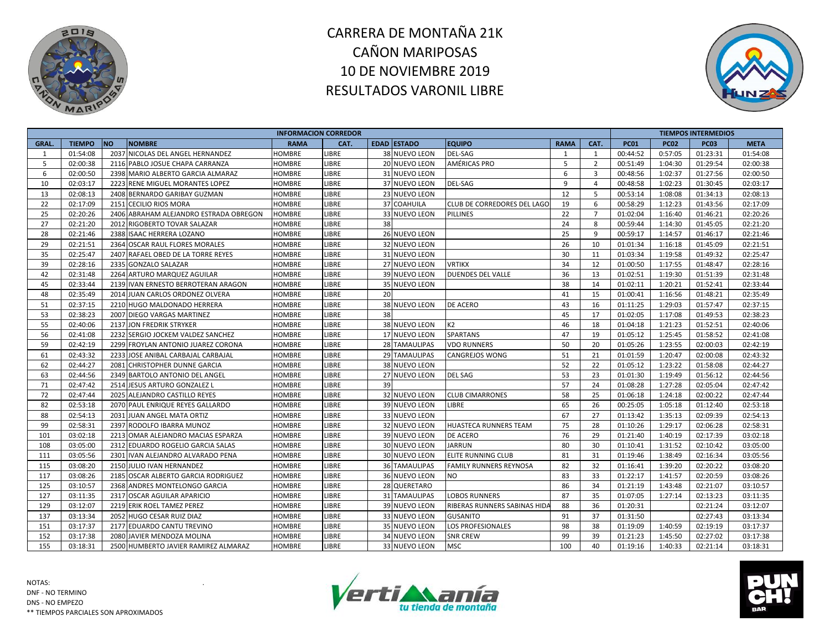



|             |               |                                        |               | <b>INFORMACION CORREDOR</b> |    |                      |                                     |             |                |             |             | <b>TIEMPOS INTERMEDIOS</b> |             |
|-------------|---------------|----------------------------------------|---------------|-----------------------------|----|----------------------|-------------------------------------|-------------|----------------|-------------|-------------|----------------------------|-------------|
| <b>GRAL</b> | <b>TIEMPO</b> | <b>NO</b><br><b>NOMBRE</b>             | <b>RAMA</b>   | CAT.                        |    | <b>EDAD ESTADO</b>   | <b>EQUIPO</b>                       | <b>RAMA</b> | CAT.           | <b>PC01</b> | <b>PC02</b> | <b>PC03</b>                | <b>META</b> |
| 1           | 01:54:08      | 2037 NICOLAS DEL ANGEL HERNANDEZ       | <b>HOMBRE</b> | LIBRE                       |    | 38 NUEVO LEON        | <b>DEL-SAG</b>                      | 1           | 1              | 00:44:52    | 0:57:05     | 01:23:31                   | 01:54:08    |
| 5           | 02:00:38      | 2116 PABLO JOSUE CHAPA CARRANZA        | <b>HOMBRE</b> | <b>LIBRE</b>                |    | <b>20 NUEVO LEON</b> | <b>AMÉRICAS PRO</b>                 | 5           | $\overline{2}$ | 00:51:49    | 1:04:30     | 01:29:54                   | 02:00:38    |
| 6           | 02:00:50      | 2398 MARIO ALBERTO GARCIA ALMARAZ      | <b>HOMBRE</b> | LIBRE                       |    | 31 NUEVO LEON        |                                     | 6           | 3              | 00:48:56    | 1:02:37     | 01:27:56                   | 02:00:50    |
| 10          | 02:03:17      | 2223 RENE MIGUEL MORANTES LOPEZ        | HOMBRE        | LIBRE                       |    | 37 NUEVO LEON        | <b>DEL-SAG</b>                      | 9           | $\overline{4}$ | 00:48:58    | 1:02:23     | 01:30:45                   | 02:03:17    |
| 13          | 02:08:13      | 2408 BERNARDO GARIBAY GUZMAN           | HOMBRE        | LIBRE                       |    | 23 NUEVO LEON        |                                     | 12          | 5              | 00:53:14    | 1:08:08     | 01:34:13                   | 02:08:13    |
| 22          | 02:17:09      | 2151 CECILIO RIOS MORA                 | HOMBRE        | LIBRE                       |    | 37 COAHUILA          | CLUB DE CORREDORES DEL LAGO         | 19          | 6              | 00:58:29    | 1:12:23     | 01:43:56                   | 02:17:09    |
| 25          | 02:20:26      | 2406 ABRAHAM ALEJANDRO ESTRADA OBREGON | <b>HOMBRE</b> | LIBRE                       |    | 33 NUEVO LEON        | <b>PILLINES</b>                     | 22          | $\overline{7}$ | 01:02:04    | 1:16:40     | 01:46:21                   | 02:20:26    |
| 27          | 02:21:20      | 2012 RIGOBERTO TOVAR SALAZAR           | <b>HOMBRE</b> | LIBRE                       | 38 |                      |                                     | 24          | 8              | 00:59:44    | 1:14:30     | 01:45:05                   | 02:21:20    |
| 28          | 02:21:46      | 2388 ISAAC HERRERA LOZANO              | <b>HOMBRE</b> | LIBRE                       |    | 26 NUEVO LEON        |                                     | 25          | 9              | 00:59:17    | 1:14:57     | 01:46:17                   | 02:21:46    |
| 29          | 02:21:51      | 2364 OSCAR RAUL FLORES MORALES         | HOMBRE        | LIBRE                       |    | 32 NUEVO LEON        |                                     | 26          | 10             | 01:01:34    | 1:16:18     | 01:45:09                   | 02:21:51    |
| 35          | 02:25:47      | 2407 RAFAEL OBED DE LA TORRE REYES     | HOMBRE        | LIBRE                       |    | 31 NUEVO LEON        |                                     | 30          | 11             | 01:03:34    | 1:19:58     | 01:49:32                   | 02:25:47    |
| 39          | 02:28:16      | 2335 GONZALO SALAZAR                   | <b>HOMBRE</b> | LIBRE                       |    | 27 NUEVO LEON        | <b>VRTIKX</b>                       | 34          | 12             | 01:00:50    | 1:17:55     | 01:48:47                   | 02:28:16    |
| 42          | 02:31:48      | 2264 ARTURO MARQUEZ AGUILAR            | HOMBRE        | LIBRE                       |    | 39 NUEVO LEON        | <b>DUENDES DEL VALLE</b>            | 36          | 13             | 01:02:51    | 1:19:30     | 01:51:39                   | 02:31:48    |
| 45          | 02:33:44      | 2139 IVAN ERNESTO BERROTERAN ARAGON    | HOMBRE        | LIBRE                       |    | 35 NUEVO LEON        |                                     | 38          | 14             | 01:02:11    | 1:20:21     | 01:52:41                   | 02:33:44    |
| 48          | 02:35:49      | 2014 JUAN CARLOS ORDONEZ OLVERA        | HOMBRE        | LIBRE                       | 20 |                      |                                     | 41          | 15             | 01:00:41    | 1:16:56     | 01:48:21                   | 02:35:49    |
| 51          | 02:37:15      | 2210 HUGO MALDONADO HERRERA            | <b>HOMBRE</b> | <b>LIBRE</b>                |    | 38 NUEVO LEON        | DE ACERO                            | 43          | 16             | 01:11:25    | 1:29:03     | 01:57:47                   | 02:37:15    |
| 53          | 02:38:23      | 2007 DIEGO VARGAS MARTINEZ             | <b>HOMBRE</b> | <b>LIBRE</b>                | 38 |                      |                                     | 45          | 17             | 01:02:05    | 1:17:08     | 01:49:53                   | 02:38:23    |
| 55          | 02:40:06      | 2137 JON FREDRIK STRYKER               | <b>HOMBRE</b> | LIBRE                       |    | 38 NUEVO LEON        | K <sub>2</sub>                      | 46          | 18             | 01:04:18    | 1:21:23     | 01:52:51                   | 02:40:06    |
| 56          | 02:41:08      | 2232 SERGIO JOCKEM VALDEZ SANCHEZ      | <b>HOMBRE</b> | LIBRE                       |    | 17 NUEVO LEON        | <b>SPARTANS</b>                     | 47          | 19             | 01:05:12    | 1:25:45     | 01:58:52                   | 02:41:08    |
| 59          | 02:42:19      | 2299 FROYLAN ANTONIO JUAREZ CORONA     | HOMBRE        | LIBRE                       |    | 28 TAMAULIPAS        | <b>VDO RUNNERS</b>                  | 50          | 20             | 01:05:26    | 1:23:55     | 02:00:03                   | 02:42:19    |
| 61          | 02:43:32      | 2233 JOSE ANIBAL CARBAJAL CARBAJAL     | HOMBRE        | LIBRE                       |    | 29 TAMAULIPAS        | <b>CANGREJOS WONG</b>               | 51          | 21             | 01:01:59    | 1:20:47     | 02:00:08                   | 02:43:32    |
| 62          | 02:44:27      | 2081 CHRISTOPHER DUNNE GARCIA          | <b>HOMBRE</b> | <b>LIBRE</b>                |    | 38 NUEVO LEON        |                                     | 52          | 22             | 01:05:12    | 1:23:22     | 01:58:08                   | 02:44:27    |
| 63          | 02:44:56      | 2349 BARTOLO ANTONIO DEL ANGEL         | <b>HOMBRE</b> | <b>LIBRE</b>                |    | 27 NUEVO LEON        | <b>DEL SAG</b>                      | 53          | 23             | 01:01:30    | 1:19:49     | 01:56:12                   | 02:44:56    |
| 71          | 02:47:42      | 2514 JESUS ARTURO GONZALEZ L           | <b>HOMBRE</b> | <b>LIBRE</b>                | 39 |                      |                                     | 57          | 24             | 01:08:28    | 1:27:28     | 02:05:04                   | 02:47:42    |
| 72          | 02:47:44      | 2025 ALEJANDRO CASTILLO REYES          | HOMBRE        | LIBRE                       |    | 32 NUEVO LEON        | <b>CLUB CIMARRONES</b>              | 58          | 25             | 01:06:18    | 1:24:18     | 02:00:22                   | 02:47:44    |
| 82          | 02:53:18      | 2070 PAUL ENRIQUE REYES GALLARDO       | HOMBRE        | LIBRE                       |    | 39 NUEVO LEON        | LIBRE                               | 65          | 26             | 00:25:05    | 1:05:18     | 01:12:40                   | 02:53:18    |
| 88          | 02:54:13      | 2031 JUAN ANGEL MATA ORTIZ             | HOMBRE        | LIBRE                       |    | 33 NUEVO LEON        |                                     | 67          | 27             | 01:13:42    | 1:35:13     | 02:09:39                   | 02:54:13    |
| 99          | 02:58:31      | 2397 RODOLFO IBARRA MUNOZ              | <b>HOMBRE</b> | LIBRE                       |    | 32 NUEVO LEON        | <b>HUASTECA RUNNERS TEAM</b>        | 75          | 28             | 01:10:26    | 1:29:17     | 02:06:28                   | 02:58:31    |
| 101         | 03:02:18      | 2213 OMAR ALEJANDRO MACIAS ESPARZA     | HOMBRE        | LIBRE                       |    | 39 NUEVO LEON        | <b>DE ACERO</b>                     | 76          | 29             | 01:21:40    | 1:40:19     | 02:17:39                   | 03:02:18    |
| 108         | 03:05:00      | 2312 EDUARDO ROGELIO GARCIA SALAS      | HOMBRE        | LIBRE                       |    | 30 NUEVO LEON        | <b>JARRUN</b>                       | 80          | 30             | 01:10:41    | 1:31:52     | 02:10:42                   | 03:05:00    |
| 111         | 03:05:56      | 2301 IVAN ALEJANDRO ALVARADO PENA      | HOMBRE        | <b>LIBRE</b>                |    | <b>30 NUEVO LEON</b> | <b>ELITE RUNNING CLUB</b>           | 81          | 31             | 01:19:46    | 1:38:49     | 02:16:34                   | 03:05:56    |
| 115         | 03:08:20      | 2150 JULIO IVAN HERNANDEZ              | HOMBRE        | LIBRE                       |    | <b>36 TAMAULIPAS</b> | <b>FAMILY RUNNERS REYNOSA</b>       | 82          | 32             | 01:16:41    | 1:39:20     | 02:20:22                   | 03:08:20    |
| 117         | 03:08:26      | 2185 OSCAR ALBERTO GARCIA RODRIGUEZ    | <b>HOMBRE</b> | LIBRE                       |    | 36 NUEVO LEON        | NO.                                 | 83          | 33             | 01:22:17    | 1:41:57     | 02:20:59                   | 03:08:26    |
| 125         | 03:10:57      | 2368 ANDRES MONTELONGO GARCIA          | HOMBRE        | <b>LIBRE</b>                |    | 28 QUERETARO         |                                     | 86          | 34             | 01:21:19    | 1:43:48     | 02:21:07                   | 03:10:57    |
| 127         | 03:11:35      | 2317 OSCAR AGUILAR APARICIO            | HOMBRE        | LIBRE                       |    | 31 TAMAULIPAS        | <b>LOBOS RUNNERS</b>                | 87          | 35             | 01:07:05    | 1:27:14     | 02:13:23                   | 03:11:35    |
| 129         | 03:12:07      | 2219 ERIK ROEL TAMEZ PEREZ             | HOMBRE        | <b>LIBRE</b>                |    | 39 NUEVO LEON        | <b>RIBERAS RUNNERS SABINAS HIDA</b> | 88          | 36             | 01:20:31    |             | 02:21:24                   | 03:12:07    |
| 137         | 03:13:34      | 2052 HUGO CESAR RUIZ DIAZ              | <b>HOMBRE</b> | <b>LIBRE</b>                |    | 33 NUEVO LEON        | <b>GUSANITO</b>                     | 91          | 37             | 01:31:50    |             | 02:27:43                   | 03:13:34    |
| 151         | 03:17:37      | 2177 EDUARDO CANTU TREVINO             | <b>HOMBRE</b> | <b>LIBRE</b>                |    | 35 NUEVO LEON        | LOS PROFESIONALES                   | 98          | 38             | 01:19:09    | 1:40:59     | 02:19:19                   | 03:17:37    |
| 152         | 03:17:38      | 2080 JAVIER MENDOZA MOLINA             | <b>HOMBRE</b> | <b>LIBRE</b>                |    | 34 NUEVO LEON        | <b>SNR CREW</b>                     | 99          | 39             | 01:21:23    | 1:45:50     | 02:27:02                   | 03:17:38    |
| 155         | 03:18:31      | 2500 HUMBERTO JAVIER RAMIREZ ALMARAZ   | <b>HOMBRE</b> | LIBRE                       |    | 33 NUEVO LEON        | MSC.                                | 100         | 40             | 01:19:16    | 1:40:33     | 02:21:14                   | 03:18:31    |



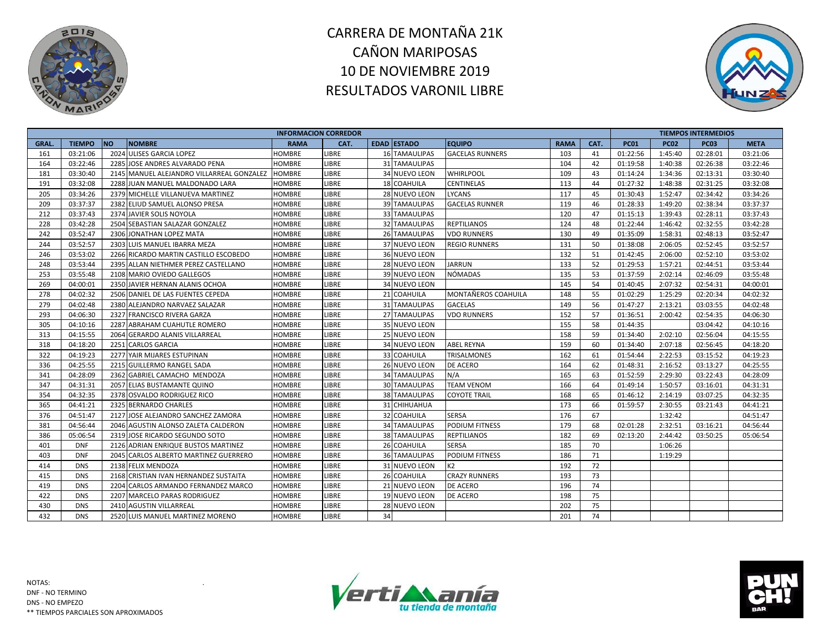



|             |               |                                           | <b>INFORMACION CORREDOR</b> |              |    |                      |                        |             |      |             |             | <b>TIEMPOS INTERMEDIOS</b> |             |
|-------------|---------------|-------------------------------------------|-----------------------------|--------------|----|----------------------|------------------------|-------------|------|-------------|-------------|----------------------------|-------------|
| <b>GRAL</b> | <b>TIEMPO</b> | <b>NO</b><br><b>NOMBRE</b>                | <b>RAMA</b>                 | CAT.         |    | <b>EDAD ESTADO</b>   | <b>EQUIPO</b>          | <b>RAMA</b> | CAT. | <b>PC01</b> | <b>PC02</b> | <b>PC03</b>                | <b>META</b> |
| 161         | 03:21:06      | 2024 ULISES GARCIA LOPEZ                  | <b>HOMBRE</b>               | LIBRE        |    | <b>16 TAMAULIPAS</b> | <b>GACELAS RUNNERS</b> | 103         | 41   | 01:22:56    | 1:45:40     | 02:28:01                   | 03:21:06    |
| 164         | 03:22:46      | 2285 JOSE ANDRES ALVARADO PENA            | <b>HOMBRE</b>               | LIBRE        |    | 31 TAMAULIPAS        |                        | 104         | 42   | 01:19:58    | 1:40:38     | 02:26:38                   | 03:22:46    |
| 181         | 03:30:40      | 2145 MANUEL ALEJANDRO VILLARREAL GONZALEZ | <b>HOMBRE</b>               | LIBRE        |    | 34 NUEVO LEON        | <b>WHIRLPOOL</b>       | 109         | 43   | 01:14:24    | 1:34:36     | 02:13:31                   | 03:30:40    |
| 191         | 03:32:08      | 2288 JUAN MANUEL MALDONADO LARA           | <b>HOMBRE</b>               | LIBRE        |    | 18 COAHUILA          | CENTINELAS             | 113         | 44   | 01:27:32    | 1:48:38     | 02:31:25                   | 03:32:08    |
| 205         | 03:34:26      | 2379 MICHELLE VILLANUEVA MARTINEZ         | <b>HOMBRE</b>               | <b>LIBRE</b> |    | 28 NUEVO LEON        | <b>LYCANS</b>          | 117         | 45   | 01:30:43    | 1:52:47     | 02:34:42                   | 03:34:26    |
| 209         | 03:37:37      | 2382 ELIUD SAMUEL ALONSO PRESA            | <b>HOMBRE</b>               | LIBRE        |    | <b>39 TAMAULIPAS</b> | <b>GACELAS RUNNER</b>  | 119         | 46   | 01:28:33    | 1:49:20     | 02:38:34                   | 03:37:37    |
| 212         | 03:37:43      | 2374 JAVIER SOLIS NOYOLA                  | <b>HOMBRE</b>               | LIBRE        |    | 33 TAMAULIPAS        |                        | 120         | 47   | 01:15:13    | 1:39:43     | 02:28:11                   | 03:37:43    |
| 228         | 03:42:28      | 2504 SEBASTIAN SALAZAR GONZALEZ           | <b>HOMBRE</b>               | LIBRE        |    | <b>32 TAMAULIPAS</b> | <b>REPTILIANOS</b>     | 124         | 48   | 01:22:44    | 1:46:42     | 02:32:55                   | 03:42:28    |
| 242         | 03:52:47      | 2306 JONATHAN LOPEZ MATA                  | <b>HOMBRE</b>               | LIBRE        |    | 26 TAMAULIPAS        | <b>VDO RUNNERS</b>     | 130         | 49   | 01:35:09    | 1:58:31     | 02:48:13                   | 03:52:47    |
| 244         | 03:52:57      | 2303 LUIS MANUEL IBARRA MEZA              | <b>HOMBRE</b>               | LIBRE        |    | 37 NUEVO LEON        | <b>REGIO RUNNERS</b>   | 131         | 50   | 01:38:08    | 2:06:05     | 02:52:45                   | 03:52:57    |
| 246         | 03:53:02      | 2266 RICARDO MARTIN CASTILLO ESCOBEDO     | <b>HOMBRE</b>               | LIBRE        |    | 36 NUEVO LEON        |                        | 132         | 51   | 01:42:45    | 2:06:00     | 02:52:10                   | 03:53:02    |
| 248         | 03:53:44      | 2395 ALLAN NIETHMER PEREZ CASTELLANO      | <b>HOMBRE</b>               | <b>LIBRE</b> |    | 28 NUEVO LEON        | <b>JARRUN</b>          | 133         | 52   | 01:29:53    | 1:57:21     | 02:44:51                   | 03:53:44    |
| 253         | 03:55:48      | 2108 MARIO OVIEDO GALLEGOS                | <b>HOMBRE</b>               | LIBRE        |    | 39 NUEVO LEON        | NÓMADAS                | 135         | 53   | 01:37:59    | 2:02:14     | 02:46:09                   | 03:55:48    |
| 269         | 04:00:01      | 2350 JAVIER HERNAN ALANIS OCHOA           | <b>HOMBRE</b>               | LIBRE        |    | 34 NUEVO LEON        |                        | 145         | 54   | 01:40:45    | 2:07:32     | 02:54:31                   | 04:00:01    |
| 278         | 04:02:32      | 2506 DANIEL DE LAS FUENTES CEPEDA         | <b>HOMBRE</b>               | <b>LIBRE</b> |    | 21 COAHUILA          | MONTAÑEROS COAHUILA    | 148         | 55   | 01:02:29    | 1:25:29     | 02:20:34                   | 04:02:32    |
| 279         | 04:02:48      | 2380 ALEJANDRO NARVAEZ SALAZAR            | <b>HOMBRE</b>               | LIBRE        |    | 31 TAMAULIPAS        | <b>GACELAS</b>         | 149         | 56   | 01:47:27    | 2:13:21     | 03:03:55                   | 04:02:48    |
| 293         | 04:06:30      | 2327 FRANCISCO RIVERA GARZA               | <b>HOMBRE</b>               | LIBRE        |    | 27 TAMAULIPAS        | <b>VDO RUNNERS</b>     | 152         | 57   | 01:36:51    | 2:00:42     | 02:54:35                   | 04:06:30    |
| 305         | 04:10:16      | 2287 ABRAHAM CUAHUTLE ROMERO              | <b>HOMBRE</b>               | LIBRE        |    | 35 NUEVO LEON        |                        | 155         | 58   | 01:44:35    |             | 03:04:42                   | 04:10:16    |
| 313         | 04:15:55      | 2064 GERARDO ALANIS VILLARREAL            | <b>HOMBRE</b>               | <b>LIBRE</b> |    | 25 NUEVO LEON        |                        | 158         | 59   | 01:34:40    | 2:02:10     | 02:56:04                   | 04:15:55    |
| 318         | 04:18:20      | 2251 CARLOS GARCIA                        | <b>HOMBRE</b>               | LIBRE        |    | 34 NUEVO LEON        | <b>ABEL REYNA</b>      | 159         | 60   | 01:34:40    | 2:07:18     | 02:56:45                   | 04:18:20    |
| 322         | 04:19:23      | 2277 YAIR MIJARES ESTUPINAN               | <b>HOMBRE</b>               | LIBRE        |    | 33 COAHUILA          | TRISALMONES            | 162         | 61   | 01:54:44    | 2:22:53     | 03:15:52                   | 04:19:23    |
| 336         | 04:25:55      | 2215 GUILLERMO RANGEL SADA                | <b>HOMBRE</b>               | <b>LIBRE</b> |    | <b>26 NUEVO LEON</b> | <b>DE ACERO</b>        | 164         | 62   | 01:48:31    | 2:16:52     | 03:13:27                   | 04:25:55    |
| 341         | 04:28:09      | 2362 GABRIEL CAMACHO MENDOZA              | <b>HOMBRE</b>               | <b>LIBRE</b> |    | <b>34 TAMAULIPAS</b> | N/A                    | 165         | 63   | 01:52:59    | 2:29:30     | 03:22:43                   | 04:28:09    |
| 347         | 04:31:31      | 2057 ELIAS BUSTAMANTE QUINO               | <b>HOMBRE</b>               | LIBRE        |    | <b>30 TAMAULIPAS</b> | <b>TEAM VENOM</b>      | 166         | 64   | 01:49:14    | 1:50:57     | 03:16:01                   | 04:31:31    |
| 354         | 04:32:35      | 2378 OSVALDO RODRIGUEZ RICO               | <b>HOMBRE</b>               | <b>LIBRE</b> |    | 38 TAMAULIPAS        | <b>COYOTE TRAIL</b>    | 168         | 65   | 01:46:12    | 2:14:19     | 03:07:25                   | 04:32:35    |
| 365         | 04:41:21      | 2325 BERNARDO CHARLES                     | <b>HOMBRE</b>               | LIBRE        |    | 31 CHIHUAHUA         |                        | 173         | 66   | 01:59:57    | 2:30:55     | 03:21:43                   | 04:41:21    |
| 376         | 04:51:47      | 2127 JOSE ALEJANDRO SANCHEZ ZAMORA        | <b>HOMBRE</b>               | LIBRE        |    | 32 COAHUILA          | <b>SERSA</b>           | 176         | 67   |             | 1:32:42     |                            | 04:51:47    |
| 381         | 04:56:44      | 2046 AGUSTIN ALONSO ZALETA CALDERON       | <b>HOMBRE</b>               | LIBRE        |    | <b>34 TAMAULIPAS</b> | <b>PODIUM FITNESS</b>  | 179         | 68   | 02:01:28    | 2:32:51     | 03:16:21                   | 04:56:44    |
| 386         | 05:06:54      | 2319 JOSE RICARDO SEGUNDO SOTO            | <b>HOMBRE</b>               | LIBRE        |    | 38 TAMAULIPAS        | <b>REPTILIANOS</b>     | 182         | 69   | 02:13:20    | 2:44:42     | 03:50:25                   | 05:06:54    |
| 401         | <b>DNF</b>    | 2126 ADRIAN ENRIQUE BUSTOS MARTINEZ       | <b>HOMBRE</b>               | LIBRE        |    | 26 COAHUILA          | <b>SERSA</b>           | 185         | 70   |             | 1:06:26     |                            |             |
| 403         | <b>DNF</b>    | 2045 CARLOS ALBERTO MARTINEZ GUERRERO     | <b>HOMBRE</b>               | <b>LIBRE</b> |    | 36 TAMAULIPAS        | <b>PODIUM FITNESS</b>  | 186         | 71   |             | 1:19:29     |                            |             |
| 414         | <b>DNS</b>    | 2138 FELIX MENDOZA                        | <b>HOMBRE</b>               | LIBRE        |    | 31 NUEVO LEON        | K <sub>2</sub>         | 192         | 72   |             |             |                            |             |
| 415         | <b>DNS</b>    | 2168 CRISTIAN IVAN HERNANDEZ SUSTAITA     | HOMBRE                      | LIBRE        |    | 26 COAHUILA          | <b>CRAZY RUNNERS</b>   | 193         | 73   |             |             |                            |             |
| 419         | <b>DNS</b>    | 2204 CARLOS ARMANDO FERNANDEZ MARCO       | <b>HOMBRE</b>               | LIBRE        |    | 21 NUEVO LEON        | <b>DE ACERO</b>        | 196         | 74   |             |             |                            |             |
| 422         | <b>DNS</b>    | 2207 MARCELO PARAS RODRIGUEZ              | <b>HOMBRE</b>               | LIBRE        |    | 19 NUEVO LEON        | <b>DE ACERO</b>        | 198         | 75   |             |             |                            |             |
| 430         | <b>DNS</b>    | 2410 AGUSTIN VILLARREAL                   | <b>HOMBRE</b>               | LIBRE        |    | 28 NUEVO LEON        |                        | 202         | 75   |             |             |                            |             |
| 432         | <b>DNS</b>    | 2520 LUIS MANUEL MARTINEZ MORENO          | <b>HOMBRE</b>               | LIBRE        | 34 |                      |                        | 201         | 74   |             |             |                            |             |



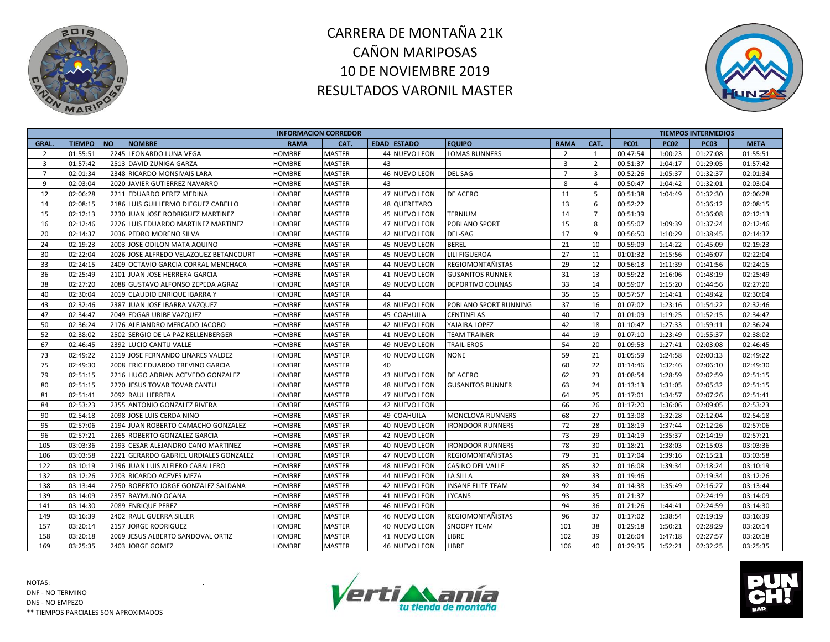



|                |               |                                        |               | <b>INFORMACION CORREDOR</b> |                    |                          |                |                |             |             | <b>TIEMPOS INTERMEDIOS</b> |             |
|----------------|---------------|----------------------------------------|---------------|-----------------------------|--------------------|--------------------------|----------------|----------------|-------------|-------------|----------------------------|-------------|
| GRAL.          | <b>TIEMPO</b> | <b>NO</b><br><b>NOMBRE</b>             | <b>RAMA</b>   | CAT.                        | <b>EDAD ESTADO</b> | <b>EQUIPO</b>            | <b>RAMA</b>    | CAT.           | <b>PC01</b> | <b>PC02</b> | <b>PC03</b>                | <b>META</b> |
| 2              | 01:55:51      | 2245 LEONARDO LUNA VEGA                | <b>HOMBRE</b> | <b>MASTER</b>               | 44 NUEVO LEON      | <b>LOMAS RUNNERS</b>     | $\overline{2}$ | 1              | 00:47:54    | 1:00:23     | 01:27:08                   | 01:55:51    |
| $\overline{3}$ | 01:57:42      | 2513 DAVID ZUNIGA GARZA                | HOMBRE        | <b>MASTER</b>               | 43                 |                          | $\overline{3}$ | 2              | 00:51:37    | 1:04:17     | 01:29:05                   | 01:57:42    |
| $\overline{7}$ | 02:01:34      | 2348 RICARDO MONSIVAIS LARA            | HOMBRE        | <b>MASTER</b>               | 46 NUEVO LEON      | <b>DEL SAG</b>           | $\overline{7}$ | $\overline{3}$ | 00:52:26    | 1:05:37     | 01:32:37                   | 02:01:34    |
| 9              | 02:03:04      | 2020 JAVIER GUTIERREZ NAVARRO          | HOMBRE        | <b>MASTER</b>               | 43                 |                          | 8              | $\overline{4}$ | 00:50:47    | 1:04:42     | 01:32:01                   | 02:03:04    |
| 12             | 02:06:28      | 2211 EDUARDO PEREZ MEDINA              | HOMBRE        | <b>MASTER</b>               | 47 NUEVO LEON      | <b>DE ACERO</b>          | 11             | 5              | 00:51:38    | 1:04:49     | 01:32:30                   | 02:06:28    |
| 14             | 02:08:15      | 2186 LUIS GUILLERMO DIEGUEZ CABELLO    | HOMBRE        | <b>MASTER</b>               | 48 QUERETARO       |                          | 13             | 6              | 00:52:22    |             | 01:36:12                   | 02:08:15    |
| 15             | 02:12:13      | 2230 JUAN JOSE RODRIGUEZ MARTINEZ      | <b>HOMBRE</b> | <b>MASTER</b>               | 45 NUEVO LEON      | <b>TERNIUM</b>           | 14             | $\overline{7}$ | 00:51:39    |             | 01:36:08                   | 02:12:13    |
| 16             | 02:12:46      | 2226 LUIS EDUARDO MARTINEZ MARTINEZ    | <b>HOMBRE</b> | <b>MASTER</b>               | 47 NUEVO LEON      | POBLANO SPORT            | 15             | 8              | 00:55:07    | 1:09:39     | 01:37:24                   | 02:12:46    |
| 20             | 02:14:37      | 2036 PEDRO MORENO SILVA                | <b>HOMBRE</b> | <b>MASTER</b>               | 42 NUEVO LEON      | <b>DEL-SAG</b>           | 17             | 9              | 00:56:50    | 1:10:29     | 01:38:45                   | 02:14:37    |
| 24             | 02:19:23      | 2003 JOSE ODILON MATA AQUINO           | HOMBRE        | <b>MASTER</b>               | 45 NUEVO LEON      | <b>BEREL</b>             | 21             | 10             | 00:59:09    | 1:14:22     | 01:45:09                   | 02:19:23    |
| 30             | 02:22:04      | 2026 JOSE ALFREDO VELAZQUEZ BETANCOURT | HOMBRE        | <b>MASTER</b>               | 45 NUEVO LEON      | <b>LILI FIGUEROA</b>     | 27             | 11             | 01:01:32    | 1:15:56     | 01:46:07                   | 02:22:04    |
| 33             | 02:24:15      | 2409 OCTAVIO GARCIA CORRAL MENCHACA    | <b>HOMBRE</b> | <b>MASTER</b>               | 44 NUEVO LEON      | <b>REGIOMONTAÑISTAS</b>  | 29             | 12             | 00:56:13    | 1:11:39     | 01:41:56                   | 02:24:15    |
| 36             | 02:25:49      | 2101 JUAN JOSE HERRERA GARCIA          | <b>HOMBRE</b> | <b>MASTER</b>               | 41 NUEVO LEON      | <b>GUSANITOS RUNNER</b>  | 31             | 13             | 00:59:22    | 1:16:06     | 01:48:19                   | 02:25:49    |
| 38             | 02:27:20      | 2088 GUSTAVO ALFONSO ZEPEDA AGRAZ      | HOMBRE        | <b>MASTER</b>               | 49 NUEVO LEON      | <b>DEPORTIVO COLINAS</b> | 33             | 14             | 00:59:07    | 1:15:20     | 01:44:56                   | 02:27:20    |
| 40             | 02:30:04      | 2019 CLAUDIO ENRIQUE IBARRA Y          | HOMBRE        | MASTER                      | 44                 |                          | 35             | 15             | 00:57:57    | 1:14:41     | 01:48:42                   | 02:30:04    |
| 43             | 02:32:46      | 2387 JUAN JOSE IBARRA VAZQUEZ          | HOMBRE        | <b>MASTER</b>               | 48 NUEVO LEON      | POBLANO SPORT RUNNING    | 37             | 16             | 01:07:02    | 1:23:16     | 01:54:22                   | 02:32:46    |
| 47             | 02:34:47      | 2049 EDGAR URIBE VAZQUEZ               | HOMBRE        | <b>MASTER</b>               | 45 COAHUILA        | <b>CENTINELAS</b>        | 40             | 17             | 01:01:09    | 1:19:25     | 01:52:15                   | 02:34:47    |
| 50             | 02:36:24      | 2176 ALEJANDRO MERCADO JACOBO          | HOMBRE        | <b>MASTER</b>               | 42 NUEVO LEON      | YAJAIRA LOPEZ            | 42             | 18             | 01:10:47    | 1:27:33     | 01:59:11                   | 02:36:24    |
| 52             | 02:38:02      | 2502 SERGIO DE LA PAZ KELLENBERGER     | <b>HOMBRE</b> | <b>MASTER</b>               | 41 NUEVO LEON      | <b>TEAM TRAINER</b>      | 44             | 19             | 01:07:10    | 1:23:49     | 01:55:37                   | 02:38:02    |
| 67             | 02:46:45      | 2392 LUCIO CANTU VALLE                 | HOMBRE        | <b>MASTER</b>               | 49 NUEVO LEON      | TRAIL-EROS               | 54             | 20             | 01:09:53    | 1:27:41     | 02:03:08                   | 02:46:45    |
| 73             | 02:49:22      | 2119 JOSE FERNANDO LINARES VALDEZ      | HOMBRE        | <b>MASTER</b>               | 40 NUEVO LEON      | <b>NONE</b>              | 59             | 21             | 01:05:59    | 1:24:58     | 02:00:13                   | 02:49:22    |
| 75             | 02:49:30      | 2008 ERIC EDUARDO TREVINO GARCIA       | <b>HOMBRE</b> | <b>MASTER</b>               | 40                 |                          | 60             | 22             | 01:14:46    | 1:32:46     | 02:06:10                   | 02:49:30    |
| 79             | 02:51:15      | 2216 HUGO ADRIAN ACEVEDO GONZALEZ      | HOMBRE        | <b>MASTER</b>               | 43 NUEVO LEON      | DE ACERO                 | 62             | 23             | 01:08:54    | 1:28:59     | 02:02:59                   | 02:51:15    |
| 80             | 02:51:15      | 2270 JESUS TOVAR TOVAR CANTU           | HOMBRE        | <b>MASTER</b>               | 48 NUEVO LEON      | <b>GUSANITOS RUNNER</b>  | 63             | 24             | 01:13:13    | 1:31:05     | 02:05:32                   | 02:51:15    |
| 81             | 02:51:41      | 2092 RAUL HERRERA                      | HOMBRE        | <b>MASTER</b>               | 47 NUEVO LEON      |                          | 64             | 25             | 01:17:01    | 1:34:57     | 02:07:26                   | 02:51:41    |
| 84             | 02:53:23      | 2355 ANTONIO GONZALEZ RIVERA           | HOMBRE        | <b>MASTER</b>               | 42 NUEVO LEON      |                          | 66             | 26             | 01:17:20    | 1:36:06     | 02:09:05                   | 02:53:23    |
| 90             | 02:54:18      | 2098 JOSE LUIS CERDA NINO              | <b>HOMBRE</b> | <b>MASTER</b>               | 49 COAHUILA        | <b>MONCLOVA RUNNERS</b>  | 68             | 27             | 01:13:08    | 1:32:28     | 02:12:04                   | 02:54:18    |
| 95             | 02:57:06      | 2194 JUAN ROBERTO CAMACHO GONZALEZ     | <b>HOMBRE</b> | <b>MASTER</b>               | 40 NUEVO LEON      | <b>IRONDOOR RUNNERS</b>  | 72             | 28             | 01:18:19    | 1:37:44     | 02:12:26                   | 02:57:06    |
| 96             | 02:57:21      | 2265 ROBERTO GONZALEZ GARCIA           | <b>HOMBRE</b> | <b>MASTER</b>               | 42 NUEVO LEON      |                          | 73             | 29             | 01:14:19    | 1:35:37     | 02:14:19                   | 02:57:21    |
| 105            | 03:03:36      | 2193 CESAR ALEJANDRO CANO MARTINEZ     | HOMBRE        | <b>MASTER</b>               | 40 NUEVO LEON      | <b>IRONDOOR RUNNERS</b>  | 78             | 30             | 01:18:21    | 1:38:03     | 02:15:03                   | 03:03:36    |
| 106            | 03:03:58      | 2221 GERARDO GABRIEL URDIALES GONZALEZ | <b>HOMBRE</b> | <b>MASTER</b>               | 47 NUEVO LEON      | <b>REGIOMONTAÑISTAS</b>  | 79             | 31             | 01:17:04    | 1:39:16     | 02:15:21                   | 03:03:58    |
| 122            | 03:10:19      | 2196 JUAN LUIS ALFIERO CABALLERO       | <b>HOMBRE</b> | <b>MASTER</b>               | 48 NUEVO LEON      | <b>CASINO DEL VALLE</b>  | 85             | 32             | 01:16:08    | 1:39:34     | 02:18:24                   | 03:10:19    |
| 132            | 03:12:26      | 2203 RICARDO ACEVES MEZA               | HOMBRE        | <b>MASTER</b>               | 44 NUEVO LEON      | <b>LA SILLA</b>          | 89             | 33             | 01:19:46    |             | 02:19:34                   | 03:12:26    |
| 138            | 03:13:44      | 2250 ROBERTO JORGE GONZALEZ SALDANA    | <b>HOMBRE</b> | <b>MASTER</b>               | 42 NUEVO LEON      | <b>INSANE ELITE TEAM</b> | 92             | 34             | 01:14:38    | 1:35:49     | 02:16:27                   | 03:13:44    |
| 139            | 03:14:09      | 2357 RAYMUNO OCANA                     | HOMBRE        | <b>MASTER</b>               | 41 NUEVO LEON      | <b>LYCANS</b>            | 93             | 35             | 01:21:37    |             | 02:24:19                   | 03:14:09    |
| 141            | 03:14:30      | 2089 ENRIQUE PEREZ                     | HOMBRE        | <b>MASTER</b>               | 46 NUEVO LEON      |                          | 94             | 36             | 01:21:26    | 1:44:41     | 02:24:59                   | 03:14:30    |
| 149            | 03:16:39      | 2402 RAUL GUERRA SILLER                | HOMBRE        | <b>MASTER</b>               | 46 NUEVO LEON      | <b>REGIOMONTAÑISTAS</b>  | 96             | 37             | 01:17:02    | 1:38:54     | 02:19:19                   | 03:16:39    |
| 157            | 03:20:14      | 2157 JORGE RODRIGUEZ                   | HOMBRE        | <b>MASTER</b>               | 40 NUEVO LEON      | <b>SNOOPY TEAM</b>       | 101            | 38             | 01:29:18    | 1:50:21     | 02:28:29                   | 03:20:14    |
| 158            | 03:20:18      | 2069 JESUS ALBERTO SANDOVAL ORTIZ      | HOMBRE        | <b>MASTER</b>               | 41 NUEVO LEON      | <b>LIBRE</b>             | 102            | 39             | 01:26:04    | 1:47:18     | 02:27:57                   | 03:20:18    |
| 169            | 03:25:35      | 2403 JORGE GOMEZ                       | <b>HOMBRE</b> | <b>MASTER</b>               | 46 NUEVO LEON      | <b>LIBRE</b>             | 106            | 40             | 01:29:35    | 1:52:21     | 02:32:25                   | 03:25:35    |



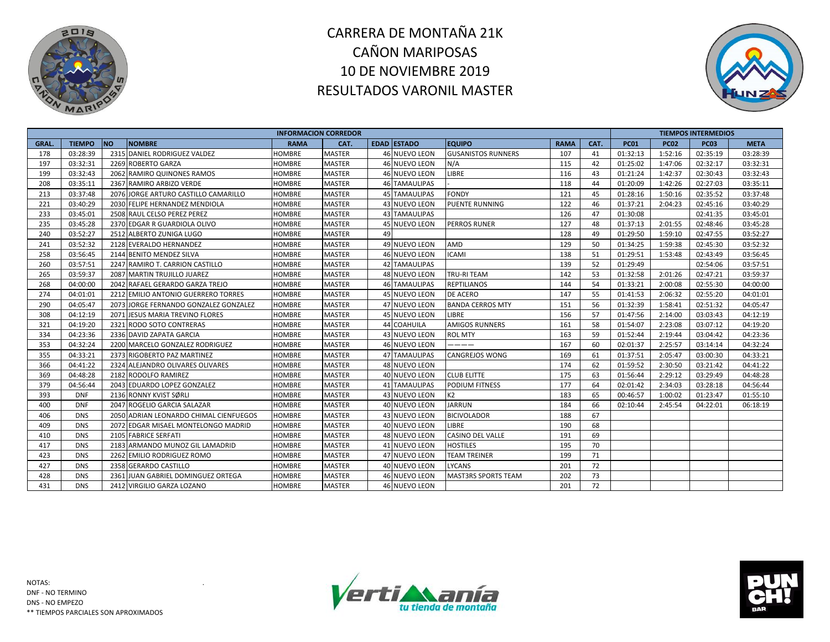



|              |               |                                        |               | <b>INFORMACION CORREDOR</b> |    |                      |                            |             |      |             |             | <b>TIEMPOS INTERMEDIOS</b> |             |
|--------------|---------------|----------------------------------------|---------------|-----------------------------|----|----------------------|----------------------------|-------------|------|-------------|-------------|----------------------------|-------------|
| <b>GRAL.</b> | <b>TIEMPO</b> | <b>NO</b><br><b>NOMBRE</b>             | <b>RAMA</b>   | CAT.                        |    | <b>EDAD ESTADO</b>   | <b>EQUIPO</b>              | <b>RAMA</b> | CAT. | <b>PC01</b> | <b>PC02</b> | <b>PC03</b>                | <b>META</b> |
| 178          | 03:28:39      | 2315 DANIEL RODRIGUEZ VALDEZ           | <b>HOMBRE</b> | <b>MASTER</b>               |    | <b>46 NUEVO LEON</b> | <b>GUSANISTOS RUNNERS</b>  | 107         | 41   | 01:32:13    | 1:52:16     | 02:35:19                   | 03:28:39    |
| 197          | 03:32:31      | 2269 ROBERTO GARZA                     | <b>HOMBRE</b> | <b>MASTER</b>               |    | <b>46 NUEVO LEON</b> | N/A                        | 115         | 42   | 01:25:02    | 1:47:06     | 02:32:17                   | 03:32:31    |
| 199          | 03:32:43      | 2062 RAMIRO QUINONES RAMOS             | <b>HOMBRE</b> | <b>MASTER</b>               |    | 46 NUEVO LEON        | LIBRE                      | 116         | 43   | 01:21:24    | 1:42:37     | 02:30:43                   | 03:32:43    |
| 208          | 03:35:11      | 2367 RAMIRO ARBIZO VERDE               | <b>HOMBRE</b> | <b>MASTER</b>               |    | <b>46 TAMAULIPAS</b> |                            | 118         | 44   | 01:20:09    | 1:42:26     | 02:27:03                   | 03:35:11    |
| 213          | 03:37:48      | 2076 JORGE ARTURO CASTILLO CAMARILLO   | <b>HOMBRE</b> | <b>MASTER</b>               |    | <b>45 TAMAULIPAS</b> | <b>FONDY</b>               | 121         | 45   | 01:28:16    | 1:50:16     | 02:35:52                   | 03:37:48    |
| 221          | 03:40:29      | 2030 FELIPE HERNANDEZ MENDIOLA         | HOMBRE        | <b>MASTER</b>               |    | 43 NUEVO LEON        | <b>PUENTE RUNNING</b>      | 122         | 46   | 01:37:21    | 2:04:23     | 02:45:16                   | 03:40:29    |
| 233          | 03:45:01      | 2508 RAUL CELSO PEREZ PEREZ            | HOMBRE        | <b>MASTER</b>               |    | <b>43 TAMAULIPAS</b> |                            | 126         | 47   | 01:30:08    |             | 02:41:35                   | 03:45:01    |
| 235          | 03:45:28      | 2370 EDGAR R GUARDIOLA OLIVO           | <b>HOMBRE</b> | <b>MASTER</b>               |    | 45 NUEVO LEON        | <b>PERROS RUNER</b>        | 127         | 48   | 01:37:13    | 2:01:55     | 02:48:46                   | 03:45:28    |
| 240          | 03:52:27      | 2512 ALBERTO ZUNIGA LUGO               | <b>HOMBRE</b> | <b>MASTER</b>               | 49 |                      |                            | 128         | 49   | 01:29:50    | 1:59:10     | 02:47:55                   | 03:52:27    |
| 241          | 03:52:32      | 2128 EVERALDO HERNANDEZ                | <b>HOMBRE</b> | <b>MASTER</b>               |    | 49 NUEVO LEON        | <b>AMD</b>                 | 129         | 50   | 01:34:25    | 1:59:38     | 02:45:30                   | 03:52:32    |
| 258          | 03:56:45      | 2144 BENITO MENDEZ SILVA               | <b>HOMBRE</b> | <b>MASTER</b>               |    | 46 NUEVO LEON        | <b>ICAMI</b>               | 138         | 51   | 01:29:51    | 1:53:48     | 02:43:49                   | 03:56:45    |
| 260          | 03:57:51      | 2247 RAMIRO T. CARRION CASTILLO        | <b>HOMBRE</b> | <b>MASTER</b>               |    | 42 TAMAULIPAS        |                            | 139         | 52   | 01:29:49    |             | 02:54:06                   | 03:57:51    |
| 265          | 03:59:37      | 2087 MARTIN TRUJILLO JUAREZ            | <b>HOMBRE</b> | <b>MASTER</b>               |    | 48 NUEVO LEON        | <b>TRU-RITEAM</b>          | 142         | 53   | 01:32:58    | 2:01:26     | 02:47:21                   | 03:59:37    |
| 268          | 04:00:00      | 2042 RAFAEL GERARDO GARZA TREJO        | <b>HOMBRE</b> | <b>MASTER</b>               |    | <b>46 TAMAULIPAS</b> | <b>REPTILIANOS</b>         | 144         | 54   | 01:33:21    | 2:00:08     | 02:55:30                   | 04:00:00    |
| 274          | 04:01:01      | 2212 EMILIO ANTONIO GUERRERO TORRES    | <b>HOMBRE</b> | <b>MASTER</b>               |    | 45 NUEVO LEON        | <b>DE ACERO</b>            | 147         | 55   | 01:41:53    | 2:06:32     | 02:55:20                   | 04:01:01    |
| 290          | 04:05:47      | 2073 JORGE FERNANDO GONZALEZ GONZALEZ  | <b>HOMBRE</b> | <b>MASTER</b>               |    | 47 NUEVO LEON        | <b>BANDA CERROS MTY</b>    | 151         | 56   | 01:32:39    | 1:58:41     | 02:51:32                   | 04:05:47    |
| 308          | 04:12:19      | 2071 JESUS MARIA TREVINO FLORES        | <b>HOMBRE</b> | <b>MASTER</b>               |    | <b>45 NUEVO LEON</b> | <b>LIBRE</b>               | 156         | 57   | 01:47:56    | 2:14:00     | 03:03:43                   | 04:12:19    |
| 321          | 04:19:20      | 2321 RODO SOTO CONTRERAS               | HOMBRE        | <b>MASTER</b>               |    | 44 COAHUILA          | <b>AMIGOS RUNNERS</b>      | 161         | 58   | 01:54:07    | 2:23:08     | 03:07:12                   | 04:19:20    |
| 334          | 04:23:36      | 2336 DAVID ZAPATA GARCIA               | HOMBRE        | <b>MASTER</b>               |    | 43 NUEVO LEON        | <b>ROL MTY</b>             | 163         | 59   | 01:52:44    | 2:19:44     | 03:04:42                   | 04:23:36    |
| 353          | 04:32:24      | 2200 MARCELO GONZALEZ RODRIGUEZ        | HOMBRE        | <b>MASTER</b>               |    | 46 NUEVO LEON        | -----                      | 167         | 60   | 02:01:37    | 2:25:57     | 03:14:14                   | 04:32:24    |
| 355          | 04:33:21      | 2373 RIGOBERTO PAZ MARTINEZ            | <b>HOMBRE</b> | <b>MASTER</b>               |    | 47 TAMAULIPAS        | <b>CANGREJOS WONG</b>      | 169         | 61   | 01:37:51    | 2:05:47     | 03:00:30                   | 04:33:21    |
| 366          | 04:41:22      | 2324 ALEJANDRO OLIVARES OLIVARES       | <b>HOMBRE</b> | <b>MASTER</b>               |    | 48 NUEVO LEON        |                            | 174         | 62   | 01:59:52    | 2:30:50     | 03:21:42                   | 04:41:22    |
| 369          | 04:48:28      | 2182 RODOLFO RAMIREZ                   | <b>HOMBRE</b> | <b>MASTER</b>               |    | 40 NUEVO LEON        | <b>CLUB ELITTE</b>         | 175         | 63   | 01:56:44    | 2:29:12     | 03:29:49                   | 04:48:28    |
| 379          | 04:56:44      | 2043 EDUARDO LOPEZ GONZALEZ            | <b>HOMBRE</b> | <b>MASTER</b>               |    | <b>41 TAMAULIPAS</b> | <b>PODIUM FITNESS</b>      | 177         | 64   | 02:01:42    | 2:34:03     | 03:28:18                   | 04:56:44    |
| 393          | <b>DNF</b>    | 2136 RONNY KVIST SØRLI                 | <b>HOMBRE</b> | <b>MASTER</b>               |    | 43 NUEVO LEON        | K <sub>2</sub>             | 183         | 65   | 00:46:57    | 1:00:02     | 01:23:47                   | 01:55:10    |
| 400          | <b>DNF</b>    | 2047 ROGELIO GARCIA SALAZAR            | HOMBRE        | <b>MASTER</b>               |    | 40 NUEVO LEON        | <b>JARRUN</b>              | 184         | 66   | 02:10:44    | 2:45:54     | 04:22:01                   | 06:18:19    |
| 406          | <b>DNS</b>    | 2050 ADRIAN LEONARDO CHIMAL CIENFUEGOS | <b>HOMBRE</b> | <b>MASTER</b>               |    | 43 NUEVO LEON        | <b>BICIVOLADOR</b>         | 188         | 67   |             |             |                            |             |
| 409          | <b>DNS</b>    | 2072 EDGAR MISAEL MONTELONGO MADRID    | HOMBRE        | <b>MASTER</b>               |    | 40 NUEVO LEON        | LIBRE                      | 190         | 68   |             |             |                            |             |
| 410          | <b>DNS</b>    | 2105 FABRICE SERFATI                   | HOMBRE        | <b>MASTER</b>               |    | 48 NUEVO LEON        | <b>CASINO DEL VALLE</b>    | 191         | 69   |             |             |                            |             |
| 417          | <b>DNS</b>    | 2183 ARMANDO MUNOZ GIL LAMADRID        | <b>HOMBRE</b> | <b>MASTER</b>               |    | 41 NUEVO LEON        | <b>HOSTILES</b>            | 195         | 70   |             |             |                            |             |
| 423          | <b>DNS</b>    | 2262 EMILIO RODRIGUEZ ROMO             | HOMBRE        | <b>MASTER</b>               |    | 47 NUEVO LEON        | <b>TEAM TREINER</b>        | 199         | 71   |             |             |                            |             |
| 427          | <b>DNS</b>    | 2358 GERARDO CASTILLO                  | <b>HOMBRE</b> | <b>MASTER</b>               |    | 40 NUEVO LEON        | <b>LYCANS</b>              | 201         | 72   |             |             |                            |             |
| 428          | <b>DNS</b>    | 2361 JUAN GABRIEL DOMINGUEZ ORTEGA     | HOMBRE        | <b>MASTER</b>               |    | 46 NUEVO LEON        | <b>MAST3RS SPORTS TEAM</b> | 202         | 73   |             |             |                            |             |
| 431          | <b>DNS</b>    | 2412 VIRGILIO GARZA LOZANO             | <b>HOMBRE</b> | <b>MASTER</b>               |    | 46 NUEVO LEON        |                            | 201         | 72   |             |             |                            |             |



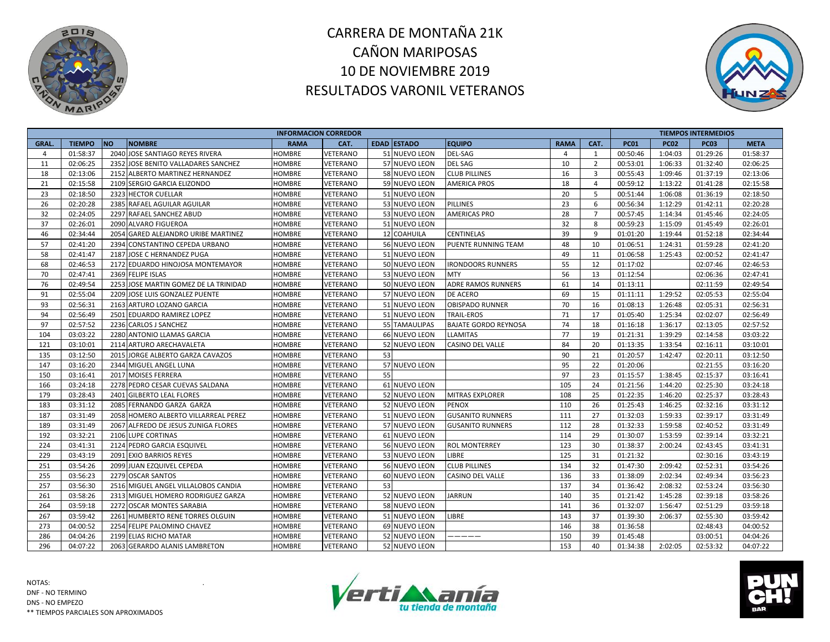



|             |               |                                       | <b>INFORMACION CORREDOR</b> |          |    |                    |                             |             |                |             |             | <b>TIEMPOS INTERMEDIOS</b> |             |
|-------------|---------------|---------------------------------------|-----------------------------|----------|----|--------------------|-----------------------------|-------------|----------------|-------------|-------------|----------------------------|-------------|
| <b>GRAL</b> | <b>TIEMPO</b> | <b>NO</b><br><b>NOMBRE</b>            | <b>RAMA</b>                 | CAT.     |    | <b>EDAD ESTADO</b> | <b>EQUIPO</b>               | <b>RAMA</b> | CAT.           | <b>PC01</b> | <b>PC02</b> | <b>PC03</b>                | <b>META</b> |
| 4           | 01:58:37      | 2040 JOSE SANTIAGO REYES RIVERA       | <b>HOMBRE</b>               | VETERANO |    | 51 NUEVO LEON      | <b>DEL-SAG</b>              | 4           | 1              | 00:50:46    | 1:04:03     | 01:29:26                   | 01:58:37    |
| 11          | 02:06:25      | 2352 JOSE BENITO VALLADARES SANCHEZ   | <b>HOMBRE</b>               | VETERANO |    | 57 NUEVO LEON      | <b>DEL SAG</b>              | 10          | $\overline{2}$ | 00:53:01    | 1:06:33     | 01:32:40                   | 02:06:25    |
| 18          | 02:13:06      | 2152 ALBERTO MARTINEZ HERNANDEZ       | HOMBRE                      | VETERANO |    | 58 NUEVO LEON      | <b>CLUB PILLINES</b>        | 16          | 3              | 00:55:43    | 1:09:46     | 01:37:19                   | 02:13:06    |
| 21          | 02:15:58      | 2109 SERGIO GARCIA ELIZONDO           | HOMBRE                      | VETERANO |    | 59 NUEVO LEON      | <b>AMERICA PROS</b>         | 18          | $\overline{4}$ | 00:59:12    | 1:13:22     | 01:41:28                   | 02:15:58    |
| 23          | 02:18:50      | 2323 HECTOR CUELLAR                   | HOMBRE                      | VETERANO |    | 51 NUEVO LEON      |                             | 20          | 5              | 00:51:44    | 1:06:08     | 01:36:19                   | 02:18:50    |
| 26          | 02:20:28      | 2385 RAFAEL AGUILAR AGUILAR           | HOMBRE                      | VETERANO |    | 53 NUEVO LEON      | <b>PILLINES</b>             | 23          | 6              | 00:56:34    | 1:12:29     | 01:42:11                   | 02:20:28    |
| 32          | 02:24:05      | 2297 RAFAEL SANCHEZ ABUD              | <b>HOMBRE</b>               | VETERANO |    | 53 NUEVO LEON      | <b>AMERICAS PRO</b>         | 28          | $\overline{7}$ | 00:57:45    | 1:14:34     | 01:45:46                   | 02:24:05    |
| 37          | 02:26:01      | 2090 ALVARO FIGUEROA                  | <b>HOMBRE</b>               | VETERANO |    | 51 NUEVO LEON      |                             | 32          | 8              | 00:59:23    | 1:15:09     | 01:45:49                   | 02:26:01    |
| 46          | 02:34:44      | 2054 GARED ALEJANDRO URIBE MARTINEZ   | <b>HOMBRE</b>               | VETERANO |    | 12 COAHUILA        | <b>CENTINELAS</b>           | 39          | 9              | 01:01:20    | 1:19:44     | 01:52:18                   | 02:34:44    |
| 57          | 02:41:20      | 2394 CONSTANTINO CEPEDA URBANO        | HOMBRE                      | VETERANO |    | 56 NUEVO LEON      | <b>PUENTE RUNNING TEAM</b>  | 48          | 10             | 01:06:51    | 1:24:31     | 01:59:28                   | 02:41:20    |
| 58          | 02:41:47      | 2187 JOSE C HERNANDEZ PUGA            | HOMBRE                      | VETERANO |    | 51 NUEVO LEON      |                             | 49          | 11             | 01:06:58    | 1:25:43     | 02:00:52                   | 02:41:47    |
| 68          | 02:46:53      | 2172 EDUARDO HINOJOSA MONTEMAYOR      | <b>HOMBRE</b>               | VETERANO |    | 50 NUEVO LEON      | <b>IRONDOORS RUNNERS</b>    | 55          | 12             | 01:17:02    |             | 02:07:46                   | 02:46:53    |
| 70          | 02:47:41      | 2369 FELIPE ISLAS                     | <b>HOMBRE</b>               | VETERANO |    | 53 NUEVO LEON      | <b>MTY</b>                  | 56          | 13             | 01:12:54    |             | 02:06:36                   | 02:47:41    |
| 76          | 02:49:54      | 2253 JOSE MARTIN GOMEZ DE LA TRINIDAD | HOMBRE                      | VETERANO |    | 50 NUEVO LEON      | <b>ADRE RAMOS RUNNERS</b>   | 61          | 14             | 01:13:11    |             | 02:11:59                   | 02:49:54    |
| 91          | 02:55:04      | 2209 JOSE LUIS GONZALEZ PUENTE        | HOMBRE                      | VETERANO |    | 57 NUEVO LEON      | DE ACERO                    | 69          | 15             | 01:11:11    | 1:29:52     | 02:05:53                   | 02:55:04    |
| 93          | 02:56:31      | 2163 ARTURO LOZANO GARCIA             | HOMBRE                      | VETERANO |    | 51 NUEVO LEON      | <b>OBISPADO RUNNER</b>      | 70          | 16             | 01:08:13    | 1:26:48     | 02:05:31                   | 02:56:31    |
| 94          | 02:56:49      | 2501 EDUARDO RAMIREZ LOPEZ            | HOMBRE                      | VETERANO |    | 51 NUEVO LEON      | <b>TRAIL-EROS</b>           | 71          | 17             | 01:05:40    | 1:25:34     | 02:02:07                   | 02:56:49    |
| 97          | 02:57:52      | 2236 CARLOS J SANCHEZ                 | <b>HOMBRE</b>               | VETERANO |    | 55 TAMAULIPAS      | <b>BAJATE GORDO REYNOSA</b> | 74          | 18             | 01:16:18    | 1:36:17     | 02:13:05                   | 02:57:52    |
| 104         | 03:03:22      | 2280 ANTONIO LLAMAS GARCIA            | <b>HOMBRE</b>               | VETERANO |    | 66 NUEVO LEON      | <b>LLAMITAS</b>             | 77          | 19             | 01:21:31    | 1:39:29     | 02:14:58                   | 03:03:22    |
| 121         | 03:10:01      | 2114 ARTURO ARECHAVALETA              | HOMBRE                      | VETERANO |    | 52 NUEVO LEON      | <b>CASINO DEL VALLE</b>     | 84          | 20             | 01:13:35    | 1:33:54     | 02:16:11                   | 03:10:01    |
| 135         | 03:12:50      | 2015 JORGE ALBERTO GARZA CAVAZOS      | HOMBRE                      | VETERANO | 53 |                    |                             | 90          | 21             | 01:20:57    | 1:42:47     | 02:20:11                   | 03:12:50    |
| 147         | 03:16:20      | 2344 MIGUEL ANGEL LUNA                | HOMBRE                      | VETERANO |    | 57 NUEVO LEON      |                             | 95          | 22             | 01:20:06    |             | 02:21:55                   | 03:16:20    |
| 150         | 03:16:41      | 2017 MOISES FERRERA                   | HOMBRE                      | VETERANO | 55 |                    |                             | 97          | 23             | 01:15:57    | 1:38:45     | 02:15:37                   | 03:16:41    |
| 166         | 03:24:18      | 2278 PEDRO CESAR CUEVAS SALDANA       | HOMBRE                      | VETERANO |    | 61 NUEVO LEON      |                             | 105         | 24             | 01:21:56    | 1:44:20     | 02:25:30                   | 03:24:18    |
| 179         | 03:28:43      | 2401 GILBERTO LEAL FLORES             | HOMBRE                      | VETERANO |    | 52 NUEVO LEON      | <b>MITRAS EXPLORER</b>      | 108         | 25             | 01:22:35    | 1:46:20     | 02:25:37                   | 03:28:43    |
| 183         | 03:31:12      | 2085 FERNANDO GARZA GARZA             | HOMBRE                      | VETERANO |    | 52 NUEVO LEON      | <b>PENOX</b>                | 110         | 26             | 01:25:43    | 1:46:25     | 02:32:16                   | 03:31:12    |
| 187         | 03:31:49      | 2058 HOMERO ALBERTO VILLARREAL PEREZ  | HOMBRE                      | VETERANO |    | 51 NUEVO LEON      | <b>GUSANITO RUNNERS</b>     | 111         | 27             | 01:32:03    | 1:59:33     | 02:39:17                   | 03:31:49    |
| 189         | 03:31:49      | 2067 ALFREDO DE JESUS ZUNIGA FLORES   | <b>HOMBRE</b>               | VETERANO |    | 57 NUEVO LEON      | <b>GUSANITO RUNNERS</b>     | 112         | 28             | 01:32:33    | 1:59:58     | 02:40:52                   | 03:31:49    |
| 192         | 03:32:21      | 2106 LUPE CORTINAS                    | <b>HOMBRE</b>               | VETERANO |    | 61 NUEVO LEON      |                             | 114         | 29             | 01:30:07    | 1:53:59     | 02:39:14                   | 03:32:21    |
| 224         | 03:41:31      | 2124 PEDRO GARCIA ESQUIVEL            | HOMBRE                      | VETERANO |    | 56 NUEVO LEON      | <b>ROL MONTERREY</b>        | 123         | 30             | 01:38:37    | 2:00:24     | 02:43:45                   | 03:41:31    |
| 229         | 03:43:19      | 2091 EXIO BARRIOS REYES               | HOMBRE                      | VETERANO |    | 53 NUEVO LEON      | LIBRE                       | 125         | 31             | 01:21:32    |             | 02:30:16                   | 03:43:19    |
| 251         | 03:54:26      | 2099 JUAN EZQUIVEL CEPEDA             | HOMBRE                      | VETERANO |    | 56 NUEVO LEON      | <b>CLUB PILLINES</b>        | 134         | 32             | 01:47:30    | 2:09:42     | 02:52:31                   | 03:54:26    |
| 255         | 03:56:23      | 2279 OSCAR SANTOS                     | HOMBRE                      | VETERANO |    | 60 NUEVO LEON      | <b>CASINO DEL VALLE</b>     | 136         | 33             | 01:38:09    | 2:02:34     | 02:49:34                   | 03:56:23    |
| 257         | 03:56:30      | 2516 MIGUEL ANGEL VILLALOBOS CANDIA   | HOMBRE                      | VETERANO | 53 |                    |                             | 137         | 34             | 01:36:42    | 2:08:32     | 02:53:24                   | 03:56:30    |
| 261         | 03:58:26      | 2313 MIGUEL HOMERO RODRIGUEZ GARZA    | HOMBRE                      | VETERANO |    | 52 NUEVO LEON      | <b>JARRUN</b>               | 140         | 35             | 01:21:42    | 1:45:28     | 02:39:18                   | 03:58:26    |
| 264         | 03:59:18      | 2272 OSCAR MONTES SARABIA             | HOMBRE                      | VETERANO |    | 58 NUEVO LEON      |                             | 141         | 36             | 01:32:07    | 1:56:47     | 02:51:29                   | 03:59:18    |
| 267         | 03:59:42      | 2261 HUMBERTO RENE TORRES OLGUIN      | HOMBRE                      | VETERANO |    | 51 NUEVO LEON      | <b>LIBRE</b>                | 143         | 37             | 01:39:30    | 2:06:37     | 02:55:30                   | 03:59:42    |
| 273         | 04:00:52      | 2254 FELIPE PALOMINO CHAVEZ           | HOMBRE                      | VETERANO |    | 69 NUEVO LEON      |                             | 146         | 38             | 01:36:58    |             | 02:48:43                   | 04:00:52    |
| 286         | 04:04:26      | 2199 ELIAS RICHO MATAR                | HOMBRE                      | VETERANO |    | 52 NUEVO LEON      | ------                      | 150         | 39             | 01:45:48    |             | 03:00:51                   | 04:04:26    |
| 296         | 04:07:22      | 2063 GERARDO ALANIS LAMBRETON         | <b>HOMBRE</b>               | VETERANO |    | 52 NUEVO LEON      |                             | 153         | 40             | 01:34:38    | 2:02:05     | 02:53:32                   | 04:07:22    |